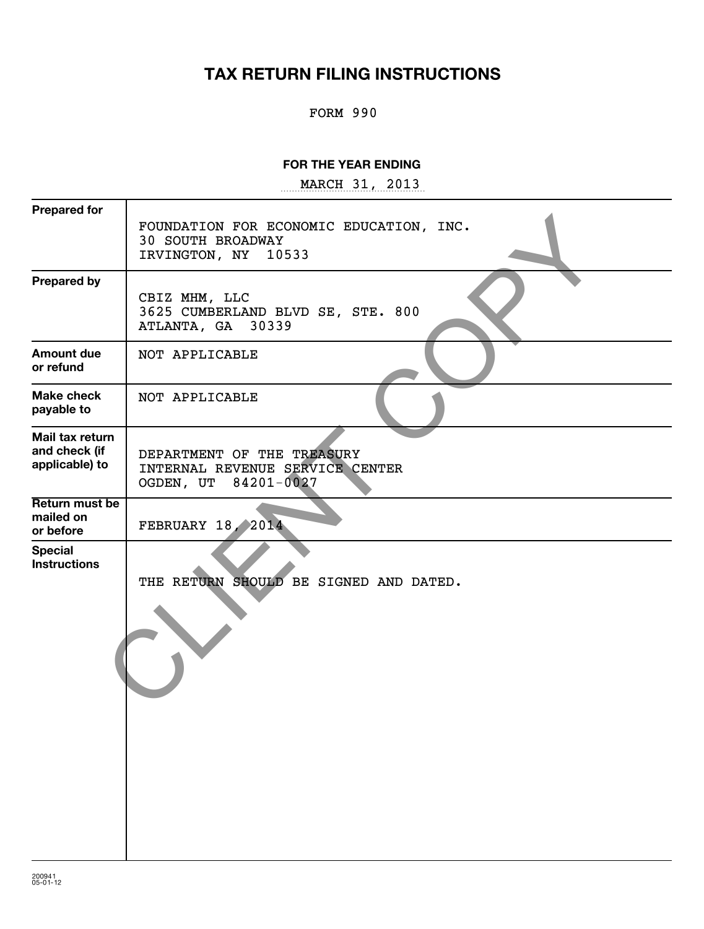# **TAX RETURN FILING INSTRUCTIONS**

### FORM 990

#### **FOR THE YEAR ENDING**

~~~~~~~~~~~~~~~~~ MARCH 31, 2013

| <b>Prepared for</b>                                | FOUNDATION FOR ECONOMIC EDUCATION, INC.<br><b>30 SOUTH BROADWAY</b><br>IRVINGTON, NY<br>10533 |
|----------------------------------------------------|-----------------------------------------------------------------------------------------------|
| <b>Prepared by</b>                                 | CBIZ MHM, LLC<br>3625 CUMBERLAND BLVD SE, STE. 800<br>30339<br>ATLANTA, GA                    |
| <b>Amount due</b><br>or refund                     | NOT APPLICABLE                                                                                |
| <b>Make check</b><br>payable to                    | NOT APPLICABLE                                                                                |
| Mail tax return<br>and check (if<br>applicable) to | DEPARTMENT OF THE TREASURY<br>INTERNAL REVENUE SERVICE CENTER<br>84201-0027<br>OGDEN, UT      |
| Return must be<br>mailed on<br>or before           | FEBRUARY 18, 2014                                                                             |
| <b>Special</b><br><b>Instructions</b>              | THE RETURN SHOULD BE SIGNED AND DATED.                                                        |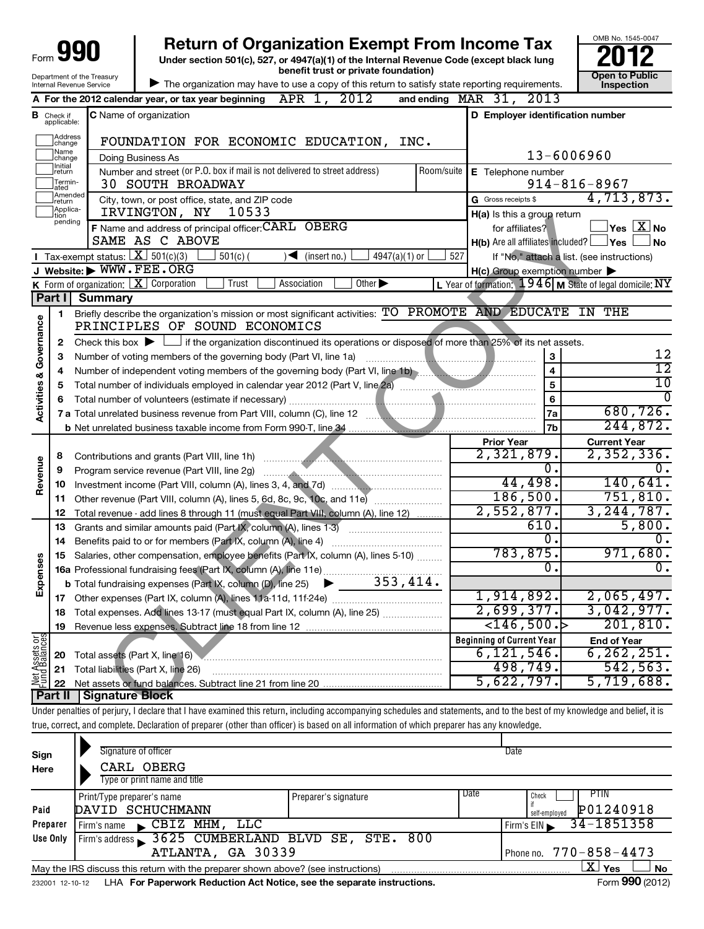| 990<br>Form<br>w                                       |
|--------------------------------------------------------|
| Department of the Treasury<br>Internal Revenue Service |

**Under section 501(c), 527, or 4947(a)(1) of the Internal Revenue Code (except black lung benefit trust or private foundation) Construction Construction Construction Construction 990** Return of Organization Exempt From Income Tax  $\frac{6008 \text{ No. 1545-004}}{2012}$ 

|                                    | benefit trust or private foundation)<br>Department of the Treasury<br>The organization may have to use a copy of this return to satisfy state reporting requirements.<br>Internal Revenue Service |                                       |                                                                                                                                                                            | <b>Open to Public</b><br>Inspection |            |                                                     |                                                           |
|------------------------------------|---------------------------------------------------------------------------------------------------------------------------------------------------------------------------------------------------|---------------------------------------|----------------------------------------------------------------------------------------------------------------------------------------------------------------------------|-------------------------------------|------------|-----------------------------------------------------|-----------------------------------------------------------|
|                                    | APR 1, 2012<br>and ending $\n  MAR\n  31, 2013\n$<br>A For the 2012 calendar year, or tax year beginning                                                                                          |                                       |                                                                                                                                                                            |                                     |            |                                                     |                                                           |
|                                    | <b>B</b> Check if<br>applicable:                                                                                                                                                                  |                                       | <b>C</b> Name of organization                                                                                                                                              |                                     |            | D Employer identification number                    |                                                           |
|                                    | Address<br>change                                                                                                                                                                                 |                                       | FOUNDATION FOR ECONOMIC EDUCATION,                                                                                                                                         |                                     | INC.       |                                                     |                                                           |
|                                    | Name<br>change                                                                                                                                                                                    |                                       | Doing Business As                                                                                                                                                          |                                     |            |                                                     | 13-6006960                                                |
|                                    | Initial<br> return                                                                                                                                                                                |                                       | Number and street (or P.O. box if mail is not delivered to street address)                                                                                                 |                                     | Room/suite | E Telephone number                                  |                                                           |
|                                    | Termin-<br>ated                                                                                                                                                                                   |                                       | <b>30 SOUTH BROADWAY</b>                                                                                                                                                   |                                     |            |                                                     | $914 - 816 - 8967$                                        |
|                                    | Amended<br>Ireturn                                                                                                                                                                                |                                       | City, town, or post office, state, and ZIP code                                                                                                                            |                                     |            | G Gross receipts \$                                 | 4,713,873.                                                |
|                                    | Applica-<br>tion<br>pending                                                                                                                                                                       |                                       | IRVINGTON, NY<br>10533                                                                                                                                                     |                                     |            | H(a) Is this a group return                         |                                                           |
|                                    |                                                                                                                                                                                                   |                                       | F Name and address of principal officer: CARL OBERG                                                                                                                        |                                     |            | for affiliates?                                     | $Yes$ $\boxed{X}$ No                                      |
|                                    |                                                                                                                                                                                                   |                                       | SAME AS C ABOVE                                                                                                                                                            |                                     |            | $H(b)$ Are all affiliates included? $\Box$ Yes      | <b>No</b>                                                 |
|                                    |                                                                                                                                                                                                   | Tax-exempt status: $X \sim 501(c)(3)$ | $501(c)$ (<br>◀                                                                                                                                                            | (insert no.)<br>$4947(a)(1)$ or     | 527        |                                                     | If "No," attach a list. (see instructions)                |
|                                    |                                                                                                                                                                                                   |                                       | J Website: WWW.FEE.ORG<br><b>K</b> Form of organization: $X$ Corporation<br>Trust<br>Association                                                                           | Other $\blacktriangleright$         |            | $H(c)$ Group exemption number $\blacktriangleright$ | L Year of formation: $1946$ M State of legal domicile: NY |
|                                    | Part I                                                                                                                                                                                            | <b>Summary</b>                        |                                                                                                                                                                            |                                     |            |                                                     |                                                           |
|                                    | 1                                                                                                                                                                                                 |                                       | Briefly describe the organization's mission or most significant activities: TO PROMOTE AND EDUCATE IN THE                                                                  |                                     |            |                                                     |                                                           |
| <b>Activities &amp; Governance</b> |                                                                                                                                                                                                   |                                       | PRINCIPLES OF SOUND ECONOMICS                                                                                                                                              |                                     |            |                                                     |                                                           |
|                                    | 2                                                                                                                                                                                                 |                                       | Check this box $\blacktriangleright$ $\Box$ if the organization discontinued its operations or disposed of more than 25% of its net assets.                                |                                     |            |                                                     |                                                           |
|                                    | 3                                                                                                                                                                                                 |                                       | Number of voting members of the governing body (Part VI, line 1a)                                                                                                          |                                     |            | 3                                                   | 12                                                        |
|                                    | 4                                                                                                                                                                                                 |                                       | Number of independent voting members of the governing body (Part VI, line 1b)                                                                                              |                                     |            | $\overline{\mathbf{4}}$                             | $\overline{12}$                                           |
|                                    | 5                                                                                                                                                                                                 |                                       |                                                                                                                                                                            |                                     |            | 5                                                   | $\overline{10}$                                           |
|                                    | 6                                                                                                                                                                                                 |                                       | Total number of volunteers (estimate if necessary)                                                                                                                         |                                     |            | 6                                                   | $\Omega$                                                  |
|                                    |                                                                                                                                                                                                   |                                       |                                                                                                                                                                            |                                     |            | 7a                                                  | 680, 726.                                                 |
|                                    |                                                                                                                                                                                                   |                                       |                                                                                                                                                                            |                                     |            | 7b                                                  | 244,872.                                                  |
|                                    |                                                                                                                                                                                                   |                                       |                                                                                                                                                                            |                                     |            | <b>Prior Year</b>                                   | <b>Current Year</b>                                       |
|                                    | 8                                                                                                                                                                                                 |                                       |                                                                                                                                                                            |                                     |            | 2,321,879.                                          | 2,352,336.                                                |
| Revenue                            | 9                                                                                                                                                                                                 |                                       | Program service revenue (Part VIII, line 2g)                                                                                                                               |                                     |            | $\overline{0}$ .                                    | 0.                                                        |
|                                    | 10                                                                                                                                                                                                |                                       |                                                                                                                                                                            |                                     |            | 44,498.                                             | 140,641.                                                  |
|                                    | 11                                                                                                                                                                                                |                                       |                                                                                                                                                                            |                                     |            | 186,500.<br>2,552,877.                              | 751,810.<br>3, 244, 787.                                  |
|                                    | 12                                                                                                                                                                                                |                                       | Total revenue - add lines 8 through 11 (must equal Part VIII, column (A), line 12)                                                                                         |                                     |            | 610.                                                | 5,800.                                                    |
|                                    | 13<br>14                                                                                                                                                                                          |                                       | Grants and similar amounts paid (Part IX, column (A), lines 1-3)<br>Benefits paid to or for members (Part IX, column (A), line 4)                                          |                                     |            | $\overline{0}$ .                                    | ο.                                                        |
|                                    | 15                                                                                                                                                                                                |                                       | Salaries, other compensation, employee benefits (Part IX, column (A), lines 5-10)                                                                                          |                                     |            | 783,875.                                            | 971,680.                                                  |
|                                    |                                                                                                                                                                                                   |                                       | 16a Professional fundraising fees (Part IX, column (A), line 11e)                                                                                                          |                                     |            | σ.                                                  | $\overline{0}$ .                                          |
| Expenses                           |                                                                                                                                                                                                   |                                       | <b>b</b> Total fundraising expenses (Part IX, column (D), line 25)                                                                                                         | 353,414.<br>▶                       |            |                                                     |                                                           |
|                                    |                                                                                                                                                                                                   |                                       | 17 Other expenses (Part IX, column (A), lines 11a-11d, 11f-24e)                                                                                                            |                                     |            | 1,914,892.                                          | 2,065,497.                                                |
|                                    | 18                                                                                                                                                                                                |                                       | Total expenses. Add lines 13-17 (must equal Part IX, column (A), line 25)                                                                                                  |                                     |            | 2,699,377.                                          | 3,042,977.                                                |
|                                    | 19                                                                                                                                                                                                |                                       |                                                                                                                                                                            |                                     |            | $\leftarrow$ 146,500. $\leftarrow$                  | 201, 810.                                                 |
| Net Assets or<br>Fund Balances     |                                                                                                                                                                                                   |                                       |                                                                                                                                                                            |                                     |            | <b>Beginning of Current Year</b>                    | <b>End of Year</b>                                        |
|                                    | 20                                                                                                                                                                                                |                                       | Total assets (Part X, line 16)                                                                                                                                             |                                     |            | 6, 121, 546.                                        | 6, 262, 251.                                              |
|                                    | 21                                                                                                                                                                                                |                                       | Total liabilities (Part X, line 26)                                                                                                                                        |                                     |            | 498,749.                                            | 542,563.                                                  |
|                                    | 22                                                                                                                                                                                                |                                       |                                                                                                                                                                            |                                     |            | 5,622,797.                                          | 5,719,688.                                                |
|                                    | Part II                                                                                                                                                                                           | <b>Signature Block</b>                |                                                                                                                                                                            |                                     |            |                                                     |                                                           |
|                                    |                                                                                                                                                                                                   |                                       | Under penalties of perjury, I declare that I have examined this return, including accompanying schedules and statements, and to the best of my knowledge and belief, it is |                                     |            |                                                     |                                                           |
|                                    |                                                                                                                                                                                                   |                                       | true, correct, and complete. Declaration of preparer (other than officer) is based on all information of which preparer has any knowledge.                                 |                                     |            |                                                     |                                                           |
|                                    |                                                                                                                                                                                                   |                                       | Signature of officer                                                                                                                                                       |                                     |            | Date                                                |                                                           |
| Sign<br>Here                       |                                                                                                                                                                                                   |                                       | CARL OBERG                                                                                                                                                                 |                                     |            |                                                     |                                                           |
|                                    |                                                                                                                                                                                                   |                                       | Type or print name and title                                                                                                                                               |                                     |            |                                                     |                                                           |
|                                    |                                                                                                                                                                                                   |                                       |                                                                                                                                                                            |                                     |            | h n ata                                             | <b>DTIN</b>                                               |

|                 | Print/Type preparer's name                                                        | Preparer's signature | Date | <b>PTIN</b><br>Check          |
|-----------------|-----------------------------------------------------------------------------------|----------------------|------|-------------------------------|
| Paid            | DAVID SCHUCHMANN                                                                  |                      |      | P01240918<br>self-emploved    |
| Preparer        | CBIZ MHM, LLC<br>Firm's name                                                      |                      |      | $Firm's EIN$ 34-1851358       |
| Use Only        | Firm's address 3625 CUMBERLAND BLVD SE, STE. 800                                  |                      |      |                               |
|                 | ATLANTA, GA 30339                                                                 |                      |      | Phone no. 770-858-4473        |
|                 | May the IRS discuss this return with the preparer shown above? (see instructions) |                      |      | $\mathbf{X}$ Yes<br><b>No</b> |
| 232001 12-10-12 | LHA For Paperwork Reduction Act Notice, see the separate instructions.            |                      |      | Form 990 (2012)               |

OMB No. 1545-0047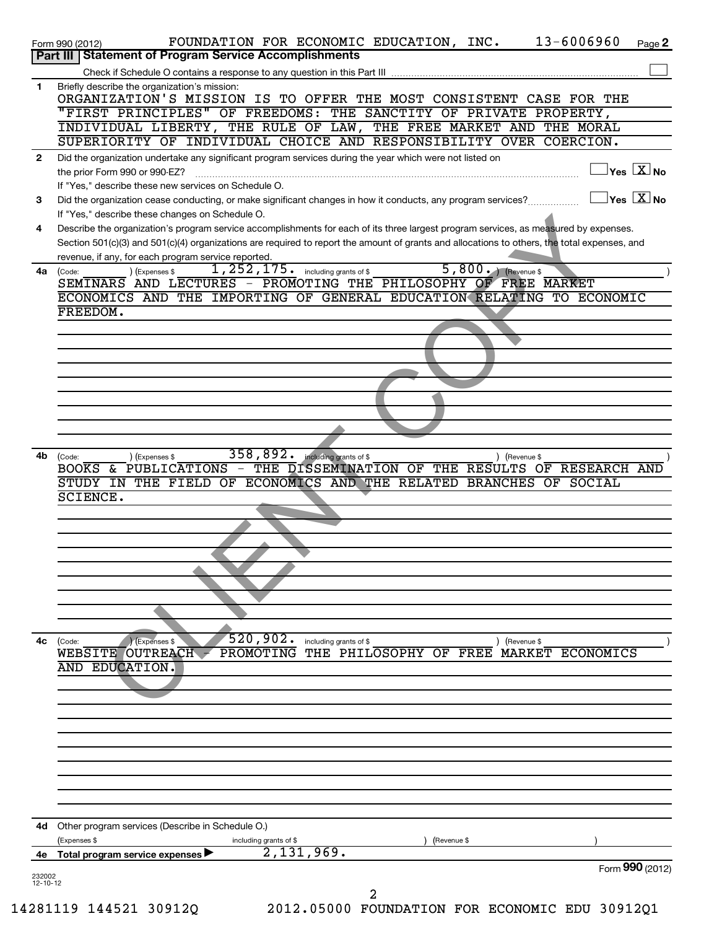|                          | 13-6006960<br>FOUNDATION FOR ECONOMIC EDUCATION, INC.<br>Page 2<br>Form 990 (2012)                                                                                                                                                                                                   |
|--------------------------|--------------------------------------------------------------------------------------------------------------------------------------------------------------------------------------------------------------------------------------------------------------------------------------|
|                          | <b>Statement of Program Service Accomplishments</b><br><b>Part III</b>                                                                                                                                                                                                               |
| 1                        | Briefly describe the organization's mission:                                                                                                                                                                                                                                         |
|                          | ORGANIZATION'S MISSION IS TO OFFER THE MOST CONSISTENT CASE FOR THE                                                                                                                                                                                                                  |
|                          | "FIRST PRINCIPLES" OF FREEDOMS: THE SANCTITY OF PRIVATE PROPERTY,                                                                                                                                                                                                                    |
|                          | INDIVIDUAL LIBERTY, THE RULE OF LAW, THE FREE MARKET AND THE MORAL<br>SUPERIORITY OF INDIVIDUAL CHOICE AND RESPONSIBILITY OVER COERCION.                                                                                                                                             |
| $\mathbf{2}$             | Did the organization undertake any significant program services during the year which were not listed on                                                                                                                                                                             |
|                          | $\overline{\ }$ Yes $\overline{\rm X}$ No<br>the prior Form 990 or 990-EZ?                                                                                                                                                                                                           |
|                          | If "Yes," describe these new services on Schedule O.                                                                                                                                                                                                                                 |
| 3                        | $\exists$ Yes $\boxed{\text{X}}$ No<br>Did the organization cease conducting, or make significant changes in how it conducts, any program services?                                                                                                                                  |
|                          | If "Yes," describe these changes on Schedule O.                                                                                                                                                                                                                                      |
| 4                        | Describe the organization's program service accomplishments for each of its three largest program services, as measured by expenses.<br>Section 501(c)(3) and 501(c)(4) organizations are required to report the amount of grants and allocations to others, the total expenses, and |
|                          | revenue, if any, for each program service reported.                                                                                                                                                                                                                                  |
| 4a                       | 5,800. (Revenue \$<br>$1,252,175$ $\cdot$ including grants of \$<br>(Expenses \$<br>(Code:                                                                                                                                                                                           |
|                          | SEMINARS AND LECTURES - PROMOTING THE PHILOSOPHY OF FREE MARKET                                                                                                                                                                                                                      |
|                          | ECONOMICS AND THE IMPORTING OF GENERAL EDUCATION RELATING TO ECONOMIC                                                                                                                                                                                                                |
|                          | FREEDOM.                                                                                                                                                                                                                                                                             |
|                          |                                                                                                                                                                                                                                                                                      |
|                          |                                                                                                                                                                                                                                                                                      |
|                          |                                                                                                                                                                                                                                                                                      |
|                          |                                                                                                                                                                                                                                                                                      |
|                          |                                                                                                                                                                                                                                                                                      |
|                          |                                                                                                                                                                                                                                                                                      |
|                          |                                                                                                                                                                                                                                                                                      |
| 4b                       | 358,892.<br>including grants of \$<br>) (Expenses \$<br>) (Revenue \$<br>(Code:                                                                                                                                                                                                      |
|                          | BOOKS & PUBLICATIONS - THE DISSEMINATION OF THE RESULTS OF RESEARCH AND                                                                                                                                                                                                              |
|                          | STUDY IN THE FIELD OF ECONOMICS AND THE RELATED BRANCHES OF SOCIAL<br><b>SCIENCE.</b>                                                                                                                                                                                                |
|                          |                                                                                                                                                                                                                                                                                      |
|                          |                                                                                                                                                                                                                                                                                      |
|                          |                                                                                                                                                                                                                                                                                      |
|                          |                                                                                                                                                                                                                                                                                      |
|                          |                                                                                                                                                                                                                                                                                      |
|                          |                                                                                                                                                                                                                                                                                      |
|                          |                                                                                                                                                                                                                                                                                      |
|                          |                                                                                                                                                                                                                                                                                      |
| 4c                       | 520,902.<br>including grants of \$<br>(Code:<br>Expenses \$<br>) (Revenue \$                                                                                                                                                                                                         |
|                          | WEBSITE OUTREACH<br>PROMOTING<br>THE PHILOSOPHY OF<br>FREE MARKET ECONOMICS<br>AND EDUCATION.                                                                                                                                                                                        |
|                          |                                                                                                                                                                                                                                                                                      |
|                          |                                                                                                                                                                                                                                                                                      |
|                          |                                                                                                                                                                                                                                                                                      |
|                          |                                                                                                                                                                                                                                                                                      |
|                          |                                                                                                                                                                                                                                                                                      |
|                          |                                                                                                                                                                                                                                                                                      |
|                          |                                                                                                                                                                                                                                                                                      |
|                          |                                                                                                                                                                                                                                                                                      |
|                          |                                                                                                                                                                                                                                                                                      |
| 4d                       | Other program services (Describe in Schedule O.)                                                                                                                                                                                                                                     |
| 4е                       | (Expenses \$<br>including grants of \$<br>(Revenue \$<br>2,131,969.<br>Total program service expenses                                                                                                                                                                                |
|                          | Form 990 (2012)                                                                                                                                                                                                                                                                      |
| 232002<br>$12 - 10 - 12$ |                                                                                                                                                                                                                                                                                      |
|                          | 2                                                                                                                                                                                                                                                                                    |

14281119 144521 30912Q 2012.05000 FOUNDATION FOR ECONOMIC EDU 30912Q1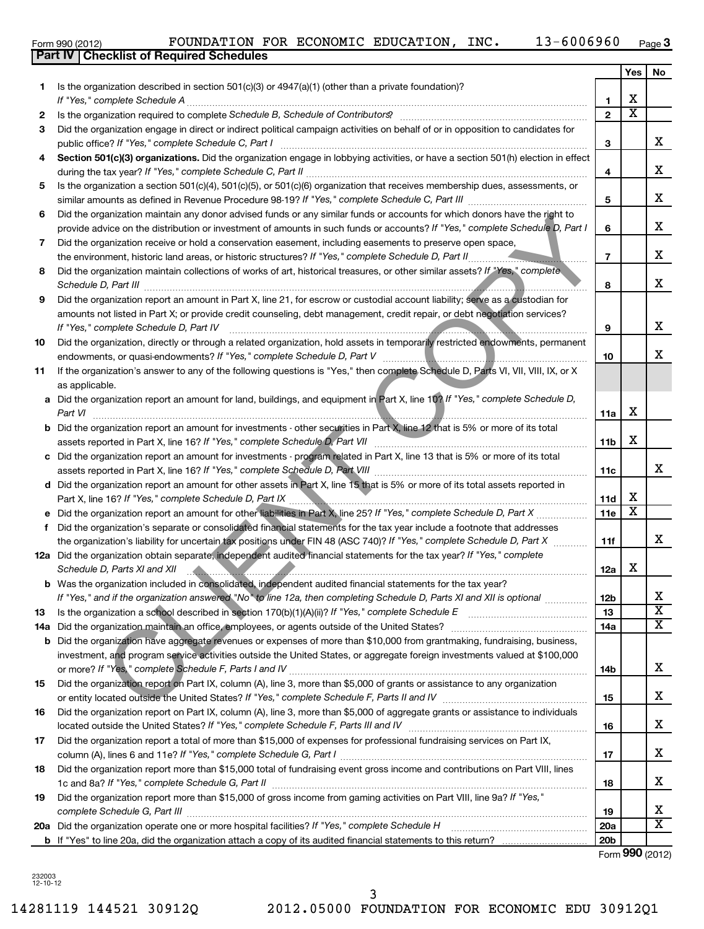| LOIIII AAN (SO IS) | 10011111110111                                   |
|--------------------|--------------------------------------------------|
|                    | <b>Part IV   Checklist of Required Schedules</b> |

|     |                                                                                                                                                                                                                                |                 | Yes                     | No                    |
|-----|--------------------------------------------------------------------------------------------------------------------------------------------------------------------------------------------------------------------------------|-----------------|-------------------------|-----------------------|
| 1   | Is the organization described in section $501(c)(3)$ or $4947(a)(1)$ (other than a private foundation)?                                                                                                                        |                 |                         |                       |
|     | If "Yes," complete Schedule A                                                                                                                                                                                                  | 1               | х                       |                       |
| 2   |                                                                                                                                                                                                                                | $\overline{2}$  | $\overline{\textbf{x}}$ |                       |
| 3   | Did the organization engage in direct or indirect political campaign activities on behalf of or in opposition to candidates for<br>public office? If "Yes," complete Schedule C, Part I                                        | 3               |                         | x                     |
| 4   | Section 501(c)(3) organizations. Did the organization engage in lobbying activities, or have a section 501(h) election in effect                                                                                               |                 |                         |                       |
|     | during the tax year? If "Yes," complete Schedule C, Part II                                                                                                                                                                    | 4               |                         | x                     |
| 5   | Is the organization a section 501(c)(4), 501(c)(5), or 501(c)(6) organization that receives membership dues, assessments, or<br>similar amounts as defined in Revenue Procedure 98-19? If "Yes," complete Schedule C, Part III | 5               |                         | х                     |
| 6   | Did the organization maintain any donor advised funds or any similar funds or accounts for which donors have the right to                                                                                                      |                 |                         |                       |
|     | provide advice on the distribution or investment of amounts in such funds or accounts? If "Yes," complete Schedule D, Part I                                                                                                   | 6               |                         | х                     |
| 7   | Did the organization receive or hold a conservation easement, including easements to preserve open space,                                                                                                                      |                 |                         |                       |
|     | the environment, historic land areas, or historic structures? If "Yes," complete Schedule D, Part II                                                                                                                           | $\overline{7}$  |                         | х                     |
| 8   | Did the organization maintain collections of works of art, historical treasures, or other similar assets? If "Yes," complete<br>Schedule D, Part III                                                                           | 8               |                         | x                     |
| 9   | Did the organization report an amount in Part X, line 21, for escrow or custodial account liability; serve as a custodian for                                                                                                  |                 |                         |                       |
|     | amounts not listed in Part X; or provide credit counseling, debt management, credit repair, or debt negotiation services?<br>If "Yes," complete Schedule D, Part IV                                                            | 9               |                         | х                     |
| 10  | Did the organization, directly or through a related organization, hold assets in temporarily restricted endowments, permanent                                                                                                  |                 |                         |                       |
|     | endowments, or quasi-endowments? If "Yes," complete Schedule D, Part V                                                                                                                                                         | 10              |                         | х                     |
| 11  | If the organization's answer to any of the following questions is "Yes," then complete Schedule D, Parts VI, VII, VIII, IX, or X<br>as applicable.                                                                             |                 |                         |                       |
|     | a Did the organization report an amount for land, buildings, and equipment in Part X, line 10? If "Yes," complete Schedule D,                                                                                                  |                 |                         |                       |
|     | Part VI                                                                                                                                                                                                                        | 11a             | х                       |                       |
|     | Did the organization report an amount for investments - other securities in Part X, line 12 that is 5% or more of its total                                                                                                    |                 |                         |                       |
|     | assets reported in Part X, line 16? If "Yes," complete Schedule D, Part VII                                                                                                                                                    | 11 <sub>b</sub> | х                       |                       |
| с   | Did the organization report an amount for investments - program related in Part X, line 13 that is 5% or more of its total                                                                                                     |                 |                         | x                     |
|     | Did the organization report an amount for other assets in Part X, line 15 that is 5% or more of its total assets reported in                                                                                                   | 11c             |                         |                       |
| d   | Part X, line 16? If "Yes," complete Schedule D, Part IX                                                                                                                                                                        | 11d             | х                       |                       |
|     | Did the organization report an amount for other liabilities in Part X, line 25? If "Yes," complete Schedule D, Part X                                                                                                          | 11e             | х                       |                       |
| f   | Did the organization's separate or consolidated financial statements for the tax year include a footnote that addresses                                                                                                        |                 |                         |                       |
|     | the organization's liability for uncertain tax positions under FIN 48 (ASC 740)? If "Yes," complete Schedule D, Part X                                                                                                         | 11f             |                         | x                     |
|     | 12a Did the organization obtain separate, independent audited financial statements for the tax year? If "Yes," complete                                                                                                        |                 |                         |                       |
|     | Schedule D, Parts XI and XII                                                                                                                                                                                                   | 12a             | х                       |                       |
|     | b Was the organization included in consolidated, independent audited financial statements for the tax year?                                                                                                                    |                 |                         |                       |
|     | If "Yes," and if the organization answered "No" to line 12a, then completing Schedule D, Parts XI and XII is optional <i>www.ww</i>                                                                                            | 12 <sub>b</sub> |                         | Χ                     |
| 13  | Is the organization a school described in section $170(b)(1)(A)(ii)$ ? If "Yes," complete Schedule E                                                                                                                           | 13              |                         | $\overline{\text{X}}$ |
| 14a | Did the organization maintain an office, employees, or agents outside of the United States?                                                                                                                                    | 14a             |                         | x                     |
| b   | Did the organization have aggregate revenues or expenses of more than \$10,000 from grantmaking, fundraising, business,                                                                                                        |                 |                         |                       |
|     | investment, and program service activities outside the United States, or aggregate foreign investments valued at \$100,000                                                                                                     |                 |                         | x                     |
| 15  | Did the organization report on Part IX, column (A), line 3, more than \$5,000 of grants or assistance to any organization                                                                                                      | 14b             |                         |                       |
|     |                                                                                                                                                                                                                                | 15              |                         | x                     |
| 16  | Did the organization report on Part IX, column (A), line 3, more than \$5,000 of aggregate grants or assistance to individuals                                                                                                 |                 |                         |                       |
|     |                                                                                                                                                                                                                                | 16              |                         | x                     |
| 17  | Did the organization report a total of more than \$15,000 of expenses for professional fundraising services on Part IX,                                                                                                        |                 |                         |                       |
|     |                                                                                                                                                                                                                                | 17              |                         | x                     |
| 18  | Did the organization report more than \$15,000 total of fundraising event gross income and contributions on Part VIII, lines                                                                                                   |                 |                         |                       |
|     |                                                                                                                                                                                                                                | 18              |                         | x                     |
| 19  | Did the organization report more than \$15,000 of gross income from gaming activities on Part VIII, line 9a? If "Yes,"                                                                                                         |                 |                         |                       |
|     |                                                                                                                                                                                                                                | 19              |                         | х                     |
|     | 20a Did the organization operate one or more hospital facilities? If "Yes," complete Schedule H                                                                                                                                | 20a             |                         | X                     |
|     |                                                                                                                                                                                                                                | 20 <sub>b</sub> |                         |                       |

Form (2012) **990**

232003 12-10-12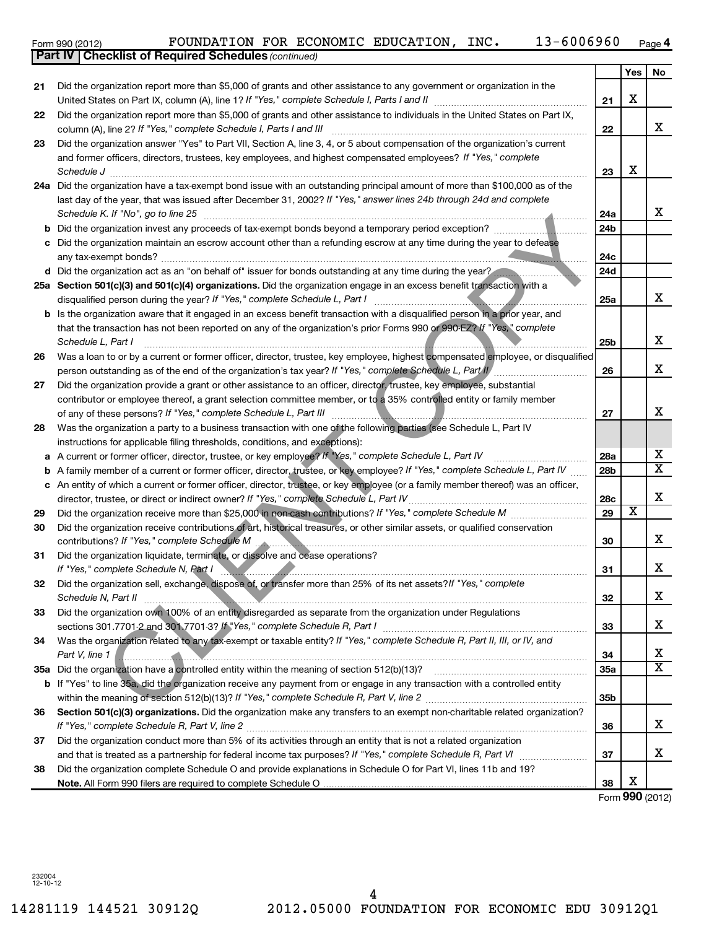**22**

**23**

|    | and former officers, directors, trustees, key employees, and highest compensated employees? If "Yes," complete                                |                 | х                     |                         |
|----|-----------------------------------------------------------------------------------------------------------------------------------------------|-----------------|-----------------------|-------------------------|
|    | Schedule J                                                                                                                                    | 23              |                       |                         |
|    | 24a Did the organization have a tax-exempt bond issue with an outstanding principal amount of more than \$100,000 as of the                   |                 |                       |                         |
|    | last day of the year, that was issued after December 31, 2002? If "Yes," answer lines 24b through 24d and complete                            |                 |                       | х                       |
|    | Schedule K. If "No", go to line 25                                                                                                            | 24a             |                       |                         |
|    | <b>b</b> Did the organization invest any proceeds of tax-exempt bonds beyond a temporary period exception?                                    | 24b             |                       |                         |
|    | Did the organization maintain an escrow account other than a refunding escrow at any time during the year to defease<br>any tax-exempt bonds? | 24c             |                       |                         |
|    | d Did the organization act as an "on behalf of" issuer for bonds outstanding at any time during the year?                                     | 24d             |                       |                         |
|    | 25a Section 501(c)(3) and 501(c)(4) organizations. Did the organization engage in an excess benefit transaction with a                        |                 |                       |                         |
|    | disqualified person during the year? If "Yes," complete Schedule L, Part I                                                                    | 25a             |                       | х                       |
|    | b Is the organization aware that it engaged in an excess benefit transaction with a disqualified person in a prior year, and                  |                 |                       |                         |
|    | that the transaction has not been reported on any of the organization's prior Forms 990 or 990-EZ? If "Yes," complete                         |                 |                       |                         |
|    | Schedule L, Part I                                                                                                                            | 25 <sub>b</sub> |                       | х                       |
| 26 | Was a loan to or by a current or former officer, director, trustee, key employee, highest compensated employee, or disqualified               |                 |                       |                         |
|    | person outstanding as of the end of the organization's tax year? If "Yes," complete Schedule L, Part II                                       | 26              |                       | х                       |
| 27 | Did the organization provide a grant or other assistance to an officer, director, trustee, key employee, substantial                          |                 |                       |                         |
|    | contributor or employee thereof, a grant selection committee member, or to a 35% controlled entity or family member                           |                 |                       |                         |
|    | of any of these persons? If "Yes," complete Schedule L, Part III                                                                              | 27              |                       | х                       |
| 28 | Was the organization a party to a business transaction with one of the following parties (see Schedule L, Part IV                             |                 |                       |                         |
|    | instructions for applicable filing thresholds, conditions, and exceptions):                                                                   |                 |                       |                         |
| а  | A current or former officer, director, trustee, or key employee? If "Yes," complete Schedule L, Part IV                                       | 28a             |                       | Х                       |
| b  | A family member of a current or former officer, director, trustee, or key employee? If "Yes," complete Schedule L, Part IV                    | 28b             |                       | $\overline{\textbf{X}}$ |
|    | c An entity of which a current or former officer, director, trustee, or key employee (or a family member thereof) was an officer,             |                 |                       |                         |
|    | director, trustee, or direct or indirect owner? If "Yes," complete Schedule L, Part IV                                                        | 28c             |                       | х                       |
| 29 |                                                                                                                                               | 29              | $\overline{\text{x}}$ |                         |
| 30 | Did the organization receive contributions of art, historical treasures, or other similar assets, or qualified conservation                   |                 |                       |                         |
|    | contributions? If "Yes," complete Schedule M                                                                                                  | 30              |                       | х                       |
| 31 | Did the organization liquidate, terminate, or dissolve and cease operations?                                                                  |                 |                       |                         |
|    | If "Yes," complete Schedule N, Part I                                                                                                         | 31              |                       | х                       |
| 32 | Did the organization sell, exchange, dispose of, or transfer more than 25% of its net assets? If "Yes," complete                              |                 |                       |                         |
|    | Schedule N, Part II                                                                                                                           | 32              |                       | х                       |
| 33 | Did the organization own 100% of an entity disregarded as separate from the organization under Regulations                                    |                 |                       |                         |
|    | sections 301.7701-2 and 301.7701-3? If "Yes," complete Schedule R, Part I                                                                     | 33              |                       | х                       |
| 34 | Was the organization related to any tax-exempt or taxable entity? If "Yes," complete Schedule R, Part II, III, or IV, and                     |                 |                       |                         |
|    | Part V, line 1                                                                                                                                | 34              |                       | X                       |
|    |                                                                                                                                               | 35a             |                       | $\overline{\text{X}}$   |
|    | If "Yes" to line 35a, did the organization receive any payment from or engage in any transaction with a controlled entity                     |                 |                       |                         |
|    |                                                                                                                                               | 35 <sub>b</sub> |                       |                         |
| 36 | Section 501(c)(3) organizations. Did the organization make any transfers to an exempt non-charitable related organization?                    | 36              |                       | x                       |
| 37 | Did the organization conduct more than 5% of its activities through an entity that is not a related organization                              |                 |                       |                         |
|    |                                                                                                                                               | 37              |                       | х                       |
| 38 | Did the organization complete Schedule O and provide explanations in Schedule O for Part VI, lines 11b and 19?                                |                 |                       |                         |
|    |                                                                                                                                               | 38              | Х                     |                         |
|    |                                                                                                                                               |                 |                       | Form 990 (2012)         |

*(continued)* **Part IV Checklist of Required Schedules** Form 990 (2012)  ${\rm F}$ OUNDATION FOR ECONOMIC EDUCATION, INC.  ${\rm 13-6006960}$   $_{\rm Page}$ 

United States on Part IX, column (A), line 1? If "Yes," complete Schedule I, Parts I and II manual component compo

Did the organization report more than \$5,000 of grants and other assistance to individuals in the United States on Part IX,

Did the organization answer "Yes" to Part VII, Section A, line 3, 4, or 5 about compensation of the organization's current

Did the organization report more than \$5,000 of grants and other assistance to any government or organization in the

*If "Yes," complete Schedule I, Parts I and III* column (A), line 2? ~~~~~~~~~~~~~~~~~~~~~~~~~~~~~~

**4**

**21**

**22**

**Yes** No

X

X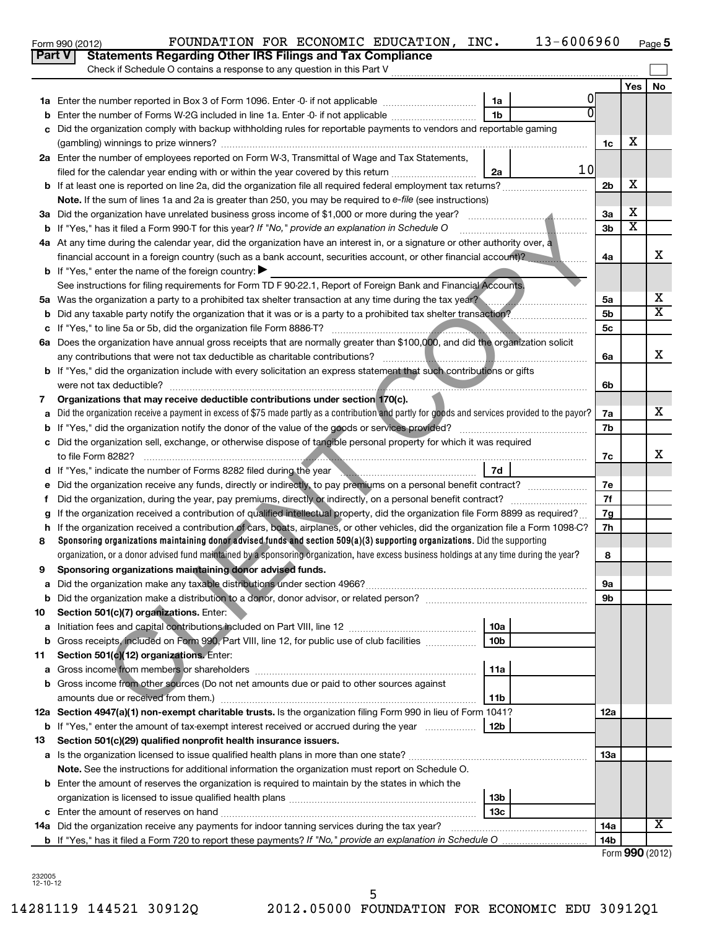|    | Part V<br><b>Statements Regarding Other IRS Filings and Tax Compliance</b>                                                                                                                                                           |                |                              |                         |
|----|--------------------------------------------------------------------------------------------------------------------------------------------------------------------------------------------------------------------------------------|----------------|------------------------------|-------------------------|
|    | Check if Schedule O contains a response to any question in this Part V                                                                                                                                                               |                |                              |                         |
|    |                                                                                                                                                                                                                                      |                | Yes                          | No                      |
|    | 1a                                                                                                                                                                                                                                   | O              |                              |                         |
| b  | 1 <sub>b</sub><br>Enter the number of Forms W-2G included in line 1a. Enter -0- if not applicable                                                                                                                                    |                |                              |                         |
| c  | Did the organization comply with backup withholding rules for reportable payments to vendors and reportable gaming                                                                                                                   |                |                              |                         |
|    |                                                                                                                                                                                                                                      | 1c             | х                            |                         |
|    | 2a Enter the number of employees reported on Form W-3, Transmittal of Wage and Tax Statements,                                                                                                                                       |                |                              |                         |
|    | filed for the calendar year ending with or within the year covered by this return<br>2a                                                                                                                                              | 10             |                              |                         |
|    |                                                                                                                                                                                                                                      | 2 <sub>b</sub> | X                            |                         |
|    | Note. If the sum of lines 1a and 2a is greater than 250, you may be required to e-file (see instructions)                                                                                                                            |                |                              |                         |
|    |                                                                                                                                                                                                                                      | За             | х<br>$\overline{\textbf{x}}$ |                         |
|    | <b>b</b> If "Yes," has it filed a Form 990-T for this year? If "No," provide an explanation in Schedule O                                                                                                                            | 3b             |                              |                         |
|    | 4a At any time during the calendar year, did the organization have an interest in, or a signature or other authority over, a                                                                                                         |                |                              | X                       |
|    | financial account in a foreign country (such as a bank account, securities account, or other financial account)?                                                                                                                     | 4a             |                              |                         |
|    | <b>b</b> If "Yes," enter the name of the foreign country:                                                                                                                                                                            |                |                              |                         |
|    | See instructions for filing requirements for Form TD F 90-22.1, Report of Foreign Bank and Financial Accounts.                                                                                                                       |                |                              | х                       |
|    | 5a Was the organization a party to a prohibited tax shelter transaction at any time during the tax year?                                                                                                                             | 5a             |                              | $\overline{\textbf{x}}$ |
| b  |                                                                                                                                                                                                                                      | 5b             |                              |                         |
| c  |                                                                                                                                                                                                                                      | 5 <sub>c</sub> |                              |                         |
| 6a | Does the organization have annual gross receipts that are normally greater than \$100,000, and did the organization solicit                                                                                                          |                |                              | x                       |
|    | any contributions that were not tax deductible as charitable contributions?<br><b>b</b> If "Yes," did the organization include with every solicitation an express statement that such contributions or gifts                         | 6a             |                              |                         |
|    | were not tax deductible?                                                                                                                                                                                                             | 6b             |                              |                         |
| 7  | Organizations that may receive deductible contributions under section 170(c).                                                                                                                                                        |                |                              |                         |
| a  | Did the organization receive a payment in excess of \$75 made partly as a contribution and partly for goods and services provided to the payor?                                                                                      | 7a             |                              | х                       |
| b  |                                                                                                                                                                                                                                      | 7b             |                              |                         |
|    | c Did the organization sell, exchange, or otherwise dispose of tangible personal property for which it was required                                                                                                                  |                |                              |                         |
|    |                                                                                                                                                                                                                                      | 7c             |                              | x                       |
|    | 7d<br>d If "Yes," indicate the number of Forms 8282 filed during the year manufacture increases and the version of the water of the water of the water of the water of the water of the water of the water of the water of the water |                |                              |                         |
| е  |                                                                                                                                                                                                                                      | 7е             |                              |                         |
| f  |                                                                                                                                                                                                                                      | 7f             |                              |                         |
| g  | If the organization received a contribution of qualified intellectual property, did the organization file Form 8899 as required?                                                                                                     | 7g             |                              |                         |
| h  | If the organization received a contribution of cars, boats, airplanes, or other vehicles, did the organization file a Form 1098-C?                                                                                                   | 7h             |                              |                         |
| 8  | Sponsoring organizations maintaining donor advised funds and section 509(a)(3) supporting organizations. Did the supporting                                                                                                          |                |                              |                         |
|    | organization, or a donor advised fund maintained by a sponsoring organization, have excess business holdings at any time during the year?                                                                                            | 8              |                              |                         |
| 9  | Sponsoring organizations maintaining donor advised funds.                                                                                                                                                                            |                |                              |                         |
|    |                                                                                                                                                                                                                                      | эа             |                              |                         |
|    |                                                                                                                                                                                                                                      | 9b             |                              |                         |
| 10 | Section 501(c)(7) organizations. Enter:                                                                                                                                                                                              |                |                              |                         |
| а  | 10a                                                                                                                                                                                                                                  |                |                              |                         |
| b  | 10 <sub>b</sub><br>Gross receipts, included on Form 990, Part VIII, line 12, for public use of club facilities                                                                                                                       |                |                              |                         |
| 11 | Section 501(c)(12) organizations. Enter:                                                                                                                                                                                             |                |                              |                         |
| а  | 11a                                                                                                                                                                                                                                  |                |                              |                         |
| b  | Gross income from other sources (Do not net amounts due or paid to other sources against                                                                                                                                             |                |                              |                         |
|    | amounts due or received from them.)<br>11b                                                                                                                                                                                           |                |                              |                         |
|    | 12a Section 4947(a)(1) non-exempt charitable trusts. Is the organization filing Form 990 in lieu of Form 1041?                                                                                                                       | 12a            |                              |                         |
|    | <b>b</b> If "Yes," enter the amount of tax-exempt interest received or accrued during the year<br>12b                                                                                                                                |                |                              |                         |
| 13 | Section 501(c)(29) qualified nonprofit health insurance issuers.                                                                                                                                                                     |                |                              |                         |
|    | a Is the organization licensed to issue qualified health plans in more than one state?                                                                                                                                               | 1За            |                              |                         |
|    | Note. See the instructions for additional information the organization must report on Schedule O.                                                                                                                                    |                |                              |                         |
|    | <b>b</b> Enter the amount of reserves the organization is required to maintain by the states in which the                                                                                                                            |                |                              |                         |
|    | 13 <sub>b</sub>                                                                                                                                                                                                                      |                |                              |                         |
|    | 13 <sub>c</sub>                                                                                                                                                                                                                      |                |                              |                         |
|    | 14a Did the organization receive any payments for indoor tanning services during the tax year?                                                                                                                                       | 14a            |                              | х                       |
|    |                                                                                                                                                                                                                                      | 14b            | $\mathbf{A}$                 |                         |

Form 990 (2012) Page

FOUNDATION FOR ECONOMIC EDUCATION, INC. 13-6006960

**5**

232005 12-10-12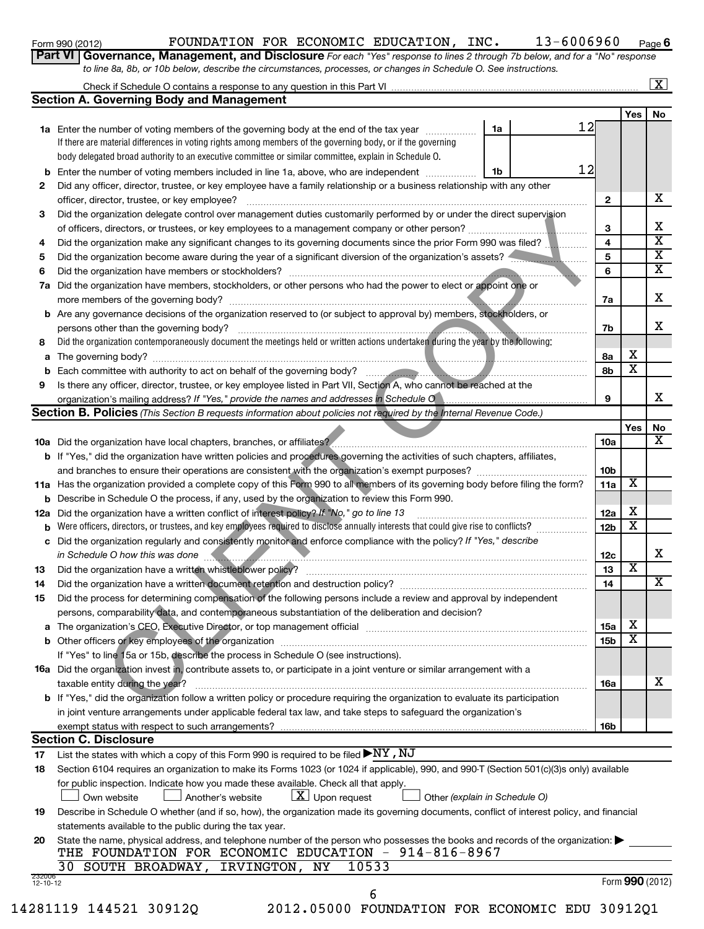|    | $13 - 6006960$<br>FOUNDATION FOR ECONOMIC EDUCATION, INC.<br>Form 990 (2012)                                                                                                |                         |                         | Page $6$                |
|----|-----------------------------------------------------------------------------------------------------------------------------------------------------------------------------|-------------------------|-------------------------|-------------------------|
|    | Part VI   Governance, Management, and Disclosure For each "Yes" response to lines 2 through 7b below, and for a "No" response                                               |                         |                         |                         |
|    | to line 8a, 8b, or 10b below, describe the circumstances, processes, or changes in Schedule O. See instructions.                                                            |                         |                         |                         |
|    |                                                                                                                                                                             |                         |                         | $\boxed{\textbf{X}}$    |
|    | <b>Section A. Governing Body and Management</b>                                                                                                                             |                         |                         |                         |
|    |                                                                                                                                                                             |                         | Yes                     | No                      |
|    | 12<br>1a<br>1a Enter the number of voting members of the governing body at the end of the tax year                                                                          |                         |                         |                         |
|    | If there are material differences in voting rights among members of the governing body, or if the governing                                                                 |                         |                         |                         |
|    | body delegated broad authority to an executive committee or similar committee, explain in Schedule O.                                                                       |                         |                         |                         |
|    | 12<br><b>b</b> Enter the number of voting members included in line 1a, above, who are independent <i>manument</i> .<br>1b                                                   |                         |                         |                         |
| 2  | Did any officer, director, trustee, or key employee have a family relationship or a business relationship with any other                                                    |                         |                         |                         |
|    | officer, director, trustee, or key employee?                                                                                                                                | $\mathbf{2}$            |                         | х                       |
| 3  | Did the organization delegate control over management duties customarily performed by or under the direct supervision                                                       |                         |                         |                         |
|    |                                                                                                                                                                             | 3                       |                         | x                       |
| 4  | Did the organization make any significant changes to its governing documents since the prior Form 990 was filed?                                                            | $\overline{\mathbf{4}}$ |                         | $\overline{\mathtt{x}}$ |
| 5  | Did the organization become aware during the year of a significant diversion of the organization's assets?                                                                  | 5                       |                         | $\overline{\mathtt{x}}$ |
| 6  | Did the organization have members or stockholders?                                                                                                                          | 6                       |                         | $\overline{\mathtt{x}}$ |
| 7а | Did the organization have members, stockholders, or other persons who had the power to elect or appoint one or                                                              |                         |                         |                         |
|    | more members of the governing body?                                                                                                                                         | 7a                      |                         | x                       |
|    | <b>b</b> Are any governance decisions of the organization reserved to (or subject to approval by) members, stockholders, or                                                 |                         |                         |                         |
|    | persons other than the governing body?<br>Did the organization contemporaneously document the meetings held or written actions undertaken during the year by the following: | 7b                      |                         | х                       |
| 8  |                                                                                                                                                                             |                         | х                       |                         |
|    | a The governing body?<br><b>b</b> Each committee with authority to act on behalf of the governing body?                                                                     | 8a<br>8b                | x                       |                         |
| 9  | Is there any officer, director, trustee, or key employee listed in Part VII, Section A, who cannot be reached at the                                                        |                         |                         |                         |
|    | organization's mailing address? If "Yes," provide the names and addresses in Schedule O                                                                                     | 9                       |                         | x                       |
|    | <b>Section B. Policies</b> (This Section B requests information about policies not required by the Internal Revenue Code.)                                                  |                         |                         |                         |
|    |                                                                                                                                                                             |                         | Yes                     | No                      |
|    | 10a Did the organization have local chapters, branches, or affiliates?                                                                                                      | 10a                     |                         | X                       |
|    | <b>b</b> If "Yes," did the organization have written policies and procedures governing the activities of such chapters, affiliates,                                         |                         |                         |                         |
|    |                                                                                                                                                                             | 10 <sub>b</sub>         |                         |                         |
|    | 11a Has the organization provided a complete copy of this Form 990 to all members of its governing body before filing the form?                                             | 11a                     | х                       |                         |
|    | <b>b</b> Describe in Schedule O the process, if any, used by the organization to review this Form 990.                                                                      |                         |                         |                         |
|    | 12a Did the organization have a written conflict of interest policy? If "No," go to line 13                                                                                 | 12a                     | х                       |                         |
|    | <b>b</b> Were officers, directors, or trustees, and key employees required to disclose annually interests that could give rise to conflicts?                                | 12 <sub>b</sub>         | $\overline{\textbf{x}}$ |                         |
|    | c Did the organization regularly and consistently monitor and enforce compliance with the policy? If "Yes," describe                                                        |                         |                         |                         |
|    | in Schedule O how this was done                                                                                                                                             | 12 <sub>c</sub>         |                         | х                       |
| 13 | Did the organization have a written whistleblower policy?                                                                                                                   | 13                      | X                       |                         |
| 14 |                                                                                                                                                                             | 14                      |                         | x                       |
| 15 | Did the process for determining compensation of the following persons include a review and approval by independent                                                          |                         |                         |                         |
|    | persons, comparability data, and contemporaneous substantiation of the deliberation and decision?                                                                           |                         |                         |                         |
|    |                                                                                                                                                                             | 15a                     | х<br>X                  |                         |
|    | If "Yes" to line 15a or 15b, describe the process in Schedule O (see instructions).                                                                                         | 15b                     |                         |                         |
|    | <b>16a</b> Did the organization invest in, contribute assets to, or participate in a joint venture or similar arrangement with a                                            |                         |                         |                         |
|    | taxable entity during the year?                                                                                                                                             | 16a                     |                         | х                       |
|    | b If "Yes," did the organization follow a written policy or procedure requiring the organization to evaluate its participation                                              |                         |                         |                         |
|    |                                                                                                                                                                             |                         |                         |                         |

| 13 | Did the organization have a written whistleblower policy?                                                                 |
|----|---------------------------------------------------------------------------------------------------------------------------|
| 14 |                                                                                                                           |
| 15 | Did the process for determining compensation of the following persons include a review and approval by independent        |
|    | persons, comparability data, and contemporaneous substantiation of the deliberation and decision?                         |
|    | <b>a</b> The organization's CEO, Executive Director, or top management official                                           |
|    | <b>b</b> Other officers or key employees of the organization                                                              |
|    | If "Yes" to line 15a or 15b, describe the process in Schedule O (see instructions).                                       |
|    | 16a Did the organization invest in, contribute assets to, or participate in a joint venture or similar arrangement with a |

| taxable entity during the year?                                                                                                       | <b>16a</b> | ▵ |
|---------------------------------------------------------------------------------------------------------------------------------------|------------|---|
| <b>b</b> If "Yes," did the organization follow a written policy or procedure requiring the organization to evaluate its participation |            |   |
| in joint venture arrangements under applicable federal tax law, and take steps to safeguard the organization's                        |            |   |
| exempt status with respect to such arrangements?                                                                                      | <b>16b</b> |   |

#### **Section C. Disclosure**

**17** List the states with which a copy of this Form 990 is required to be filed  $\blacktriangleright$ NY , NJ

| 17                       | List the states with which a copy of this Form 990 is required to be filed $\blacktriangleright$ IN I , INU                                                                           |
|--------------------------|---------------------------------------------------------------------------------------------------------------------------------------------------------------------------------------|
| 18                       | Section 6104 requires an organization to make its Forms 1023 (or 1024 if applicable), 990, and 990-T (Section 501(c)(3)s only) available                                              |
|                          | for public inspection. Indicate how you made these available. Check all that apply.<br>Own website $\Box$ Another's website $\Box$ Upon request $\Box$ Other (explain in Schedule O)  |
| 19                       | Describe in Schedule O whether (and if so, how), the organization made its governing documents, conflict of interest policy, and financial                                            |
|                          | statements available to the public during the tax year.                                                                                                                               |
| 20                       | State the name, physical address, and telephone number of the person who possesses the books and records of the organization:<br>THE FOUNDATION FOR ECONOMIC EDUCATION - 914-816-8967 |
|                          | 30 SOUTH BROADWAY, IRVINGTON, NY 10533                                                                                                                                                |
| 232006<br>$12 - 10 - 12$ | Form 990 (2012)                                                                                                                                                                       |

6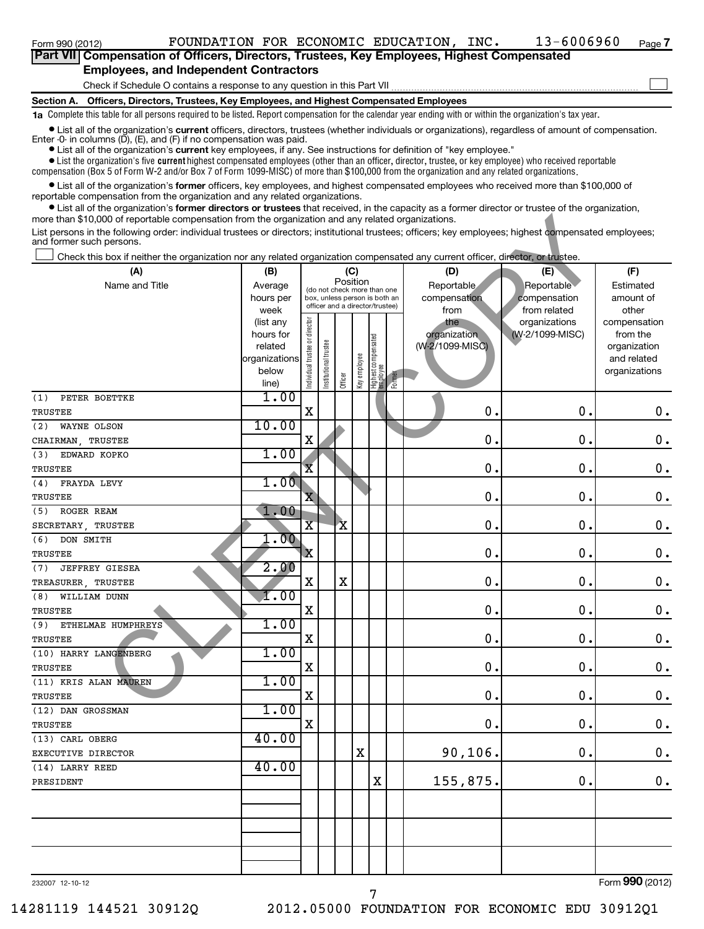#### Check if Schedule O contains a response to any question in this Part VII **Part VII Compensation of Officers, Directors, Trustees, Key Employees, Highest Compensated Employees, and Independent Contractors**  $\left| \begin{array}{c} \hline \hline \hline \hline \hline \hline \hline \hline \end{array} \right|$

**Section A. Officers, Directors, Trustees, Key Employees, and Highest Compensated Employees**

**1a**  Complete this table for all persons required to be listed. Report compensation for the calendar year ending with or within the organization's tax year.

**•** List all of the organization's current officers, directors, trustees (whether individuals or organizations), regardless of amount of compensation. Enter -0- in columns  $(D)$ ,  $(E)$ , and  $(F)$  if no compensation was paid.

**•** List all of the organization's **current** key employees, if any. See instructions for definition of "key employee."

 $\bullet$  List the organization's five  $\tt current$  highest compensated employees (other than an officer, director, trustee, or key employee) who received reportable compensation (Box 5 of Form W-2 and/or Box 7 of Form 1099-MISC) of more than \$100,000 from the organization and any related organizations .

 $\bullet$  List all of the organization's former officers, key employees, and highest compensated employees who received more than \$100,000 of reportable compensation from the organization and any related organizations.

**•** List all of the organization's former directors or trustees that received, in the capacity as a former director or trustee of the organization, more than \$10,000 of reportable compensation from the organization and any related organizations.

| more than \$10,000 of reportable compensation from the organization and any related organizations.<br>List persons in the following order: individual trustees or directors; institutional trustees; officers; key employees; highest compensated employees; |                        |                                |                               |                                         |              |                                         |        |                     |                                  |                          |
|--------------------------------------------------------------------------------------------------------------------------------------------------------------------------------------------------------------------------------------------------------------|------------------------|--------------------------------|-------------------------------|-----------------------------------------|--------------|-----------------------------------------|--------|---------------------|----------------------------------|--------------------------|
| and former such persons.                                                                                                                                                                                                                                     |                        |                                |                               |                                         |              |                                         |        |                     |                                  |                          |
| Check this box if neither the organization nor any related organization compensated any current officer, director, or trustee.                                                                                                                               |                        |                                |                               |                                         |              |                                         |        |                     |                                  |                          |
| (A)                                                                                                                                                                                                                                                          | (B)                    |                                |                               |                                         | (C)          |                                         |        | (D)                 | (E)                              | (F)                      |
| Name and Title                                                                                                                                                                                                                                               | Average                |                                |                               | Position<br>(do not check more than one |              |                                         |        | Reportable          | Reportable                       | Estimated                |
|                                                                                                                                                                                                                                                              | hours per              |                                | box, unless person is both an |                                         |              | officer and a director/trustee)         |        | compensation        | compensation                     | amount of                |
|                                                                                                                                                                                                                                                              | week                   |                                |                               |                                         |              |                                         |        | from                | from related                     | other                    |
|                                                                                                                                                                                                                                                              | (list any<br>hours for |                                |                               |                                         |              |                                         |        | the<br>organization | organizations<br>(W-2/1099-MISC) | compensation<br>from the |
|                                                                                                                                                                                                                                                              | related                |                                |                               |                                         |              |                                         |        | (W-2/1099-MISC)     |                                  | organization             |
|                                                                                                                                                                                                                                                              | organizations          |                                | Institutional trustee         |                                         |              |                                         |        |                     |                                  | and related              |
|                                                                                                                                                                                                                                                              | below                  |                                |                               |                                         |              |                                         |        |                     |                                  | organizations            |
|                                                                                                                                                                                                                                                              | line)                  | Individual trustee or director |                               | Officer                                 | Key employee | Highest compensated<br><b>e</b> mployee | Former |                     |                                  |                          |
| PETER BOETTKE<br>(1)                                                                                                                                                                                                                                         | 1.00                   |                                |                               |                                         |              |                                         |        |                     |                                  |                          |
| TRUSTEE                                                                                                                                                                                                                                                      |                        | $\mathbf X$                    |                               |                                         |              |                                         |        | $\mathbf 0$ .       | 0                                | $\mathbf 0$ .            |
| (2)<br>WAYNE OLSON                                                                                                                                                                                                                                           | 10.00                  |                                |                               |                                         |              |                                         |        |                     |                                  |                          |
| CHAIRMAN, TRUSTEE                                                                                                                                                                                                                                            |                        | $\mathbf X$                    |                               |                                         |              |                                         |        | $\mathbf 0$         | 0                                | $\mathbf 0$ .            |
| EDWARD KOPKO<br>(3)                                                                                                                                                                                                                                          | 1.00                   |                                |                               |                                         |              |                                         |        |                     |                                  |                          |
| TRUSTEE                                                                                                                                                                                                                                                      |                        | $\overline{\mathbf{x}}$        |                               |                                         |              |                                         |        | $\mathbf 0$         | 0                                | $\mathbf 0$ .            |
| (4)<br>FRAYDA LEVY                                                                                                                                                                                                                                           | 1.00                   |                                |                               |                                         |              |                                         |        |                     |                                  |                          |
| <b>TRUSTEE</b>                                                                                                                                                                                                                                               |                        | $\overline{\mathbf{X}}$        |                               |                                         |              |                                         |        | $\mathbf 0$ .       | 0                                | $\mathbf 0$ .            |
| ROGER REAM<br>(5)                                                                                                                                                                                                                                            | 1.00                   |                                |                               |                                         |              |                                         |        |                     |                                  |                          |
| SECRETARY, TRUSTEE                                                                                                                                                                                                                                           |                        | $\overline{\mathbf{X}}$        |                               | $\mathbf{\dot{X}}$                      |              |                                         |        | $\mathbf 0$ .       | 0                                | $\mathbf 0$ .            |
| $(6)$ DON SMITH                                                                                                                                                                                                                                              | $\overline{.00}$       |                                |                               |                                         |              |                                         |        |                     |                                  |                          |
| <b>TRUSTEE</b>                                                                                                                                                                                                                                               |                        | $\mathbf{x}$                   |                               |                                         |              |                                         |        | $\mathbf 0$ .       | 0                                | $\mathbf 0$ .            |
| (7)<br><b>JEFFREY GIESEA</b>                                                                                                                                                                                                                                 | 2.00                   |                                |                               |                                         |              |                                         |        |                     |                                  |                          |
| TREASURER, TRUSTEE                                                                                                                                                                                                                                           |                        | $\mathbf X$                    |                               | $\mathbf X$                             |              |                                         |        | $\mathbf 0$ .       | 0                                | $\mathbf 0$ .            |
| (8) WILLIAM DUNN                                                                                                                                                                                                                                             | 1.00                   |                                |                               |                                         |              |                                         |        |                     |                                  |                          |
| TRUSTEE                                                                                                                                                                                                                                                      |                        | $\mathbf X$                    |                               |                                         |              |                                         |        | $\mathbf 0$ .       | 0                                | $\mathbf 0$ .            |
| ETHELMAE HUMPHREYS<br>(9)                                                                                                                                                                                                                                    | 1.00                   |                                |                               |                                         |              |                                         |        |                     |                                  |                          |
| TRUSTEE                                                                                                                                                                                                                                                      |                        | $\mathbf X$                    |                               |                                         |              |                                         |        | $\mathbf 0$         | 0                                | $\mathbf 0$ .            |
| (10) HARRY LANGENBERG                                                                                                                                                                                                                                        | 1.00                   |                                |                               |                                         |              |                                         |        |                     |                                  |                          |
| TRUSTEE                                                                                                                                                                                                                                                      |                        | $\mathbf X$                    |                               |                                         |              |                                         |        | $\mathbf 0$         | 0                                | $\mathbf 0$ .            |
| (11) KRIS ALAN MAUREN                                                                                                                                                                                                                                        | 1.00                   | $\mathbf X$                    |                               |                                         |              |                                         |        | $\mathbf 0$         | 0                                | $\mathbf 0$ .            |
| TRUSTEE<br>(12) DAN GROSSMAN                                                                                                                                                                                                                                 | 1.00                   |                                |                               |                                         |              |                                         |        |                     |                                  |                          |
| TRUSTEE                                                                                                                                                                                                                                                      |                        | X                              |                               |                                         |              |                                         |        | 0                   | 0                                | $\mathbf 0$ .            |
| (13) CARL OBERG                                                                                                                                                                                                                                              | 40.00                  |                                |                               |                                         |              |                                         |        |                     |                                  |                          |
| EXECUTIVE DIRECTOR                                                                                                                                                                                                                                           |                        |                                |                               |                                         | $\mathbf x$  |                                         |        | 90, 106.            | 0.                               | $\mathbf 0$ .            |
| (14) LARRY REED                                                                                                                                                                                                                                              | 40.00                  |                                |                               |                                         |              |                                         |        |                     |                                  |                          |
| PRESIDENT                                                                                                                                                                                                                                                    |                        |                                |                               |                                         |              | X                                       |        | 155,875.            | 0.                               | $\mathbf 0$ .            |
|                                                                                                                                                                                                                                                              |                        |                                |                               |                                         |              |                                         |        |                     |                                  |                          |
|                                                                                                                                                                                                                                                              |                        |                                |                               |                                         |              |                                         |        |                     |                                  |                          |
|                                                                                                                                                                                                                                                              |                        |                                |                               |                                         |              |                                         |        |                     |                                  |                          |
|                                                                                                                                                                                                                                                              |                        |                                |                               |                                         |              |                                         |        |                     |                                  |                          |
|                                                                                                                                                                                                                                                              |                        |                                |                               |                                         |              |                                         |        |                     |                                  |                          |
|                                                                                                                                                                                                                                                              |                        |                                |                               |                                         |              |                                         |        |                     |                                  |                          |
|                                                                                                                                                                                                                                                              |                        |                                |                               |                                         |              |                                         |        |                     |                                  |                          |

7

232007 12-10-12

Form (2012) **990**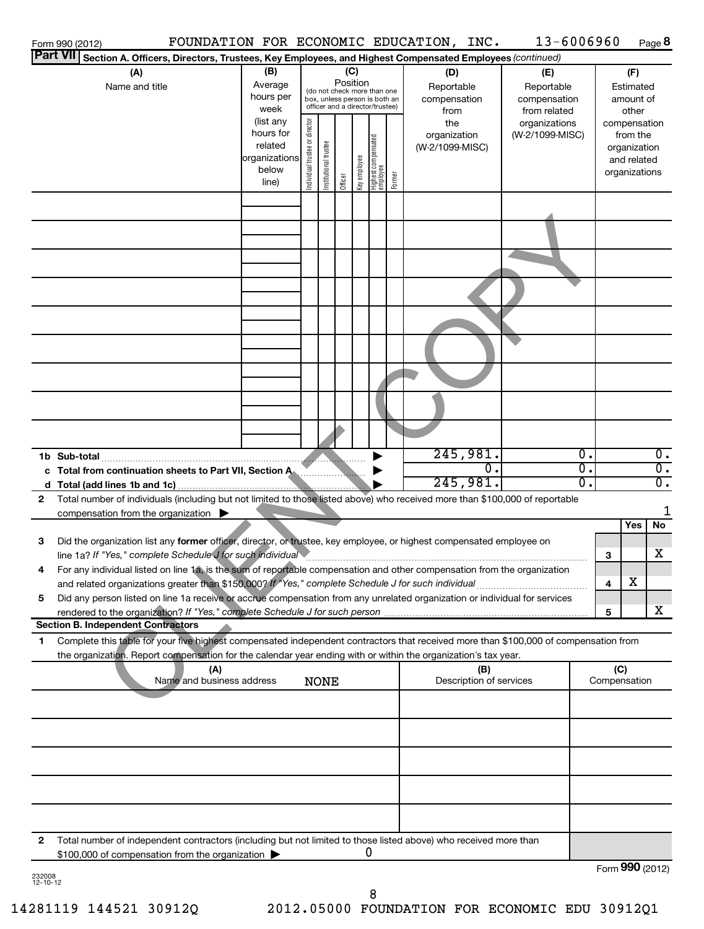| <b>Part VII</b>    | Form 990 (2012)                                                                                                                      |                        |                                                                  |                       |         |              |                                  |        | FOUNDATION FOR ECONOMIC EDUCATION, INC. | 13-6006960                 |                  |                 |                        | Page 8           |
|--------------------|--------------------------------------------------------------------------------------------------------------------------------------|------------------------|------------------------------------------------------------------|-----------------------|---------|--------------|----------------------------------|--------|-----------------------------------------|----------------------------|------------------|-----------------|------------------------|------------------|
|                    | Section A. Officers, Directors, Trustees, Key Employees, and Highest Compensated Employees (continued)                               |                        |                                                                  |                       |         |              |                                  |        |                                         |                            |                  |                 |                        |                  |
|                    | (A)                                                                                                                                  | (B)<br>Average         | (C)<br>(D)<br>Position                                           |                       |         |              |                                  |        | (E)                                     |                            |                  | (F)             |                        |                  |
|                    | Name and title                                                                                                                       | hours per              |                                                                  |                       |         |              | (do not check more than one      |        | Reportable<br>compensation              | Reportable<br>compensation |                  |                 | Estimated<br>amount of |                  |
|                    |                                                                                                                                      | week                   | box, unless person is both an<br>officer and a director/trustee) |                       |         |              |                                  |        | from                                    | from related               |                  |                 | other                  |                  |
|                    |                                                                                                                                      | (list any              |                                                                  |                       |         |              |                                  |        | the                                     | organizations              |                  |                 | compensation           |                  |
|                    |                                                                                                                                      | hours for              | Individual trustee or director                                   |                       |         |              |                                  |        | organization                            | (W-2/1099-MISC)            |                  |                 | from the               |                  |
|                    |                                                                                                                                      | related                |                                                                  |                       |         |              |                                  |        | (W-2/1099-MISC)                         |                            |                  |                 | organization           |                  |
|                    |                                                                                                                                      | organizations<br>below |                                                                  |                       |         |              |                                  |        |                                         |                            |                  |                 | and related            |                  |
|                    |                                                                                                                                      | line)                  |                                                                  | Institutional trustee | Officer | Key employee | Highest compensated<br> employee | Former |                                         |                            |                  |                 | organizations          |                  |
|                    |                                                                                                                                      |                        |                                                                  |                       |         |              |                                  |        |                                         |                            |                  |                 |                        |                  |
|                    |                                                                                                                                      |                        |                                                                  |                       |         |              |                                  |        |                                         |                            |                  |                 |                        |                  |
|                    |                                                                                                                                      |                        |                                                                  |                       |         |              |                                  |        |                                         |                            |                  |                 |                        |                  |
|                    |                                                                                                                                      |                        |                                                                  |                       |         |              |                                  |        |                                         |                            |                  |                 |                        |                  |
|                    |                                                                                                                                      |                        |                                                                  |                       |         |              |                                  |        |                                         |                            |                  |                 |                        |                  |
|                    |                                                                                                                                      |                        |                                                                  |                       |         |              |                                  |        |                                         |                            |                  |                 |                        |                  |
|                    |                                                                                                                                      |                        |                                                                  |                       |         |              |                                  |        |                                         |                            |                  |                 |                        |                  |
|                    |                                                                                                                                      |                        |                                                                  |                       |         |              |                                  |        |                                         |                            |                  |                 |                        |                  |
|                    |                                                                                                                                      |                        |                                                                  |                       |         |              |                                  |        |                                         |                            |                  |                 |                        |                  |
|                    |                                                                                                                                      |                        |                                                                  |                       |         |              |                                  |        |                                         |                            |                  |                 |                        |                  |
|                    |                                                                                                                                      |                        |                                                                  |                       |         |              |                                  |        |                                         |                            |                  |                 |                        |                  |
|                    |                                                                                                                                      |                        |                                                                  |                       |         |              |                                  |        |                                         |                            |                  |                 |                        |                  |
|                    |                                                                                                                                      |                        |                                                                  |                       |         |              |                                  |        |                                         |                            |                  |                 |                        |                  |
|                    |                                                                                                                                      |                        |                                                                  |                       |         |              |                                  |        |                                         |                            |                  |                 |                        |                  |
|                    |                                                                                                                                      |                        |                                                                  |                       |         |              |                                  |        |                                         |                            |                  |                 |                        |                  |
|                    |                                                                                                                                      |                        |                                                                  |                       |         |              |                                  |        | 245,981.                                |                            | $\overline{0}$ . |                 |                        | $\overline{0}$ . |
|                    | c Total from continuation sheets to Part VII, Section A                                                                              |                        |                                                                  |                       |         |              |                                  |        | 0.                                      |                            | σ.               |                 |                        | $\overline{0}$ . |
|                    |                                                                                                                                      |                        |                                                                  |                       |         |              |                                  |        | 245,981.                                |                            | σ.               |                 |                        | $\overline{0}$ . |
| $\mathbf{2}$       | Total number of individuals (including but not limited to those listed above) who received more than \$100,000 of reportable         |                        |                                                                  |                       |         |              |                                  |        |                                         |                            |                  |                 |                        | 1                |
|                    | compensation from the organization $\blacktriangleright$                                                                             |                        |                                                                  |                       |         |              |                                  |        |                                         |                            |                  |                 | Yes                    | No               |
| з                  | Did the organization list any former officer, director, or trustee, key employee, or highest compensated employee on                 |                        |                                                                  |                       |         |              |                                  |        |                                         |                            |                  |                 |                        |                  |
|                    | line 1a? If "Yes," complete Schedule J for such individual                                                                           |                        |                                                                  |                       |         |              |                                  |        |                                         |                            |                  | 3               |                        | х                |
| 4                  | For any individual listed on line 1a, is the sum of reportable compensation and other compensation from the organization             |                        |                                                                  |                       |         |              |                                  |        |                                         |                            |                  |                 |                        |                  |
|                    |                                                                                                                                      |                        |                                                                  |                       |         |              |                                  |        |                                         |                            |                  | 4               | х                      |                  |
| 5                  | Did any person listed on line 1a receive or accrue compensation from any unrelated organization or individual for services           |                        |                                                                  |                       |         |              |                                  |        |                                         |                            |                  |                 |                        |                  |
|                    | <b>Section B. Independent Contractors</b>                                                                                            |                        |                                                                  |                       |         |              |                                  |        |                                         |                            |                  | 5               |                        | X.               |
| 1                  | Complete this table for your five highest compensated independent contractors that received more than \$100,000 of compensation from |                        |                                                                  |                       |         |              |                                  |        |                                         |                            |                  |                 |                        |                  |
|                    | the organization. Report compensation for the calendar year ending with or within the organization's tax year.                       |                        |                                                                  |                       |         |              |                                  |        |                                         |                            |                  |                 |                        |                  |
|                    | (A)                                                                                                                                  |                        |                                                                  |                       |         |              |                                  |        | (B)                                     |                            |                  | (C)             |                        |                  |
|                    | Name and business address                                                                                                            |                        |                                                                  | <b>NONE</b>           |         |              |                                  |        | Description of services                 |                            |                  | Compensation    |                        |                  |
|                    |                                                                                                                                      |                        |                                                                  |                       |         |              |                                  |        |                                         |                            |                  |                 |                        |                  |
|                    |                                                                                                                                      |                        |                                                                  |                       |         |              |                                  |        |                                         |                            |                  |                 |                        |                  |
|                    |                                                                                                                                      |                        |                                                                  |                       |         |              |                                  |        |                                         |                            |                  |                 |                        |                  |
|                    |                                                                                                                                      |                        |                                                                  |                       |         |              |                                  |        |                                         |                            |                  |                 |                        |                  |
|                    |                                                                                                                                      |                        |                                                                  |                       |         |              |                                  |        |                                         |                            |                  |                 |                        |                  |
|                    |                                                                                                                                      |                        |                                                                  |                       |         |              |                                  |        |                                         |                            |                  |                 |                        |                  |
|                    |                                                                                                                                      |                        |                                                                  |                       |         |              |                                  |        |                                         |                            |                  |                 |                        |                  |
| 2                  | Total number of independent contractors (including but not limited to those listed above) who received more than                     |                        |                                                                  |                       |         |              |                                  |        |                                         |                            |                  |                 |                        |                  |
|                    | \$100,000 of compensation from the organization                                                                                      |                        |                                                                  |                       |         |              | 0                                |        |                                         |                            |                  |                 |                        |                  |
| 232008<br>12-10-12 |                                                                                                                                      |                        |                                                                  |                       |         |              |                                  |        |                                         |                            |                  | Form 990 (2012) |                        |                  |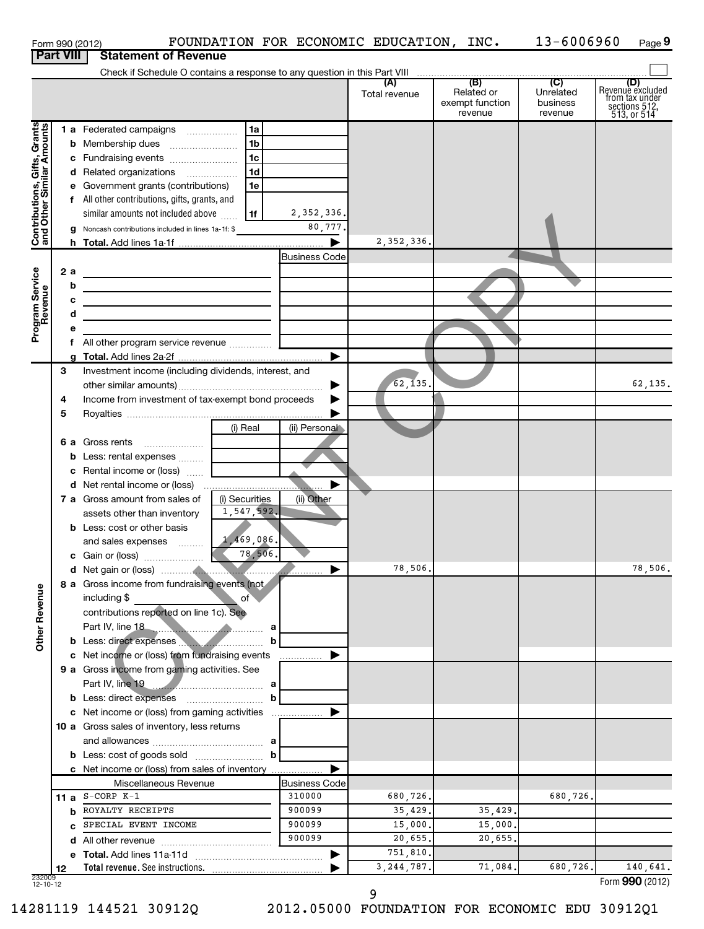|                                                           |      |     | FOUNDATION FOR ECONOMIC EDUCATION, INC.<br>Form 990 (2012)                                                            |                       |               |                                          | 13-6006960                       | Page 9                                                                    |
|-----------------------------------------------------------|------|-----|-----------------------------------------------------------------------------------------------------------------------|-----------------------|---------------|------------------------------------------|----------------------------------|---------------------------------------------------------------------------|
| <b>Part VIII</b>                                          |      |     | <b>Statement of Revenue</b>                                                                                           |                       |               |                                          |                                  |                                                                           |
|                                                           |      |     |                                                                                                                       |                       |               |                                          |                                  |                                                                           |
|                                                           |      |     |                                                                                                                       |                       | Total revenue | Related or<br>exempt function<br>revenue | Unrelated<br>business<br>revenue | (D)<br>Revenue excluded<br>from tax under<br>sections 512,<br>513, or 514 |
|                                                           |      |     | 1 a Federated campaigns<br>1a                                                                                         |                       |               |                                          |                                  |                                                                           |
| Contributions, Gifts, Grants<br>and Other Similar Amounts |      |     | 1b                                                                                                                    |                       |               |                                          |                                  |                                                                           |
|                                                           |      |     | 1c<br>c Fundraising events                                                                                            |                       |               |                                          |                                  |                                                                           |
|                                                           |      |     | 1 <sub>d</sub><br>d Related organizations                                                                             |                       |               |                                          |                                  |                                                                           |
|                                                           |      |     | e Government grants (contributions)<br>1e                                                                             |                       |               |                                          |                                  |                                                                           |
|                                                           |      |     | f All other contributions, gifts, grants, and                                                                         |                       |               |                                          |                                  |                                                                           |
|                                                           |      |     | similar amounts not included above<br>1f                                                                              | 2,352,336.            |               |                                          |                                  |                                                                           |
|                                                           |      |     | Noncash contributions included in lines 1a-1f: \$                                                                     | 80,777.               |               |                                          |                                  |                                                                           |
|                                                           |      |     |                                                                                                                       | $\blacktriangleright$ | 2, 352, 336.  |                                          |                                  |                                                                           |
|                                                           |      |     |                                                                                                                       | <b>Business Code</b>  |               |                                          |                                  |                                                                           |
| Program Service<br>Revenue                                |      | 2 a | <u> 1989 - Johann Barn, mars ann an t-Amhain Aonaich ann an t-Aonaich ann an t-Aonaich ann an t-Aonaich ann an t-</u> |                       |               |                                          |                                  |                                                                           |
|                                                           |      | b   | <u> 1989 - Johann Barbara, martxa alemaniar amerikan a</u>                                                            |                       |               |                                          |                                  |                                                                           |
|                                                           |      |     |                                                                                                                       |                       |               |                                          |                                  |                                                                           |
|                                                           |      |     | <u> 1989 - Johann Stein, Amerikaansk politiker (</u>                                                                  |                       |               |                                          |                                  |                                                                           |
|                                                           |      |     |                                                                                                                       |                       |               |                                          |                                  |                                                                           |
|                                                           |      |     |                                                                                                                       | ▶                     |               |                                          |                                  |                                                                           |
|                                                           | 3    |     |                                                                                                                       |                       |               |                                          |                                  |                                                                           |
|                                                           |      |     | Investment income (including dividends, interest, and                                                                 | ▶                     | 62, 135.      |                                          |                                  | 62,135.                                                                   |
|                                                           | 4    |     | Income from investment of tax-exempt bond proceeds                                                                    |                       |               |                                          |                                  |                                                                           |
|                                                           | 5    |     |                                                                                                                       |                       |               |                                          |                                  |                                                                           |
|                                                           |      |     | (i) Real                                                                                                              | (ii) Personal         |               |                                          |                                  |                                                                           |
|                                                           |      |     | 6 a Gross rents                                                                                                       |                       |               |                                          |                                  |                                                                           |
|                                                           |      |     |                                                                                                                       |                       |               |                                          |                                  |                                                                           |
|                                                           |      |     | c Rental income or (loss)                                                                                             |                       |               |                                          |                                  |                                                                           |
|                                                           |      |     |                                                                                                                       |                       |               |                                          |                                  |                                                                           |
|                                                           |      |     | 7 a Gross amount from sales of<br>(i) Securities                                                                      | (ii) Other            |               |                                          |                                  |                                                                           |
|                                                           |      |     | 1,547,592.<br>assets other than inventory                                                                             |                       |               |                                          |                                  |                                                                           |
|                                                           |      |     | <b>b</b> Less: cost or other basis                                                                                    |                       |               |                                          |                                  |                                                                           |
|                                                           |      |     | 1,469,086.<br>and sales expenses                                                                                      |                       |               |                                          |                                  |                                                                           |
|                                                           |      |     | 78,506.<br>c Gain or (loss)                                                                                           |                       |               |                                          |                                  |                                                                           |
|                                                           |      |     |                                                                                                                       |                       | 78,506.       |                                          |                                  | 78,506.                                                                   |
|                                                           |      |     | 8 a Gross income from fundraising events (not                                                                         |                       |               |                                          |                                  |                                                                           |
| <b>Other Revenue</b>                                      |      |     | including \$<br>of                                                                                                    |                       |               |                                          |                                  |                                                                           |
|                                                           |      |     | contributions reported on line 1c). See                                                                               |                       |               |                                          |                                  |                                                                           |
|                                                           |      |     | Part IV, line 18<br><b>a</b> a contract a contract of a contract a                                                    |                       |               |                                          |                                  |                                                                           |
|                                                           |      |     | b Less: direct expenses <b>manufacture</b> Less:<br>c Net income or (loss) from fundraising events                    | b                     |               |                                          |                                  |                                                                           |
|                                                           |      |     | 9 a Gross income from gaming activities. See                                                                          | .                     |               |                                          |                                  |                                                                           |
|                                                           |      |     |                                                                                                                       |                       |               |                                          |                                  |                                                                           |
|                                                           |      |     | <b>b</b> Less: direct expenses <b>contained b</b> Less: direct expenses                                               | b                     |               |                                          |                                  |                                                                           |
|                                                           |      |     | c Net income or (loss) from gaming activities                                                                         | ▶                     |               |                                          |                                  |                                                                           |
|                                                           |      |     | 10 a Gross sales of inventory, less returns                                                                           |                       |               |                                          |                                  |                                                                           |
|                                                           |      |     |                                                                                                                       |                       |               |                                          |                                  |                                                                           |
|                                                           |      |     |                                                                                                                       | b                     |               |                                          |                                  |                                                                           |
|                                                           |      |     | c Net income or (loss) from sales of inventory                                                                        |                       |               |                                          |                                  |                                                                           |
|                                                           |      |     | Miscellaneous Revenue                                                                                                 | <b>Business Code</b>  |               |                                          |                                  |                                                                           |
|                                                           | 11 a |     | $S-CORP K-1$                                                                                                          | 310000                | 680,726.      |                                          | 680,726.                         |                                                                           |
|                                                           |      | b   | ROYALTY RECEIPTS                                                                                                      | 900099                | 35,429.       | 35,429.                                  |                                  |                                                                           |
|                                                           |      |     | SPECIAL EVENT INCOME                                                                                                  | 900099                | 15,000.       | 15,000.                                  |                                  |                                                                           |
|                                                           |      |     |                                                                                                                       | 900099                | 20,655.       | 20,655.                                  |                                  |                                                                           |
|                                                           |      |     |                                                                                                                       | ▶                     | 751,810.      |                                          |                                  |                                                                           |
|                                                           | 12   |     | Total revenue. See instructions.                                                                                      |                       | 3, 244, 787.  | 71,084.                                  | 680,726.                         | 140,641.                                                                  |
| 232009<br>12-10-12                                        |      |     |                                                                                                                       |                       |               |                                          |                                  | Form 990 (2012)                                                           |

14281119 144521 30912Q 2012.05000 FOUNDATION FOR ECONOMIC EDU 30912Q1

**9**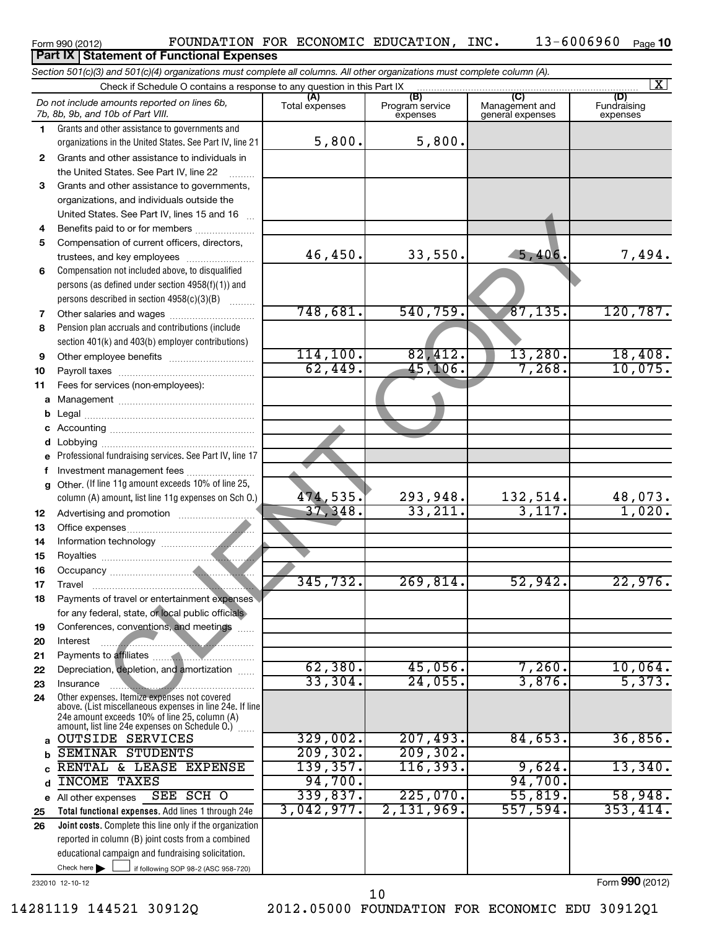| Form 990 (2012) |  |
|-----------------|--|
|-----------------|--|

#### **Part IX Statement of Functional Expenses**

*Section 501(c)(3) and 501(c)(4) organizations must complete all columns. All other organizations must complete column (A).*

|              | Check if Schedule O contains a response to any question in this Part IX                                  |                    |                                    | $\vert X \vert$                    |                                |  |  |  |
|--------------|----------------------------------------------------------------------------------------------------------|--------------------|------------------------------------|------------------------------------|--------------------------------|--|--|--|
|              | Do not include amounts reported on lines 6b,<br>7b, 8b, 9b, and 10b of Part VIII.                        | Total expenses     | (B)<br>Program service<br>expenses | Management and<br>general expenses | (D)<br>Fundraising<br>expenses |  |  |  |
| 1.           | Grants and other assistance to governments and                                                           |                    |                                    |                                    |                                |  |  |  |
|              | organizations in the United States. See Part IV, line 21                                                 | 5,800.             | 5,800.                             |                                    |                                |  |  |  |
| $\mathbf{2}$ | Grants and other assistance to individuals in                                                            |                    |                                    |                                    |                                |  |  |  |
|              | the United States. See Part IV, line 22                                                                  |                    |                                    |                                    |                                |  |  |  |
| 3            | Grants and other assistance to governments,                                                              |                    |                                    |                                    |                                |  |  |  |
|              | organizations, and individuals outside the                                                               |                    |                                    |                                    |                                |  |  |  |
|              | United States. See Part IV, lines 15 and 16                                                              |                    |                                    |                                    |                                |  |  |  |
| 4            | Benefits paid to or for members                                                                          |                    |                                    |                                    |                                |  |  |  |
| 5            | Compensation of current officers, directors,                                                             |                    |                                    |                                    |                                |  |  |  |
|              | trustees, and key employees                                                                              | 46,450.            | 33,550.                            | 5,406.                             | 7,494.                         |  |  |  |
| 6            | Compensation not included above, to disqualified                                                         |                    |                                    |                                    |                                |  |  |  |
|              | persons (as defined under section 4958(f)(1)) and                                                        |                    |                                    |                                    |                                |  |  |  |
|              | persons described in section 4958(c)(3)(B)                                                               |                    |                                    |                                    |                                |  |  |  |
| 7            |                                                                                                          | 748,681.           | 540, 759.                          | 87, 135.                           | 120, 787.                      |  |  |  |
| 8            | Pension plan accruals and contributions (include                                                         |                    |                                    |                                    |                                |  |  |  |
|              | section 401(k) and 403(b) employer contributions)                                                        |                    |                                    |                                    |                                |  |  |  |
| 9            |                                                                                                          | 114, 100.          | 82,412.                            | 13,280.                            | 18,408.                        |  |  |  |
| 10           |                                                                                                          | 62,449.            | 45, 106.                           | 7,268.                             | 10,075.                        |  |  |  |
| 11           | Fees for services (non-employees):                                                                       |                    |                                    |                                    |                                |  |  |  |
| a            |                                                                                                          |                    |                                    |                                    |                                |  |  |  |
| b            |                                                                                                          |                    |                                    |                                    |                                |  |  |  |
|              |                                                                                                          |                    |                                    |                                    |                                |  |  |  |
| d            | Professional fundraising services. See Part IV, line 17                                                  |                    |                                    |                                    |                                |  |  |  |
| f            | Investment management fees                                                                               |                    |                                    |                                    |                                |  |  |  |
| a            | Other. (If line 11g amount exceeds 10% of line 25,                                                       |                    |                                    |                                    |                                |  |  |  |
|              | column (A) amount, list line 11g expenses on Sch 0.)                                                     | 474,535.           | 293,948.                           | 132,514.                           |                                |  |  |  |
| 12           |                                                                                                          | 37, 348.           | 33,211.                            | 3,117.                             | $\frac{48,073.}{1,020.}$       |  |  |  |
| 13           |                                                                                                          |                    |                                    |                                    |                                |  |  |  |
| 14           |                                                                                                          |                    |                                    |                                    |                                |  |  |  |
| 15           |                                                                                                          |                    |                                    |                                    |                                |  |  |  |
| 16           |                                                                                                          |                    |                                    |                                    |                                |  |  |  |
| 17           |                                                                                                          | 345, 732.          | 269,814.                           | 52,942.                            | 22,976.                        |  |  |  |
| 18           | Payments of travel or entertainment expenses                                                             |                    |                                    |                                    |                                |  |  |  |
|              | for any federal, state, or local public officials                                                        |                    |                                    |                                    |                                |  |  |  |
| 19           | Conferences, conventions, and meetings                                                                   |                    |                                    |                                    |                                |  |  |  |
| 20           | Interest                                                                                                 |                    |                                    |                                    |                                |  |  |  |
| 21           |                                                                                                          |                    |                                    |                                    |                                |  |  |  |
| 22           | Depreciation, depletion, and amortization                                                                | 62,380.<br>33,304. | 45,056.                            | $7,260$ .<br>3,876.                | 10,064.<br>5,373.              |  |  |  |
| 23           | Insurance                                                                                                |                    | 24,055.                            |                                    |                                |  |  |  |
| 24           | Other expenses. Itemize expenses not covered<br>above. (List miscellaneous expenses in line 24e. If line |                    |                                    |                                    |                                |  |  |  |
|              | 24e amount exceeds 10% of line 25, column (A)                                                            |                    |                                    |                                    |                                |  |  |  |
|              | amount, list line 24e expenses on Schedule O.)<br><b>OUTSIDE SERVICES</b>                                | 329,002.           | 207,493.                           | 84,653.                            | 36,856.                        |  |  |  |
| a            | <b>SEMINAR STUDENTS</b>                                                                                  | 209, 302.          | 209, 302.                          |                                    |                                |  |  |  |
| b<br>C       | RENTAL & LEASE EXPENSE                                                                                   | 139,357.           | 116, 393.                          | 9,624.                             | 13,340.                        |  |  |  |
| d            | <b>INCOME TAXES</b>                                                                                      | 94,700.            |                                    | 94,700.                            |                                |  |  |  |
| е            | SEE SCH O<br>All other expenses                                                                          | 339,837.           | 225,070.                           | 55,819.                            | 58,948.                        |  |  |  |
| 25           | Total functional expenses. Add lines 1 through 24e                                                       | 3,042,977.         | 2,131,969.                         | 557,594.                           | 353,414.                       |  |  |  |
| 26           | Joint costs. Complete this line only if the organization                                                 |                    |                                    |                                    |                                |  |  |  |
|              | reported in column (B) joint costs from a combined                                                       |                    |                                    |                                    |                                |  |  |  |
|              | educational campaign and fundraising solicitation.                                                       |                    |                                    |                                    |                                |  |  |  |
|              | Check here $\blacktriangleright$<br>if following SOP 98-2 (ASC 958-720)                                  |                    |                                    |                                    |                                |  |  |  |

232010 12-10-12

14281119 144521 30912Q 2012.05000 FOUNDATION FOR ECONOMIC EDU 30912Q1 10

Form **990** (2012)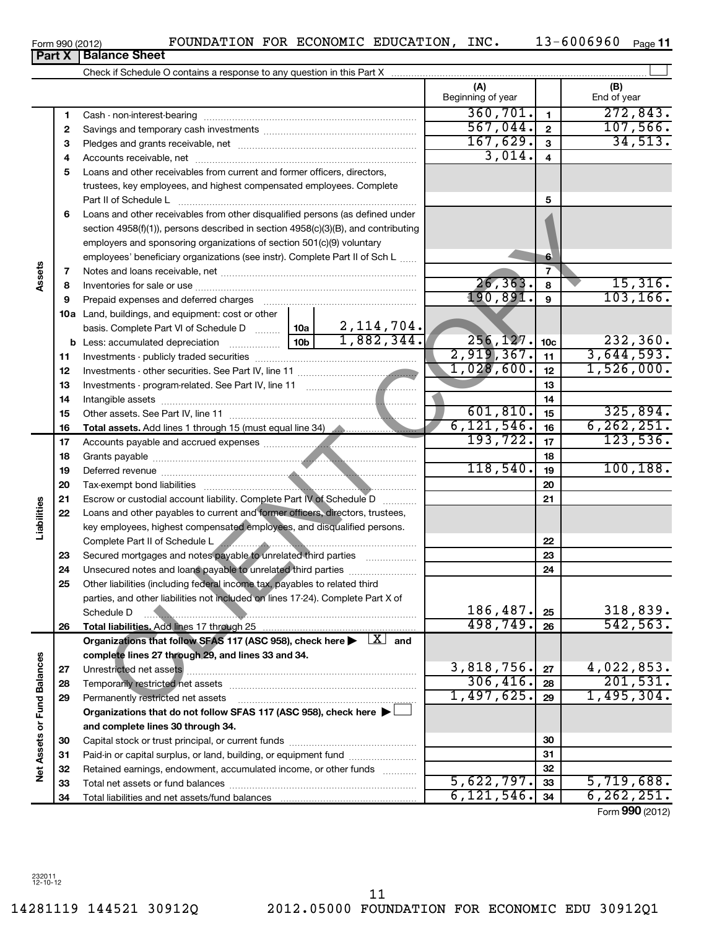14281119 144521 30912Q 2012.05000 FOUNDATION FOR ECONOMIC EDU 30912Q1 11

Form 990 (2012) **FOUNDATION FOR ECONOMIC EDUCATION, INC.** 13-6006960 <sub>Page</sub> 11

| <b>rait</b> A               |          | <b>DalaHVG OHGGL</b>                                                                                                    |                          |                         |                               |
|-----------------------------|----------|-------------------------------------------------------------------------------------------------------------------------|--------------------------|-------------------------|-------------------------------|
|                             |          |                                                                                                                         |                          |                         |                               |
|                             |          |                                                                                                                         | (A)<br>Beginning of year |                         | (B)<br>End of year            |
|                             | 1        | Cash - non-interest-bearing                                                                                             | 360, 701.                | $\mathbf{1}$            | 272,843.                      |
|                             | 2        |                                                                                                                         | 567,044.                 | $\mathbf{2}$            | 107,566.                      |
|                             | 3        |                                                                                                                         | 167,629.                 | $\mathbf{3}$            | 34,513.                       |
|                             | 4        |                                                                                                                         | 3,014.                   | $\overline{\mathbf{4}}$ |                               |
|                             | 5        | Loans and other receivables from current and former officers, directors,                                                |                          |                         |                               |
|                             |          | trustees, key employees, and highest compensated employees. Complete                                                    |                          |                         |                               |
|                             |          | Part II of Schedule L                                                                                                   |                          | 5                       |                               |
|                             | 6        | Loans and other receivables from other disqualified persons (as defined under                                           |                          |                         |                               |
|                             |          | section 4958(f)(1)), persons described in section 4958(c)(3)(B), and contributing                                       |                          |                         |                               |
|                             |          | employers and sponsoring organizations of section 501(c)(9) voluntary                                                   |                          |                         |                               |
|                             |          | employees' beneficiary organizations (see instr). Complete Part II of Sch L                                             |                          | 6                       |                               |
| Assets                      | 7        |                                                                                                                         |                          | $\overline{7}$          |                               |
|                             | 8        |                                                                                                                         | 26, 363.                 | 8                       | 15,316.                       |
|                             | 9        | Prepaid expenses and deferred charges                                                                                   | 190, 891.                | $\mathbf{9}$            | 103, 166.                     |
|                             |          | 10a Land, buildings, and equipment: cost or other                                                                       |                          |                         |                               |
|                             |          |                                                                                                                         |                          |                         |                               |
|                             |          |                                                                                                                         | 256, 127.                | 10 <sub>c</sub>         | 232,360.                      |
|                             | 11       |                                                                                                                         | $\overline{2,919,367.}$  | 11                      | 3,644,593.                    |
|                             | 12       |                                                                                                                         | 1,028,600.               | 12                      | 1,526,000.                    |
|                             | 13       |                                                                                                                         |                          | 13                      |                               |
|                             | 14       |                                                                                                                         |                          | 14                      |                               |
|                             | 15       |                                                                                                                         | 601, 810.                | 15                      | 325,894.                      |
|                             | 16       | Total assets. Add lines 1 through 15 (must equal line 34)                                                               | 6, 121, 546.             | 16                      | 6, 262, 251.                  |
|                             | 17       |                                                                                                                         | 193,722.                 | 17                      | 123,536.                      |
|                             | 18       |                                                                                                                         |                          | 18                      |                               |
|                             | 19       |                                                                                                                         | 118,540.                 | 19                      | 100, 188.                     |
|                             | 20       |                                                                                                                         |                          | 20                      |                               |
|                             | 21       | Escrow or custodial account liability. Complete Part IV of Schedule D                                                   |                          | 21                      |                               |
| Liabilities                 | 22       | Loans and other payables to current and former officers, directors, trustees,                                           |                          |                         |                               |
|                             |          | key employees, highest compensated employees, and disqualified persons.                                                 |                          |                         |                               |
|                             |          | Complete Part II of Schedule L                                                                                          |                          | 22                      |                               |
|                             | 23       | Secured mortgages and notes payable to unrelated third parties                                                          |                          | 23                      |                               |
|                             | 24       | Unsecured notes and loans payable to unrelated third parties                                                            |                          | 24                      |                               |
|                             | 25       | Other liabilities (including federal income tax, payables to related third                                              |                          |                         |                               |
|                             |          | parties, and other liabilities not included on lines 17-24). Complete Part X of                                         |                          |                         |                               |
|                             |          | Schedule D                                                                                                              | 186,487.<br>498,749.     | 25                      | 318,839.<br>542, 563.         |
|                             | 26       | Total liabilities. Add lines 17 through 25                                                                              |                          | 26                      |                               |
|                             |          | Organizations that follow SFAS 117 (ASC 958), check here $\blacktriangleright \begin{array}{c} \perp X \end{array}$ and |                          |                         |                               |
|                             |          | complete lines 27 through 29, and lines 33 and 34.                                                                      | 3,818,756.               |                         |                               |
|                             | 27       | Unrestricted net assets                                                                                                 | 306,416.                 | 27                      | $\frac{4,022,853.}{201,531.}$ |
|                             | 28       |                                                                                                                         | 1,497,625.               | 28<br>29                | 1,495,304.                    |
|                             | 29       | Permanently restricted net assets                                                                                       |                          |                         |                               |
|                             |          | Organizations that do not follow SFAS 117 (ASC 958), check here $\blacktriangleright\Box$                               |                          |                         |                               |
|                             |          | and complete lines 30 through 34.                                                                                       |                          | 30                      |                               |
| Net Assets or Fund Balances | 30       | Paid-in or capital surplus, or land, building, or equipment fund                                                        |                          | 31                      |                               |
|                             | 31<br>32 | Retained earnings, endowment, accumulated income, or other funds                                                        |                          | 32                      |                               |
|                             | 33       |                                                                                                                         | 5,622,797.               | 33                      | 5,719,688.                    |
|                             | 34       | Total liabilities and net assets/fund balances                                                                          | 6, 121, 546.             | 34                      | 6, 262, 251.                  |
|                             |          |                                                                                                                         |                          |                         | Form 990 (2012)               |

**Part X Balance Sheet**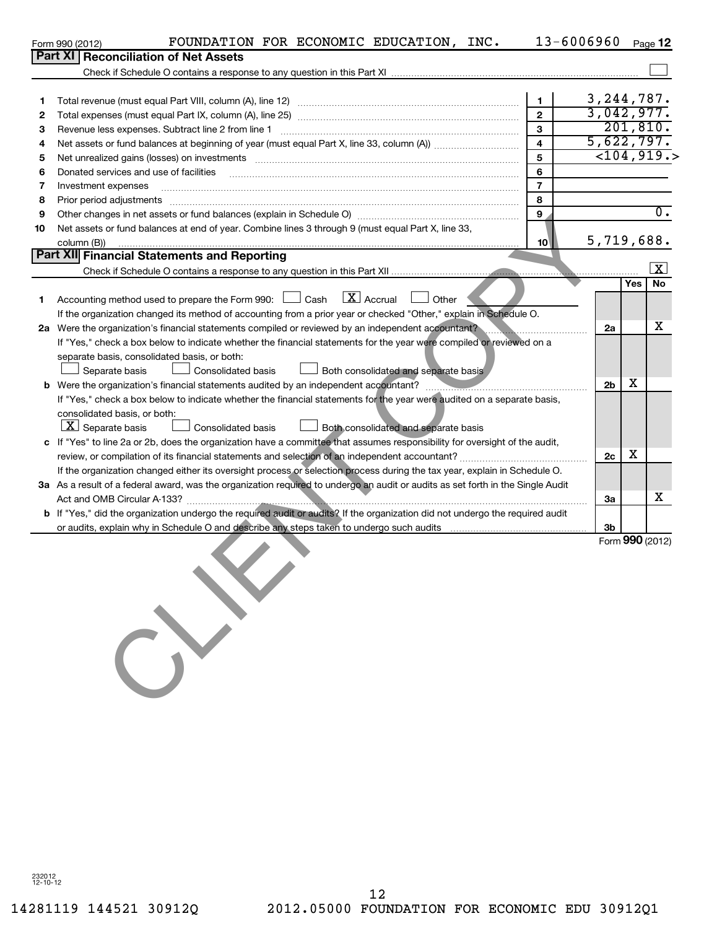|        | FOUNDATION FOR ECONOMIC EDUCATION, INC.<br>Form 990 (2012)                                                                                                                                                                     | 13-6006960        |                                   |     | Page 12          |
|--------|--------------------------------------------------------------------------------------------------------------------------------------------------------------------------------------------------------------------------------|-------------------|-----------------------------------|-----|------------------|
|        | Part XI   Reconciliation of Net Assets                                                                                                                                                                                         |                   |                                   |     |                  |
|        |                                                                                                                                                                                                                                |                   |                                   |     |                  |
| 1      |                                                                                                                                                                                                                                | 1<br>$\mathbf{2}$ | 3, 244, 787.<br>3,042,977.        |     |                  |
| 2<br>3 | Total expenses (must equal Part IX, column (A), line 25) [11] manufactured expenses (must equal Part IX, column (A), line 25)<br>Revenue less expenses. Subtract line 2 from line 1                                            | 3                 | 201, 810.                         |     |                  |
| 4      |                                                                                                                                                                                                                                | 4                 | 5,622,797.                        |     |                  |
| 5      | Net unrealized gains (losses) on investments [[11] non-minimum material intervents and the set of the set of the set of the set of the set of the set of the set of the set of the set of the set of the set of the set of the | 5                 | $\overline{<}104,919.$            |     |                  |
| 6      | Donated services and use of facilities                                                                                                                                                                                         | 6                 |                                   |     |                  |
| 7      | Investment expenses                                                                                                                                                                                                            | $\overline{7}$    |                                   |     |                  |
| 8      | Prior period adjustments                                                                                                                                                                                                       | 8                 |                                   |     |                  |
| 9      |                                                                                                                                                                                                                                | 9                 |                                   |     | $\overline{0}$ . |
| 10     | Net assets or fund balances at end of year. Combine lines 3 through 9 (must equal Part X, line 33,<br>column (B))                                                                                                              | 10                | 5,719,688.                        |     |                  |
|        | Part XII Financial Statements and Reporting                                                                                                                                                                                    |                   |                                   |     |                  |
|        |                                                                                                                                                                                                                                |                   |                                   |     | $\mathbf{x}$     |
|        |                                                                                                                                                                                                                                |                   |                                   | Yes | No               |
| 1.     | $\boxed{\mathbf{X}}$ Accrual<br>Accounting method used to prepare the Form 990: $\Box$ Cash<br>Other                                                                                                                           |                   |                                   |     |                  |
|        | If the organization changed its method of accounting from a prior year or checked "Other," explain in Schedule O.                                                                                                              |                   |                                   |     |                  |
|        | 2a Were the organization's financial statements compiled or reviewed by an independent accountant?                                                                                                                             |                   | 2a                                |     | x                |
|        | If "Yes," check a box below to indicate whether the financial statements for the year were compiled or reviewed on a                                                                                                           |                   |                                   |     |                  |
|        | separate basis, consolidated basis, or both:                                                                                                                                                                                   |                   |                                   |     |                  |
|        | Both consolidated and separate basis<br>Separate basis<br>Consolidated basis                                                                                                                                                   |                   |                                   |     |                  |
| b      |                                                                                                                                                                                                                                |                   | 2 <sub>b</sub>                    | х   |                  |
|        | If "Yes," check a box below to indicate whether the financial statements for the year were audited on a separate basis,                                                                                                        |                   |                                   |     |                  |
|        | consolidated basis, or both:<br>$ \underline{X} $ Separate basis<br>Consolidated basis<br>Both consolidated and separate basis                                                                                                 |                   |                                   |     |                  |
|        | c If "Yes" to line 2a or 2b, does the organization have a committee that assumes responsibility for oversight of the audit,                                                                                                    |                   |                                   |     |                  |
|        |                                                                                                                                                                                                                                |                   | 2c                                | х   |                  |
|        | If the organization changed either its oversight process or selection process during the tax year, explain in Schedule O.                                                                                                      |                   |                                   |     |                  |
|        | 3a As a result of a federal award, was the organization required to undergo an audit or audits as set forth in the Single Audit                                                                                                |                   |                                   |     |                  |
|        | Act and OMB Circular A-133?                                                                                                                                                                                                    |                   | За                                |     | x.               |
|        | b If "Yes," did the organization undergo the required audit or audits? If the organization did not undergo the required audit                                                                                                  |                   |                                   |     |                  |
|        | or audits, explain why in Schedule O and describe any steps taken to undergo such audits                                                                                                                                       |                   | 3 <sub>b</sub><br>Form 990 (2012) |     |                  |
|        |                                                                                                                                                                                                                                |                   |                                   |     |                  |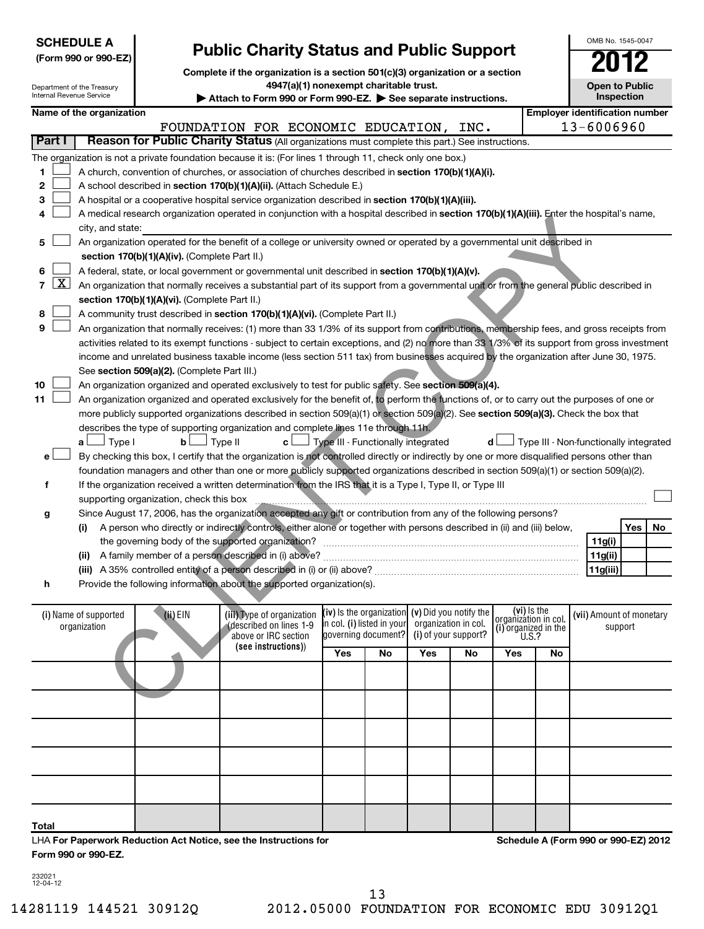| <b>SCHEDULE A</b><br><b>Public Charity Status and Public Support</b><br>(Form 990 or 990-EZ)<br>Complete if the organization is a section 501(c)(3) organization or a section |                            |                                               |                                                                                                                                               |                            |                      |                                                   |                      |     | OMB No. 1545-0047<br>2012              |                          |            |    |
|-------------------------------------------------------------------------------------------------------------------------------------------------------------------------------|----------------------------|-----------------------------------------------|-----------------------------------------------------------------------------------------------------------------------------------------------|----------------------------|----------------------|---------------------------------------------------|----------------------|-----|----------------------------------------|--------------------------|------------|----|
| Internal Revenue Service                                                                                                                                                      | Department of the Treasury |                                               | 4947(a)(1) nonexempt charitable trust.<br>Attach to Form 990 or Form 990-EZ. See separate instructions.                                       |                            |                      |                                                   |                      |     |                                        | <b>Open to Public</b>    | Inspection |    |
|                                                                                                                                                                               | Name of the organization   |                                               |                                                                                                                                               |                            |                      |                                                   |                      |     | <b>Employer identification number</b>  |                          |            |    |
|                                                                                                                                                                               |                            |                                               | FOUNDATION FOR ECONOMIC EDUCATION,                                                                                                            |                            |                      |                                                   | INC.                 |     |                                        | 13-6006960               |            |    |
| Part I                                                                                                                                                                        |                            |                                               | Reason for Public Charity Status (All organizations must complete this part.) See instructions.                                               |                            |                      |                                                   |                      |     |                                        |                          |            |    |
|                                                                                                                                                                               |                            |                                               | The organization is not a private foundation because it is: (For lines 1 through 11, check only one box.)                                     |                            |                      |                                                   |                      |     |                                        |                          |            |    |
| 1                                                                                                                                                                             |                            |                                               | A church, convention of churches, or association of churches described in section 170(b)(1)(A)(i).                                            |                            |                      |                                                   |                      |     |                                        |                          |            |    |
| 2                                                                                                                                                                             |                            |                                               | A school described in section 170(b)(1)(A)(ii). (Attach Schedule E.)                                                                          |                            |                      |                                                   |                      |     |                                        |                          |            |    |
| 3                                                                                                                                                                             |                            |                                               | A hospital or a cooperative hospital service organization described in section 170(b)(1)(A)(iii).                                             |                            |                      |                                                   |                      |     |                                        |                          |            |    |
| 4                                                                                                                                                                             |                            |                                               | A medical research organization operated in conjunction with a hospital described in section 170(b)(1)(A)(iii). Enter the hospital's name,    |                            |                      |                                                   |                      |     |                                        |                          |            |    |
|                                                                                                                                                                               | city, and state:           |                                               |                                                                                                                                               |                            |                      |                                                   |                      |     |                                        |                          |            |    |
| 5                                                                                                                                                                             |                            |                                               | An organization operated for the benefit of a college or university owned or operated by a governmental unit described in                     |                            |                      |                                                   |                      |     |                                        |                          |            |    |
|                                                                                                                                                                               |                            | section 170(b)(1)(A)(iv). (Complete Part II.) |                                                                                                                                               |                            |                      |                                                   |                      |     |                                        |                          |            |    |
| 6                                                                                                                                                                             |                            |                                               | A federal, state, or local government or governmental unit described in section 170(b)(1)(A)(v).                                              |                            |                      |                                                   |                      |     |                                        |                          |            |    |
| $\mathbf{X}$<br>$\overline{7}$                                                                                                                                                |                            |                                               | An organization that normally receives a substantial part of its support from a governmental unit or from the general public described in     |                            |                      |                                                   |                      |     |                                        |                          |            |    |
|                                                                                                                                                                               |                            | section 170(b)(1)(A)(vi). (Complete Part II.) |                                                                                                                                               |                            |                      |                                                   |                      |     |                                        |                          |            |    |
| 8                                                                                                                                                                             |                            |                                               | A community trust described in section 170(b)(1)(A)(vi). (Complete Part II.)                                                                  |                            |                      |                                                   |                      |     |                                        |                          |            |    |
| 9                                                                                                                                                                             |                            |                                               | An organization that normally receives: (1) more than 33 1/3% of its support from contributions, membership fees, and gross receipts from     |                            |                      |                                                   |                      |     |                                        |                          |            |    |
|                                                                                                                                                                               |                            |                                               | activities related to its exempt functions - subject to certain exceptions, and (2) no more than 33 1/3% of its support from gross investment |                            |                      |                                                   |                      |     |                                        |                          |            |    |
|                                                                                                                                                                               |                            |                                               | income and unrelated business taxable income (less section 511 tax) from businesses acquired by the organization after June 30, 1975.         |                            |                      |                                                   |                      |     |                                        |                          |            |    |
|                                                                                                                                                                               |                            | See section 509(a)(2). (Complete Part III.)   |                                                                                                                                               |                            |                      |                                                   |                      |     |                                        |                          |            |    |
| 10                                                                                                                                                                            |                            |                                               | An organization organized and operated exclusively to test for public safety. See section 509(a)(4).                                          |                            |                      |                                                   |                      |     |                                        |                          |            |    |
| 11                                                                                                                                                                            |                            |                                               | An organization organized and operated exclusively for the benefit of, to perform the functions of, or to carry out the purposes of one or    |                            |                      |                                                   |                      |     |                                        |                          |            |    |
|                                                                                                                                                                               |                            |                                               | more publicly supported organizations described in section 509(a)(1) or section 509(a)(2). See section 509(a)(3). Check the box that          |                            |                      |                                                   |                      |     |                                        |                          |            |    |
|                                                                                                                                                                               |                            |                                               | describes the type of supporting organization and complete lines 11e through 11h.                                                             |                            |                      |                                                   |                      |     |                                        |                          |            |    |
|                                                                                                                                                                               | 」Type I<br>a∟              | $\mathbf{b}$                                  | Type II<br>c L                                                                                                                                |                            |                      | Type III - Functionally integrated                |                      | d l | Type III - Non-functionally integrated |                          |            |    |
| e۱                                                                                                                                                                            |                            |                                               | By checking this box, I certify that the organization is not controlled directly or indirectly by one or more disqualified persons other than |                            |                      |                                                   |                      |     |                                        |                          |            |    |
|                                                                                                                                                                               |                            |                                               | foundation managers and other than one or more publicly supported organizations described in section 509(a)(1) or section 509(a)(2).          |                            |                      |                                                   |                      |     |                                        |                          |            |    |
| f                                                                                                                                                                             |                            |                                               | If the organization received a written determination from the IRS that it is a Type I, Type II, or Type III                                   |                            |                      |                                                   |                      |     |                                        |                          |            |    |
|                                                                                                                                                                               |                            | supporting organization, check this box       |                                                                                                                                               |                            |                      |                                                   |                      |     |                                        |                          |            |    |
| g                                                                                                                                                                             |                            |                                               | Since August 17, 2006, has the organization accepted any gift or contribution from any of the following persons?                              |                            |                      |                                                   |                      |     |                                        |                          |            |    |
|                                                                                                                                                                               | (i)                        |                                               | A person who directly or indirectly controls, either alone or together with persons described in (ii) and (iii) below,                        |                            |                      |                                                   |                      |     |                                        |                          | Yes        | No |
|                                                                                                                                                                               |                            |                                               | the governing body of the supported organization?                                                                                             |                            |                      |                                                   |                      |     |                                        | 11g(i)                   |            |    |
|                                                                                                                                                                               |                            |                                               |                                                                                                                                               |                            |                      |                                                   |                      |     |                                        | 11g(ii)                  |            |    |
|                                                                                                                                                                               |                            |                                               |                                                                                                                                               |                            |                      |                                                   |                      |     |                                        | 11g(iii)                 |            |    |
| h                                                                                                                                                                             |                            |                                               | Provide the following information about the supported organization(s).                                                                        |                            |                      |                                                   |                      |     |                                        |                          |            |    |
|                                                                                                                                                                               |                            |                                               |                                                                                                                                               |                            |                      |                                                   |                      |     | (vi) Is the                            |                          |            |    |
|                                                                                                                                                                               | (i) Name of supported      | (ii) EIN                                      | (iii) Type of organization<br>described on lines 1-9                                                                                          | in col. (i) listed in your |                      | (iv) is the organization $(v)$ Did you notify the | organization in col. |     | organizátion in col.                   | (vii) Amount of monetary |            |    |
|                                                                                                                                                                               | organization               |                                               | above or IRC section                                                                                                                          |                            | laovernina document? |                                                   | (i) of your support? |     | (i) organized in the<br>U.S.?          |                          | support    |    |
|                                                                                                                                                                               |                            |                                               | (see instructions))                                                                                                                           | Yes                        | No                   | Yes                                               | No                   | Yes | No                                     |                          |            |    |
|                                                                                                                                                                               |                            |                                               |                                                                                                                                               |                            |                      |                                                   |                      |     |                                        |                          |            |    |
|                                                                                                                                                                               |                            |                                               |                                                                                                                                               |                            |                      |                                                   |                      |     |                                        |                          |            |    |
|                                                                                                                                                                               |                            |                                               |                                                                                                                                               |                            |                      |                                                   |                      |     |                                        |                          |            |    |

| <b>LUA For Department Poduction Act Notice, see the Instructions for</b> |  |  |  |  | Schodule A (Form 000 or 000 F7 |
|--------------------------------------------------------------------------|--|--|--|--|--------------------------------|
| <b>Total</b>                                                             |  |  |  |  |                                |
|                                                                          |  |  |  |  |                                |
|                                                                          |  |  |  |  |                                |
|                                                                          |  |  |  |  |                                |
|                                                                          |  |  |  |  |                                |

LHA **For Paperwork Reduction Act Notice, see the Instructions for Form 990 or 990-EZ.**

**Schedule A (Form 990 or 990-EZ) 2012**

232021 12-04-12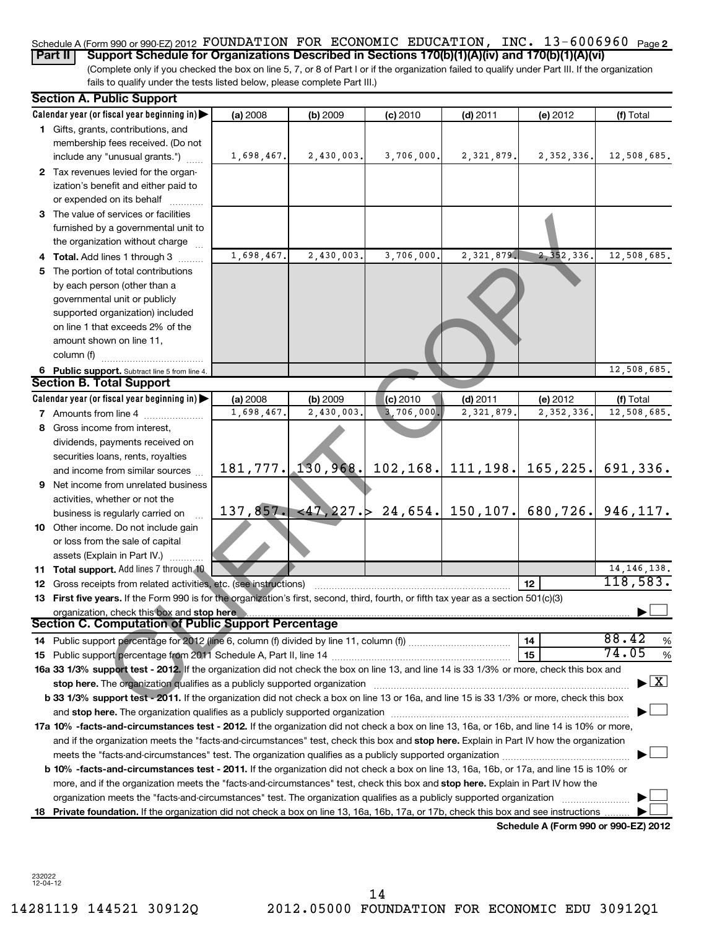#### Schedule A (Form 990 or 990-EZ) 2012 POUNDATION FOR ECONOMIC EDUCATION, INC.  $13$ -6006960  $\,$  <sub>Page</sub> 2 **Part II** Support Schedule for Organizations Described in Sections 170(b)(1)(A)(iv) and 170(b)(1)(A)(vi)

(Complete only if you checked the box on line 5, 7, or 8 of Part I or if the organization failed to qualify under Part III. If the organization fails to qualify under the tests listed below, please complete Part III.)

| <b>Section A. Public Support</b>                                                                                                                                                                                               |            |            |            |              |                                                     |                                          |
|--------------------------------------------------------------------------------------------------------------------------------------------------------------------------------------------------------------------------------|------------|------------|------------|--------------|-----------------------------------------------------|------------------------------------------|
| Calendar year (or fiscal year beginning in)                                                                                                                                                                                    | (a) 2008   | (b) 2009   | (c) 2010   | $(d)$ 2011   | (e) 2012                                            | (f) Total                                |
| 1 Gifts, grants, contributions, and                                                                                                                                                                                            |            |            |            |              |                                                     |                                          |
| membership fees received. (Do not                                                                                                                                                                                              |            |            |            |              |                                                     |                                          |
| include any "unusual grants.")                                                                                                                                                                                                 | 1,698,467. | 2,430,003. | 3,706,000. | 2,321,879.   | 2, 352, 336.                                        | 12,508,685.                              |
| 2 Tax revenues levied for the organ-                                                                                                                                                                                           |            |            |            |              |                                                     |                                          |
| ization's benefit and either paid to                                                                                                                                                                                           |            |            |            |              |                                                     |                                          |
| or expended on its behalf                                                                                                                                                                                                      |            |            |            |              |                                                     |                                          |
| 3 The value of services or facilities                                                                                                                                                                                          |            |            |            |              |                                                     |                                          |
| furnished by a governmental unit to                                                                                                                                                                                            |            |            |            |              |                                                     |                                          |
| the organization without charge                                                                                                                                                                                                |            |            |            |              |                                                     |                                          |
| 4 Total. Add lines 1 through 3                                                                                                                                                                                                 | 1,698,467. | 2,430,003. | 3,706,000. | 2,321,879.   | 2, 352, 336.                                        | 12,508,685.                              |
| 5 The portion of total contributions                                                                                                                                                                                           |            |            |            |              |                                                     |                                          |
| by each person (other than a                                                                                                                                                                                                   |            |            |            |              |                                                     |                                          |
| governmental unit or publicly                                                                                                                                                                                                  |            |            |            |              |                                                     |                                          |
| supported organization) included                                                                                                                                                                                               |            |            |            |              |                                                     |                                          |
| on line 1 that exceeds 2% of the                                                                                                                                                                                               |            |            |            |              |                                                     |                                          |
| amount shown on line 11,                                                                                                                                                                                                       |            |            |            |              |                                                     |                                          |
| column (f)                                                                                                                                                                                                                     |            |            |            |              |                                                     |                                          |
| 6 Public support. Subtract line 5 from line 4.                                                                                                                                                                                 |            |            |            |              |                                                     | $\overline{12}$ , 508, 685.              |
| <b>Section B. Total Support</b>                                                                                                                                                                                                |            |            |            |              |                                                     |                                          |
| Calendar year (or fiscal year beginning in)                                                                                                                                                                                    | (a) 2008   | (b) 2009   | (c) 2010   | $(d)$ 2011   | (e) 2012                                            | (f) Total                                |
| <b>7</b> Amounts from line 4                                                                                                                                                                                                   | 1,698,467. | 2,430,003  | 3,706,000. | 2, 321, 879. | 2,352,336                                           | 12,508,685.                              |
| 8 Gross income from interest,                                                                                                                                                                                                  |            |            |            |              |                                                     |                                          |
| dividends, payments received on                                                                                                                                                                                                |            |            |            |              |                                                     |                                          |
| securities loans, rents, royalties                                                                                                                                                                                             |            |            |            |              |                                                     |                                          |
| and income from similar sources                                                                                                                                                                                                | 181, 777.  | 130,968.   |            |              | $102, 168$ , 111, 198, 165, 225.                    | 691,336.                                 |
| 9 Net income from unrelated business                                                                                                                                                                                           |            |            |            |              |                                                     |                                          |
| activities, whether or not the                                                                                                                                                                                                 |            |            |            |              |                                                     |                                          |
| business is regularly carried on                                                                                                                                                                                               | 137,857.   |            |            |              | $\langle 47, 227.\rangle$ 24,654. 150,107. 680,726. | 946,117.                                 |
| 10 Other income. Do not include gain                                                                                                                                                                                           |            |            |            |              |                                                     |                                          |
| or loss from the sale of capital                                                                                                                                                                                               |            |            |            |              |                                                     |                                          |
| assets (Explain in Part IV.)                                                                                                                                                                                                   |            |            |            |              |                                                     |                                          |
| 11 Total support. Add lines 7 through 10                                                                                                                                                                                       |            |            |            |              |                                                     | 14, 146, 138.                            |
| 12 Gross receipts from related activities, etc. (see instructions)                                                                                                                                                             |            |            |            |              | 12                                                  | 118,583.                                 |
| 13 First five years. If the Form 990 is for the organization's first, second, third, fourth, or fifth tax year as a section 501(c)(3)                                                                                          |            |            |            |              |                                                     |                                          |
| organization, check this box and stop here                                                                                                                                                                                     |            |            |            |              |                                                     |                                          |
| <b>Section C. Computation of Public Support Percentage</b>                                                                                                                                                                     |            |            |            |              |                                                     |                                          |
|                                                                                                                                                                                                                                |            |            |            |              | 14                                                  | 88.42<br>$\%$                            |
|                                                                                                                                                                                                                                |            |            |            |              | 15                                                  | 74.05<br>%                               |
| 16a 33 1/3% support test - 2012. If the organization did not check the box on line 13, and line 14 is 33 1/3% or more, check this box and                                                                                      |            |            |            |              |                                                     |                                          |
| stop here. The organization qualifies as a publicly supported organization manufactured content and content and the state of the state of the state of the state of the state of the state of the state of the state of the st |            |            |            |              |                                                     | $\blacktriangleright$ $\boxed{\text{X}}$ |
| b 33 1/3% support test - 2011. If the organization did not check a box on line 13 or 16a, and line 15 is 33 1/3% or more, check this box                                                                                       |            |            |            |              |                                                     |                                          |
|                                                                                                                                                                                                                                |            |            |            |              |                                                     |                                          |
| 17a 10% -facts-and-circumstances test - 2012. If the organization did not check a box on line 13, 16a, or 16b, and line 14 is 10% or more,                                                                                     |            |            |            |              |                                                     |                                          |
| and if the organization meets the "facts-and-circumstances" test, check this box and stop here. Explain in Part IV how the organization                                                                                        |            |            |            |              |                                                     |                                          |
|                                                                                                                                                                                                                                |            |            |            |              |                                                     |                                          |
| b 10% -facts-and-circumstances test - 2011. If the organization did not check a box on line 13, 16a, 16b, or 17a, and line 15 is 10% or                                                                                        |            |            |            |              |                                                     |                                          |
| more, and if the organization meets the "facts-and-circumstances" test, check this box and stop here. Explain in Part IV how the                                                                                               |            |            |            |              |                                                     |                                          |
| organization meets the "facts-and-circumstances" test. The organization qualifies as a publicly supported organization                                                                                                         |            |            |            |              |                                                     |                                          |
| 18 Private foundation. If the organization did not check a box on line 13, 16a, 16b, 17a, or 17b, check this box and see instructions                                                                                          |            |            |            |              |                                                     |                                          |
|                                                                                                                                                                                                                                |            |            |            |              | Schedule A (Form 990 or 990-EZ) 2012                |                                          |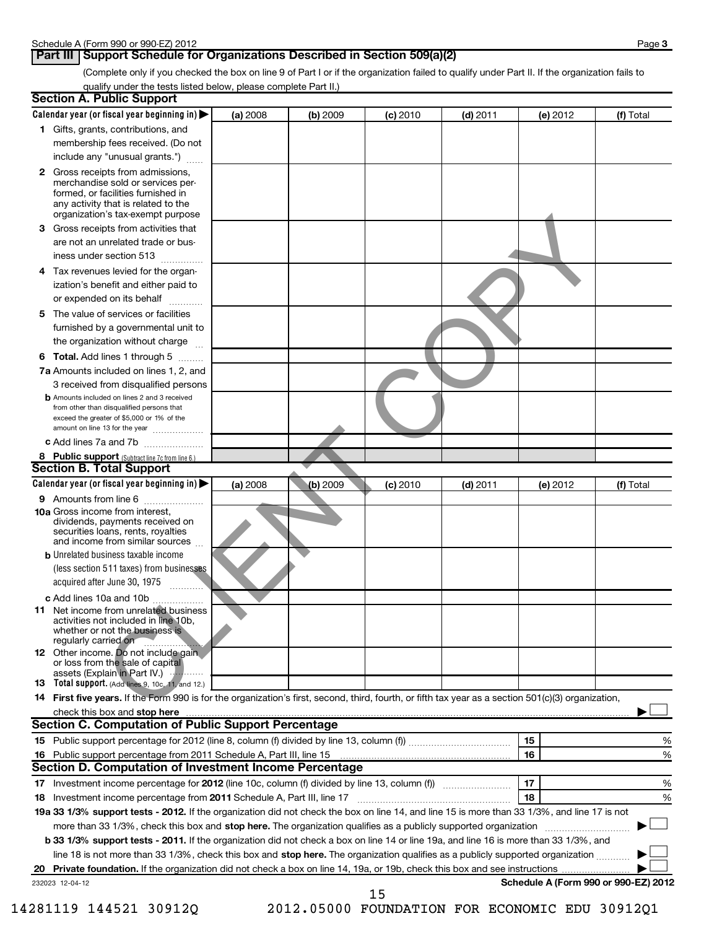#### **Part III Support Schedule for Organizations Described in Section 509(a)(2)**

(Complete only if you checked the box on line 9 of Part I or if the organization failed to qualify under Part II. If the organization fails to qualify under the tests listed below, please complete Part II.)

| <b>Section A. Public Support</b>                                                                                                                                                                                               |          |            |            |            |          |                                      |
|--------------------------------------------------------------------------------------------------------------------------------------------------------------------------------------------------------------------------------|----------|------------|------------|------------|----------|--------------------------------------|
| Calendar year (or fiscal year beginning in) $\blacktriangleright$                                                                                                                                                              | (a) 2008 | (b) 2009   | $(c)$ 2010 | $(d)$ 2011 | (e) 2012 | (f) Total                            |
| 1 Gifts, grants, contributions, and                                                                                                                                                                                            |          |            |            |            |          |                                      |
| membership fees received. (Do not                                                                                                                                                                                              |          |            |            |            |          |                                      |
| include any "unusual grants.")                                                                                                                                                                                                 |          |            |            |            |          |                                      |
| 2 Gross receipts from admissions,                                                                                                                                                                                              |          |            |            |            |          |                                      |
| merchandise sold or services per-<br>formed, or facilities furnished in                                                                                                                                                        |          |            |            |            |          |                                      |
| any activity that is related to the                                                                                                                                                                                            |          |            |            |            |          |                                      |
| organization's tax-exempt purpose                                                                                                                                                                                              |          |            |            |            |          |                                      |
| 3 Gross receipts from activities that                                                                                                                                                                                          |          |            |            |            |          |                                      |
| are not an unrelated trade or bus-                                                                                                                                                                                             |          |            |            |            |          |                                      |
| iness under section 513                                                                                                                                                                                                        |          |            |            |            |          |                                      |
| Tax revenues levied for the organ-<br>4                                                                                                                                                                                        |          |            |            |            |          |                                      |
| ization's benefit and either paid to                                                                                                                                                                                           |          |            |            |            |          |                                      |
| or expended on its behalf                                                                                                                                                                                                      |          |            |            |            |          |                                      |
| The value of services or facilities<br>5.                                                                                                                                                                                      |          |            |            |            |          |                                      |
| furnished by a governmental unit to                                                                                                                                                                                            |          |            |            |            |          |                                      |
| the organization without charge                                                                                                                                                                                                |          |            |            |            |          |                                      |
| 6 Total. Add lines 1 through 5                                                                                                                                                                                                 |          |            |            |            |          |                                      |
| <b>7a</b> Amounts included on lines 1, 2, and                                                                                                                                                                                  |          |            |            |            |          |                                      |
| 3 received from disqualified persons                                                                                                                                                                                           |          |            |            |            |          |                                      |
| <b>b</b> Amounts included on lines 2 and 3 received<br>from other than disqualified persons that                                                                                                                               |          |            |            |            |          |                                      |
| exceed the greater of \$5,000 or 1% of the                                                                                                                                                                                     |          |            |            |            |          |                                      |
| amount on line 13 for the year                                                                                                                                                                                                 |          |            |            |            |          |                                      |
| c Add lines 7a and 7b                                                                                                                                                                                                          |          |            |            |            |          |                                      |
| 8 Public support (Subtract line 7c from line 6.)                                                                                                                                                                               |          |            |            |            |          |                                      |
| <b>Section B. Total Support</b>                                                                                                                                                                                                |          |            |            |            |          |                                      |
| Calendar year (or fiscal year beginning in)                                                                                                                                                                                    | (a) 2008 | $(b)$ 2009 | (c) 2010   | $(d)$ 2011 | (e) 2012 | (f) Total                            |
| 9 Amounts from line 6                                                                                                                                                                                                          |          |            |            |            |          |                                      |
| <b>10a</b> Gross income from interest,<br>dividends, payments received on<br>securities loans, rents, royalties<br>and income from similar sources                                                                             |          |            |            |            |          |                                      |
| <b>b</b> Unrelated business taxable income                                                                                                                                                                                     |          |            |            |            |          |                                      |
| (less section 511 taxes) from businesses                                                                                                                                                                                       |          |            |            |            |          |                                      |
| acquired after June 30, 1975                                                                                                                                                                                                   |          |            |            |            |          |                                      |
| c Add lines 10a and 10b                                                                                                                                                                                                        |          |            |            |            |          |                                      |
| <b>11</b> Net income from unrelated business                                                                                                                                                                                   |          |            |            |            |          |                                      |
| activities not included in line 10b.<br>whether or not the business is<br>regularly carried on                                                                                                                                 |          |            |            |            |          |                                      |
| <b>12</b> Other income. Do not include gain                                                                                                                                                                                    |          |            |            |            |          |                                      |
| or loss from the sale of capital                                                                                                                                                                                               |          |            |            |            |          |                                      |
| assets (Explain in Part IV.)<br>13 Total support. (Add lines 9, 10c, 11, and 12.)                                                                                                                                              |          |            |            |            |          |                                      |
| 14 First five years. If the Form 990 is for the organization's first, second, third, fourth, or fifth tax year as a section 501(c)(3) organization,                                                                            |          |            |            |            |          |                                      |
| check this box and stop here manufactured and content to the state of the state of the state of the state of the state of the state of the state of the state of the state of the state of the state of the state of the state |          |            |            |            |          |                                      |
| Section C. Computation of Public Support Percentage                                                                                                                                                                            |          |            |            |            |          |                                      |
|                                                                                                                                                                                                                                |          |            |            |            | 15       | %                                    |
| 16 Public support percentage from 2011 Schedule A, Part III, line 15                                                                                                                                                           |          |            |            |            | 16       | %                                    |
| Section D. Computation of Investment Income Percentage                                                                                                                                                                         |          |            |            |            |          |                                      |
| 17 Investment income percentage for 2012 (line 10c, column (f) divided by line 13, column (f))                                                                                                                                 |          |            |            |            | 17       | $\%$                                 |
| 18 Investment income percentage from 2011 Schedule A, Part III, line 17                                                                                                                                                        |          |            |            |            | 18       | %                                    |
| 19a 33 1/3% support tests - 2012. If the organization did not check the box on line 14, and line 15 is more than 33 1/3%, and line 17 is not                                                                                   |          |            |            |            |          |                                      |
| more than 33 1/3%, check this box and stop here. The organization qualifies as a publicly supported organization                                                                                                               |          |            |            |            |          |                                      |
| b 33 1/3% support tests - 2011. If the organization did not check a box on line 14 or line 19a, and line 16 is more than 33 1/3%, and                                                                                          |          |            |            |            |          |                                      |
| line 18 is not more than 33 1/3%, check this box and stop here. The organization qualifies as a publicly supported organization                                                                                                |          |            |            |            |          |                                      |
|                                                                                                                                                                                                                                |          |            |            |            |          |                                      |
| 232023 12-04-12                                                                                                                                                                                                                |          |            |            |            |          | Schedule A (Form 990 or 990-EZ) 2012 |
|                                                                                                                                                                                                                                |          |            | 15         |            |          |                                      |

14281119 144521 30912Q 2012.05000 FOUNDATION FOR ECONOMIC EDU 30912Q1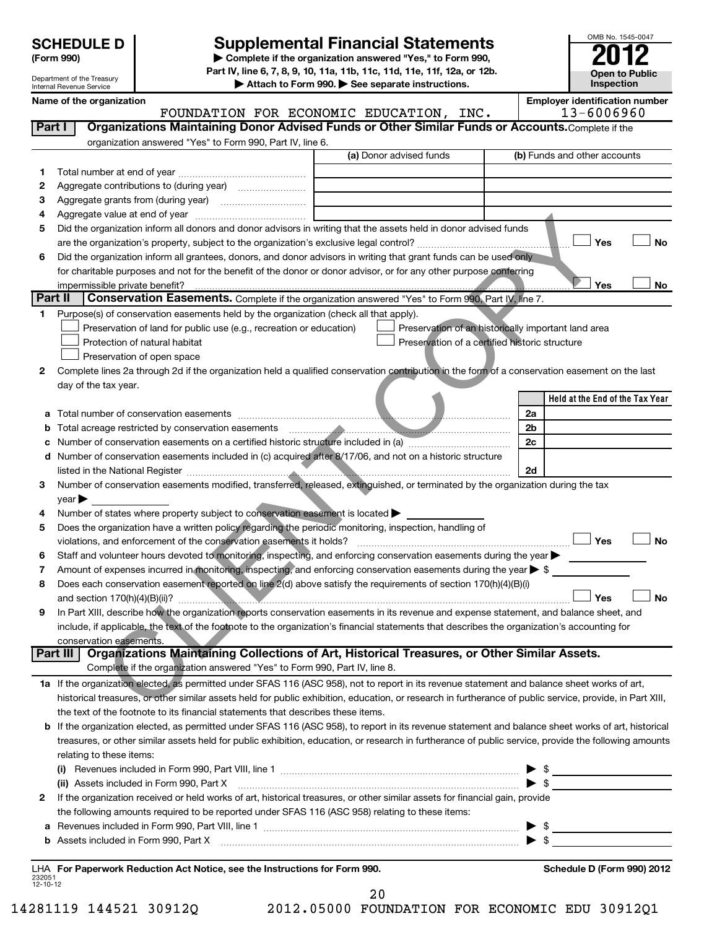Department of the Treasury Internal Revenue Service

# **Supplemental Financial Statements**<br> **2012**<br> **2012**

**(Form 990) | Complete if the organization answered "Yes," to Form 990, Part IV, line 6, 7, 8, 9, 10, 11a, 11b, 11c, 11d, 11e, 11f, 12a, or 12b.**

**| Attach to Form 990. | See separate instructions.**

**Name of the organization Employer is the organization** in  $\mathbb{E}$ 

| nployer identification number |  |
|-------------------------------|--|

OMB No. 1545-0047

**Open to Public Inspection**

|                          | name or the organization<br>FOUNDATION FOR ECONOMIC EDUCATION, INC.                                                                                                                                                                                                                                          |                                                | Linpioyer identification number<br>13-6006960       |
|--------------------------|--------------------------------------------------------------------------------------------------------------------------------------------------------------------------------------------------------------------------------------------------------------------------------------------------------------|------------------------------------------------|-----------------------------------------------------|
| Part I                   | Organizations Maintaining Donor Advised Funds or Other Similar Funds or Accounts. Complete if the                                                                                                                                                                                                            |                                                |                                                     |
|                          | organization answered "Yes" to Form 990, Part IV, line 6.                                                                                                                                                                                                                                                    |                                                |                                                     |
|                          | (a) Donor advised funds                                                                                                                                                                                                                                                                                      |                                                | (b) Funds and other accounts                        |
| 1.                       | Total number at end of year measures are not all the states of year.                                                                                                                                                                                                                                         |                                                |                                                     |
| 2                        |                                                                                                                                                                                                                                                                                                              |                                                |                                                     |
| 3                        |                                                                                                                                                                                                                                                                                                              |                                                |                                                     |
| 4                        |                                                                                                                                                                                                                                                                                                              |                                                |                                                     |
| 5                        | Did the organization inform all donors and donor advisors in writing that the assets held in donor advised funds                                                                                                                                                                                             |                                                |                                                     |
|                          |                                                                                                                                                                                                                                                                                                              |                                                | Yes<br>No                                           |
| 6                        | Did the organization inform all grantees, donors, and donor advisors in writing that grant funds can be used only                                                                                                                                                                                            |                                                |                                                     |
|                          | for charitable purposes and not for the benefit of the donor or donor advisor, or for any other purpose conferring<br>impermissible private benefit?                                                                                                                                                         |                                                | Yes<br>No                                           |
|                          | Part II<br>Conservation Easements. Complete if the organization answered "Yes" to Form 990, Part IV, line 7.                                                                                                                                                                                                 |                                                |                                                     |
| 1.                       | Purpose(s) of conservation easements held by the organization (check all that apply).                                                                                                                                                                                                                        |                                                |                                                     |
|                          | Preservation of land for public use (e.g., recreation or education)                                                                                                                                                                                                                                          |                                                | Preservation of an historically important land area |
|                          | Protection of natural habitat                                                                                                                                                                                                                                                                                | Preservation of a certified historic structure |                                                     |
|                          | Preservation of open space                                                                                                                                                                                                                                                                                   |                                                |                                                     |
| $\mathbf{2}$             | Complete lines 2a through 2d if the organization held a qualified conservation contribution in the form of a conservation easement on the last                                                                                                                                                               |                                                |                                                     |
|                          | day of the tax year.                                                                                                                                                                                                                                                                                         |                                                |                                                     |
|                          |                                                                                                                                                                                                                                                                                                              |                                                | Held at the End of the Tax Year                     |
|                          |                                                                                                                                                                                                                                                                                                              |                                                | 2a                                                  |
|                          | <b>b</b> Total acreage restricted by conservation easements<br><u> 2000 - 2000 - 2000 - 2000 - 2000 - 2000 - 2000 - 2000 - 2000 - 2000 - 2000 - 2000 - 2000 - 2000 - 2000 - 200</u>                                                                                                                          |                                                | 2b                                                  |
|                          |                                                                                                                                                                                                                                                                                                              |                                                | 2c                                                  |
|                          | d Number of conservation easements included in (c) acquired after 8/17/06, and not on a historic structure                                                                                                                                                                                                   |                                                |                                                     |
|                          | listed in the National Register <b>Commission Commission</b> Commission Commission Commission                                                                                                                                                                                                                |                                                | 2d                                                  |
| З                        | Number of conservation easements modified, transferred, released, extinguished, or terminated by the organization during the tax                                                                                                                                                                             |                                                |                                                     |
|                          | year                                                                                                                                                                                                                                                                                                         |                                                |                                                     |
| 4                        | Number of states where property subject to conservation easement is located >                                                                                                                                                                                                                                |                                                |                                                     |
| 5                        | Does the organization have a written policy regarding the periodic monitoring, inspection, handling of                                                                                                                                                                                                       |                                                |                                                     |
|                          | violations, and enforcement of the conservation easements it holds?                                                                                                                                                                                                                                          |                                                | Yes<br><b>No</b>                                    |
| 6                        | Staff and volunteer hours devoted to monitoring, inspecting, and enforcing conservation easements during the year                                                                                                                                                                                            |                                                |                                                     |
| 7                        | Amount of expenses incurred in monitoring, inspecting, and enforcing conservation easements during the year $\triangleright$ \$                                                                                                                                                                              |                                                |                                                     |
| 8                        | Does each conservation easement reported on line 2(d) above satisfy the requirements of section 170(h)(4)(B)(i)                                                                                                                                                                                              |                                                |                                                     |
|                          | and section $170(h)(4)(B)(ii)?$                                                                                                                                                                                                                                                                              |                                                | <b>No</b><br>Yes                                    |
| 9                        | In Part XIII, describe how the organization reports conservation easements in its revenue and expense statement, and balance sheet, and                                                                                                                                                                      |                                                |                                                     |
|                          | include, if applicable, the text of the footnote to the organization's financial statements that describes the organization's accounting for                                                                                                                                                                 |                                                |                                                     |
|                          | conservation easements.                                                                                                                                                                                                                                                                                      |                                                |                                                     |
|                          | Organizations Maintaining Collections of Art, Historical Treasures, or Other Similar Assets.<br>Part III                                                                                                                                                                                                     |                                                |                                                     |
|                          | Complete if the organization answered "Yes" to Form 990, Part IV, line 8.                                                                                                                                                                                                                                    |                                                |                                                     |
|                          | 1a If the organization elected, as permitted under SFAS 116 (ASC 958), not to report in its revenue statement and balance sheet works of art,                                                                                                                                                                |                                                |                                                     |
|                          | historical treasures, or other similar assets held for public exhibition, education, or research in furtherance of public service, provide, in Part XIII,                                                                                                                                                    |                                                |                                                     |
|                          | the text of the footnote to its financial statements that describes these items.                                                                                                                                                                                                                             |                                                |                                                     |
|                          | b If the organization elected, as permitted under SFAS 116 (ASC 958), to report in its revenue statement and balance sheet works of art, historical<br>treasures, or other similar assets held for public exhibition, education, or research in furtherance of public service, provide the following amounts |                                                |                                                     |
|                          | relating to these items:                                                                                                                                                                                                                                                                                     |                                                |                                                     |
|                          |                                                                                                                                                                                                                                                                                                              |                                                |                                                     |
|                          |                                                                                                                                                                                                                                                                                                              |                                                | $\blacktriangleright$ \$                            |
|                          |                                                                                                                                                                                                                                                                                                              |                                                |                                                     |
| 2                        | If the organization received or held works of art, historical treasures, or other similar assets for financial gain, provide                                                                                                                                                                                 |                                                |                                                     |
|                          | the following amounts required to be reported under SFAS 116 (ASC 958) relating to these items:                                                                                                                                                                                                              |                                                |                                                     |
| a                        |                                                                                                                                                                                                                                                                                                              |                                                |                                                     |
|                          |                                                                                                                                                                                                                                                                                                              |                                                |                                                     |
|                          | LHA For Paperwork Reduction Act Notice, see the Instructions for Form 990.                                                                                                                                                                                                                                   |                                                | Schedule D (Form 990) 2012                          |
| 232051<br>$12 - 10 - 12$ |                                                                                                                                                                                                                                                                                                              |                                                |                                                     |

20

14281119 144521 30912Q 2012.05000 FOUNDATION FOR ECONOMIC EDU 30912Q1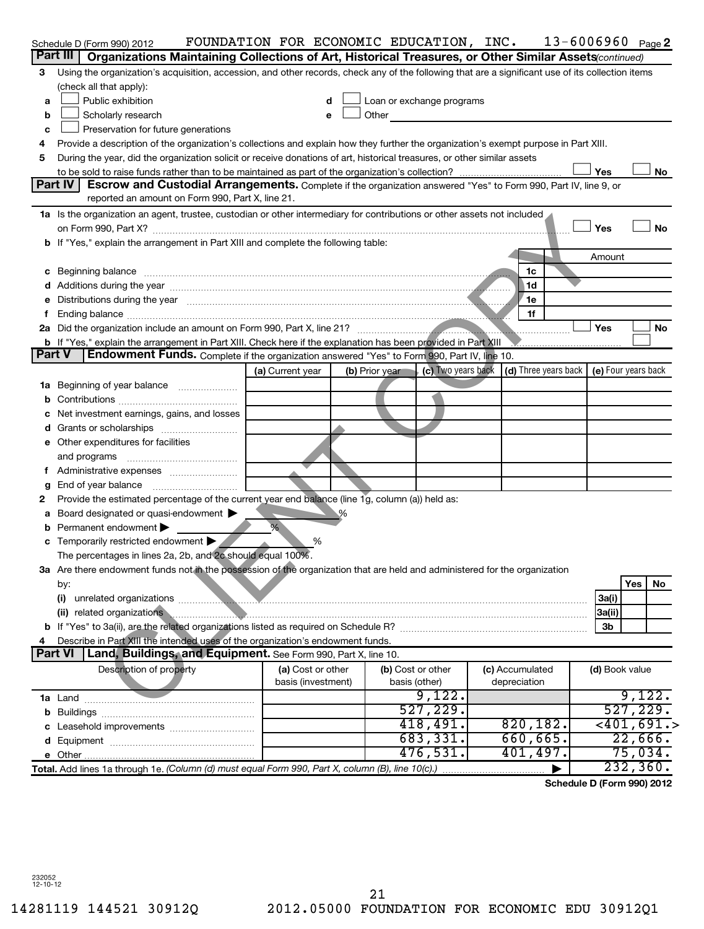|               | Schedule D (Form 990) 2012                                                                                                                                                                                                     | FOUNDATION FOR ECONOMIC EDUCATION, INC. |                |                                                                                                                                                                                                                                |                 | $13 - 6006960$ Page 2                                                               |
|---------------|--------------------------------------------------------------------------------------------------------------------------------------------------------------------------------------------------------------------------------|-----------------------------------------|----------------|--------------------------------------------------------------------------------------------------------------------------------------------------------------------------------------------------------------------------------|-----------------|-------------------------------------------------------------------------------------|
|               | Part III<br>Organizations Maintaining Collections of Art, Historical Treasures, or Other Similar Assets (continued)                                                                                                            |                                         |                |                                                                                                                                                                                                                                |                 |                                                                                     |
| 3             | Using the organization's acquisition, accession, and other records, check any of the following that are a significant use of its collection items                                                                              |                                         |                |                                                                                                                                                                                                                                |                 |                                                                                     |
|               | (check all that apply):                                                                                                                                                                                                        |                                         |                |                                                                                                                                                                                                                                |                 |                                                                                     |
| a             | Public exhibition                                                                                                                                                                                                              | d                                       |                | Loan or exchange programs                                                                                                                                                                                                      |                 |                                                                                     |
| b             | Scholarly research                                                                                                                                                                                                             | e                                       |                | Other and the control of the control of the control of the control of the control of the control of the control of the control of the control of the control of the control of the control of the control of the control of th |                 |                                                                                     |
| c             | Preservation for future generations                                                                                                                                                                                            |                                         |                |                                                                                                                                                                                                                                |                 |                                                                                     |
| 4             | Provide a description of the organization's collections and explain how they further the organization's exempt purpose in Part XIII.                                                                                           |                                         |                |                                                                                                                                                                                                                                |                 |                                                                                     |
| 5             | During the year, did the organization solicit or receive donations of art, historical treasures, or other similar assets                                                                                                       |                                         |                |                                                                                                                                                                                                                                |                 |                                                                                     |
|               |                                                                                                                                                                                                                                |                                         |                |                                                                                                                                                                                                                                |                 | Yes<br>No                                                                           |
|               | Part IV<br>Escrow and Custodial Arrangements. Complete if the organization answered "Yes" to Form 990, Part IV, line 9, or                                                                                                     |                                         |                |                                                                                                                                                                                                                                |                 |                                                                                     |
|               | reported an amount on Form 990, Part X, line 21.                                                                                                                                                                               |                                         |                |                                                                                                                                                                                                                                |                 |                                                                                     |
|               | 1a Is the organization an agent, trustee, custodian or other intermediary for contributions or other assets not included                                                                                                       |                                         |                |                                                                                                                                                                                                                                |                 |                                                                                     |
|               |                                                                                                                                                                                                                                |                                         |                |                                                                                                                                                                                                                                |                 | <b>No</b><br>Yes                                                                    |
|               | b If "Yes," explain the arrangement in Part XIII and complete the following table:                                                                                                                                             |                                         |                |                                                                                                                                                                                                                                |                 |                                                                                     |
|               |                                                                                                                                                                                                                                |                                         |                |                                                                                                                                                                                                                                |                 | Amount                                                                              |
|               | c Beginning balance members and contact the contract of the contract of the contract of the contract of the contract of the contract of the contract of the contract of the contract of the contract of the contract of the co |                                         |                |                                                                                                                                                                                                                                | 1c              |                                                                                     |
|               |                                                                                                                                                                                                                                |                                         |                |                                                                                                                                                                                                                                | 1d              |                                                                                     |
|               | Distributions during the year measurement contains and the year measurement of the state of the state of the state of the state of the state of the state of the state of the state of the state of the state of the state of  |                                         |                |                                                                                                                                                                                                                                | 1e              |                                                                                     |
|               |                                                                                                                                                                                                                                |                                         |                |                                                                                                                                                                                                                                | 1f              | Yes<br>No                                                                           |
|               |                                                                                                                                                                                                                                |                                         |                |                                                                                                                                                                                                                                |                 |                                                                                     |
| <b>Part V</b> | b If "Yes," explain the arrangement in Part XIII. Check here if the explanation has been provided in Part XIII<br>Endowment Funds. Complete if the organization answered "Yes" to Form 990, Part IV, line 10.                  |                                         |                |                                                                                                                                                                                                                                |                 |                                                                                     |
|               |                                                                                                                                                                                                                                | (a) Current year                        | (b) Prior year |                                                                                                                                                                                                                                |                 | $\vert$ (c) Two years back $\vert$ (d) Three years back $\vert$ (e) Four years back |
| ٦а            | Beginning of year balance                                                                                                                                                                                                      |                                         |                |                                                                                                                                                                                                                                |                 |                                                                                     |
|               |                                                                                                                                                                                                                                |                                         |                |                                                                                                                                                                                                                                |                 |                                                                                     |
|               | Net investment earnings, gains, and losses                                                                                                                                                                                     |                                         |                |                                                                                                                                                                                                                                |                 |                                                                                     |
|               | Grants or scholarships                                                                                                                                                                                                         |                                         |                |                                                                                                                                                                                                                                |                 |                                                                                     |
| е             | Other expenditures for facilities                                                                                                                                                                                              |                                         |                |                                                                                                                                                                                                                                |                 |                                                                                     |
|               | and programs                                                                                                                                                                                                                   |                                         |                |                                                                                                                                                                                                                                |                 |                                                                                     |
|               |                                                                                                                                                                                                                                |                                         |                |                                                                                                                                                                                                                                |                 |                                                                                     |
|               | End of year balance                                                                                                                                                                                                            |                                         |                |                                                                                                                                                                                                                                |                 |                                                                                     |
| 2             | Provide the estimated percentage of the current year end balance (line 1g, column (a)) held as:                                                                                                                                |                                         |                |                                                                                                                                                                                                                                |                 |                                                                                     |
| а             | Board designated or quasi-endowment                                                                                                                                                                                            |                                         |                |                                                                                                                                                                                                                                |                 |                                                                                     |
|               | Permanent endowment                                                                                                                                                                                                            | %                                       |                |                                                                                                                                                                                                                                |                 |                                                                                     |
|               | Temporarily restricted endowment                                                                                                                                                                                               | %                                       |                |                                                                                                                                                                                                                                |                 |                                                                                     |
|               | The percentages in lines 2a, 2b, and 2c should equal 100%.                                                                                                                                                                     |                                         |                |                                                                                                                                                                                                                                |                 |                                                                                     |
|               | 3a Are there endowment funds not in the possession of the organization that are held and administered for the organization                                                                                                     |                                         |                |                                                                                                                                                                                                                                |                 |                                                                                     |
|               | by:                                                                                                                                                                                                                            |                                         |                |                                                                                                                                                                                                                                |                 | Yes<br>No                                                                           |
|               | (i)                                                                                                                                                                                                                            |                                         |                |                                                                                                                                                                                                                                |                 | 3a(i)                                                                               |
|               | (ii) related organizations                                                                                                                                                                                                     |                                         |                |                                                                                                                                                                                                                                |                 | 3a(ii)                                                                              |
|               |                                                                                                                                                                                                                                |                                         |                |                                                                                                                                                                                                                                |                 | 3b                                                                                  |
|               | Describe in Part XIII the intended uses of the organization's endowment funds.                                                                                                                                                 |                                         |                |                                                                                                                                                                                                                                |                 |                                                                                     |
|               | <b>Part VI</b><br>Land, Buildings, and Equipment. See Form 990, Part X, line 10.                                                                                                                                               |                                         |                |                                                                                                                                                                                                                                |                 |                                                                                     |
|               | Description of property                                                                                                                                                                                                        | (a) Cost or other                       |                | (b) Cost or other                                                                                                                                                                                                              | (c) Accumulated | (d) Book value                                                                      |
|               |                                                                                                                                                                                                                                | basis (investment)                      |                | basis (other)                                                                                                                                                                                                                  | depreciation    |                                                                                     |
|               |                                                                                                                                                                                                                                |                                         |                | 9,122.                                                                                                                                                                                                                         |                 | 9,122.                                                                              |
|               |                                                                                                                                                                                                                                |                                         |                | 527, 229.                                                                                                                                                                                                                      |                 | 527,229.                                                                            |
|               |                                                                                                                                                                                                                                |                                         |                | 418,491.                                                                                                                                                                                                                       | 820, 182.       | $\overline{<}401,691.$                                                              |
|               |                                                                                                                                                                                                                                |                                         |                | 683,331.                                                                                                                                                                                                                       | 660, 665.       | 22,666.                                                                             |
|               |                                                                                                                                                                                                                                |                                         |                | 476,531.                                                                                                                                                                                                                       | 401,497.        | 75,034.                                                                             |
|               | Total. Add lines 1a through 1e. (Column (d) must equal Form 990, Part X, column (B), line 10(c).)                                                                                                                              |                                         |                |                                                                                                                                                                                                                                |                 | 232, 360.                                                                           |

**Schedule D (Form 990) 2012**

232052 12-10-12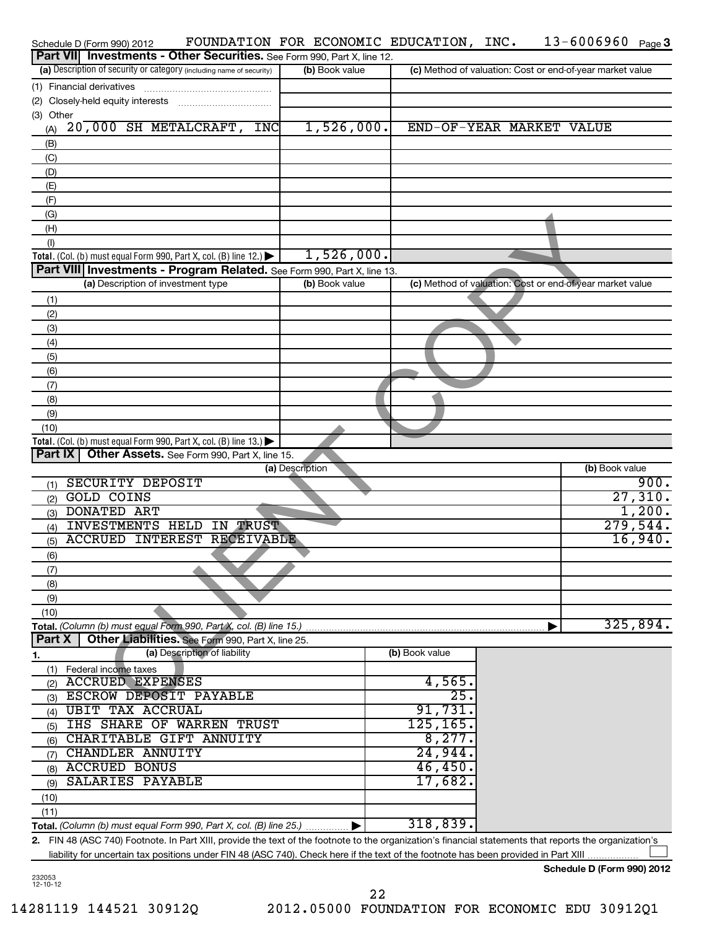| Schedule D (Form 990) 2012                                                                                                                              | FOUNDATION FOR ECONOMIC EDUCATION, INC. |                |                          | $13 - 6006960$ Page 3                                     |
|---------------------------------------------------------------------------------------------------------------------------------------------------------|-----------------------------------------|----------------|--------------------------|-----------------------------------------------------------|
| Part VII Investments - Other Securities. See Form 990, Part X, line 12.                                                                                 |                                         |                |                          |                                                           |
| (a) Description of security or category (including name of security)                                                                                    | (b) Book value                          |                |                          | (c) Method of valuation: Cost or end-of-year market value |
| (1) Financial derivatives                                                                                                                               |                                         |                |                          |                                                           |
| (2) Closely-held equity interests                                                                                                                       |                                         |                |                          |                                                           |
| (3) Other                                                                                                                                               |                                         |                |                          |                                                           |
| 20,000 SH METALCRAFT, INC<br>(A)                                                                                                                        | 1,526,000.                              |                | END-OF-YEAR MARKET VALUE |                                                           |
| (B)                                                                                                                                                     |                                         |                |                          |                                                           |
| (C)                                                                                                                                                     |                                         |                |                          |                                                           |
| (D)                                                                                                                                                     |                                         |                |                          |                                                           |
| (E)                                                                                                                                                     |                                         |                |                          |                                                           |
| (F)                                                                                                                                                     |                                         |                |                          |                                                           |
| (G)                                                                                                                                                     |                                         |                |                          |                                                           |
| (H)                                                                                                                                                     |                                         |                |                          |                                                           |
| (1)                                                                                                                                                     |                                         |                |                          |                                                           |
| Total. (Col. (b) must equal Form 990, Part X, col. (B) line 12.) $\blacktriangleright$                                                                  | 1,526,000.                              |                |                          |                                                           |
| Part VIII   Investments - Program Related. See Form 990, Part X, line 13.<br>(a) Description of investment type                                         | (b) Book value                          |                |                          | (c) Method of valuation: Cost or end-of-year market value |
|                                                                                                                                                         |                                         |                |                          |                                                           |
| (1)                                                                                                                                                     |                                         |                |                          |                                                           |
| (2)                                                                                                                                                     |                                         |                |                          |                                                           |
| (3)                                                                                                                                                     |                                         |                |                          |                                                           |
| (4)                                                                                                                                                     |                                         |                |                          |                                                           |
| (5)                                                                                                                                                     |                                         |                |                          |                                                           |
| (6)                                                                                                                                                     |                                         |                |                          |                                                           |
| (7)                                                                                                                                                     |                                         |                |                          |                                                           |
| (8)<br>(9)                                                                                                                                              |                                         |                |                          |                                                           |
| (10)                                                                                                                                                    |                                         |                |                          |                                                           |
| Total. (Col. (b) must equal Form 990, Part X, col. (B) line 13.) $\blacktriangleright$                                                                  |                                         |                |                          |                                                           |
| <b>Part IX   Other Assets.</b> See Form 990, Part X, line 15.                                                                                           |                                         |                |                          |                                                           |
|                                                                                                                                                         | (a) Description                         |                |                          | (b) Book value                                            |
| <b>SECURITY DEPOSIT</b><br>(1)                                                                                                                          |                                         |                |                          | 900.                                                      |
| <b>GOLD COINS</b><br>(2)                                                                                                                                |                                         |                |                          | 27,310.                                                   |
| <b>DONATED ART</b><br>(3)                                                                                                                               |                                         |                |                          | 1,200.                                                    |
| INVESTMENTS HELD IN TRUST<br>(4)                                                                                                                        |                                         |                |                          | $\overline{279,544}$ .                                    |
| <b>ACCRUED INTEREST RECEIVABLE</b><br>(5)                                                                                                               |                                         |                |                          | 16,940.                                                   |
| (6)                                                                                                                                                     |                                         |                |                          |                                                           |
| (7)                                                                                                                                                     |                                         |                |                          |                                                           |
| (8)                                                                                                                                                     |                                         |                |                          |                                                           |
| (9)                                                                                                                                                     |                                         |                |                          |                                                           |
| (10)                                                                                                                                                    |                                         |                |                          |                                                           |
| Total. (Column (b) must equal Form 990, Part X, col. (B) line 15.)                                                                                      |                                         |                |                          | 325,894.                                                  |
| Part X<br>Other Liabilities. See Form 990, Part X, line 25.                                                                                             |                                         |                |                          |                                                           |
| (a) Description of liability<br>1.                                                                                                                      |                                         | (b) Book value |                          |                                                           |
| Federal income taxes<br>(1)                                                                                                                             |                                         |                |                          |                                                           |
| <b>ACCRUED EXPENSES</b><br>(2)                                                                                                                          |                                         | 4,565.         |                          |                                                           |
| ESCROW DEPOSIT PAYABLE<br>(3)                                                                                                                           |                                         | 25             |                          |                                                           |
| <b>UBIT TAX ACCRUAL</b><br>(4)                                                                                                                          |                                         | 91,731         |                          |                                                           |
| IHS SHARE OF WARREN TRUST<br>(5)                                                                                                                        |                                         | 125, 165.      |                          |                                                           |
| CHARITABLE GIFT ANNUITY<br>(6)                                                                                                                          |                                         | 8,277.         |                          |                                                           |
| CHANDLER ANNUITY<br>(7)                                                                                                                                 |                                         | 24,944.        |                          |                                                           |
| <b>ACCRUED BONUS</b><br>(8)                                                                                                                             |                                         | 46,450.        |                          |                                                           |
| SALARIES PAYABLE<br>(9)                                                                                                                                 |                                         | 17,682         |                          |                                                           |
| (10)                                                                                                                                                    |                                         |                |                          |                                                           |
| (11)                                                                                                                                                    |                                         |                |                          |                                                           |
| Total. (Column (b) must equal Form 990, Part X, col. (B) line 25.)                                                                                      |                                         | 318,839.       |                          |                                                           |
| 2. FIN 48 (ASC 740) Footnote. In Part XIII, provide the text of the footnote to the organization's financial statements that reports the organization's |                                         |                |                          |                                                           |
| liability for uncertain tax positions under FIN 48 (ASC 740). Check here if the text of the footnote has been provided in Part XIII                     |                                         |                |                          |                                                           |

232053 12-10-12

**Schedule D (Form 990) 2012**

22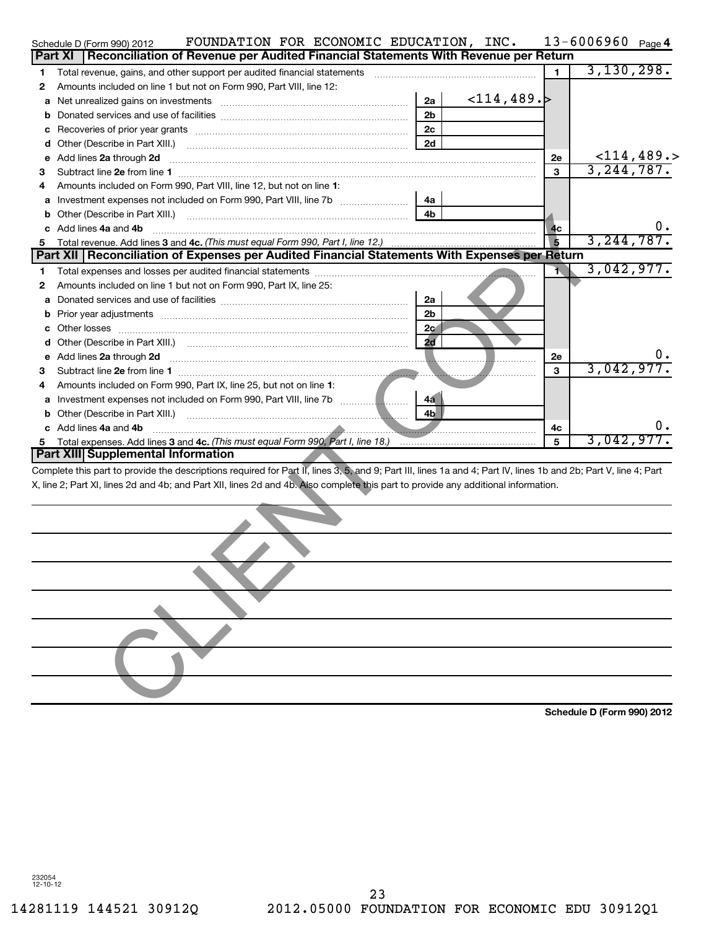|   | Schedule D (Form 990) 2012                                                                                                                                                                                                                                                                             |  | FOUNDATION FOR ECONOMIC EDUCATION, INC.                                            |  |                |                  |                | $13 - 6006960$ Page 4 |               |
|---|--------------------------------------------------------------------------------------------------------------------------------------------------------------------------------------------------------------------------------------------------------------------------------------------------------|--|------------------------------------------------------------------------------------|--|----------------|------------------|----------------|-----------------------|---------------|
|   | <b>Part XI</b>                                                                                                                                                                                                                                                                                         |  | Reconciliation of Revenue per Audited Financial Statements With Revenue per Return |  |                |                  |                |                       |               |
| 1 | Total revenue, gains, and other support per audited financial statements [111][11] Total revenue, gains, and other support per audited financial statements                                                                                                                                            |  |                                                                                    |  |                |                  | 1              | 3,130,298.            |               |
| 2 | Amounts included on line 1 but not on Form 990, Part VIII, line 12:                                                                                                                                                                                                                                    |  |                                                                                    |  |                |                  |                |                       |               |
| а |                                                                                                                                                                                                                                                                                                        |  |                                                                                    |  | 2a             | $<$ 114,489. $>$ |                |                       |               |
| b |                                                                                                                                                                                                                                                                                                        |  |                                                                                    |  | 2 <sub>b</sub> |                  |                |                       |               |
| c |                                                                                                                                                                                                                                                                                                        |  |                                                                                    |  | 2c             |                  |                |                       |               |
| d |                                                                                                                                                                                                                                                                                                        |  |                                                                                    |  | 2d             |                  |                |                       |               |
| е | Add lines 2a through 2d                                                                                                                                                                                                                                                                                |  |                                                                                    |  |                |                  | <b>2e</b>      |                       | $<$ 114,489.> |
| з |                                                                                                                                                                                                                                                                                                        |  |                                                                                    |  |                |                  | 3              | 3, 244, 787.          |               |
|   | Amounts included on Form 990, Part VIII, line 12, but not on line 1:                                                                                                                                                                                                                                   |  |                                                                                    |  |                |                  |                |                       |               |
| а |                                                                                                                                                                                                                                                                                                        |  |                                                                                    |  | 4а             |                  |                |                       |               |
| b |                                                                                                                                                                                                                                                                                                        |  |                                                                                    |  | 4 <sub>h</sub> |                  |                |                       |               |
|   | Add lines 4a and 4b                                                                                                                                                                                                                                                                                    |  |                                                                                    |  |                |                  | 4 <sub>c</sub> |                       |               |
| 5 |                                                                                                                                                                                                                                                                                                        |  |                                                                                    |  |                |                  |                | 3, 244, 787.          |               |
|   | Part XII   Reconciliation of Expenses per Audited Financial Statements With Expenses per Return                                                                                                                                                                                                        |  |                                                                                    |  |                |                  |                |                       |               |
| 1 |                                                                                                                                                                                                                                                                                                        |  |                                                                                    |  |                |                  | Ŧ.             | 3,042,977.            |               |
| 2 | Amounts included on line 1 but not on Form 990, Part IX, line 25:                                                                                                                                                                                                                                      |  |                                                                                    |  |                |                  |                |                       |               |
| а |                                                                                                                                                                                                                                                                                                        |  |                                                                                    |  | 2a             |                  |                |                       |               |
| b | Prior year adjustments [111] Prior year adjustments [11] Prior year adjustments [11] Prior year adjustments [1                                                                                                                                                                                         |  |                                                                                    |  | 2 <sub>b</sub> |                  |                |                       |               |
|   | Other losses                                                                                                                                                                                                                                                                                           |  |                                                                                    |  | 2 <sub>c</sub> |                  |                |                       |               |
|   |                                                                                                                                                                                                                                                                                                        |  |                                                                                    |  | 2d             |                  |                |                       |               |
| е | Add lines 2a through 2d                                                                                                                                                                                                                                                                                |  |                                                                                    |  |                |                  | 2e             |                       |               |
| з |                                                                                                                                                                                                                                                                                                        |  |                                                                                    |  |                |                  | 3              | 3,042,977.            |               |
| 4 | Amounts included on Form 990, Part IX, line 25, but not on line 1:                                                                                                                                                                                                                                     |  |                                                                                    |  |                |                  |                |                       |               |
| а |                                                                                                                                                                                                                                                                                                        |  |                                                                                    |  | 4a             |                  |                |                       |               |
|   |                                                                                                                                                                                                                                                                                                        |  |                                                                                    |  | 4 <sub>b</sub> |                  |                |                       |               |
|   | Add lines 4a and 4b                                                                                                                                                                                                                                                                                    |  |                                                                                    |  |                |                  | 4c             |                       |               |
| 5 | Total expenses. Add lines 3 and 4c. (This must equal Form 990, Part I, line 18.) <b>Constitution</b> 190, and the set                                                                                                                                                                                  |  |                                                                                    |  |                |                  | 5              | 3,042,977.            |               |
|   | Part XIII Supplemental Information                                                                                                                                                                                                                                                                     |  |                                                                                    |  |                |                  |                |                       |               |
|   | Complete this part to provide the descriptions required for Part II, lines 3, 5, and 9; Part III, lines 1a and 4; Part IV, lines 1b and 2b; Part V, line 4; Part<br>X, line 2; Part XI, lines 2d and 4b; and Part XII, lines 2d and 4b. Also complete this part to provide any additional information. |  |                                                                                    |  |                |                  |                |                       |               |
|   |                                                                                                                                                                                                                                                                                                        |  |                                                                                    |  |                |                  |                |                       |               |
|   |                                                                                                                                                                                                                                                                                                        |  |                                                                                    |  |                |                  |                |                       |               |
|   |                                                                                                                                                                                                                                                                                                        |  |                                                                                    |  |                |                  |                |                       |               |
|   |                                                                                                                                                                                                                                                                                                        |  |                                                                                    |  |                |                  |                |                       |               |
|   |                                                                                                                                                                                                                                                                                                        |  |                                                                                    |  |                |                  |                |                       |               |

**Schedule D (Form 990) 2012**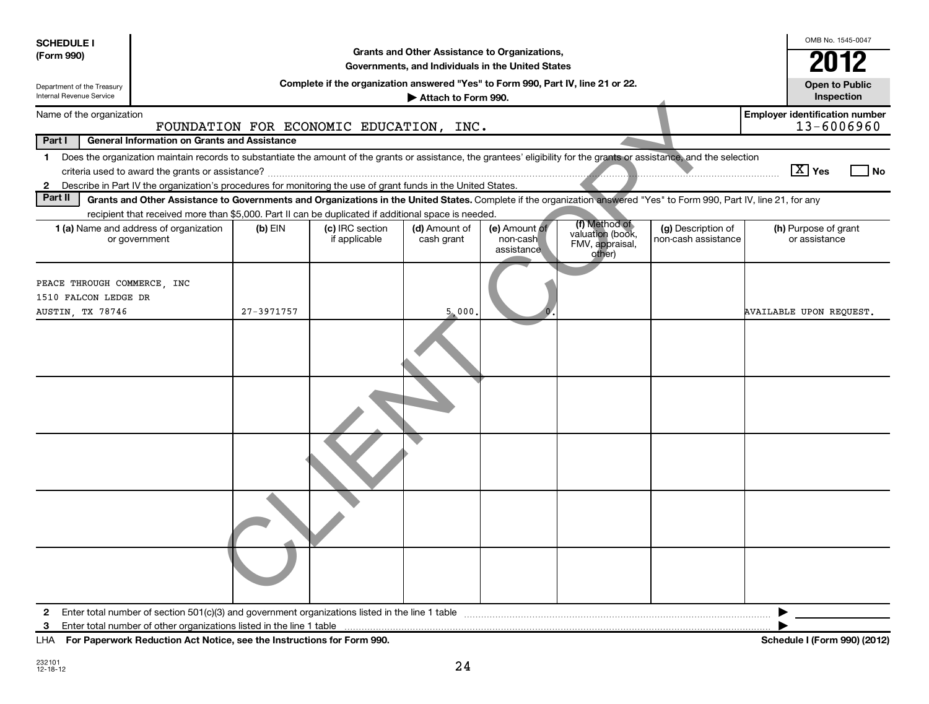| <b>SCHEDULE I</b><br>(Form 990)                                         |                                                                                                                                                                                                                                                                              |            |                                                                                  | Grants and Other Assistance to Organizations,     |                                         |                                                                |                                           | OMB No. 1545-0047                                   |
|-------------------------------------------------------------------------|------------------------------------------------------------------------------------------------------------------------------------------------------------------------------------------------------------------------------------------------------------------------------|------------|----------------------------------------------------------------------------------|---------------------------------------------------|-----------------------------------------|----------------------------------------------------------------|-------------------------------------------|-----------------------------------------------------|
|                                                                         |                                                                                                                                                                                                                                                                              |            |                                                                                  | Governments, and Individuals in the United States |                                         |                                                                |                                           | 2012                                                |
| Department of the Treasury<br>Internal Revenue Service                  |                                                                                                                                                                                                                                                                              |            | Complete if the organization answered "Yes" to Form 990, Part IV, line 21 or 22. | Attach to Form 990.                               |                                         |                                                                |                                           | <b>Open to Public</b><br>Inspection                 |
| Name of the organization                                                |                                                                                                                                                                                                                                                                              |            | FOUNDATION FOR ECONOMIC EDUCATION, INC.                                          |                                                   |                                         |                                                                |                                           | <b>Employer identification number</b><br>13-6006960 |
| Part I                                                                  | <b>General Information on Grants and Assistance</b>                                                                                                                                                                                                                          |            |                                                                                  |                                                   |                                         |                                                                |                                           |                                                     |
|                                                                         | 1 Does the organization maintain records to substantiate the amount of the grants or assistance, the grantees' eligibility for the grants or assistance, and the selection                                                                                                   |            |                                                                                  |                                                   |                                         |                                                                |                                           |                                                     |
|                                                                         |                                                                                                                                                                                                                                                                              |            |                                                                                  |                                                   |                                         |                                                                |                                           | $\boxed{\text{X}}$ Yes<br><b>No</b>                 |
| $\mathbf{2}$                                                            | Describe in Part IV the organization's procedures for monitoring the use of grant funds in the United States.                                                                                                                                                                |            |                                                                                  |                                                   |                                         |                                                                |                                           |                                                     |
| Part II                                                                 | Grants and Other Assistance to Governments and Organizations in the United States. Complete if the organization answered "Yes" to Form 990, Part IV, line 21, for any<br>recipient that received more than \$5,000. Part II can be duplicated if additional space is needed. |            |                                                                                  |                                                   |                                         |                                                                |                                           |                                                     |
|                                                                         | 1 (a) Name and address of organization<br>or government                                                                                                                                                                                                                      | $(b)$ EIN  | (c) IRC section<br>if applicable                                                 | (d) Amount of<br>cash grant                       | (e) Amount of<br>non-cash<br>assistance | (f) Method of<br>valuation (book,<br>FMV, appraisal,<br>other) | (g) Description of<br>non-cash assistance | (h) Purpose of grant<br>or assistance               |
| PEACE THROUGH COMMERCE, INC<br>1510 FALCON LEDGE DR<br>AUSTIN, TX 78746 |                                                                                                                                                                                                                                                                              | 27-3971757 |                                                                                  | 5,000                                             |                                         |                                                                |                                           | AVAILABLE UPON REQUEST.                             |
|                                                                         |                                                                                                                                                                                                                                                                              |            |                                                                                  |                                                   |                                         |                                                                |                                           |                                                     |
|                                                                         |                                                                                                                                                                                                                                                                              |            |                                                                                  |                                                   |                                         |                                                                |                                           |                                                     |
|                                                                         |                                                                                                                                                                                                                                                                              |            |                                                                                  |                                                   |                                         |                                                                |                                           |                                                     |
|                                                                         |                                                                                                                                                                                                                                                                              |            |                                                                                  |                                                   |                                         |                                                                |                                           |                                                     |
|                                                                         |                                                                                                                                                                                                                                                                              |            |                                                                                  |                                                   |                                         |                                                                |                                           |                                                     |
| $\mathbf{2}$                                                            | Enter total number of section $501(c)(3)$ and government organizations listed in the line 1 table                                                                                                                                                                            |            |                                                                                  |                                                   |                                         |                                                                |                                           |                                                     |
| 3                                                                       | Enter total number of other organizations listed in the line 1 table                                                                                                                                                                                                         |            |                                                                                  |                                                   |                                         |                                                                |                                           |                                                     |
| LHA                                                                     | For Paperwork Reduction Act Notice, see the Instructions for Form 990.                                                                                                                                                                                                       |            |                                                                                  |                                                   |                                         |                                                                |                                           | Schedule I (Form 990) (2012)                        |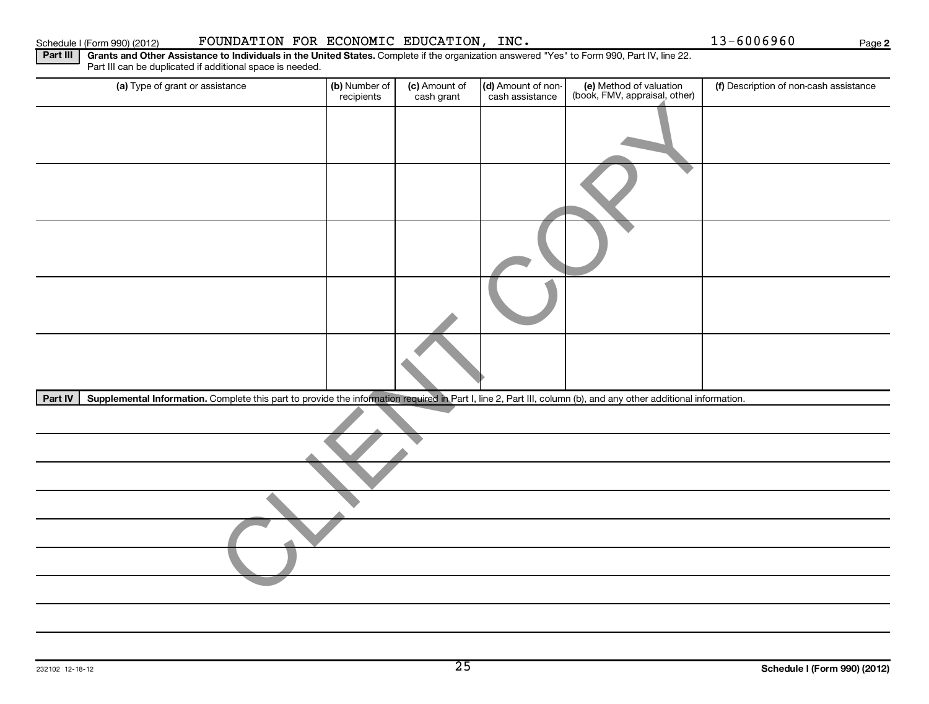| Schedule I (Form 990) (2012) | FOUNDATION FOR ECONOMIC EDUCATION, INC.                                                                                                                                                                  |                             |                             |                                       |                                                          | 13-6006960                             | Page |
|------------------------------|----------------------------------------------------------------------------------------------------------------------------------------------------------------------------------------------------------|-----------------------------|-----------------------------|---------------------------------------|----------------------------------------------------------|----------------------------------------|------|
| Part III                     | Grants and Other Assistance to Individuals in the United States. Complete if the organization answered "Yes" to Form 990, Part IV, line 22.<br>Part III can be duplicated if additional space is needed. |                             |                             |                                       |                                                          |                                        |      |
|                              | (a) Type of grant or assistance                                                                                                                                                                          | (b) Number of<br>recipients | (c) Amount of<br>cash grant | (d) Amount of non-<br>cash assistance | (e) Method of valuation<br>(book, FMV, appraisal, other) | (f) Description of non-cash assistance |      |
|                              |                                                                                                                                                                                                          |                             |                             |                                       |                                                          |                                        |      |
|                              |                                                                                                                                                                                                          |                             |                             |                                       |                                                          |                                        |      |
|                              |                                                                                                                                                                                                          |                             |                             |                                       |                                                          |                                        |      |
|                              |                                                                                                                                                                                                          |                             |                             |                                       |                                                          |                                        |      |
|                              |                                                                                                                                                                                                          |                             |                             |                                       |                                                          |                                        |      |
| Part IV                      | Supplemental Information. Complete this part to provide the information required in Part I, line 2, Part III, column (b), and any other additional information.                                          |                             |                             |                                       |                                                          |                                        |      |
|                              |                                                                                                                                                                                                          |                             |                             |                                       |                                                          |                                        |      |
|                              |                                                                                                                                                                                                          |                             |                             |                                       |                                                          |                                        |      |
|                              |                                                                                                                                                                                                          |                             |                             |                                       |                                                          |                                        |      |
|                              |                                                                                                                                                                                                          |                             |                             |                                       |                                                          |                                        |      |
|                              |                                                                                                                                                                                                          |                             |                             |                                       |                                                          |                                        |      |
|                              |                                                                                                                                                                                                          |                             |                             |                                       |                                                          |                                        |      |
|                              |                                                                                                                                                                                                          |                             |                             |                                       |                                                          |                                        |      |

**2**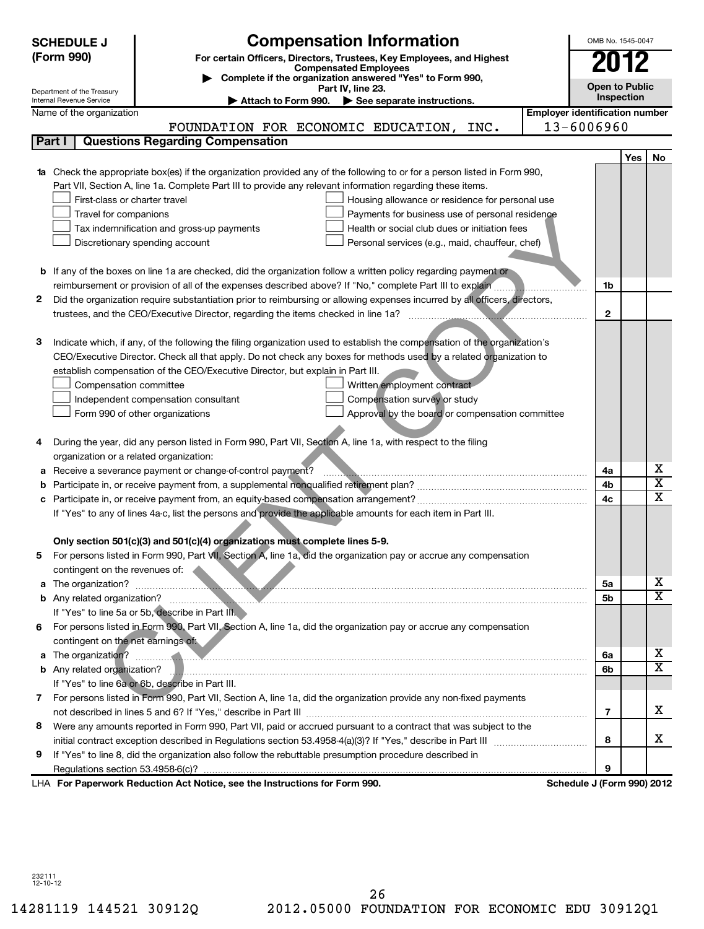|   | <b>SCHEDULE J</b>                                      | <b>Compensation Information</b>                                                                                            |                                       | OMB No. 1545-0047          |     |                              |
|---|--------------------------------------------------------|----------------------------------------------------------------------------------------------------------------------------|---------------------------------------|----------------------------|-----|------------------------------|
|   | (Form 990)                                             | For certain Officers, Directors, Trustees, Key Employees, and Highest                                                      |                                       |                            |     |                              |
|   |                                                        | <b>Compensated Employees</b>                                                                                               |                                       | 2012                       |     |                              |
|   |                                                        | Complete if the organization answered "Yes" to Form 990,<br>Part IV, line 23.                                              |                                       | <b>Open to Public</b>      |     |                              |
|   | Department of the Treasury<br>Internal Revenue Service | $\blacktriangleright$ Attach to Form 990.<br>See separate instructions.                                                    |                                       | Inspection                 |     |                              |
|   | Name of the organization                               |                                                                                                                            | <b>Employer identification number</b> |                            |     |                              |
|   |                                                        | FOUNDATION FOR ECONOMIC EDUCATION, INC.                                                                                    |                                       | 13-6006960                 |     |                              |
|   | Part I                                                 | <b>Questions Regarding Compensation</b>                                                                                    |                                       |                            |     |                              |
|   |                                                        |                                                                                                                            |                                       |                            | Yes | No                           |
|   |                                                        | 1a Check the appropriate box(es) if the organization provided any of the following to or for a person listed in Form 990,  |                                       |                            |     |                              |
|   |                                                        | Part VII, Section A, line 1a. Complete Part III to provide any relevant information regarding these items.                 |                                       |                            |     |                              |
|   | First-class or charter travel                          | Housing allowance or residence for personal use                                                                            |                                       |                            |     |                              |
|   | Travel for companions                                  | Payments for business use of personal residence                                                                            |                                       |                            |     |                              |
|   |                                                        | Health or social club dues or initiation fees<br>Tax indemnification and gross-up payments                                 |                                       |                            |     |                              |
|   |                                                        | Discretionary spending account<br>Personal services (e.g., maid, chauffeur, chef)                                          |                                       |                            |     |                              |
|   |                                                        |                                                                                                                            |                                       |                            |     |                              |
|   |                                                        | <b>b</b> If any of the boxes on line 1a are checked, did the organization follow a written policy regarding payment or     |                                       |                            |     |                              |
|   |                                                        | reimbursement or provision of all of the expenses described above? If "No," complete Part III to explain                   |                                       | 1b                         |     |                              |
| 2 |                                                        | Did the organization require substantiation prior to reimbursing or allowing expenses incurred by all officers, directors, |                                       |                            |     |                              |
|   |                                                        | trustees, and the CEO/Executive Director, regarding the items checked in line 1a?                                          |                                       | $\mathbf{2}$               |     |                              |
|   |                                                        |                                                                                                                            |                                       |                            |     |                              |
| з |                                                        | Indicate which, if any, of the following the filing organization used to establish the compensation of the organization's  |                                       |                            |     |                              |
|   |                                                        | CEO/Executive Director. Check all that apply. Do not check any boxes for methods used by a related organization to         |                                       |                            |     |                              |
|   |                                                        | establish compensation of the CEO/Executive Director, but explain in Part III.                                             |                                       |                            |     |                              |
|   |                                                        |                                                                                                                            |                                       |                            |     |                              |
|   | Compensation committee                                 | Written employment contract                                                                                                |                                       |                            |     |                              |
|   |                                                        | Compensation survey or study<br>Independent compensation consultant                                                        |                                       |                            |     |                              |
|   |                                                        | Approval by the board or compensation committee<br>Form 990 of other organizations                                         |                                       |                            |     |                              |
|   |                                                        |                                                                                                                            |                                       |                            |     |                              |
| 4 |                                                        | During the year, did any person listed in Form 990, Part VII, Section A, line 1a, with respect to the filing               |                                       |                            |     |                              |
|   | organization or a related organization:                |                                                                                                                            |                                       |                            |     |                              |
| а |                                                        | Receive a severance payment or change-of-control payment?                                                                  |                                       | 4a                         |     | х<br>$\overline{\textbf{x}}$ |
|   |                                                        |                                                                                                                            |                                       | 4b                         |     | $\overline{\mathtt{x}}$      |
| с |                                                        |                                                                                                                            |                                       | 4c                         |     |                              |
|   |                                                        | If "Yes" to any of lines 4a-c, list the persons and provide the applicable amounts for each item in Part III.              |                                       |                            |     |                              |
|   |                                                        |                                                                                                                            |                                       |                            |     |                              |
|   |                                                        | Only section 501(c)(3) and 501(c)(4) organizations must complete lines 5-9.                                                |                                       |                            |     |                              |
| b |                                                        | For persons listed in Form 990, Part VII, Section A, line 1a, did the organization pay or accrue any compensation          |                                       |                            |     |                              |
|   | contingent on the revenues of:                         |                                                                                                                            |                                       |                            |     |                              |
|   |                                                        |                                                                                                                            |                                       | 5a                         |     | x                            |
|   |                                                        |                                                                                                                            |                                       | 5b                         |     | $\overline{\mathtt{x}}$      |
|   |                                                        | If "Yes" to line 5a or 5b, describe in Part III.                                                                           |                                       |                            |     |                              |
|   |                                                        | 6 For persons listed in Form 990, Part VII, Section A, line 1a, did the organization pay or accrue any compensation        |                                       |                            |     |                              |
|   | contingent on the net earnings of:                     |                                                                                                                            |                                       |                            |     |                              |
|   |                                                        | a The organization? <b>Constitution</b> and the organization?                                                              |                                       | 6a                         |     | x                            |
|   |                                                        |                                                                                                                            |                                       | 6b                         |     | $\overline{\mathtt{x}}$      |
|   |                                                        | If "Yes" to line 6a or 6b, describe in Part III.                                                                           |                                       |                            |     |                              |
|   |                                                        | 7 For persons listed in Form 990, Part VII, Section A, line 1a, did the organization provide any non-fixed payments        |                                       |                            |     |                              |
|   |                                                        |                                                                                                                            |                                       | 7                          |     | x                            |
| 8 |                                                        | Were any amounts reported in Form 990, Part VII, paid or accrued pursuant to a contract that was subject to the            |                                       |                            |     |                              |
|   |                                                        |                                                                                                                            |                                       | 8                          |     | x                            |
| 9 |                                                        | If "Yes" to line 8, did the organization also follow the rebuttable presumption procedure described in                     |                                       |                            |     |                              |
|   |                                                        |                                                                                                                            |                                       | 9                          |     |                              |
|   |                                                        | LHA For Paperwork Reduction Act Notice, see the Instructions for Form 990.                                                 |                                       | Schedule J (Form 990) 2012 |     |                              |

232111 12-10-12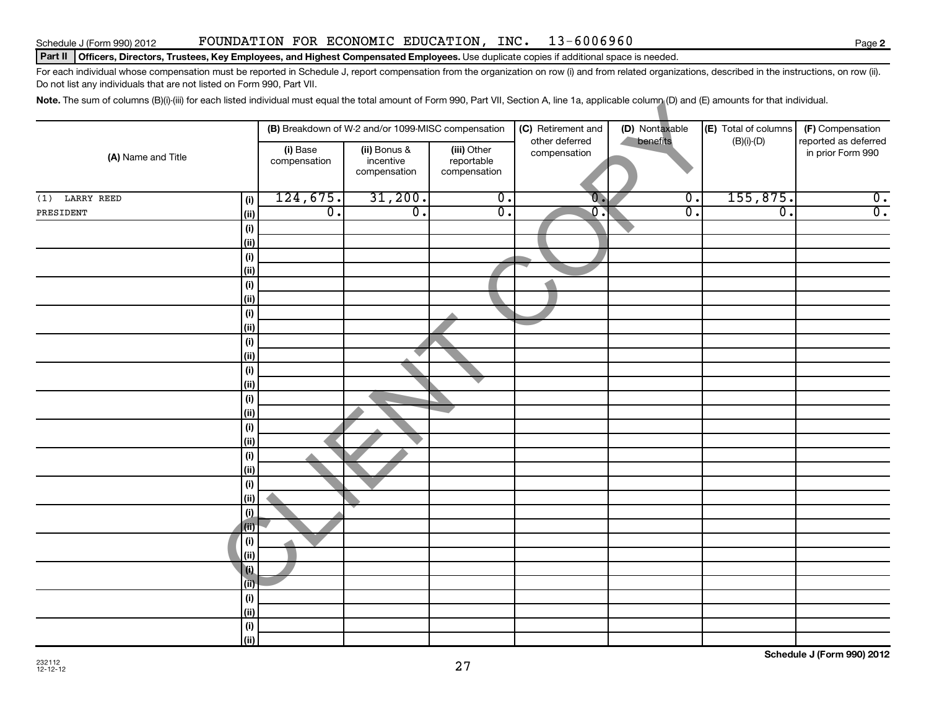#### Schedule J (Form 990) 2012 **FOUNDATION FOR ECONOMIC EDUCATION, INC.** 13-6006960

#### Part II | Officers, Directors, Trustees, Key Employees, and Highest Compensated Employees. Use duplicate copies if additional space is needed.

For each individual whose compensation must be reported in Schedule J, report compensation from the organization on row (i) and from related organizations, described in the instructions, on row (ii). Do not list any individuals that are not listed on Form 990, Part VII.

Note. The sum of columns (B)(i)-(iii) for each listed individual must equal the total amount of Form 990, Part VII, Section A, line 1a, applicable column (D) and (E) amounts for that individual.

|                    |                              |                          | (B) Breakdown of W-2 and/or 1099-MISC compensation |                                           | (C) Retirement and             | (D) Nontaxable              | (E) Total of columns        | (F) Compensation                          |
|--------------------|------------------------------|--------------------------|----------------------------------------------------|-------------------------------------------|--------------------------------|-----------------------------|-----------------------------|-------------------------------------------|
| (A) Name and Title |                              | (i) Base<br>compensation | (ii) Bonus &<br>incentive<br>compensation          | (iii) Other<br>reportable<br>compensation | other deferred<br>compensation | benefits                    | $(B)(i)$ - $(D)$            | reported as deferred<br>in prior Form 990 |
| $(1)$ LARRY REED   | (i)                          | 124,675.                 | 31,200.                                            | $\overline{0}$ .                          | $\overline{0}$ .               | $\overline{\mathfrak{o}}$ . | 155,875.                    | $\overline{\mathbf{0}}$ .                 |
| PRESIDENT          | (ii)                         | $\overline{0}$ .         | $\overline{0}$ .                                   | $\overline{0}$ .                          | $\overline{0}$ .               | $\overline{0}$ .            | $\overline{\mathfrak{o}}$ . | $\overline{0}$ .                          |
|                    | (i)                          |                          |                                                    |                                           |                                |                             |                             |                                           |
|                    | (ii)                         |                          |                                                    |                                           |                                |                             |                             |                                           |
|                    | $\qquad \qquad \textbf{(i)}$ |                          |                                                    |                                           |                                |                             |                             |                                           |
|                    | (ii)                         |                          |                                                    |                                           |                                |                             |                             |                                           |
|                    | (i)                          |                          |                                                    |                                           |                                |                             |                             |                                           |
|                    | (ii)                         |                          |                                                    |                                           |                                |                             |                             |                                           |
|                    | (i)                          |                          |                                                    |                                           |                                |                             |                             |                                           |
|                    | (ii)                         |                          |                                                    |                                           |                                |                             |                             |                                           |
|                    | (i)                          |                          |                                                    |                                           |                                |                             |                             |                                           |
|                    | (ii)                         |                          |                                                    |                                           |                                |                             |                             |                                           |
|                    | (i)                          |                          |                                                    |                                           |                                |                             |                             |                                           |
|                    | (ii)                         |                          |                                                    |                                           |                                |                             |                             |                                           |
|                    | (i)                          |                          |                                                    |                                           |                                |                             |                             |                                           |
|                    | (ii)                         |                          |                                                    |                                           |                                |                             |                             |                                           |
|                    | (i)                          |                          |                                                    |                                           |                                |                             |                             |                                           |
|                    | (ii)                         |                          |                                                    |                                           |                                |                             |                             |                                           |
|                    | (i)<br>(ii)                  |                          |                                                    |                                           |                                |                             |                             |                                           |
|                    | $\qquad \qquad \textbf{(i)}$ |                          |                                                    |                                           |                                |                             |                             |                                           |
|                    | (ii)                         |                          |                                                    |                                           |                                |                             |                             |                                           |
|                    | (i)                          |                          |                                                    |                                           |                                |                             |                             |                                           |
|                    | (i)                          |                          |                                                    |                                           |                                |                             |                             |                                           |
|                    | (i)                          |                          |                                                    |                                           |                                |                             |                             |                                           |
|                    | (ii)                         |                          |                                                    |                                           |                                |                             |                             |                                           |
|                    | l (i)                        |                          |                                                    |                                           |                                |                             |                             |                                           |
|                    | (ii)                         |                          |                                                    |                                           |                                |                             |                             |                                           |
|                    | (i)                          |                          |                                                    |                                           |                                |                             |                             |                                           |
|                    | (ii)                         |                          |                                                    |                                           |                                |                             |                             |                                           |
|                    | (i)                          |                          |                                                    |                                           |                                |                             |                             |                                           |
|                    | (ii)                         |                          |                                                    |                                           |                                |                             |                             |                                           |

**Schedule J (Form 990) 2012**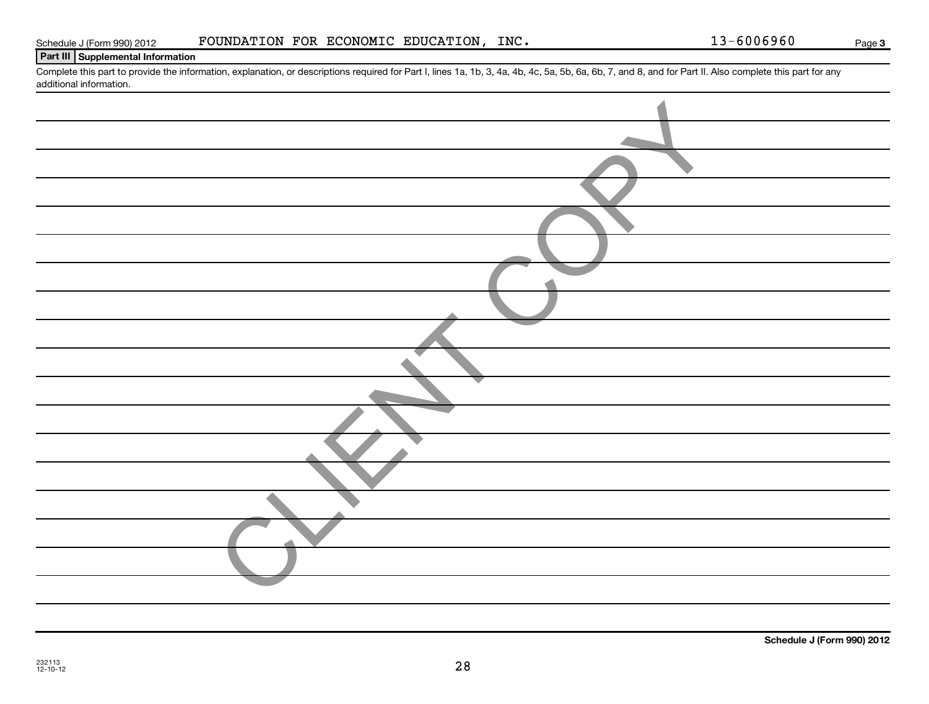| .,<br>×. |  |
|----------|--|
|          |  |

| Schedule J (Form 990) 2012 | FOUNDATION FOR ECONOMIC EDUCATION, INC. |  |  |
|----------------------------|-----------------------------------------|--|--|
|                            |                                         |  |  |

#### **Part III Supplemental Information**

Complete this part to provide the information, explanation, or descriptions required for Part I, lines 1a, 1b, 3, 4a, 4b, 4c, 5a, 5b, 6a, 6b, 7, and 8, and for Part II. Also complete this part for any additional information.

| auditional information. |
|-------------------------|
|                         |
|                         |
|                         |
|                         |
|                         |
|                         |
|                         |
|                         |
|                         |
|                         |
|                         |
|                         |
|                         |
|                         |
|                         |
|                         |
|                         |
|                         |
|                         |

28

**3**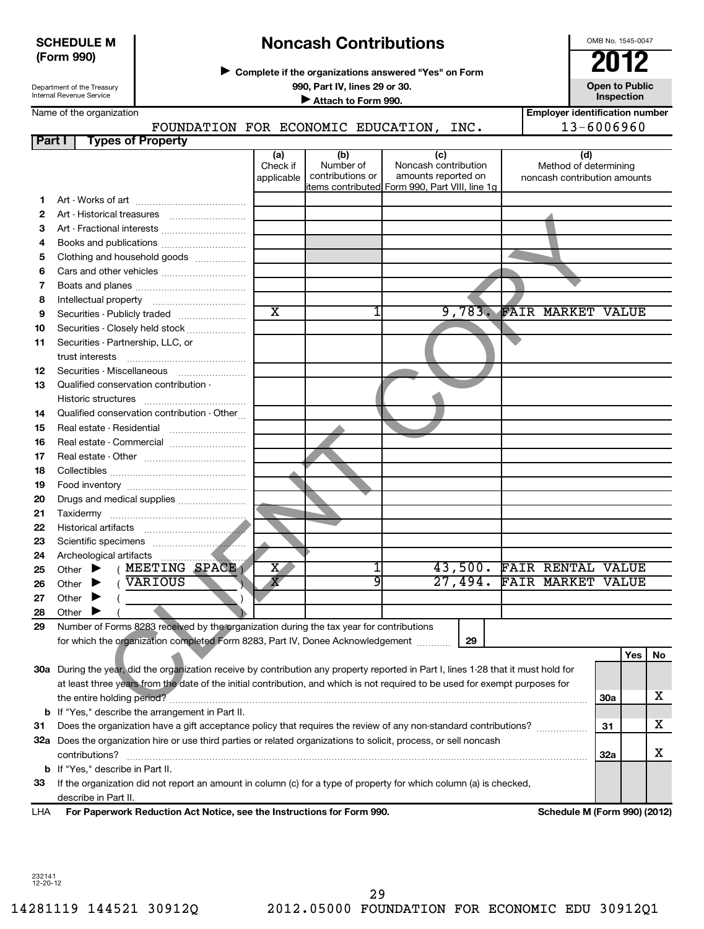| <b>SCHEDULE M</b> |  |
|-------------------|--|
| (Form 990)        |  |

Department of the Treasury Internal Revenue Service

# **Noncash Contributions**

**Complete if the organizations answered "Yes" on Form** <sup>J</sup>**2012**

OMB No. 1545-0047

**990, Part IV, lines 29 or 30. Open to Public**

**Inspection**<br> **Attach to Form 990.** 

**Employer identification number**

Name of the organization

# FOUNDATION FOR ECONOMIC EDUCATION, INC. | 13-6006960

| <b>Part I</b> | <b>Types of Property</b>                                                                                                            |                         |                               |                                                 |                                                       |            |     |    |
|---------------|-------------------------------------------------------------------------------------------------------------------------------------|-------------------------|-------------------------------|-------------------------------------------------|-------------------------------------------------------|------------|-----|----|
|               |                                                                                                                                     | (a)                     | (b)                           | (c)                                             | (d)                                                   |            |     |    |
|               |                                                                                                                                     | Check if<br>applicable  | Number of<br>contributions or | Noncash contribution<br>amounts reported on     | Method of determining<br>noncash contribution amounts |            |     |    |
|               |                                                                                                                                     |                         |                               | litems contributed Form 990, Part VIII, line 1g |                                                       |            |     |    |
| 1.            |                                                                                                                                     |                         |                               |                                                 |                                                       |            |     |    |
| 2             |                                                                                                                                     |                         |                               |                                                 |                                                       |            |     |    |
| з             |                                                                                                                                     |                         |                               |                                                 |                                                       |            |     |    |
| 4             |                                                                                                                                     |                         |                               |                                                 |                                                       |            |     |    |
| 5             | Clothing and household goods                                                                                                        |                         |                               |                                                 |                                                       |            |     |    |
| 6             |                                                                                                                                     |                         |                               |                                                 |                                                       |            |     |    |
| 7             |                                                                                                                                     |                         |                               |                                                 |                                                       |            |     |    |
| 8             |                                                                                                                                     |                         |                               |                                                 |                                                       |            |     |    |
| 9             | Securities - Publicly traded                                                                                                        | $\overline{\text{x}}$   | 1                             |                                                 | 9,783. FAIR MARKET VALUE                              |            |     |    |
| 10            | Securities - Closely held stock                                                                                                     |                         |                               |                                                 |                                                       |            |     |    |
| 11            | Securities - Partnership, LLC, or                                                                                                   |                         |                               |                                                 |                                                       |            |     |    |
|               | trust interests                                                                                                                     |                         |                               |                                                 |                                                       |            |     |    |
| 12            | Securities - Miscellaneous                                                                                                          |                         |                               |                                                 |                                                       |            |     |    |
| 13            | Qualified conservation contribution -                                                                                               |                         |                               |                                                 |                                                       |            |     |    |
|               | Historic structures                                                                                                                 |                         |                               |                                                 |                                                       |            |     |    |
| 14            | Qualified conservation contribution - Other                                                                                         |                         |                               |                                                 |                                                       |            |     |    |
| 15            |                                                                                                                                     |                         |                               |                                                 |                                                       |            |     |    |
| 16            |                                                                                                                                     |                         |                               |                                                 |                                                       |            |     |    |
| 17            |                                                                                                                                     |                         |                               |                                                 |                                                       |            |     |    |
| 18            |                                                                                                                                     |                         |                               |                                                 |                                                       |            |     |    |
| 19            |                                                                                                                                     |                         |                               |                                                 |                                                       |            |     |    |
| 20            | Drugs and medical supplies                                                                                                          |                         |                               |                                                 |                                                       |            |     |    |
| 21            |                                                                                                                                     |                         |                               |                                                 |                                                       |            |     |    |
| 22            |                                                                                                                                     |                         |                               |                                                 |                                                       |            |     |    |
| 23            |                                                                                                                                     |                         |                               |                                                 |                                                       |            |     |    |
| 24            | Archeological artifacts<br>.                                                                                                        |                         |                               |                                                 |                                                       |            |     |    |
| 25            | (MEETING SPACE)<br>Other $\blacktriangleright$                                                                                      | $X_{-}$                 | 1                             |                                                 | 43,500. FAIR RENTAL VALUE                             |            |     |    |
| 26            | VARIOUS<br>Other $\blacktriangleright$                                                                                              | $\overline{\textbf{X}}$ | 9                             | 27,494.                                         | <b>FAIR MARKET VALUE</b>                              |            |     |    |
| 27            | Other<br>$\blacktriangleright$                                                                                                      |                         |                               |                                                 |                                                       |            |     |    |
| 28            | Other $\blacktriangleright$                                                                                                         |                         |                               |                                                 |                                                       |            |     |    |
| 29            | Number of Forms 8283 received by the organization during the tax year for contributions                                             |                         |                               |                                                 |                                                       |            |     |    |
|               | for which the organization completed Form 8283, Part IV, Donee Acknowledgement                                                      |                         |                               | 29                                              |                                                       |            |     |    |
|               |                                                                                                                                     |                         |                               |                                                 |                                                       |            | Yes | No |
|               | 30a During the year, did the organization receive by contribution any property reported in Part I, lines 1-28 that it must hold for |                         |                               |                                                 |                                                       |            |     |    |
|               | at least three years from the date of the initial contribution, and which is not required to be used for exempt purposes for        |                         |                               |                                                 |                                                       |            |     |    |
|               | the entire holding period?                                                                                                          |                         |                               |                                                 |                                                       | 30a        |     | x  |
|               | <b>b</b> If "Yes," describe the arrangement in Part II.                                                                             |                         |                               |                                                 |                                                       |            |     |    |
| 31            | Does the organization have a gift acceptance policy that requires the review of any non-standard contributions?                     |                         |                               |                                                 |                                                       | 31         |     | x  |
|               | 32a Does the organization hire or use third parties or related organizations to solicit, process, or sell noncash                   |                         |                               |                                                 |                                                       |            |     |    |
|               | contributions?                                                                                                                      |                         |                               |                                                 |                                                       | <b>32a</b> |     | x  |
|               | <b>b</b> If "Yes," describe in Part II.                                                                                             |                         |                               |                                                 |                                                       |            |     |    |

**33** If the organization did not report an amount in column (c) for a type of property for which column (a) is checked, describe in Part II.

**For Paperwork Reduction Act Notice, see the Instructions for Form 990. Schedule M (Form 990) (2012)** LHA

232141 12-20-12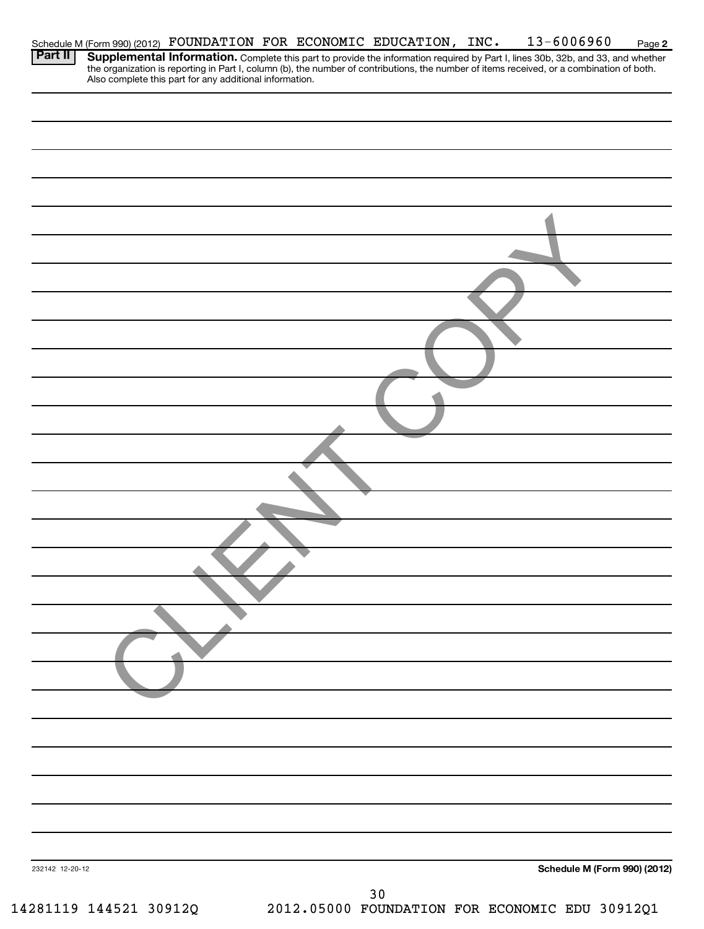|                 | Schedule M (Form 990) (2012) FOUNDATION FOR ECONOMIC EDUCATION, INC. |  |    | $13 - 6006960$                                                                                                                                                                                                                      | Page 2 |
|-----------------|----------------------------------------------------------------------|--|----|-------------------------------------------------------------------------------------------------------------------------------------------------------------------------------------------------------------------------------------|--------|
| Part II         |                                                                      |  |    | <b>Supplemental Information.</b> Complete this part to provide the information required by Part I, lines 30b, 32b, and 33, and whether the organization is reporting in Part I, column (b), the number of contributions, the number |        |
|                 |                                                                      |  |    |                                                                                                                                                                                                                                     |        |
|                 |                                                                      |  |    |                                                                                                                                                                                                                                     |        |
|                 |                                                                      |  |    |                                                                                                                                                                                                                                     |        |
|                 |                                                                      |  |    |                                                                                                                                                                                                                                     |        |
|                 |                                                                      |  |    |                                                                                                                                                                                                                                     |        |
|                 |                                                                      |  |    |                                                                                                                                                                                                                                     |        |
|                 |                                                                      |  |    |                                                                                                                                                                                                                                     |        |
|                 |                                                                      |  |    |                                                                                                                                                                                                                                     |        |
|                 |                                                                      |  |    |                                                                                                                                                                                                                                     |        |
|                 |                                                                      |  |    |                                                                                                                                                                                                                                     |        |
|                 |                                                                      |  |    |                                                                                                                                                                                                                                     |        |
|                 |                                                                      |  |    |                                                                                                                                                                                                                                     |        |
|                 |                                                                      |  |    |                                                                                                                                                                                                                                     |        |
|                 |                                                                      |  |    |                                                                                                                                                                                                                                     |        |
|                 |                                                                      |  |    |                                                                                                                                                                                                                                     |        |
|                 |                                                                      |  |    |                                                                                                                                                                                                                                     |        |
|                 |                                                                      |  |    |                                                                                                                                                                                                                                     |        |
|                 |                                                                      |  |    |                                                                                                                                                                                                                                     |        |
|                 |                                                                      |  |    |                                                                                                                                                                                                                                     |        |
|                 |                                                                      |  |    |                                                                                                                                                                                                                                     |        |
|                 |                                                                      |  |    |                                                                                                                                                                                                                                     |        |
|                 |                                                                      |  |    |                                                                                                                                                                                                                                     |        |
|                 |                                                                      |  |    |                                                                                                                                                                                                                                     |        |
|                 |                                                                      |  |    |                                                                                                                                                                                                                                     |        |
|                 |                                                                      |  |    |                                                                                                                                                                                                                                     |        |
|                 |                                                                      |  |    |                                                                                                                                                                                                                                     |        |
|                 |                                                                      |  |    |                                                                                                                                                                                                                                     |        |
|                 |                                                                      |  |    |                                                                                                                                                                                                                                     |        |
|                 |                                                                      |  |    |                                                                                                                                                                                                                                     |        |
|                 |                                                                      |  |    |                                                                                                                                                                                                                                     |        |
|                 |                                                                      |  |    |                                                                                                                                                                                                                                     |        |
|                 |                                                                      |  |    |                                                                                                                                                                                                                                     |        |
|                 |                                                                      |  |    |                                                                                                                                                                                                                                     |        |
|                 |                                                                      |  |    |                                                                                                                                                                                                                                     |        |
| 232142 12-20-12 |                                                                      |  |    | <b>Schedule M (Form 990) (2012)</b>                                                                                                                                                                                                 |        |
|                 |                                                                      |  |    |                                                                                                                                                                                                                                     |        |
|                 |                                                                      |  | 30 |                                                                                                                                                                                                                                     |        |

14281119 144521 30912Q 2012.05000 FOUNDATION FOR ECONOMIC EDU 30912Q1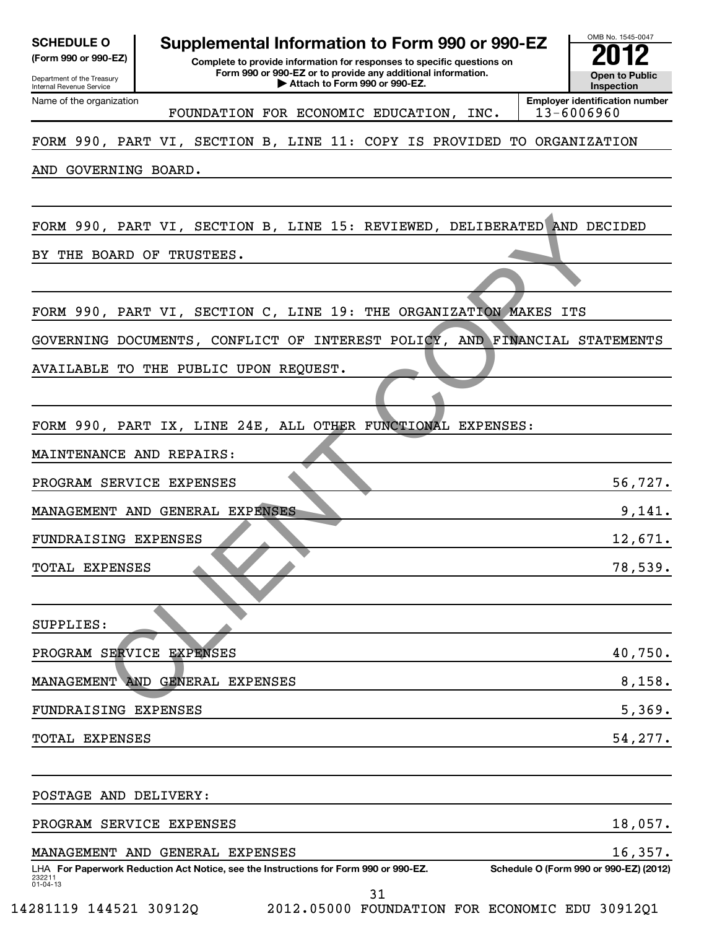| <b>SCHEDULE O</b><br>(Form 990 or 990-EZ)<br>Department of the Treasury<br>Internal Revenue Service | Supplemental Information to Form 990 or 990-EZ<br>Complete to provide information for responses to specific questions on<br>Form 990 or 990-EZ or to provide any additional information.<br>Attach to Form 990 or 990-EZ. | OMB No. 1545-0047<br><b>Open to Public</b><br>Inspection |
|-----------------------------------------------------------------------------------------------------|---------------------------------------------------------------------------------------------------------------------------------------------------------------------------------------------------------------------------|----------------------------------------------------------|
| Name of the organization                                                                            | FOUNDATION FOR ECONOMIC EDUCATION, INC.                                                                                                                                                                                   | <b>Employer identification number</b><br>$13 - 6006960$  |
|                                                                                                     | FORM 990, PART VI, SECTION B, LINE 11: COPY IS PROVIDED TO ORGANIZATION                                                                                                                                                   |                                                          |
| AND GOVERNING BOARD.                                                                                |                                                                                                                                                                                                                           |                                                          |
| BY                                                                                                  | FORM 990, PART VI, SECTION B, LINE 15: REVIEWED, DELIBERATED AND DECIDED<br>THE BOARD OF TRUSTEES.                                                                                                                        |                                                          |
|                                                                                                     | FORM 990, PART VI, SECTION C, LINE 19: THE ORGANIZATION MAKES ITS                                                                                                                                                         |                                                          |
|                                                                                                     | GOVERNING DOCUMENTS, CONFLICT OF INTEREST POLICY, AND FINANCIAL STATEMENTS<br>AVAILABLE TO THE PUBLIC UPON REQUEST.                                                                                                       |                                                          |
|                                                                                                     | FORM 990, PART IX, LINE 24E, ALL OTHER FUNCTIONAL EXPENSES:                                                                                                                                                               |                                                          |
| MAINTENANCE AND REPAIRS:<br>PROGRAM SERVICE EXPENSES                                                |                                                                                                                                                                                                                           | 56,727.                                                  |
|                                                                                                     | MANAGEMENT AND GENERAL EXPENSES                                                                                                                                                                                           | 9,141.                                                   |
| <b>FUNDRAISING EXPENSES</b>                                                                         |                                                                                                                                                                                                                           | 12,671.                                                  |
| TOTAL EXPENSES                                                                                      |                                                                                                                                                                                                                           | 78,539.                                                  |
| SUPPLIES:                                                                                           |                                                                                                                                                                                                                           |                                                          |
| PROGRAM SERVICE EXPENSES                                                                            |                                                                                                                                                                                                                           | 40,750.                                                  |
|                                                                                                     | MANAGEMENT AND GENERAL EXPENSES                                                                                                                                                                                           | 8,158.                                                   |
| FUNDRAISING EXPENSES                                                                                |                                                                                                                                                                                                                           | 5,369.                                                   |
| TOTAL EXPENSES                                                                                      |                                                                                                                                                                                                                           | 54,277.                                                  |
| POSTAGE AND DELIVERY:                                                                               |                                                                                                                                                                                                                           |                                                          |
| PROGRAM SERVICE EXPENSES                                                                            |                                                                                                                                                                                                                           | 18,057.                                                  |
|                                                                                                     | MANAGEMENT AND GENERAL EXPENSES                                                                                                                                                                                           | 16,357.                                                  |
| 232211<br>01-04-13                                                                                  | LHA For Paperwork Reduction Act Notice, see the Instructions for Form 990 or 990-EZ.<br>31                                                                                                                                | Schedule O (Form 990 or 990-EZ) (2012)                   |

14281119 144521 30912Q 2012.05000 FOUNDATION FOR ECONOMIC EDU 30912Q1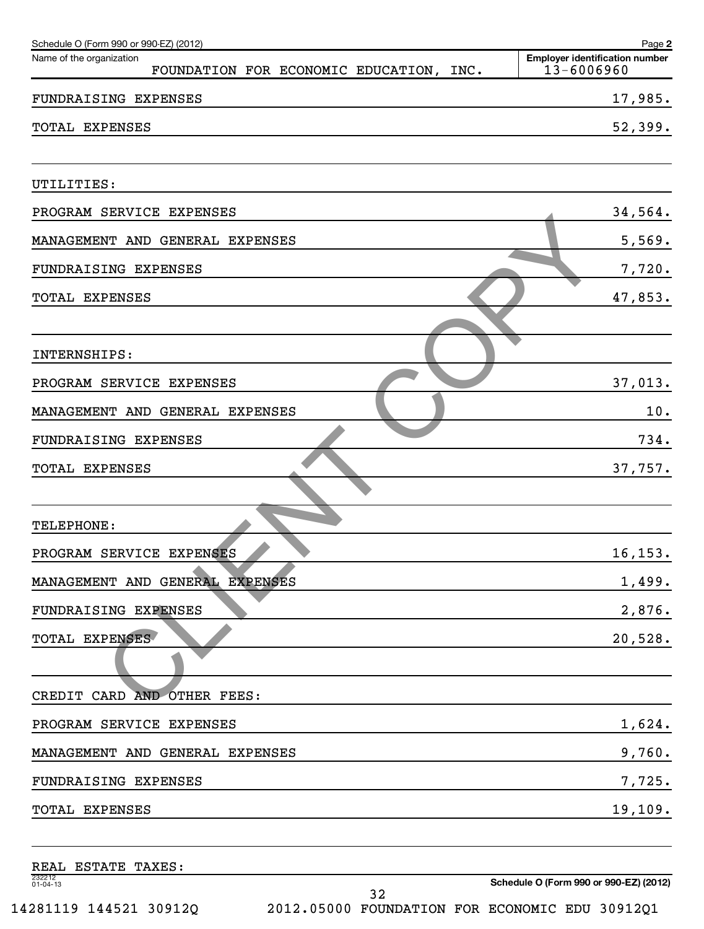| Schedule O (Form 990 or 990-EZ) (2012)                                 | Page 2                                              |
|------------------------------------------------------------------------|-----------------------------------------------------|
| Name of the organization<br>FOUNDATION FOR ECONOMIC EDUCATION,<br>INC. | <b>Employer identification number</b><br>13-6006960 |
| FUNDRAISING EXPENSES                                                   | 17,985.                                             |
| <b>TOTAL EXPENSES</b>                                                  | 52,399.                                             |
| UTILITIES:                                                             |                                                     |
| PROGRAM SERVICE EXPENSES                                               | 34,564.                                             |
| GENERAL<br><b>EXPENSES</b><br>MANAGEMENT AND                           | 5,569.                                              |
| FUNDRAISING EXPENSES                                                   | 7,720.                                              |
| <b>TOTAL EXPENSES</b>                                                  | 47,853.                                             |
| INTERNSHIPS:                                                           |                                                     |
| PROGRAM SERVICE EXPENSES                                               | 37,013.                                             |
| MANAGEMENT AND GENERAL<br>EXPENSES                                     | 10.                                                 |
| FUNDRAISING EXPENSES                                                   | 734.                                                |
| <b>TOTAL EXPENSES</b>                                                  | 37,757.                                             |
|                                                                        |                                                     |
| TELEPHONE:                                                             |                                                     |
| PROGRAM SERVICE EXPENSES                                               | 16,153.                                             |
| MANAGEMENT AND GENERAL EXPENSES                                        | 1,499.                                              |
| FUNDRAISING EXPENSES                                                   | 2,876.                                              |
| TOTAL EXPENSES                                                         | 20,528.                                             |
|                                                                        |                                                     |
| CREDIT CARD AND OTHER FEES:                                            |                                                     |
| PROGRAM SERVICE EXPENSES                                               | 1,624.                                              |
| MANAGEMENT AND GENERAL EXPENSES                                        | 9,760.                                              |
| FUNDRAISING EXPENSES                                                   | 7,725.                                              |
| TOTAL EXPENSES                                                         | 19,109.                                             |
| REAL ESTATE TAXES:                                                     |                                                     |
| 232212<br>01-04-13                                                     | Schedule O (Form 990 or 990-EZ) (2012)              |

**Schedule O (Form 990 or 990-EZ) (2012)**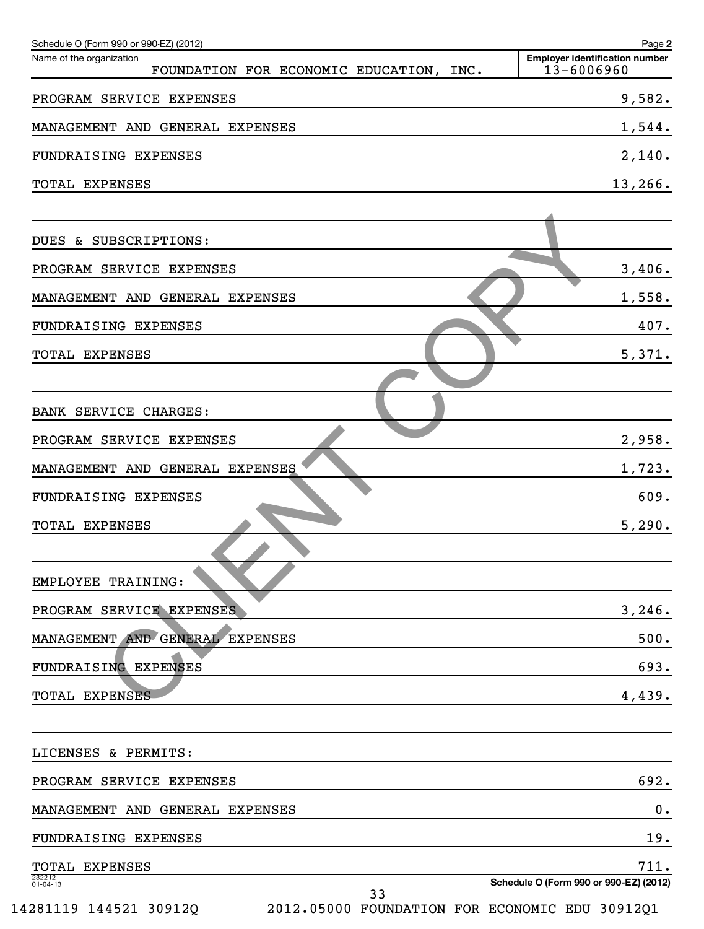| Schedule O (Form 990 or 990-EZ) (2012)<br>Name of the organization | Page 2<br><b>Employer identification number</b> |
|--------------------------------------------------------------------|-------------------------------------------------|
| FOUNDATION FOR ECONOMIC EDUCATION, INC.                            | 13-6006960                                      |
| PROGRAM SERVICE EXPENSES                                           | 9,582.                                          |
| MANAGEMENT AND GENERAL EXPENSES                                    | 1,544.                                          |
| FUNDRAISING EXPENSES                                               | 2,140.                                          |
| <b>TOTAL EXPENSES</b>                                              | 13,266.                                         |
| DUES & SUBSCRIPTIONS:                                              |                                                 |
| PROGRAM SERVICE EXPENSES                                           | 3,406.                                          |
| MANAGEMENT AND GENERAL EXPENSES                                    | 1,558.                                          |
| <b>FUNDRAISING EXPENSES</b>                                        | 407.                                            |
| TOTAL EXPENSES                                                     | 5,371.                                          |
| BANK SERVICE CHARGES:                                              |                                                 |
| PROGRAM SERVICE EXPENSES                                           | 2,958.                                          |
| MANAGEMENT AND GENERAL EXPENSES                                    | 1,723.                                          |
| FUNDRAISING EXPENSES                                               | 609.                                            |
| TOTAL EXPENSES                                                     | 5,290.                                          |
| EMPLOYEE TRAINING:                                                 |                                                 |
| PROGRAM SERVICE EXPENSES                                           | 3,246.                                          |
| MANAGEMENT AND GENERAL EXPENSES                                    | 500.                                            |
| FUNDRAISING EXPENSES                                               | 693.                                            |
| TOTAL EXPENSES                                                     | 4,439.                                          |
| LICENSES & PERMITS:                                                |                                                 |
| PROGRAM SERVICE EXPENSES                                           | 692.                                            |
| MANAGEMENT AND GENERAL EXPENSES                                    | $\mathbf 0$ .                                   |
| FUNDRAISING EXPENSES                                               | 19.                                             |
| TOTAL EXPENSES                                                     | 711.                                            |
| 232212<br>01-04-13<br>33                                           | Schedule O (Form 990 or 990-EZ) (2012)          |
| 14281119 144521 30912Q                                             | 2012.05000 FOUNDATION FOR ECONOMIC EDU 30912Q1  |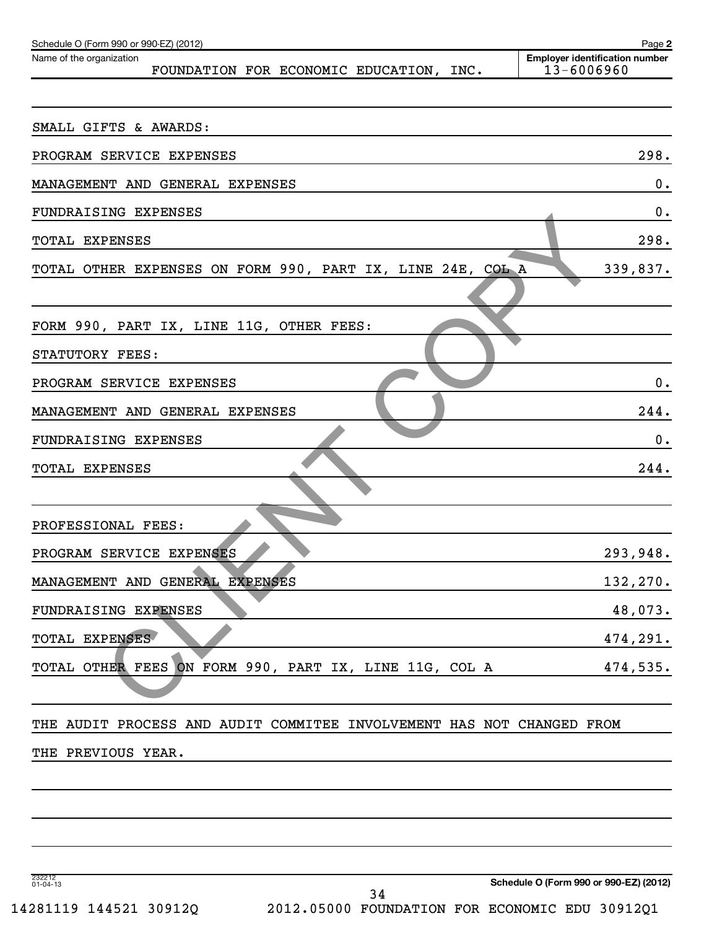| Schedule O (Form 990 or 990-EZ) (2012)                                | Page 2                                              |
|-----------------------------------------------------------------------|-----------------------------------------------------|
| Name of the organization<br>FOUNDATION FOR ECONOMIC EDUCATION, INC.   | <b>Employer identification number</b><br>13-6006960 |
|                                                                       |                                                     |
| SMALL GIFTS & AWARDS:                                                 |                                                     |
| PROGRAM SERVICE EXPENSES                                              | 298.                                                |
| MANAGEMENT AND GENERAL EXPENSES                                       | 0.                                                  |
| FUNDRAISING EXPENSES                                                  | 0.                                                  |
| TOTAL EXPENSES                                                        | 298.                                                |
| TOTAL OTHER EXPENSES ON FORM 990, PART IX, LINE 24E, COL A            | 339,837.                                            |
|                                                                       |                                                     |
| FORM 990, PART IX, LINE 11G, OTHER FEES:                              |                                                     |
| STATUTORY FEES:                                                       |                                                     |
| PROGRAM SERVICE EXPENSES                                              | 0.                                                  |
| MANAGEMENT AND GENERAL EXPENSES                                       | 244.                                                |
| FUNDRAISING EXPENSES                                                  | $\mathbf 0$ .                                       |
| TOTAL EXPENSES                                                        | 244.                                                |
|                                                                       |                                                     |
| PROFESSIONAL FEES:                                                    |                                                     |
| PROGRAM SERVICE EXPENSES                                              | 293,948.                                            |
| MANAGEMENT AND GENERAL EXPENSES                                       | 132,270.                                            |
| FUNDRAISING EXPENSES                                                  | 48,073.                                             |
| TOTAL EXPENSES                                                        | 474,291.                                            |
| ON FORM 990, PART IX, LINE 11G, COL A<br>TOTAL OTHER FEES             | 474,535.                                            |
|                                                                       |                                                     |
| THE AUDIT PROCESS AND AUDIT COMMITEE INVOLVEMENT HAS NOT CHANGED FROM |                                                     |
| THE PREVIOUS YEAR.                                                    |                                                     |
|                                                                       |                                                     |
|                                                                       |                                                     |
|                                                                       |                                                     |
|                                                                       |                                                     |
| 232212<br>01-04-13                                                    | Schedule O (Form 990 or 990-EZ) (2012)              |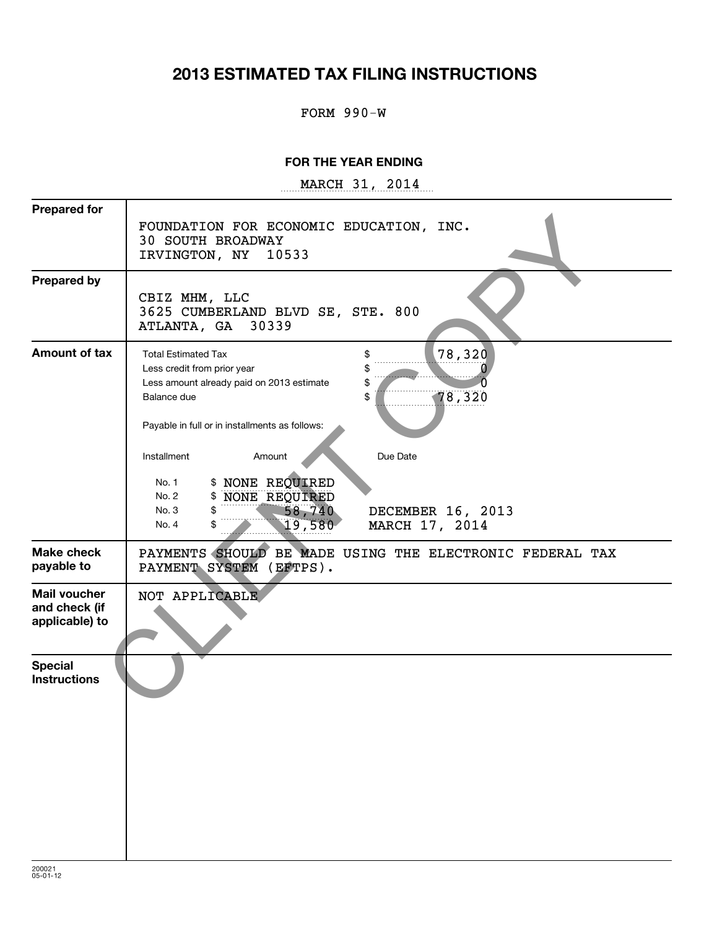# **2013 ESTIMATED TAX FILING INSTRUCTIONS**

#### FORM 990-W

#### **FOR THE YEAR ENDING**

~~~~~~~~~~~~~~~~~~ MARCH 31, 2014

| <b>Prepared for</b>                             | FOUNDATION FOR ECONOMIC EDUCATION, INC.<br><b>30 SOUTH BROADWAY</b><br>IRVINGTON, NY<br>10533                                                                                                                |
|-------------------------------------------------|--------------------------------------------------------------------------------------------------------------------------------------------------------------------------------------------------------------|
| <b>Prepared by</b>                              | CBIZ MHM, LLC<br>3625 CUMBERLAND BLVD SE, STE. 800<br>30339<br>ATLANTA, GA                                                                                                                                   |
| <b>Amount of tax</b>                            | 78,320<br><b>Total Estimated Tax</b><br>\$<br>Less credit from prior year<br>\$<br>Less amount already paid on 2013 estimate<br>S<br>78,320<br>Balance due<br>Payable in full or in installments as follows: |
|                                                 | Installment<br>Amount<br>Due Date<br>\$ NONE REQUIRED<br>No. 1<br>\$ NONE REQUIRED<br>No. 2<br>58,740<br>\$<br>DECEMBER 16, 2013<br>No. 3<br>19,580<br>MARCH 17, 2014<br>\$<br>No. 4                         |
| <b>Make check</b><br>payable to                 | PAYMENTS SHOULD BE MADE USING THE ELECTRONIC FEDERAL TAX<br>PAYMENT SYSTEM (EFTPS).                                                                                                                          |
| Mail voucher<br>and check (if<br>applicable) to | NOT APPLICABLE                                                                                                                                                                                               |
| <b>Special</b><br><b>Instructions</b>           |                                                                                                                                                                                                              |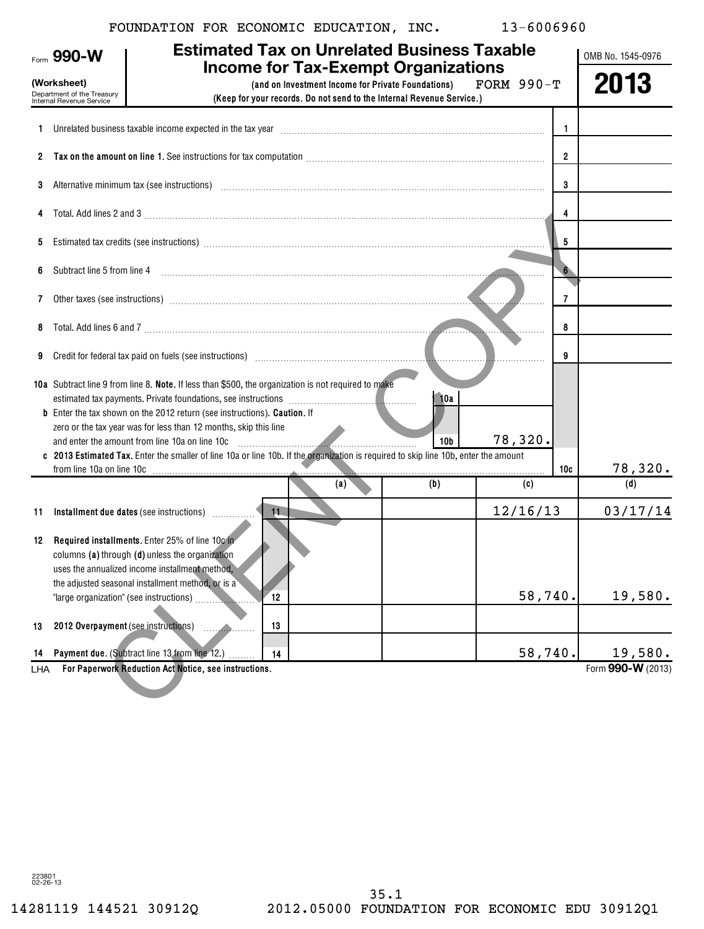|  |  |  | FOUNDATION FOR ECONOMIC EDUCATION, INC. |  | 13-6006960 |
|--|--|--|-----------------------------------------|--|------------|
|--|--|--|-----------------------------------------|--|------------|

|          | Form 990-W                                                                                                                                                                                                                                                         |                                                                                                                                                                                                                                                            | <b>Estimated Tax on Unrelated Business Taxable</b> |                        |          |                | OMB No. 1545-0976 |
|----------|--------------------------------------------------------------------------------------------------------------------------------------------------------------------------------------------------------------------------------------------------------------------|------------------------------------------------------------------------------------------------------------------------------------------------------------------------------------------------------------------------------------------------------------|----------------------------------------------------|------------------------|----------|----------------|-------------------|
|          | <b>Income for Tax-Exempt Organizations</b><br>(Worksheet)<br>FORM $990-T$<br>(and on Investment Income for Private Foundations)<br>Department of the Treasury<br>Internal Revenue Service<br>(Keep for your records. Do not send to the Internal Revenue Service.) |                                                                                                                                                                                                                                                            |                                                    |                        |          | 2013           |                   |
|          |                                                                                                                                                                                                                                                                    | Unrelated business taxable income expected in the tax year manufactured contains and the state of the state of                                                                                                                                             |                                                    |                        |          | -1             |                   |
|          |                                                                                                                                                                                                                                                                    |                                                                                                                                                                                                                                                            |                                                    |                        |          | $\overline{2}$ |                   |
| 3        | Alternative minimum tax (see instructions) with all contained and all contained and all contained and alternative minimum tax (see instructions)<br>3                                                                                                              |                                                                                                                                                                                                                                                            |                                                    |                        |          |                |                   |
|          |                                                                                                                                                                                                                                                                    |                                                                                                                                                                                                                                                            |                                                    |                        |          | 4              |                   |
| 5        |                                                                                                                                                                                                                                                                    |                                                                                                                                                                                                                                                            |                                                    |                        |          | -5             |                   |
| 6        | Subtract line 5 from line 4                                                                                                                                                                                                                                        |                                                                                                                                                                                                                                                            |                                                    |                        |          | 6 <sup>2</sup> |                   |
| 7        |                                                                                                                                                                                                                                                                    |                                                                                                                                                                                                                                                            |                                                    |                        |          | 7              |                   |
| 8        |                                                                                                                                                                                                                                                                    |                                                                                                                                                                                                                                                            |                                                    |                        |          | 8              |                   |
| 9        |                                                                                                                                                                                                                                                                    | Credit for federal tax paid on fuels (see instructions) manufactured and contain the control of the control of                                                                                                                                             |                                                    |                        |          | 9              |                   |
|          |                                                                                                                                                                                                                                                                    | 10a Subtract line 9 from line 8. Note. If less than \$500, the organization is not required to make<br><b>b</b> Enter the tax shown on the 2012 return (see instructions). Caution. If<br>zero or the tax year was for less than 12 months, skip this line |                                                    | 10a<br>10 <sub>b</sub> | 78,320.  |                |                   |
|          |                                                                                                                                                                                                                                                                    | c 2013 Estimated Tax. Enter the smaller of line 10a or line 10b. If the organization is required to skip line 10b, enter the amount                                                                                                                        |                                                    |                        |          | 10c            | 78,320.           |
|          |                                                                                                                                                                                                                                                                    |                                                                                                                                                                                                                                                            | (a)                                                | (b)                    | (c)      |                | (d)               |
| 11       |                                                                                                                                                                                                                                                                    | Installment due dates (see instructions)                                                                                                                                                                                                                   | 11                                                 |                        | 12/16/13 |                | 03/17/14          |
| 12       | "large organization" (see instructions)                                                                                                                                                                                                                            | Required installments. Enter 25% of line 10c in<br>columns (a) through (d) unless the organization<br>uses the annualized income installment method.<br>the adjusted seasonal installment method, or is a                                                  | $^{\prime}12$                                      |                        | 58,740.  |                | 19,580.           |
|          | 2012 Overpayment (see instructions)                                                                                                                                                                                                                                |                                                                                                                                                                                                                                                            | 13                                                 |                        |          |                |                   |
| 13<br>14 |                                                                                                                                                                                                                                                                    | Payment due. (Subtract line 13 from line 12.)                                                                                                                                                                                                              | 14                                                 |                        | 58,740.  |                | 19,580.           |
| LHA      |                                                                                                                                                                                                                                                                    | For Paperwork Reduction Act Notice, see instructions.                                                                                                                                                                                                      |                                                    |                        |          |                | Form 990-W (2013) |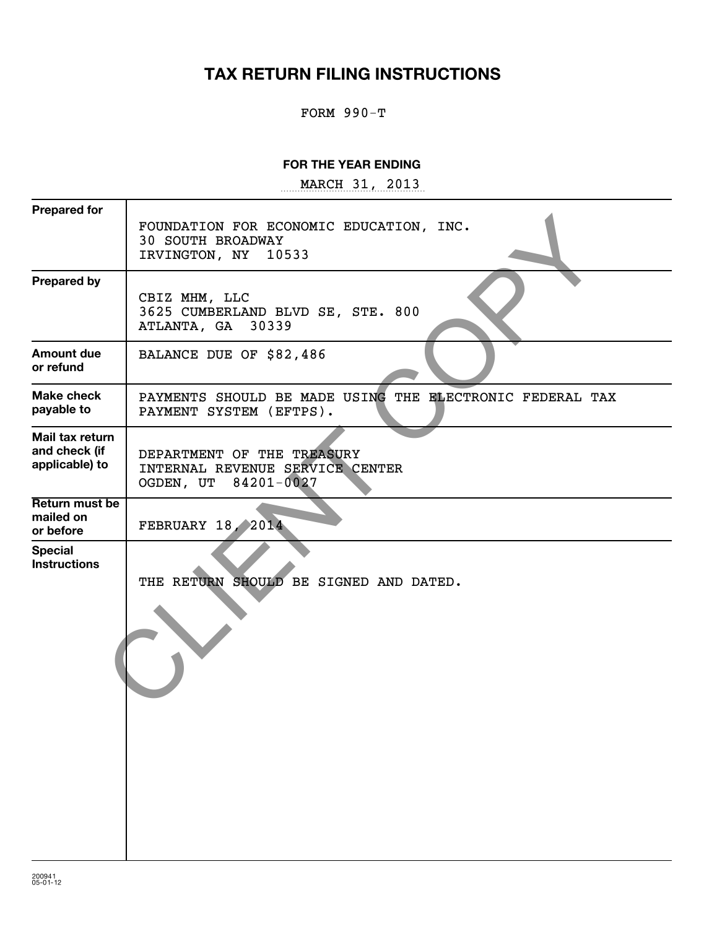# **TAX RETURN FILING INSTRUCTIONS**

FORM 990-T

#### **FOR THE YEAR ENDING**

~~~~~~~~~~~~~~~~~ MARCH 31, 2013

| <b>Prepared for</b>                                | FOUNDATION FOR ECONOMIC EDUCATION, INC.<br><b>30 SOUTH BROADWAY</b><br>IRVINGTON, NY<br>10533 |
|----------------------------------------------------|-----------------------------------------------------------------------------------------------|
| <b>Prepared by</b>                                 | CBIZ MHM, LLC<br>3625 CUMBERLAND BLVD SE, STE. 800<br>30339<br>ATLANTA, GA                    |
| <b>Amount due</b><br>or refund                     | BALANCE DUE OF \$82,486                                                                       |
| Make check<br>payable to                           | PAYMENTS SHOULD BE MADE USING THE ELECTRONIC FEDERAL TAX<br>PAYMENT SYSTEM (EFTPS).           |
| Mail tax return<br>and check (if<br>applicable) to | DEPARTMENT OF THE TREASURY<br>INTERNAL REVENUE SERVICE CENTER<br>OGDEN, UT 84201-0027         |
| Return must be<br>mailed on<br>or before           | <b>FEBRUARY 18, 2014</b>                                                                      |
| <b>Special</b><br><b>Instructions</b>              | SHOULD BE SIGNED AND DATED.<br>THE RETURN                                                     |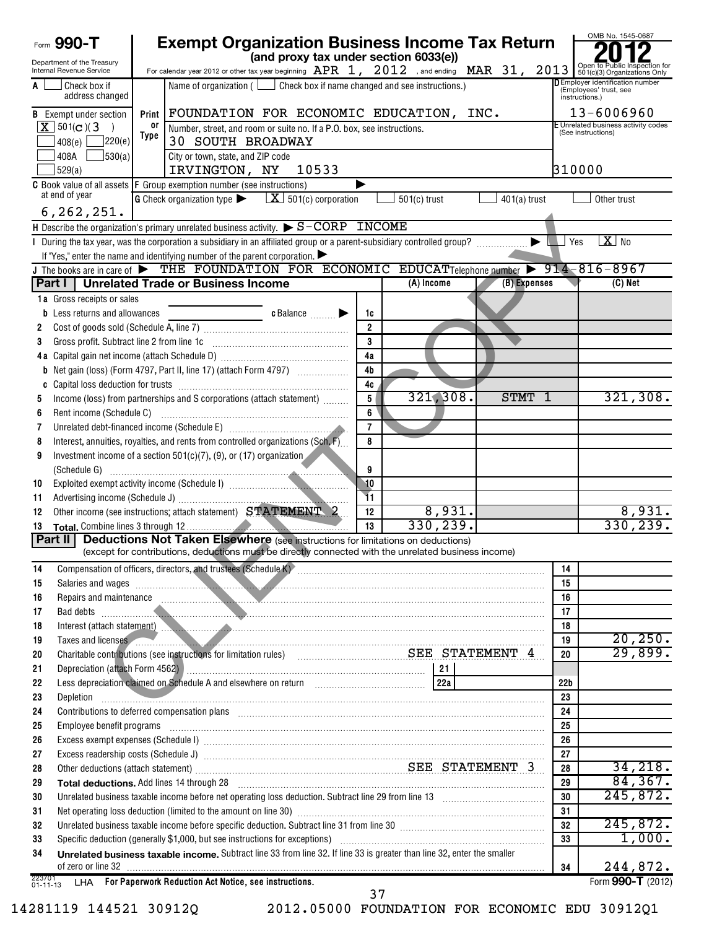| Form 990-T                                                    | <b>Exempt Organization Business Income Tax Return</b>                                                                                                                                                                                                                                                                                                                                                                                                                       |                |                |                       |                 | OMB No. 1545-0687                        |
|---------------------------------------------------------------|-----------------------------------------------------------------------------------------------------------------------------------------------------------------------------------------------------------------------------------------------------------------------------------------------------------------------------------------------------------------------------------------------------------------------------------------------------------------------------|----------------|----------------|-----------------------|-----------------|------------------------------------------|
| Department of the Treasury<br><b>Internal Revenue Service</b> | (and proxy tax under section 6033(e))<br>For calendar year 2012 or other tax year beginning $\frac{\text{APR}}{4}$ , $\frac{2012}{4}$ , and ending $\frac{\text{MAR}}{4}$ , $\frac{31}{4}$ , $\frac{2013}{801}$ or to Public Inspection for                                                                                                                                                                                                                                 |                |                |                       |                 |                                          |
| Check box if<br>A                                             | Name of organization ( $\Box$ Check box if name changed and see instructions.)                                                                                                                                                                                                                                                                                                                                                                                              |                |                |                       |                 | DEmployer identification number          |
| address changed                                               |                                                                                                                                                                                                                                                                                                                                                                                                                                                                             |                |                |                       |                 | (Employees' trust, see<br>instructions.) |
| <b>B</b> Exempt under section                                 | Print FOUNDATION FOR ECONOMIC EDUCATION, INC.                                                                                                                                                                                                                                                                                                                                                                                                                               |                |                |                       |                 | $13 - 6006960$                           |
| $X$ 501(c)(3)                                                 | Unrelated business activity codes<br>or<br>Number, street, and room or suite no. If a P.O. box, see instructions.                                                                                                                                                                                                                                                                                                                                                           |                |                |                       |                 |                                          |
| 220(e) <br>408(e)                                             | (See instructions)<br>Type<br><b>30 SOUTH BROADWAY</b>                                                                                                                                                                                                                                                                                                                                                                                                                      |                |                |                       |                 |                                          |
| J530(a)<br>408A                                               | City or town, state, and ZIP code                                                                                                                                                                                                                                                                                                                                                                                                                                           |                |                |                       |                 |                                          |
| 529(a)                                                        | 310000<br>IRVINGTON, NY<br>10533                                                                                                                                                                                                                                                                                                                                                                                                                                            |                |                |                       |                 |                                          |
|                                                               | <b>C</b> Book value of all assets <b>F</b> Group exemption number (see instructions)                                                                                                                                                                                                                                                                                                                                                                                        |                |                |                       |                 |                                          |
| at end of year                                                | <b>G</b> Check organization type $\blacktriangleright$ $\mathbf{X}$ 501(c) corporation                                                                                                                                                                                                                                                                                                                                                                                      |                | $501(c)$ trust | $401(a)$ trust        |                 | Other trust                              |
| 6, 262, 251.                                                  |                                                                                                                                                                                                                                                                                                                                                                                                                                                                             |                |                |                       |                 |                                          |
|                                                               | H Describe the organization's primary unrelated business activity. $\triangleright$ $S$ – CORP INCOME                                                                                                                                                                                                                                                                                                                                                                       |                |                |                       |                 |                                          |
|                                                               | During the tax year, was the corporation a subsidiary in an affiliated group or a parent-subsidiary controlled group?                                                                                                                                                                                                                                                                                                                                                       |                |                | $\blacktriangleright$ | $\Box$ Yes      | $X$ No                                   |
|                                                               | If "Yes," enter the name and identifying number of the parent corporation.                                                                                                                                                                                                                                                                                                                                                                                                  |                |                |                       |                 |                                          |
|                                                               | J The books are in care of $\blacktriangleright$ THE FOUNDATION FOR ECONOMIC EDUCATTelephone number $\blacktriangleright$ 914-816-8967                                                                                                                                                                                                                                                                                                                                      |                | (A) Income     | (B) Expenses          |                 | $(C)$ Net                                |
|                                                               | Part I   Unrelated Trade or Business Income                                                                                                                                                                                                                                                                                                                                                                                                                                 |                |                |                       |                 |                                          |
| 1a Gross receipts or sales<br>Less returns and allowances     | c Balance                                                                                                                                                                                                                                                                                                                                                                                                                                                                   | 1c             |                |                       |                 |                                          |
| b<br>2                                                        |                                                                                                                                                                                                                                                                                                                                                                                                                                                                             | $\overline{2}$ |                |                       |                 |                                          |
| Gross profit. Subtract line 2 from line 1c<br>3               |                                                                                                                                                                                                                                                                                                                                                                                                                                                                             | 3              |                |                       |                 |                                          |
| 4 a                                                           |                                                                                                                                                                                                                                                                                                                                                                                                                                                                             | 4a             |                |                       |                 |                                          |
| b                                                             |                                                                                                                                                                                                                                                                                                                                                                                                                                                                             | 4 <sub>b</sub> |                |                       |                 |                                          |
|                                                               |                                                                                                                                                                                                                                                                                                                                                                                                                                                                             | 4c             |                |                       |                 |                                          |
| 5                                                             | Income (loss) from partnerships and S corporations (attach statement)                                                                                                                                                                                                                                                                                                                                                                                                       | 5              | 321,308.       | STMT 1                |                 | 321,308.                                 |
| Rent income (Schedule C)<br>6                                 |                                                                                                                                                                                                                                                                                                                                                                                                                                                                             | 6              |                |                       |                 |                                          |
| 7                                                             | Unrelated debt-financed income (Schedule E) [11] [2010] [2010] [2010] [2010] [2010] [2010] [2010] [2010] [2010                                                                                                                                                                                                                                                                                                                                                              | $\overline{7}$ |                |                       |                 |                                          |
| 8                                                             | Interest, annuities, royalties, and rents from controlled organizations (Sch. F)                                                                                                                                                                                                                                                                                                                                                                                            | 8              |                |                       |                 |                                          |
| 9                                                             | Investment income of a section $501(c)(7)$ , (9), or (17) organization                                                                                                                                                                                                                                                                                                                                                                                                      |                |                |                       |                 |                                          |
|                                                               |                                                                                                                                                                                                                                                                                                                                                                                                                                                                             | 9              |                |                       |                 |                                          |
| 10                                                            |                                                                                                                                                                                                                                                                                                                                                                                                                                                                             | 10             |                |                       |                 |                                          |
| 11                                                            |                                                                                                                                                                                                                                                                                                                                                                                                                                                                             | 11             |                |                       |                 |                                          |
| 12                                                            | Other income (see instructions; attach statement) STATEMENT 2                                                                                                                                                                                                                                                                                                                                                                                                               | 12             | 8,931.         |                       |                 | 8,931.                                   |
| 13                                                            |                                                                                                                                                                                                                                                                                                                                                                                                                                                                             | 13             | 330, 239.      |                       |                 | 330, 239.                                |
| Part II                                                       | <b>Deductions Not Taken Elsewhere</b> (see instructions for limitations on deductions)                                                                                                                                                                                                                                                                                                                                                                                      |                |                |                       |                 |                                          |
|                                                               | (except for contributions, deductions must be directly connected with the unrelated business income)                                                                                                                                                                                                                                                                                                                                                                        |                |                |                       |                 |                                          |
| 14                                                            |                                                                                                                                                                                                                                                                                                                                                                                                                                                                             |                |                |                       | 14<br>15        |                                          |
| 15<br>16                                                      | Salaries and wages <b>continuum and continuum and continuum and continuum and continuum and continuum and continuum and continuum and continuum and continuum and continuum and continuum and continuum and continuum and contin</b><br>Repairs and maintenance <i>communication</i> and contract the contract of the contract of the contract of the contract of the contract of the contract of the contract of the contract of the contract of the contract of the contr |                |                |                       | 16              |                                          |
| 17                                                            | Bad debts <b>with a construction of the construction</b> of the construction of the construction of the construction of the construction of the construction of the construction of the construction of the construction of the con                                                                                                                                                                                                                                         |                |                |                       | 17              |                                          |
| 18                                                            | Interest (attach statement) <b>All and All and All and All and All and All and All and All and All and All and All and All and All and All and All and All and All and All and All and All and All and All and All and All and A</b>                                                                                                                                                                                                                                        |                |                |                       | 18              |                                          |
| 19                                                            | Taxes and licenses                                                                                                                                                                                                                                                                                                                                                                                                                                                          |                |                |                       | 19              | 20, 250.                                 |
| 20                                                            | Charitable contributions (see instructions for limitation rules) Materian Materian SEE STATEMENT 4                                                                                                                                                                                                                                                                                                                                                                          |                |                |                       | 20              | 29,899.                                  |
| 21                                                            |                                                                                                                                                                                                                                                                                                                                                                                                                                                                             |                |                |                       |                 |                                          |
| 22                                                            |                                                                                                                                                                                                                                                                                                                                                                                                                                                                             |                | 22a            |                       | 22 <sub>b</sub> |                                          |
| 23                                                            | Depletion                                                                                                                                                                                                                                                                                                                                                                                                                                                                   |                |                |                       | 23              |                                          |
| 24                                                            | Contributions to deferred compensation plans [11] manufactured contributions to deferred compensation plans [11] manufactured compensation plans [11] manufactured compensation plans [11] manufactured contributions to defer                                                                                                                                                                                                                                              |                |                |                       | 24              |                                          |
| 25                                                            | Employee benefit programs with an accommodation of the contract of the contract of the contract of the contract of the contract of the contract of the contract of the contract of the contract of the contract of the contrac                                                                                                                                                                                                                                              |                |                |                       | 25              |                                          |
| 26                                                            |                                                                                                                                                                                                                                                                                                                                                                                                                                                                             |                |                |                       | 26              |                                          |
| 27                                                            |                                                                                                                                                                                                                                                                                                                                                                                                                                                                             |                |                |                       | 27              |                                          |
| 28                                                            | Other deductions (attach statement) material material contracts and according to the STATEMENT 3                                                                                                                                                                                                                                                                                                                                                                            |                |                |                       | 28              | 34,218.                                  |
| 29                                                            |                                                                                                                                                                                                                                                                                                                                                                                                                                                                             |                |                |                       | 29              | 84, 367.                                 |
| 30                                                            | Unrelated business taxable income before net operating loss deduction. Subtract line 29 from line 13 [111] [120] [120] [120] [120] [120] [120] [120] [120] [120] [120] [120] [120] [120] [120] [120] [120] [120] [120] [120] [                                                                                                                                                                                                                                              |                |                |                       | 30              | 245,872.                                 |
| 31                                                            |                                                                                                                                                                                                                                                                                                                                                                                                                                                                             |                |                |                       | 31              | 245,872.                                 |
| 32                                                            | Unrelated business taxable income before specific deduction. Subtract line 31 from line 30 manufacture incontraction of                                                                                                                                                                                                                                                                                                                                                     |                |                |                       | 32<br>33        | 1,000.                                   |
| 33<br>34                                                      | Specific deduction (generally \$1,000, but see instructions for exceptions) manufactured contains and contained the specific deduction (generally \$1,000, but see instructions of exceptions)<br>Unrelated business taxable income. Subtract line 33 from line 32. If line 33 is greater than line 32, enter the smaller                                                                                                                                                   |                |                |                       |                 |                                          |
|                                                               |                                                                                                                                                                                                                                                                                                                                                                                                                                                                             |                |                |                       | 34              | 244,872.                                 |
| 223701<br>$01 - 11 - 13$                                      | LHA For Paperwork Reduction Act Notice, see instructions.                                                                                                                                                                                                                                                                                                                                                                                                                   |                |                |                       |                 | Form 990-T (2012)                        |
|                                                               |                                                                                                                                                                                                                                                                                                                                                                                                                                                                             |                |                |                       |                 |                                          |

 $\overline{37}$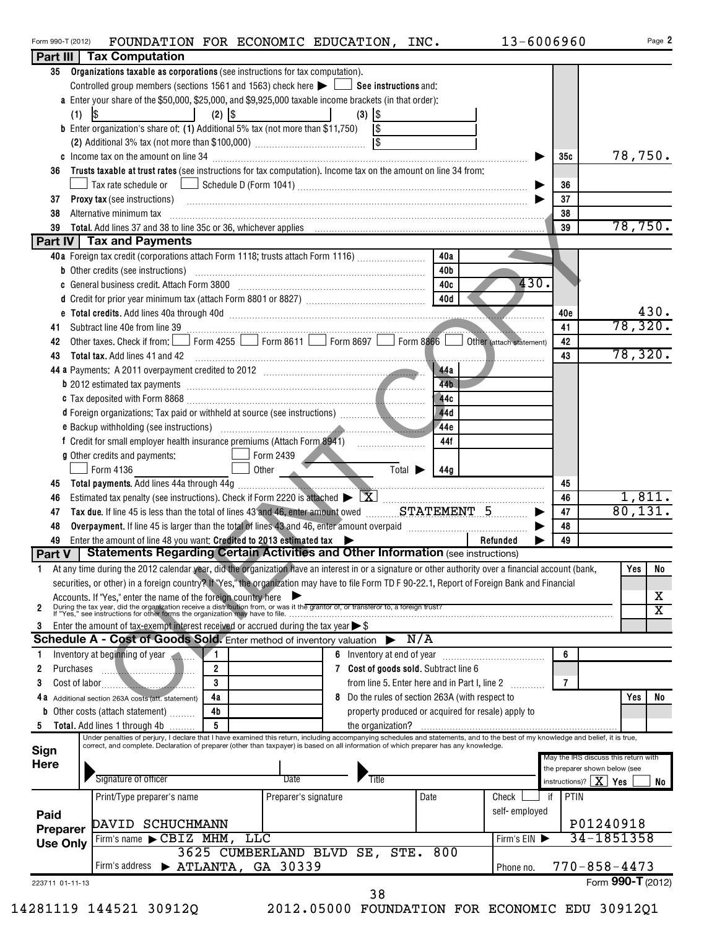| Form 990-T (2012) | FOUNDATION FOR ECONOMIC EDUCATION, |  | INC. | $3 - 6006960$ | Page |
|-------------------|------------------------------------|--|------|---------------|------|
|                   | <b>Dart III Tax Computation</b>    |  |      |               |      |

| 35              | Organizations taxable as corporations (see instructions for tax computation).                                                                                                                                                                                                                                             |                          |                                                    |                          |                |                                      |        |
|-----------------|---------------------------------------------------------------------------------------------------------------------------------------------------------------------------------------------------------------------------------------------------------------------------------------------------------------------------|--------------------------|----------------------------------------------------|--------------------------|----------------|--------------------------------------|--------|
|                 | Controlled group members (sections 1561 and 1563) check here $\blacktriangleright$ $\Box$ See instructions and:                                                                                                                                                                                                           |                          |                                                    |                          |                |                                      |        |
|                 | a Enter your share of the \$50,000, \$25,000, and \$9,925,000 taxable income brackets (in that order):                                                                                                                                                                                                                    |                          |                                                    |                          |                |                                      |        |
|                 | $\lvert \mathcal{S} \rvert$<br>$(2)$ \\$<br>(1)                                                                                                                                                                                                                                                                           |                          | $(3)$ $ $ \$                                       |                          |                |                                      |        |
|                 | <b>b</b> Enter organization's share of: (1) Additional 5% tax (not more than \$11,750) $\sqrt{\$}$                                                                                                                                                                                                                        |                          |                                                    |                          |                |                                      |        |
|                 |                                                                                                                                                                                                                                                                                                                           |                          |                                                    |                          |                |                                      |        |
|                 |                                                                                                                                                                                                                                                                                                                           |                          |                                                    |                          | 35c            | 78,750.                              |        |
| 36              | Trusts taxable at trust rates (see instructions for tax computation). Income tax on the amount on line 34 from:                                                                                                                                                                                                           |                          |                                                    |                          |                |                                      |        |
|                 |                                                                                                                                                                                                                                                                                                                           |                          |                                                    |                          | 36             |                                      |        |
| 37              | <b>Proxy tax (see instructions)</b>                                                                                                                                                                                                                                                                                       |                          |                                                    |                          | 37             |                                      |        |
|                 |                                                                                                                                                                                                                                                                                                                           |                          |                                                    |                          |                |                                      |        |
| 38              | Alternative minimum tax information and the contract of the contract of the contract of the contract of the contract of the contract of the contract of the contract of the contract of the contract of the contract of the co                                                                                            |                          |                                                    |                          | 38             | 78, 750.                             |        |
| 39              |                                                                                                                                                                                                                                                                                                                           |                          |                                                    |                          | 39             |                                      |        |
|                 | <b>Part IV Tax and Payments</b>                                                                                                                                                                                                                                                                                           |                          |                                                    |                          |                |                                      |        |
|                 | 40a Foreign tax credit (corporations attach Form 1118; trusts attach Form 1116)                                                                                                                                                                                                                                           |                          | 40a                                                |                          |                |                                      |        |
|                 | <b>b</b> Other credits (see instructions)                                                                                                                                                                                                                                                                                 |                          | 40b                                                |                          |                |                                      |        |
|                 | c General business credit. Attach Form 3800 [11] [11] Contract Contract Contract Contract Contract Contract Co                                                                                                                                                                                                            |                          | 40c                                                | 430.                     |                |                                      |        |
|                 |                                                                                                                                                                                                                                                                                                                           |                          | 40d                                                |                          |                |                                      |        |
|                 |                                                                                                                                                                                                                                                                                                                           |                          |                                                    |                          | 40e            |                                      | 430.   |
| 41              | Subtract line 40e from line 39 <b>Construction</b> 20 <b>Construction</b> 20 <b>Construction</b> 20 <b>Construction</b> 20 <b>Construction</b>                                                                                                                                                                            |                          |                                                    |                          | 41             | 78,320.                              |        |
| 42              | Other taxes. Check if from: $\Box$ Form 4255 $\Box$ Form 8611 $\Box$ Form 8697 $\Box$ Form 8866 $\Box$                                                                                                                                                                                                                    |                          |                                                    | Other (attach statement) | 42             |                                      |        |
| 43              | <b>Total tax.</b> Add lines 41 and 42                                                                                                                                                                                                                                                                                     |                          |                                                    |                          | 43             | 78,320.                              |        |
|                 | 44 a Payments: A 2011 overpayment credited to 2012 [11] [2011] [2012] [2012] [2012] [2012] [2012] [2012] [2012] [2012] [2012] [2012] [2012] [2012] [2012] [2012] [2012] [2012] [2012] [2012] [2012] [2012] [2012] [2012] [2012                                                                                            |                          | 44a                                                |                          |                |                                      |        |
|                 | <b>b</b> 2012 estimated tax payments <b>contract the contract of the contract of the contract of the contract of the contract of the contract of the contract of the contract of the contract of the contract of the contract of the </b>                                                                                 |                          | 44b                                                |                          |                |                                      |        |
|                 |                                                                                                                                                                                                                                                                                                                           |                          | 44c                                                |                          |                |                                      |        |
|                 | d Foreign organizations: Tax paid or withheld at source (see instructions)                                                                                                                                                                                                                                                |                          | 44d                                                |                          |                |                                      |        |
|                 |                                                                                                                                                                                                                                                                                                                           |                          | 44c                                                |                          |                |                                      |        |
|                 |                                                                                                                                                                                                                                                                                                                           |                          | 44f                                                |                          |                |                                      |        |
|                 | g Other credits and payments:                                                                                                                                                                                                                                                                                             | Form 2439                |                                                    |                          |                |                                      |        |
|                 | Form 4136                                                                                                                                                                                                                                                                                                                 | Other                    | $\overline{\mathrm{Total}}$<br>44g                 |                          |                |                                      |        |
| 45              |                                                                                                                                                                                                                                                                                                                           |                          |                                                    |                          | 45             |                                      |        |
| 46              |                                                                                                                                                                                                                                                                                                                           |                          |                                                    |                          | 46             |                                      | 1,811. |
|                 | Tax due. If line 45 is less than the total of lines 43 and 46, enter amount owed <b>CONGLATEMENT</b>                                                                                                                                                                                                                      |                          |                                                    |                          | 47             | 80, 131.                             |        |
| 47              |                                                                                                                                                                                                                                                                                                                           |                          |                                                    |                          |                |                                      |        |
| 48              |                                                                                                                                                                                                                                                                                                                           |                          |                                                    |                          | 48             |                                      |        |
| 49              | Enter the amount of line 48 you want: Credited to 2013 estimated tax<br>Statements Regarding Certain Activities and Other Information (see instructions)                                                                                                                                                                  |                          |                                                    | Refunded                 | 49             |                                      |        |
| Part V          |                                                                                                                                                                                                                                                                                                                           |                          |                                                    |                          |                |                                      |        |
| 1.              | At any time during the 2012 calendar year, did the organization have an interest in or a signature or other authority over a financial account (bank,                                                                                                                                                                     |                          |                                                    |                          |                | Yes                                  | No     |
|                 | securities, or other) in a foreign country? If "Yes," the organization may have to file Form TD F 90-22.1, Report of Foreign Bank and Financial                                                                                                                                                                           |                          |                                                    |                          |                |                                      |        |
| 2               | Accounts. If "Yes," enter the name of the foreign country here<br>During the tax year, did the organization receive a distribution from, or was it the grantor of, or transferor to, a foreign trust?<br>If "Yes," see instructions                                                                                       |                          |                                                    |                          |                |                                      | x      |
|                 |                                                                                                                                                                                                                                                                                                                           |                          |                                                    |                          |                |                                      | X      |
| 3               | Enter the amount of tax-exempt interest received or accrued during the tax year $\triangleright$ \$                                                                                                                                                                                                                       |                          |                                                    |                          |                |                                      |        |
|                 | Schedule A - Cost of Goods Sold. Enter method of inventory valuation                                                                                                                                                                                                                                                      |                          | N/A<br>▶                                           |                          |                |                                      |        |
| 1               | Inventory at beginning of year                                                                                                                                                                                                                                                                                            |                          |                                                    |                          | 6              |                                      |        |
| Purchases<br>2  | $\overline{2}$                                                                                                                                                                                                                                                                                                            |                          | 7 Cost of goods sold. Subtract line 6              |                          |                |                                      |        |
| 3               | 3                                                                                                                                                                                                                                                                                                                         |                          | from line 5. Enter here and in Part I, line 2      |                          | $\overline{7}$ |                                      |        |
|                 | 4a<br>4 a Additional section 263A costs (att. statement)                                                                                                                                                                                                                                                                  |                          | 8 Do the rules of section 263A (with respect to    |                          |                | Yes                                  | No     |
|                 | 4b<br><b>b</b> Other costs (attach statement)                                                                                                                                                                                                                                                                             |                          | property produced or acquired for resale) apply to |                          |                |                                      |        |
| 5               | 5<br>Total. Add lines 1 through 4b                                                                                                                                                                                                                                                                                        |                          |                                                    |                          |                |                                      |        |
|                 | Under penalties of perjury, I declare that I have examined this return, including accompanying schedules and statements, and to the best of my knowledge and belief, it is true,<br>correct, and complete. Declaration of preparer (other than taxpayer) is based on all information of which preparer has any knowledge. |                          |                                                    |                          |                |                                      |        |
| Sign            |                                                                                                                                                                                                                                                                                                                           |                          |                                                    |                          |                | May the IRS discuss this return with |        |
| <b>Here</b>     |                                                                                                                                                                                                                                                                                                                           |                          |                                                    |                          |                | the preparer shown below (see        |        |
|                 | Signature of officer                                                                                                                                                                                                                                                                                                      | Date                     | Title                                              |                          |                | instructions)? $X$ Yes               | No     |
|                 | Print/Type preparer's name                                                                                                                                                                                                                                                                                                | Preparer's signature     | Date                                               | Check                    | PTIN<br>if     |                                      |        |
|                 |                                                                                                                                                                                                                                                                                                                           |                          |                                                    | self-employed            |                |                                      |        |
| Paid            | DAVID SCHUCHMANN                                                                                                                                                                                                                                                                                                          |                          |                                                    |                          |                | P01240918                            |        |
| <b>Preparer</b> | Firm's name CBIZ MHM,                                                                                                                                                                                                                                                                                                     | LLC                      |                                                    | Firm's EIN               |                | 34-1851358                           |        |
| <b>Use Only</b> |                                                                                                                                                                                                                                                                                                                           | 3625 CUMBERLAND BLVD SE, | STE.<br>800                                        |                          |                |                                      |        |
|                 | Firm's address > ATLANTA, GA 30339                                                                                                                                                                                                                                                                                        |                          |                                                    | Phone no.                |                | $770 - 858 - 4473$                   |        |
| 223711 01-11-13 |                                                                                                                                                                                                                                                                                                                           |                          |                                                    |                          |                | Form 990-T (2012)                    |        |
|                 |                                                                                                                                                                                                                                                                                                                           |                          | 38                                                 |                          |                |                                      |        |
|                 |                                                                                                                                                                                                                                                                                                                           |                          |                                                    |                          |                |                                      |        |

14281119 144521 30912Q 2012.05000 FOUNDATION FOR ECONOMIC EDU 30912Q1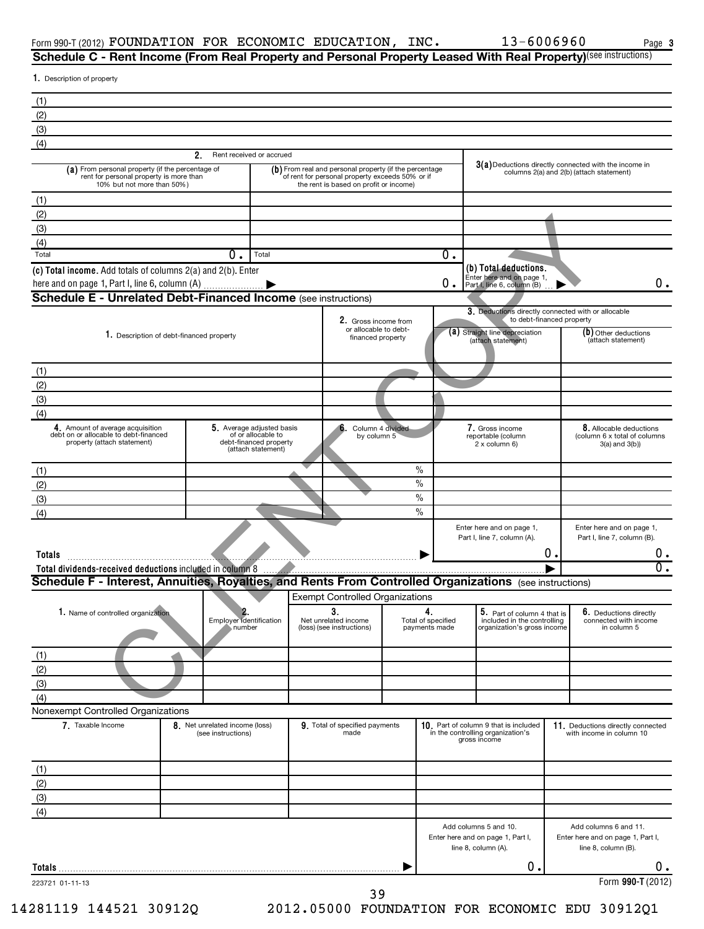$\overline{0}$ .

1. Description of property Rent received or accrued  $3(a)$  Deductions directly connected with the income in columns  $2(a)$  and  $2(b)$  (attach statement) (a) From personal property (if the percentage of **a**) From real and personal property (if the percentage **3(a)** Deductions directly connected with the incore rent for personal property (if the percentage of rent for person (a) From personal property (if the percentage of rent for personal property is more than 10% but not more than 50% ) the rent is based on profit or income) Total **Definition of the Contract Contract Contract Contract Contract Contract Contract Contract Contract Contract Contract Contract Contract Contract Contract Contract Contract Contract Contract Contract Contract Contract**  $\overline{0}$  .  $\begin{bmatrix}$  Enter here and on page 1,  $\overline{0}$  .  $\end{bmatrix}$  .  $\overline{0}$  .  $\overline{0}$  . **3.** Deductions directly connected with or allocable<br>to debt-financed property for the finance of the finance of the finance of the state of the state of the state of the state of the state of the state of the state of the or allocable to debt-Description of debt-financed property **Straight line depreciation** (**a**) Straight line depreciation (**b**) Other deduction (attach statement) description of debt-<br>(attach statement) (attach statement) (attach statement) (at (b) Other deductions<br>(attach statement) Amount of average acquisition **4. 5. 6. 7. 8.** debt on or allocable to debt-financed property (attach statement) 5 Average adjusted basis of or allocable to debt-financed property (attach statement) Column 4 divided by column 5 Gross income reportable (column  $2 \times$  column 6) Allocable deductions (column 6 x total of columns 3(a) and 3(b)) Enter here and on page 1, Part I, line 7, column (A). Enter here and on page 1, Part I, line 7, column (B). 1. Name of controlled organization **Particle is the Controlled organization Part of Column 4 that is a column 4 that is is a column 4 that is is 6.** Deductions directly Employer identification number Net unrelated income (loss) (see instructions) Total of specified payments made **5.** Part of column 4 that is included in the controlling organization's gross income **6.** Deductions directly connected with income in column 5 **2. (b) Total deductions. (c) Total income.** Add totals of columns 2(a) and 2(b). Enter **2.** 1. Description of debt-financed property **Totals Total dividends-received deductions** included in column 8 | Form 990-T (2012) <code>FOUNDATION FOR ECONOMIC EDUCATION, INC.</code>  $13-6006960$  Page **Schedule C - Rent Income (From Real Property and Personal Property Leased With Real Property)**(see instructions) here and on page 1, Part I, line 6, column (A)  $\qquad \qquad$   $\qquad \qquad$   $\qquad \qquad$   $\qquad \qquad$   $\qquad \qquad$   $\qquad \qquad$   $\qquad \qquad$ %  $\frac{0}{0}$  $\%$  $\overline{\frac{9}{6}}$ ~~~~~~~~~~~~~~~~~~~~~~~~~~~~~~~~~~~~~~~~~ | (1) (2) (3) (4) (1) (2) (3) (4) **Schedule E - Unrelated Debt-Financed Income** (see instructions) (1) (2) (3) (4) (1) (2) (3) (4) **Schedule F - Interest, Annuities, Royalties, and Rents From Controlled Organizations** (see instructions) Exempt Controlled Organizations (1)  $0.$  Total  $0.$  $\begin{array}{ccc} 0 \end{array}$  . CLIENT COPY

(4) Nonexempt Controlled Organizations

(2) (3)

| 7. Taxable Income | 8. Net unrelated income (loss)<br>(see instructions) | 9. Total of specified payments<br>made | 10. Part of column 9 that is included<br>in the controlling organization's<br>gross income | 11. Deductions directly connected<br>with income in column 10                     |
|-------------------|------------------------------------------------------|----------------------------------------|--------------------------------------------------------------------------------------------|-----------------------------------------------------------------------------------|
| (1)               |                                                      |                                        |                                                                                            |                                                                                   |
| (2)               |                                                      |                                        |                                                                                            |                                                                                   |
| (3)               |                                                      |                                        |                                                                                            |                                                                                   |
| (4)               |                                                      |                                        |                                                                                            |                                                                                   |
|                   |                                                      |                                        | Add columns 5 and 10.<br>Enter here and on page 1, Part I,<br>line 8, column (A).          | Add columns 6 and 11.<br>Enter here and on page 1, Part I,<br>line 8, column (B). |
| Totals            |                                                      |                                        | О.                                                                                         |                                                                                   |
| 223721 01-11-13   |                                                      |                                        |                                                                                            | Form 990-T (2012)                                                                 |

14281119 144521 30912Q 2012.05000 FOUNDATION FOR ECONOMIC EDU 30912Q1 39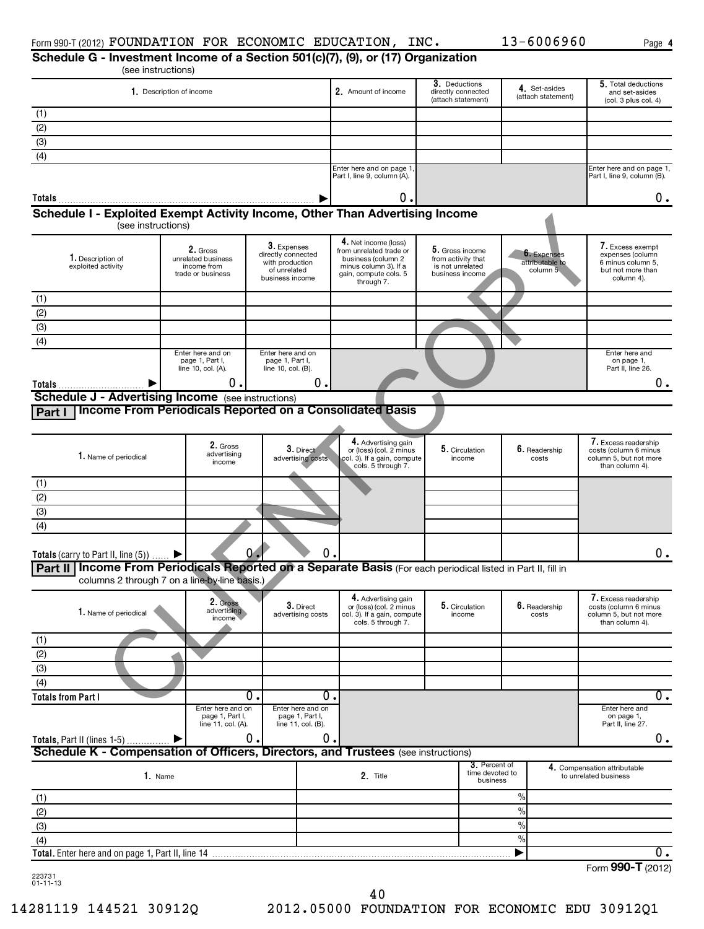|                                                                                                                |                                                                    |                                                       |                                                                                                     | Schedule G - Investment Income of a Section 501(c)(7), (9), or (17) Organization |                                                     | 13-6006960<br>Page 4                                                                       |
|----------------------------------------------------------------------------------------------------------------|--------------------------------------------------------------------|-------------------------------------------------------|-----------------------------------------------------------------------------------------------------|----------------------------------------------------------------------------------|-----------------------------------------------------|--------------------------------------------------------------------------------------------|
|                                                                                                                | (see instructions)                                                 |                                                       |                                                                                                     | 3. Deductions                                                                    |                                                     | 5. Total deductions                                                                        |
|                                                                                                                | 1. Description of income                                           |                                                       | 2. Amount of income                                                                                 | directly connected<br>(attach statement)                                         | 4. Set-asides<br>(attach statement)                 | and set-asides<br>(col. 3 plus col. 4)                                                     |
| (1)                                                                                                            |                                                                    |                                                       |                                                                                                     |                                                                                  |                                                     |                                                                                            |
| (2)                                                                                                            |                                                                    |                                                       |                                                                                                     |                                                                                  |                                                     |                                                                                            |
| (3)                                                                                                            |                                                                    |                                                       |                                                                                                     |                                                                                  |                                                     |                                                                                            |
| (4)                                                                                                            |                                                                    |                                                       |                                                                                                     |                                                                                  |                                                     |                                                                                            |
|                                                                                                                |                                                                    |                                                       | Enter here and on page 1<br>Part I, line 9, column (A).                                             |                                                                                  |                                                     | Enter here and on page 1,<br>Part I, line 9, column (B).                                   |
| Totals                                                                                                         |                                                                    |                                                       | 0                                                                                                   |                                                                                  |                                                     | 0.                                                                                         |
| Schedule I - Exploited Exempt Activity Income, Other Than Advertising Income                                   | (see instructions)                                                 |                                                       |                                                                                                     |                                                                                  |                                                     |                                                                                            |
|                                                                                                                |                                                                    | 3. Expenses                                           | 4. Net income (loss)                                                                                |                                                                                  |                                                     | 7. Excess exempt                                                                           |
| 1. Description of<br>exploited activity                                                                        | 2. Gross<br>unrelated business<br>income from<br>trade or business | directly connected<br>with production<br>of unrelated | from unrelated trade or<br>business (column 2<br>minus column 3). If a<br>gain, compute cols. 5     | 5. Gross income<br>from activity that<br>is not unrelated<br>business income     | <b>6.</b> Expenses<br>attributable to<br>column $5$ | expenses (column<br>6 minus column 5,<br>but not more than                                 |
|                                                                                                                |                                                                    | business income                                       | through 7.                                                                                          |                                                                                  |                                                     | column 4).                                                                                 |
| (1)                                                                                                            |                                                                    |                                                       |                                                                                                     |                                                                                  |                                                     |                                                                                            |
| (2)                                                                                                            |                                                                    |                                                       |                                                                                                     |                                                                                  |                                                     |                                                                                            |
| (3)                                                                                                            |                                                                    |                                                       |                                                                                                     |                                                                                  |                                                     |                                                                                            |
| (4)                                                                                                            | Enter here and on                                                  | Enter here and on                                     |                                                                                                     |                                                                                  |                                                     | Enter here and                                                                             |
|                                                                                                                | page 1, Part I,<br>line 10, col. (A).                              | page 1, Part I,<br>line 10, col. (B).                 |                                                                                                     |                                                                                  |                                                     | on page 1,<br>Part II, line 26.                                                            |
|                                                                                                                | 0.                                                                 |                                                       | 0.                                                                                                  |                                                                                  |                                                     | 0.                                                                                         |
| <b>Schedule J - Advertising Income</b> (see instructions)                                                      |                                                                    |                                                       |                                                                                                     |                                                                                  |                                                     |                                                                                            |
| Part I                                                                                                         |                                                                    |                                                       | Income From Periodicals Reported on a Consolidated Basis                                            |                                                                                  |                                                     |                                                                                            |
|                                                                                                                |                                                                    |                                                       |                                                                                                     |                                                                                  |                                                     |                                                                                            |
| 1. Name of periodical                                                                                          | 2. Gross<br>advertising<br>income                                  | $3.$ Direct<br>advertising costs                      | 4. Advertising gain<br>or (loss) (col. 2 minus<br>col. 3). If a gain, compute<br>cols. 5 through 7. | 5. Circulation<br>income                                                         | 6. Readership<br>costs                              | 7. Excess readership<br>costs (column 6 minus<br>column 5, but not more<br>than column 4). |
| (1)                                                                                                            |                                                                    |                                                       |                                                                                                     |                                                                                  |                                                     |                                                                                            |
| (2)                                                                                                            |                                                                    |                                                       |                                                                                                     |                                                                                  |                                                     |                                                                                            |
| (3)                                                                                                            |                                                                    |                                                       |                                                                                                     |                                                                                  |                                                     |                                                                                            |
| (4)                                                                                                            |                                                                    |                                                       |                                                                                                     |                                                                                  |                                                     |                                                                                            |
|                                                                                                                |                                                                    |                                                       |                                                                                                     |                                                                                  |                                                     |                                                                                            |
|                                                                                                                |                                                                    |                                                       |                                                                                                     |                                                                                  |                                                     |                                                                                            |
| <b>Totals</b> (carry to Part II, line $(5)$ )                                                                  |                                                                    | $0 -$                                                 | $\mathsf{U}$ .                                                                                      |                                                                                  |                                                     |                                                                                            |
| Part II   Income From Periodicals Reported on a Separate Basis (For each periodical listed in Part II, fill in | columns 2 through 7 on a line-by-line basis.)                      |                                                       |                                                                                                     |                                                                                  |                                                     | υ.                                                                                         |
|                                                                                                                |                                                                    |                                                       | 4. Advertising gain                                                                                 |                                                                                  |                                                     | 7. Excess readership                                                                       |
| 1. Name of periodical                                                                                          | 2. Gross<br>advertising<br>income                                  | 3. Direct<br>advertising costs                        | or (loss) (col. 2 minus<br>col. 3). If a gain, compute                                              | 5. Circulation<br>income                                                         | 6. Readership<br>costs                              | costs (column 6 minus<br>column 5, but not more                                            |
|                                                                                                                |                                                                    |                                                       | cols. 5 through 7.                                                                                  |                                                                                  |                                                     | than column 4).                                                                            |
|                                                                                                                |                                                                    |                                                       |                                                                                                     |                                                                                  |                                                     |                                                                                            |
| (2)                                                                                                            |                                                                    |                                                       |                                                                                                     |                                                                                  |                                                     |                                                                                            |
| (3)                                                                                                            |                                                                    |                                                       |                                                                                                     |                                                                                  |                                                     |                                                                                            |
| (4)                                                                                                            |                                                                    | $\overline{0}$ .                                      | Ο.                                                                                                  |                                                                                  |                                                     |                                                                                            |
|                                                                                                                | Enter here and on                                                  | Enter here and on                                     |                                                                                                     |                                                                                  |                                                     | Enter here and                                                                             |
| (1)<br><b>Totals from Part I</b>                                                                               | page 1, Part I,<br>line 11, col. (A).                              | page 1, Part I,<br>line 11, col. (B).                 |                                                                                                     |                                                                                  |                                                     | on page 1,<br>Part II, line 27.                                                            |
|                                                                                                                |                                                                    | $0$ .                                                 | 0.                                                                                                  |                                                                                  |                                                     |                                                                                            |
|                                                                                                                |                                                                    |                                                       |                                                                                                     |                                                                                  |                                                     |                                                                                            |
|                                                                                                                | 1. Name                                                            |                                                       | 2. Title                                                                                            | 3. Percent of<br>time devoted to                                                 |                                                     | 4. Compensation attributable<br>to unrelated business                                      |
|                                                                                                                |                                                                    |                                                       |                                                                                                     | business                                                                         |                                                     |                                                                                            |
|                                                                                                                |                                                                    |                                                       |                                                                                                     |                                                                                  | $\frac{0}{0}$                                       |                                                                                            |
| Schedule K - Compensation of Officers, Directors, and Trustees (see instructions)<br>(1)<br>(2)                |                                                                    |                                                       |                                                                                                     |                                                                                  | $\frac{0}{0}$<br>$\%$                               |                                                                                            |
|                                                                                                                |                                                                    |                                                       |                                                                                                     |                                                                                  | $\%$                                                |                                                                                            |
| (3)<br>(4)                                                                                                     |                                                                    |                                                       |                                                                                                     |                                                                                  | ▶                                                   | $0$ .<br>0.<br>0.<br>Form 990-T (2012)                                                     |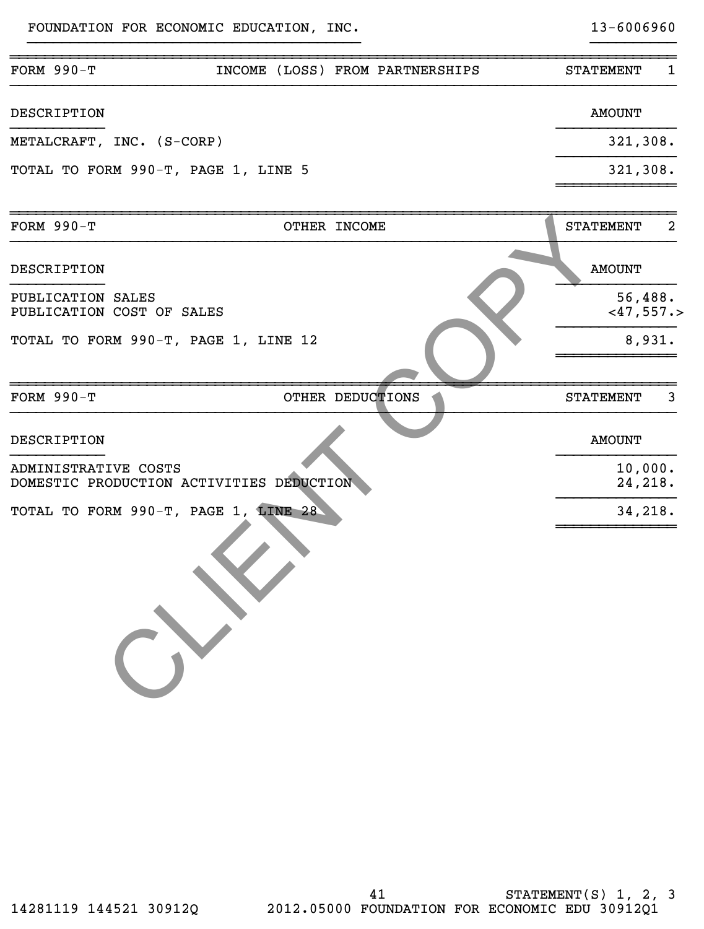FOUNDATION FOR ECONOMIC EDUCATION, INC. 13-6006960

| <b>FORM 990-T</b>                                                | INCOME (LOSS) FROM PARTNERSHIPS | <b>STATEMENT</b><br>1   |
|------------------------------------------------------------------|---------------------------------|-------------------------|
| DESCRIPTION                                                      |                                 | <b>AMOUNT</b>           |
| METALCRAFT, INC. (S-CORP)                                        |                                 | 321,308.                |
| TOTAL TO FORM 990-T, PAGE 1, LINE 5                              |                                 | 321,308.                |
| <b>FORM 990-T</b>                                                | OTHER INCOME                    | <b>STATEMENT</b><br>2   |
| DESCRIPTION                                                      |                                 | <b>AMOUNT</b>           |
| PUBLICATION SALES<br>PUBLICATION COST OF SALES                   |                                 | 56,488.<br>$<$ 47,557.> |
| TOTAL TO FORM 990-T, PAGE 1, LINE 12                             |                                 | 8,931.                  |
| <b>FORM 990-T</b>                                                | OTHER DEDUCTIONS                | <b>STATEMENT</b><br>3   |
| DESCRIPTION                                                      |                                 | <b>AMOUNT</b>           |
| ADMINISTRATIVE COSTS<br>DOMESTIC PRODUCTION ACTIVITIES DEDUCTION | 10,000.<br>24,218.              |                         |
| TOTAL TO FORM 990-T, PAGE 1, LINE 28                             |                                 | 34,218.                 |
|                                                                  |                                 |                         |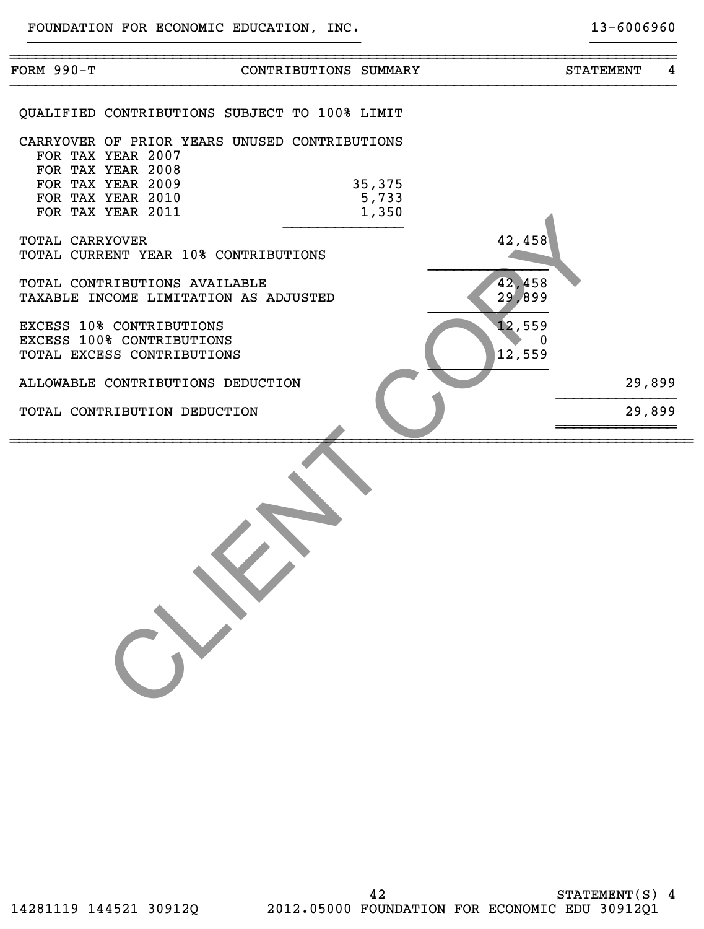| FORM 990-T                                                                                                             | CONTRIBUTIONS SUMMARY                                                                                        | <b>STATEMENT</b> | 4 |  |  |  |
|------------------------------------------------------------------------------------------------------------------------|--------------------------------------------------------------------------------------------------------------|------------------|---|--|--|--|
|                                                                                                                        | <b>OUALIFIED CONTRIBUTIONS SUBJECT TO 100% LIMIT</b>                                                         |                  |   |  |  |  |
|                                                                                                                        | CARRYOVER OF PRIOR YEARS UNUSED CONTRIBUTIONS<br>FOR TAX YEAR 2007                                           |                  |   |  |  |  |
|                                                                                                                        | FOR TAX YEAR 2008<br>FOR TAX YEAR 2009<br>35,375<br>FOR TAX YEAR 2010<br>5,733<br>FOR TAX YEAR 2011<br>1,350 |                  |   |  |  |  |
| 42,458<br>TOTAL CARRYOVER<br>TOTAL CURRENT YEAR 10% CONTRIBUTIONS                                                      |                                                                                                              |                  |   |  |  |  |
| 42,458<br>TOTAL CONTRIBUTIONS AVAILABLE<br>29,899<br>TAXABLE INCOME LIMITATION AS ADJUSTED                             |                                                                                                              |                  |   |  |  |  |
| 12,559<br>EXCESS 10% CONTRIBUTIONS<br>EXCESS 100% CONTRIBUTIONS<br>$\mathbf 0$<br>12,559<br>TOTAL EXCESS CONTRIBUTIONS |                                                                                                              |                  |   |  |  |  |
|                                                                                                                        | ALLOWABLE CONTRIBUTIONS DEDUCTION                                                                            | 29,899           |   |  |  |  |
|                                                                                                                        | TOTAL CONTRIBUTION DEDUCTION                                                                                 | 29,899           |   |  |  |  |
|                                                                                                                        |                                                                                                              |                  |   |  |  |  |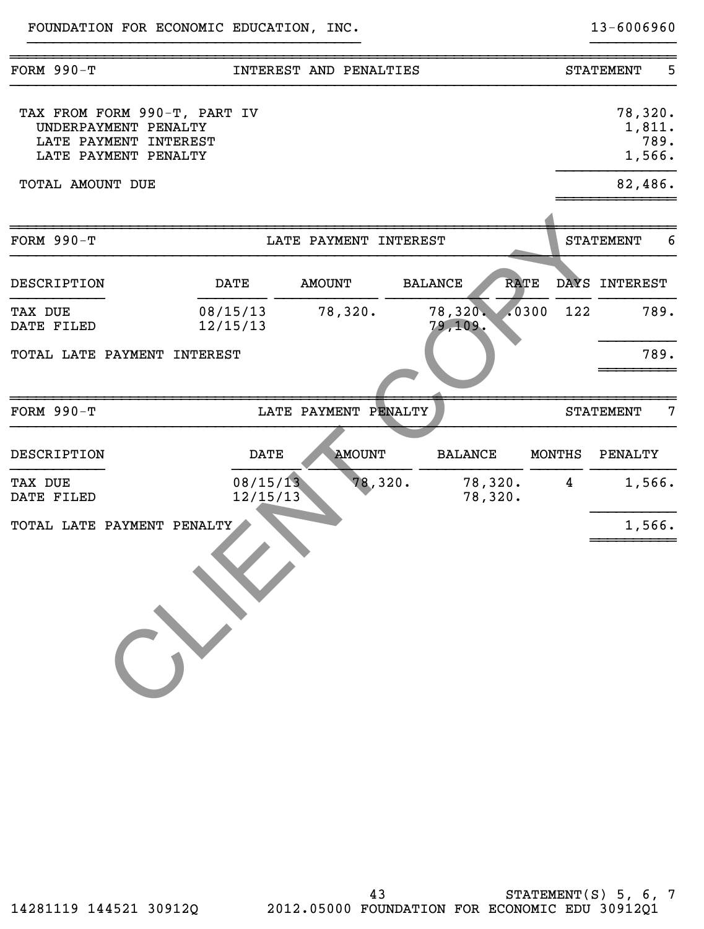| <b>FORM 990-T</b>                                                                                     |                      | INTEREST AND PENALTIES |                               |             |                | 5<br><b>STATEMENT</b>               |
|-------------------------------------------------------------------------------------------------------|----------------------|------------------------|-------------------------------|-------------|----------------|-------------------------------------|
| TAX FROM FORM 990-T, PART IV<br>UNDERPAYMENT PENALTY<br>LATE PAYMENT INTEREST<br>LATE PAYMENT PENALTY |                      |                        |                               |             |                | 78,320.<br>1,811.<br>789.<br>1,566. |
| TOTAL AMOUNT DUE                                                                                      |                      |                        |                               |             |                | 82,486.                             |
| <b>FORM 990-T</b>                                                                                     |                      | LATE PAYMENT INTEREST  |                               |             |                | <b>STATEMENT</b><br>6               |
| DESCRIPTION                                                                                           | <b>DATE</b>          | <b>AMOUNT</b>          | <b>BALANCE</b>                | <b>RATE</b> |                | DAYS INTEREST                       |
| TAX DUE<br>DATE FILED                                                                                 | 08/15/13<br>12/15/13 | 78,320.                | 78,320.<br>79,109.            | .0300       | 122            | 789.                                |
| TOTAL LATE PAYMENT INTEREST                                                                           |                      |                        |                               |             |                | 789.                                |
| <b>FORM 990-T</b>                                                                                     |                      | LATE PAYMENT PENALTY   |                               |             |                | $7\phantom{.0}$<br><b>STATEMENT</b> |
| <b>DESCRIPTION</b>                                                                                    | <b>DATE</b>          | <b>AMOUNT</b>          | <b>BALANCE</b>                |             | <b>MONTHS</b>  | <b>PENALTY</b>                      |
| TAX DUE<br>DATE FILED                                                                                 | 08/15/13<br>12/15/13 |                        | 78,320.<br>78,320.<br>78,320. |             | $\overline{4}$ | 1,566.                              |
| TOTAL LATE PAYMENT PENALTY                                                                            |                      |                        |                               |             |                | 1,566.                              |
|                                                                                                       |                      |                        |                               |             |                |                                     |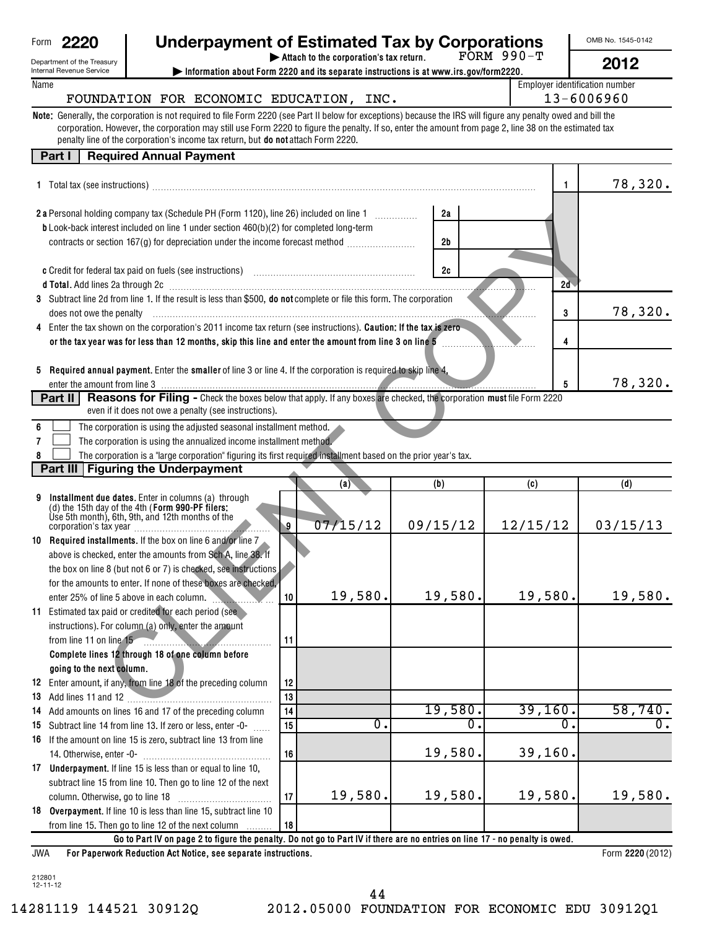| Form | н |
|------|---|
|      |   |

Department of the Treasury Internal Revenue Service

#### **2220 Underpayment of Estimated Tax by Corporations** FORM 990-T

OMB No. 1545-0142 **2012**

| Attach to the corporation's tax return. |  |
|-----------------------------------------|--|
|-----------------------------------------|--|

**| Information about Form 2220 and its separate instructions is at www.irs.gov/form2220.**

Name **Employer identification number**  $\Box$  Employer identification number

#### FOUNDATION FOR ECONOMIC EDUCATION, INC. | 13-6006960

**Note:** Generally, the corporation is not required to file Form 2220 (see Part II below for exceptions) because the IRS will figure any penalty owed and bill the penalty line of the corporation's income tax return, but **do not** attach Form 2220. corporation. However, the corporation may still use Form 2220 to figure the penalty. If so, enter the amount from page 2, line 38 on the estimated tax

#### **Part I Required Annual Payment**

|     | 1 Total tax (see instructions)                                                                                                                                                                                                         |    |                  |                | 1        | 78,320.          |
|-----|----------------------------------------------------------------------------------------------------------------------------------------------------------------------------------------------------------------------------------------|----|------------------|----------------|----------|------------------|
|     |                                                                                                                                                                                                                                        |    |                  |                |          |                  |
|     | 2 a Personal holding company tax (Schedule PH (Form 1120), line 26) included on line 1                                                                                                                                                 |    |                  | 2a             |          |                  |
|     | b Look-back interest included on line 1 under section 460(b)(2) for completed long-term                                                                                                                                                |    |                  |                |          |                  |
|     | contracts or section 167(g) for depreciation under the income forecast method                                                                                                                                                          |    |                  | 2 <sub>b</sub> |          |                  |
|     |                                                                                                                                                                                                                                        |    |                  |                |          |                  |
|     |                                                                                                                                                                                                                                        |    |                  | 2c             |          |                  |
|     | d Total. Add lines 2a through 2c [11] Martin Martin Martin Martin Martin Martin Martin Martin Martin Martin Ma<br>3 Subtract line 2d from line 1. If the result is less than \$500, do not complete or file this form. The corporation |    |                  |                | 2d       |                  |
|     |                                                                                                                                                                                                                                        |    |                  |                |          | 78,320.          |
|     | does not owe the penalty<br>4 Enter the tax shown on the corporation's 2011 income tax return (see instructions). Caution: If the tax is zero                                                                                          |    |                  |                | 3        |                  |
|     |                                                                                                                                                                                                                                        |    |                  |                |          |                  |
|     | or the tax year was for less than 12 months, skip this line and enter the amount from line 3 on line 5                                                                                                                                 |    |                  |                | 4        |                  |
|     | 5 Required annual payment. Enter the smaller of line 3 or line 4. If the corporation is required to skip line 4,                                                                                                                       |    |                  |                |          |                  |
|     | enter the amount from line 3                                                                                                                                                                                                           |    |                  |                | 5        | 78,320.          |
|     | <u> 1988 - Johann Stormann, fransk politik (f. 1988)</u><br><b>Part II</b> Reasons for Filing - Check the boxes below that apply. If any boxes are checked, the corporation must file Form 2220                                        |    |                  |                |          |                  |
|     | even if it does not owe a penalty (see instructions).                                                                                                                                                                                  |    |                  |                |          |                  |
| 6   | The corporation is using the adjusted seasonal installment method.                                                                                                                                                                     |    |                  |                |          |                  |
|     | The corporation is using the annualized income installment method.                                                                                                                                                                     |    |                  |                |          |                  |
| 7   |                                                                                                                                                                                                                                        |    |                  |                |          |                  |
|     | The corporation is a "large corporation" figuring its first required installment based on the prior year's tax.                                                                                                                        |    |                  |                |          |                  |
|     | Part III   Figuring the Underpayment                                                                                                                                                                                                   |    |                  |                |          | (d)              |
|     |                                                                                                                                                                                                                                        |    | (a)              | (b)            | (c)      |                  |
| 9   | Installment due dates. Enter in columns (a) through<br>(d) the 15th day of the 4th (Form 990-PF filers:                                                                                                                                |    |                  |                |          |                  |
|     | Use 5th month), 6th, 9th, and 12th months of the<br>corporation's tax year                                                                                                                                                             | 9  | 07/15/12         | 09/15/12       | 12/15/12 | 03/15/13         |
|     |                                                                                                                                                                                                                                        |    |                  |                |          |                  |
|     | 10 Required installments. If the box on line 6 and/or line 7                                                                                                                                                                           |    |                  |                |          |                  |
|     | above is checked, enter the amounts from Sch A, line 38. If                                                                                                                                                                            |    |                  |                |          |                  |
|     | the box on line 8 (but not 6 or 7) is checked, see instructions                                                                                                                                                                        |    |                  |                |          |                  |
|     | for the amounts to enter. If none of these boxes are checked,                                                                                                                                                                          |    | 19,580.          | 19,580.        | 19,580.  | 19,580.          |
|     | enter 25% of line 5 above in each column.                                                                                                                                                                                              | 10 |                  |                |          |                  |
|     | 11 Estimated tax paid or credited for each period (see                                                                                                                                                                                 |    |                  |                |          |                  |
|     | instructions). For column (a) only, enter the amount                                                                                                                                                                                   |    |                  |                |          |                  |
|     | from line 11 on line 15                                                                                                                                                                                                                | 11 |                  |                |          |                  |
|     | Complete lines 12 through 18 of one column before                                                                                                                                                                                      |    |                  |                |          |                  |
|     | going to the next column.                                                                                                                                                                                                              |    |                  |                |          |                  |
|     | 12 Enter amount, if any, from line 18 of the preceding column                                                                                                                                                                          | 12 |                  |                |          |                  |
|     | 13 Add lines 11 and 12                                                                                                                                                                                                                 | 13 |                  | 19,580.        | 39,160.  | 58,740.          |
|     | 14 Add amounts on lines 16 and 17 of the preceding column                                                                                                                                                                              | 14 | $\overline{0}$ . | 0.             | 0.       | 0.               |
|     | 15 Subtract line 14 from line 13. If zero or less, enter -0-                                                                                                                                                                           | 15 |                  |                |          |                  |
|     | 16 If the amount on line 15 is zero, subtract line 13 from line                                                                                                                                                                        |    |                  |                |          |                  |
|     |                                                                                                                                                                                                                                        | 16 |                  | 19,580.        | 39,160.  |                  |
|     | 17 Underpayment. If line 15 is less than or equal to line 10,                                                                                                                                                                          |    |                  |                |          |                  |
|     | subtract line 15 from line 10. Then go to line 12 of the next                                                                                                                                                                          |    |                  |                |          |                  |
|     | column. Otherwise, go to line 18                                                                                                                                                                                                       | 17 | 19,580.          | 19,580.        | 19,580.  | 19,580.          |
|     | 18 Overpayment. If line 10 is less than line 15, subtract line 10                                                                                                                                                                      |    |                  |                |          |                  |
|     | from line 15. Then go to line 12 of the next column                                                                                                                                                                                    | 18 |                  |                |          |                  |
|     | Go to Part IV on page 2 to figure the penalty. Do not go to Part IV if there are no entries on line 17 - no penalty is owed.                                                                                                           |    |                  |                |          |                  |
| JWA | For Paperwork Reduction Act Notice, see separate instructions.                                                                                                                                                                         |    |                  |                |          | Form 2220 (2012) |

212801 12-11-12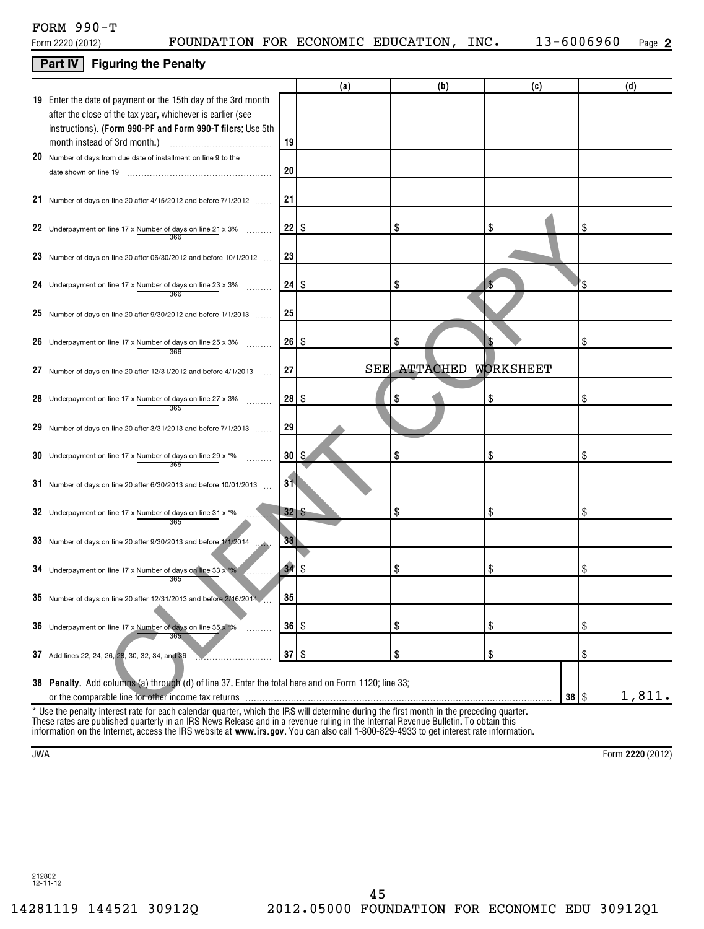| $FORM 990-T$     |            |
|------------------|------------|
| Form 2220 (2012) | FOUNDATION |

### **Part IV Figuring the Penalty**

|                                                                                                     |              | (a)                                                    | (b)                       | (c)       |     | (d)    |
|-----------------------------------------------------------------------------------------------------|--------------|--------------------------------------------------------|---------------------------|-----------|-----|--------|
| 19 Enter the date of payment or the 15th day of the 3rd month                                       |              |                                                        |                           |           |     |        |
| after the close of the tax year, whichever is earlier (see                                          |              |                                                        |                           |           |     |        |
| instructions). (Form 990-PF and Form 990-T filers: Use 5th                                          |              |                                                        |                           |           |     |        |
| month instead of 3rd month.)                                                                        | 19           |                                                        |                           |           |     |        |
| 20 Number of days from due date of installment on line 9 to the                                     |              |                                                        |                           |           |     |        |
| date shown on line 19                                                                               | 20           |                                                        |                           |           |     |        |
|                                                                                                     |              |                                                        |                           |           |     |        |
| 21 Number of days on line 20 after 4/15/2012 and before 7/1/2012                                    | 21           |                                                        |                           |           |     |        |
|                                                                                                     |              |                                                        |                           |           |     |        |
| 22 Underpayment on line 17 x Number of days on line 21 x 3%                                         | $22  $ \$    |                                                        | \$                        | \$        | \$  |        |
|                                                                                                     |              |                                                        |                           |           |     |        |
| 23 Number of days on line 20 after 06/30/2012 and before 10/1/2012                                  | 23           |                                                        |                           |           |     |        |
|                                                                                                     |              |                                                        | \$                        |           | ΄\$ |        |
| 24 Underpayment on line 17 x Number of days on line 23 x 3%<br>.<br>366                             |              |                                                        |                           |           |     |        |
|                                                                                                     | 25           |                                                        |                           |           |     |        |
| 25 Number of days on line 20 after 9/30/2012 and before 1/1/2013                                    |              |                                                        |                           |           |     |        |
| 26 Underpayment on line 17 x Number of days on line 25 x 3%                                         | $26  $ \$    |                                                        | \$                        |           | \$  |        |
| .<br>366                                                                                            |              |                                                        |                           |           |     |        |
| 27 Number of days on line 20 after 12/31/2012 and before 4/1/2013                                   | 27           | <b>SEE</b>                                             | <b>ATTACHED WORKSHEET</b> |           |     |        |
|                                                                                                     |              |                                                        |                           |           |     |        |
| 28 Underpayment on line 17 x Number of days on line 27 x 3%<br>.                                    | $28  $ \$    |                                                        | \$                        | \$        | \$  |        |
| 365                                                                                                 |              |                                                        |                           |           |     |        |
| 29 Number of days on line 20 after 3/31/2013 and before 7/1/2013                                    | 29           |                                                        |                           |           |     |        |
|                                                                                                     |              |                                                        |                           |           |     |        |
| 30 Underpayment on line 17 x Number of days on line 29 x *%                                         | 30           | \$                                                     | \$                        | \$        | \$  |        |
| 365                                                                                                 |              |                                                        |                           |           |     |        |
| 31 Number of days on line 20 after 6/30/2013 and before 10/01/2013                                  | 31           |                                                        |                           |           |     |        |
|                                                                                                     |              |                                                        |                           |           |     |        |
| 32 Underpayment on line 17 x Number of days on line 31 x *%                                         | $32 \mid$ \$ |                                                        | \$                        | \$        | \$  |        |
| 365                                                                                                 |              |                                                        |                           |           |     |        |
| 33 Number of days on line 20 after 9/30/2013 and before 1/1/2014                                    | 33           |                                                        |                           |           |     |        |
|                                                                                                     |              |                                                        |                           |           |     |        |
| 34 Underpayment on line 17 x Number of days on line 33 $x^{4}\%$<br>7.                              | 34           | \$                                                     | \$                        | \$        | \$  |        |
| 365                                                                                                 |              |                                                        |                           |           |     |        |
| 35 Number of days on line 20 after 12/31/2013 and before 2/16/2014                                  | 35           |                                                        |                           |           |     |        |
|                                                                                                     |              |                                                        |                           |           |     |        |
| 36 Underpayment on line 17 x Number of days on line 35 x *%                                         | 36   \$      |                                                        | \$                        | \$        | \$  |        |
|                                                                                                     |              |                                                        |                           |           |     |        |
| 37 Add lines 22, 24, 26, 28, 30, 32, 34, and 36                                                     | $37$ \ \$    |                                                        | \$                        | \$        | \$  |        |
|                                                                                                     |              |                                                        |                           |           |     |        |
| 38 Penalty. Add columns (a) through (d) of line 37. Enter the total here and on Form 1120; line 33; |              |                                                        |                           |           |     |        |
|                                                                                                     |              | which the IDC will determine during the first menth in |                           | $38  $ \$ |     | 1,811. |

information on the Internet, access the IRS website at **www.irs.gov**. You can also call 1-800-829-4933 to get interest rate information. Use the penalty interest rate for each calendar quarter, which the IRS will determine during the first month in the preceding quarter. These rates are published quarterly in an IRS News Release and in a revenue ruling in the Internal Revenue Bulletin. To obtain this

**2220**  JWA Form (2012)

212802 12-11-12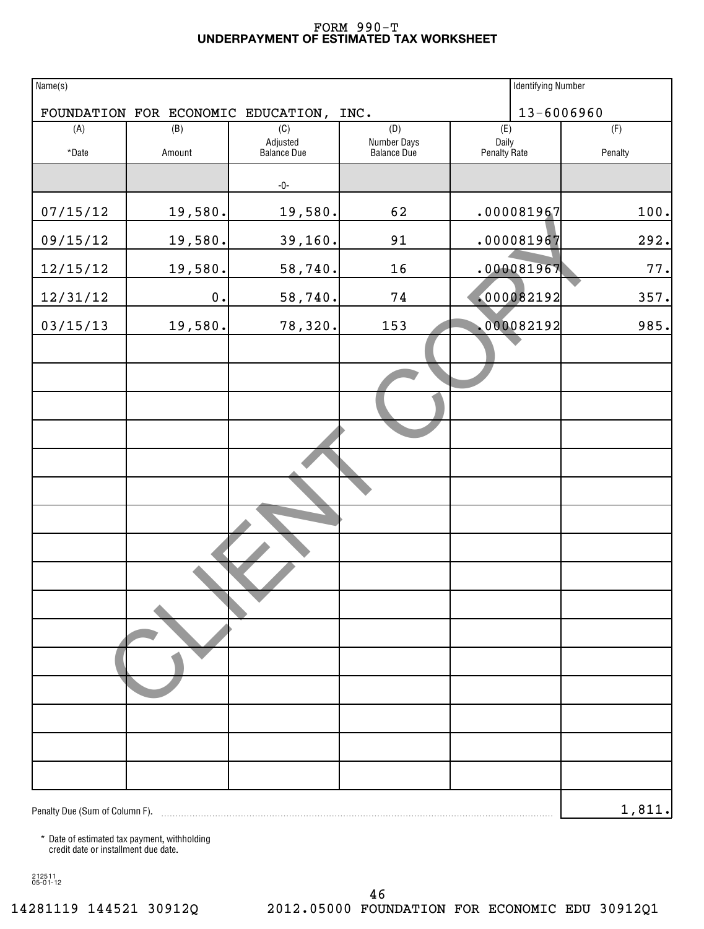#### **UNDERPAYMENT OF ESTIMATED TAX WORKSHEET** FORM 990-T

| Name(s)                        |               |                                         |                    |              | <b>Identifying Number</b> |         |
|--------------------------------|---------------|-----------------------------------------|--------------------|--------------|---------------------------|---------|
|                                |               | FOUNDATION FOR ECONOMIC EDUCATION, INC. |                    |              | 13-6006960                |         |
| (A)                            | (B)           | (C)<br>Adjusted                         | (D)<br>Number Days | (E)<br>Daily |                           | (F)     |
| *Date                          | Amount        | Balance Due                             | <b>Balance Due</b> | Penalty Rate |                           | Penalty |
|                                |               | -0-                                     |                    |              |                           |         |
| 07/15/12                       | 19,580.       | 19,580.                                 | 62                 |              | .000081967                | 100.    |
| 09/15/12                       | 19,580.       | 39,160.                                 | 91                 |              | .000081967                | 292.    |
| 12/15/12                       | 19,580.       | 58,740.                                 | 16                 |              | .000081967                | 77.     |
| 12/31/12                       | $\mathbf 0$ . | 58,740.                                 | 74                 |              | .000082192                | 357.    |
| 03/15/13                       | 19,580.       | 78,320.                                 | 153                |              | .000082192                | 985.    |
|                                |               |                                         |                    |              |                           |         |
|                                |               |                                         |                    |              |                           |         |
|                                |               |                                         |                    |              |                           |         |
|                                |               |                                         |                    |              |                           |         |
|                                |               |                                         |                    |              |                           |         |
|                                |               |                                         |                    |              |                           |         |
|                                |               |                                         |                    |              |                           |         |
|                                |               |                                         |                    |              |                           |         |
|                                |               |                                         |                    |              |                           |         |
|                                |               |                                         |                    |              |                           |         |
|                                |               |                                         |                    |              |                           |         |
|                                |               |                                         |                    |              |                           |         |
|                                |               |                                         |                    |              |                           |         |
|                                |               |                                         |                    |              |                           |         |
|                                |               |                                         |                    |              |                           |         |
| Penalty Due (Sum of Column F). |               |                                         |                    |              |                           | 1, 811. |

\* Date of estimated tax payment, withholding credit date or installment due date.

212511 05-01-12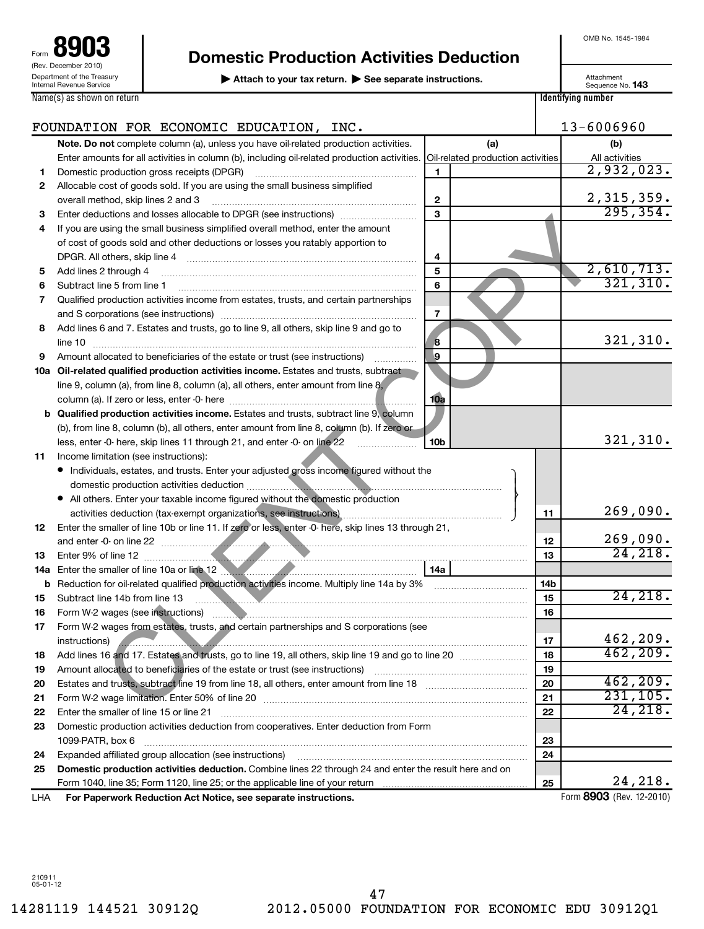| 8903<br>Form                                                  |
|---------------------------------------------------------------|
| (Rev. December 2010)                                          |
| Department of the Treasury<br><b>Internal Revenue Service</b> |
| Name(s) as shown on return                                    |

# **Domestic Production Activities Deduction**

▶ Attach to your tax return. ▶ See separate instructions. **143** Attachment Sequence No. 143

OMB No. 1545-1984

| Attachment       |  |
|------------------|--|
| Sequence No. 143 |  |

|  | oogaonoo i         |  |
|--|--------------------|--|
|  | ldentifying number |  |

|     | FOUNDATION FOR ECONOMIC EDUCATION, INC.                                                                                                                                                                                                                                |                                   | 13-6006960                    |
|-----|------------------------------------------------------------------------------------------------------------------------------------------------------------------------------------------------------------------------------------------------------------------------|-----------------------------------|-------------------------------|
|     | Note. Do not complete column (a), unless you have oil-related production activities.                                                                                                                                                                                   | (a)                               | (b)                           |
|     | Enter amounts for all activities in column (b), including oil-related production activities.                                                                                                                                                                           | Oil-related production activities | All activities                |
| 1   | Domestic production gross receipts (DPGR)<br>1                                                                                                                                                                                                                         |                                   | 2,932,023.                    |
| 2   | Allocable cost of goods sold. If you are using the small business simplified                                                                                                                                                                                           |                                   |                               |
|     | overall method, skip lines 2 and 3<br>$\mathbf{2}$                                                                                                                                                                                                                     |                                   | $\frac{2,315,359.}{295,354.}$ |
| з   | $\mathbf{a}$<br>Enter deductions and losses allocable to DPGR (see instructions)                                                                                                                                                                                       |                                   |                               |
| 4   | If you are using the small business simplified overall method, enter the amount                                                                                                                                                                                        |                                   |                               |
|     | of cost of goods sold and other deductions or losses you ratably apportion to                                                                                                                                                                                          |                                   |                               |
|     | DPGR. All others, skip line 4 [11] matter contracts and the skip line 4 [11] matter contracts and the contracts and the contracts and the DPGR. All others, skip line 4<br>4                                                                                           |                                   |                               |
| 5   | Add lines 2 through 4<br>5                                                                                                                                                                                                                                             |                                   | $\frac{2,610,713.}{321,310.}$ |
| 6   | 6<br>Subtract line 5 from line 1                                                                                                                                                                                                                                       |                                   |                               |
| 7   | Qualified production activities income from estates, trusts, and certain partnerships                                                                                                                                                                                  |                                   |                               |
|     | 7                                                                                                                                                                                                                                                                      |                                   |                               |
| 8   | Add lines 6 and 7. Estates and trusts, go to line 9, all others, skip line 9 and go to                                                                                                                                                                                 |                                   |                               |
|     | 8<br>line 10                                                                                                                                                                                                                                                           |                                   | 321,310.                      |
| 9   | g,<br>Amount allocated to beneficiaries of the estate or trust (see instructions)                                                                                                                                                                                      |                                   |                               |
| 10a | Oil-related qualified production activities income. Estates and trusts, subtract                                                                                                                                                                                       |                                   |                               |
|     | line 9, column (a), from line 8, column (a), all others, enter amount from line $8$ ,                                                                                                                                                                                  |                                   |                               |
|     | 10a                                                                                                                                                                                                                                                                    |                                   |                               |
|     | Qualified production activities income. Estates and trusts, subtract line 9, column                                                                                                                                                                                    |                                   |                               |
|     | (b), from line 8, column (b), all others, enter amount from line 8, column (b). If zero or                                                                                                                                                                             |                                   |                               |
|     | 10 <sub>b</sub><br>less, enter -0- here, skip lines 11 through 21, and enter -0- on line 22                                                                                                                                                                            |                                   | 321, 310.                     |
| 11  | Income limitation (see instructions):                                                                                                                                                                                                                                  |                                   |                               |
|     | • Individuals, estates, and trusts. Enter your adjusted gross income figured without the                                                                                                                                                                               |                                   |                               |
|     |                                                                                                                                                                                                                                                                        |                                   |                               |
|     | • All others. Enter your taxable income figured without the domestic production                                                                                                                                                                                        |                                   |                               |
|     |                                                                                                                                                                                                                                                                        | 11                                | 269,090.                      |
| 12  | Enter the smaller of line 10b or line 11. If zero or less, enter -0- here, skip lines 13 through 21,                                                                                                                                                                   |                                   |                               |
|     |                                                                                                                                                                                                                                                                        | 12                                | 269,090.                      |
| 13  |                                                                                                                                                                                                                                                                        | 13                                | 24, 218.                      |
| 14a | Enter the smaller of line 10a or line 12 <b>Martin Community of the Smaller</b> of line 10a or line 12<br>14a                                                                                                                                                          |                                   |                               |
| b   |                                                                                                                                                                                                                                                                        | 14b                               |                               |
| 15  | Subtract line 14b from line 13<br><u> 1988 - Johann Stein, mars ann an t-ann an t-ann an t-ann an t-ann an t-ann an t-ann an t-ann an t-ann an t-ann an t-ann ann an t-ann ann an t-ann ann an t-ann ann an t-ann ann an t-ann ann an t-ann ann an t-ann ann an t-</u> | 15                                | 24, 218.                      |
| 16  |                                                                                                                                                                                                                                                                        | 16                                |                               |
| 17  | Form W-2 wages from estates, trusts, and certain partnerships and S corporations (see                                                                                                                                                                                  |                                   |                               |
|     | instructions)<br><u> 1990 - Januari Sarajević, politika i postao i politika i politika i politika i politika i politika i politika</u>                                                                                                                                 | 17                                | 462,209.                      |
| 18  |                                                                                                                                                                                                                                                                        | 18                                | 462, 209.                     |
| 19  | Amount allocated to beneficiaries of the estate or trust (see instructions)                                                                                                                                                                                            | 19                                |                               |
| 20  | Estates and trusts, subtract line 19 from line 18, all others, enter amount from line 18 [[[[[[[[[[[[[[[[[[[[                                                                                                                                                          | 20                                | 462, 209.                     |
| 21  |                                                                                                                                                                                                                                                                        | 21                                | 231, 105.                     |
| 22  | Enter the smaller of line 15 or line 21                                                                                                                                                                                                                                | 22                                | 24, 218.                      |
| 23  | Domestic production activities deduction from cooperatives. Enter deduction from Form                                                                                                                                                                                  |                                   |                               |
|     | 1099-PATR, box 6                                                                                                                                                                                                                                                       | 23                                |                               |
| 24  | Expanded affiliated group allocation (see instructions)                                                                                                                                                                                                                | 24                                |                               |
| 25  | Domestic production activities deduction. Combine lines 22 through 24 and enter the result here and on                                                                                                                                                                 |                                   |                               |
|     |                                                                                                                                                                                                                                                                        | 25                                | 24, 218.                      |
| LHA | For Paperwork Reduction Act Notice, see separate instructions.                                                                                                                                                                                                         |                                   | Form 8903 (Rev. 12-2010)      |

210911 05-01-12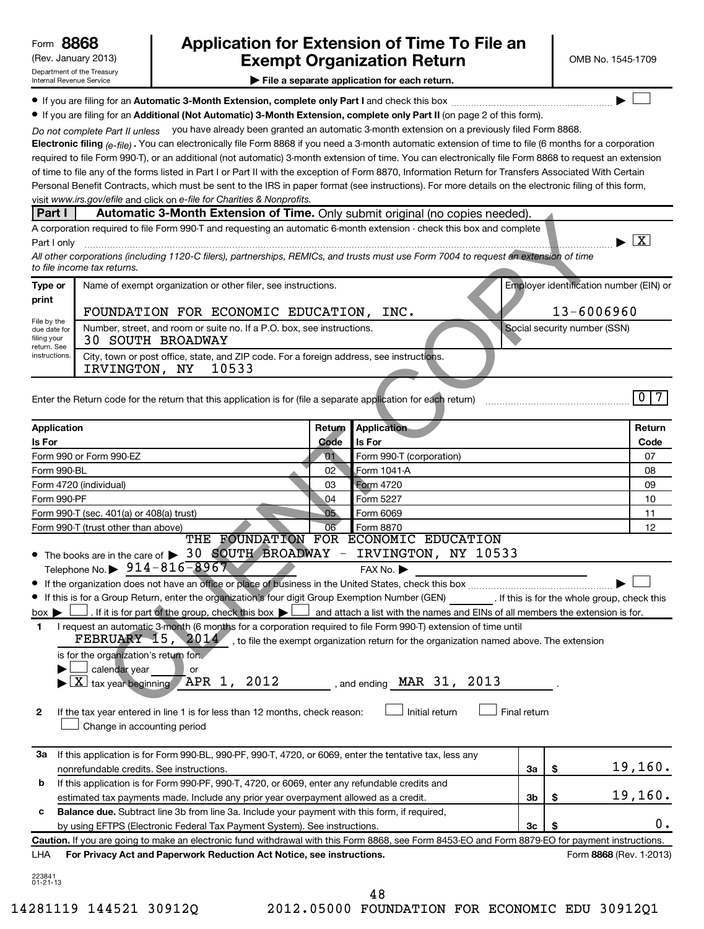## (Rev. January 2013) **Cxempt Organization Return** Manuary 2013) and MB No. 1545-1709 **8868 Application for Extension of Time To File an**

 $\left| \begin{array}{c} \hline \hline \hline \hline \hline \hline \end{array} \right|$ 

**| File a separate application for each return.**

**If you are filing for an Automatic 3-Month Extension, complete only Part I** and check this box  $\ldots$  $\ldots$  $\ldots$  $\ldots$  $\ldots$  $\ldots$ 

**• If you are filing for an Additional (Not Automatic) 3-Month Extension, complete only Part II (on page 2 of this form).** 

Do not complete Part II unless you have already been granted an automatic 3-month extension on a previously filed Form 8868.

**Electronic filing** <sub>(e-file)  $.$  You can electronically file Form 8868 if you need a 3-month automatic extension of time to file (6 months for a corporation</sub> visit www.irs.gov/efile and click on e-file for Charities & Nonprofits. required to file Form 990-T), or an additional (not automatic) 3-month extension of time. You can electronically file Form 8868 to request an extension of time to file any of the forms listed in Part I or Part II with the exception of Form 8870, Information Return for Transfers Associated With Certain Personal Benefit Contracts, which must be sent to the IRS in paper format (see instructions). For more details on the electronic filing of this form,

#### **Part I** | Automatic 3-Month Extension of Time. Only submit original (no copies needed).

| Name of exempt organization or other filer, see instructions.<br>Type or                                                                                 | Employer identification number (EIN) or |
|----------------------------------------------------------------------------------------------------------------------------------------------------------|-----------------------------------------|
| print<br>FOUNDATION FOR ECONOMIC EDUCATION.<br>INC.                                                                                                      | $13 - 6006960$                          |
| File by the<br>Number, street, and room or suite no. If a P.O. box, see instructions.<br>due date for<br>filing your<br>30 SOUTH BROADWAY<br>return. See | Social security number (SSN)            |
| instructions.<br>City, town or post office, state, and ZIP code. For a foreign address, see instructions.<br>10533<br>IRVINGTON, NY                      |                                         |

| <b>raili</b>                               | Automatic 3-Month Extension of Time. Only Submit original (no copies needed).                                                                                                                                                                                                                                                                                                                                                                                                                                                                                                          |                 |                                                    |              |                                         |                              |                                      |
|--------------------------------------------|----------------------------------------------------------------------------------------------------------------------------------------------------------------------------------------------------------------------------------------------------------------------------------------------------------------------------------------------------------------------------------------------------------------------------------------------------------------------------------------------------------------------------------------------------------------------------------------|-----------------|----------------------------------------------------|--------------|-----------------------------------------|------------------------------|--------------------------------------|
|                                            | A corporation required to file Form 990-T and requesting an automatic 6-month extension - check this box and complete                                                                                                                                                                                                                                                                                                                                                                                                                                                                  |                 |                                                    |              |                                         |                              |                                      |
| Part I only                                |                                                                                                                                                                                                                                                                                                                                                                                                                                                                                                                                                                                        |                 |                                                    |              |                                         |                              | $\blacktriangleright$ $\overline{X}$ |
|                                            | All other corporations (including 1120-C filers), partnerships, REMICs, and trusts must use Form 7004 to request an extension of time<br>to file income tax returns.                                                                                                                                                                                                                                                                                                                                                                                                                   |                 |                                                    |              |                                         |                              |                                      |
| Type or                                    | Name of exempt organization or other filer, see instructions.                                                                                                                                                                                                                                                                                                                                                                                                                                                                                                                          |                 |                                                    |              | Employer identification number (EIN) or |                              |                                      |
| print                                      | FOUNDATION FOR ECONOMIC EDUCATION, INC.                                                                                                                                                                                                                                                                                                                                                                                                                                                                                                                                                |                 |                                                    |              | 13-6006960                              |                              |                                      |
| File by the<br>due date for<br>filing your | Number, street, and room or suite no. If a P.O. box, see instructions.<br><b>30 SOUTH BROADWAY</b>                                                                                                                                                                                                                                                                                                                                                                                                                                                                                     |                 |                                                    |              |                                         | Social security number (SSN) |                                      |
| return. See<br>instructions.               | City, town or post office, state, and ZIP code. For a foreign address, see instructions.<br>IRVINGTON, NY<br>10533                                                                                                                                                                                                                                                                                                                                                                                                                                                                     |                 |                                                    |              |                                         |                              |                                      |
|                                            |                                                                                                                                                                                                                                                                                                                                                                                                                                                                                                                                                                                        |                 |                                                    |              |                                         |                              |                                      |
|                                            | Enter the Return code for the return that this application is for (file a separate application for each return)                                                                                                                                                                                                                                                                                                                                                                                                                                                                        |                 |                                                    |              |                                         |                              | $\overline{0}$<br>$\overline{7}$     |
| <b>Application</b>                         |                                                                                                                                                                                                                                                                                                                                                                                                                                                                                                                                                                                        | Return          | <b>Application</b>                                 |              |                                         |                              | Return                               |
| Is For                                     |                                                                                                                                                                                                                                                                                                                                                                                                                                                                                                                                                                                        | Code            | Is For                                             |              |                                         |                              | Code                                 |
|                                            | Form 990 or Form 990-EZ                                                                                                                                                                                                                                                                                                                                                                                                                                                                                                                                                                | 01              | Form 990-T (corporation)                           |              |                                         |                              | 07                                   |
| Form 990-BL                                |                                                                                                                                                                                                                                                                                                                                                                                                                                                                                                                                                                                        | 02              | Form 1041 A                                        |              |                                         |                              | 08                                   |
|                                            | Form 4720 (individual)                                                                                                                                                                                                                                                                                                                                                                                                                                                                                                                                                                 | 03              | <b>Form 4720</b>                                   |              |                                         |                              | 09                                   |
| Form 990-PF                                |                                                                                                                                                                                                                                                                                                                                                                                                                                                                                                                                                                                        | 04              | Form 5227                                          |              |                                         |                              | 10                                   |
|                                            | Form 990-T (sec. 401(a) or 408(a) trust)                                                                                                                                                                                                                                                                                                                                                                                                                                                                                                                                               | 05 <sub>1</sub> | Form 6069                                          |              |                                         |                              | 11                                   |
|                                            | Form 990-T (trust other than above)                                                                                                                                                                                                                                                                                                                                                                                                                                                                                                                                                    | 06              | Form 8870<br>THE FOUNDATION FOR ECONOMIC EDUCATION |              |                                         |                              | 12                                   |
| $box \blacktriangleright$<br>1             | Telephone No. $\triangleright$ 914-816-8967<br>If this is for a Group Return, enter the organization's four digit Group Exemption Number (GEN) [If this is for the whole group, check this<br>. If it is for part of the group, check this box $\blacktriangleright$ and attach a list with the names and EINs of all members the extension is for.<br>I request an automatic 3-month (6 months for a corporation required to file Form 990-T) extension of time until<br>FEBRUARY 15, $2014$ , to file the exempt organization return for the organization named above. The extension |                 | FAX No. ▶                                          |              |                                         |                              |                                      |
| 2                                          | is for the organization's return for.<br>calendar year<br>or<br>tax year beginning APR 1, 2012 , and ending MAR 31, 2013<br>$\mathbf{X}$<br>If the tax year entered in line 1 is for less than 12 months, check reason:<br>Change in accounting period                                                                                                                                                                                                                                                                                                                                 |                 | Initial return                                     | Final return |                                         |                              |                                      |
| За                                         | If this application is for Form 990-BL, 990-PF, 990-T, 4720, or 6069, enter the tentative tax, less any<br>nonrefundable credits. See instructions.                                                                                                                                                                                                                                                                                                                                                                                                                                    |                 |                                                    | 3a           | \$                                      |                              | 19,160.                              |
| b                                          | If this application is for Form 990-PF, 990-T, 4720, or 6069, enter any refundable credits and                                                                                                                                                                                                                                                                                                                                                                                                                                                                                         |                 |                                                    |              |                                         |                              |                                      |
|                                            | estimated tax payments made. Include any prior year overpayment allowed as a credit.                                                                                                                                                                                                                                                                                                                                                                                                                                                                                                   |                 |                                                    | Зb           | \$                                      |                              | 19,160.                              |
| с                                          | Balance due. Subtract line 3b from line 3a. Include your payment with this form, if required,                                                                                                                                                                                                                                                                                                                                                                                                                                                                                          |                 |                                                    |              |                                         |                              |                                      |
|                                            | by using EFTPS (Electronic Federal Tax Payment System). See instructions.                                                                                                                                                                                                                                                                                                                                                                                                                                                                                                              |                 |                                                    | 3c           | \$                                      |                              | 0.                                   |
|                                            | Caution. If you are going to make an electronic fund withdrawal with this Form 8868, see Form 8453-EO and Form 8879-EO for payment instructions.                                                                                                                                                                                                                                                                                                                                                                                                                                       |                 |                                                    |              |                                         |                              |                                      |
| LHA                                        | For Privacy Act and Paperwork Reduction Act Notice, see instructions.                                                                                                                                                                                                                                                                                                                                                                                                                                                                                                                  |                 |                                                    |              |                                         |                              | Form 8868 (Rev. 1-2013)              |
|                                            |                                                                                                                                                                                                                                                                                                                                                                                                                                                                                                                                                                                        |                 |                                                    |              |                                         |                              |                                      |
| 223841<br>01-21-13                         |                                                                                                                                                                                                                                                                                                                                                                                                                                                                                                                                                                                        |                 |                                                    |              |                                         |                              |                                      |
|                                            |                                                                                                                                                                                                                                                                                                                                                                                                                                                                                                                                                                                        |                 | 48                                                 |              |                                         |                              |                                      |

<sup>14281119 144521 30912</sup>Q 2012.05000 FOUNDATION FOR ECONOMIC EDU 30912Q1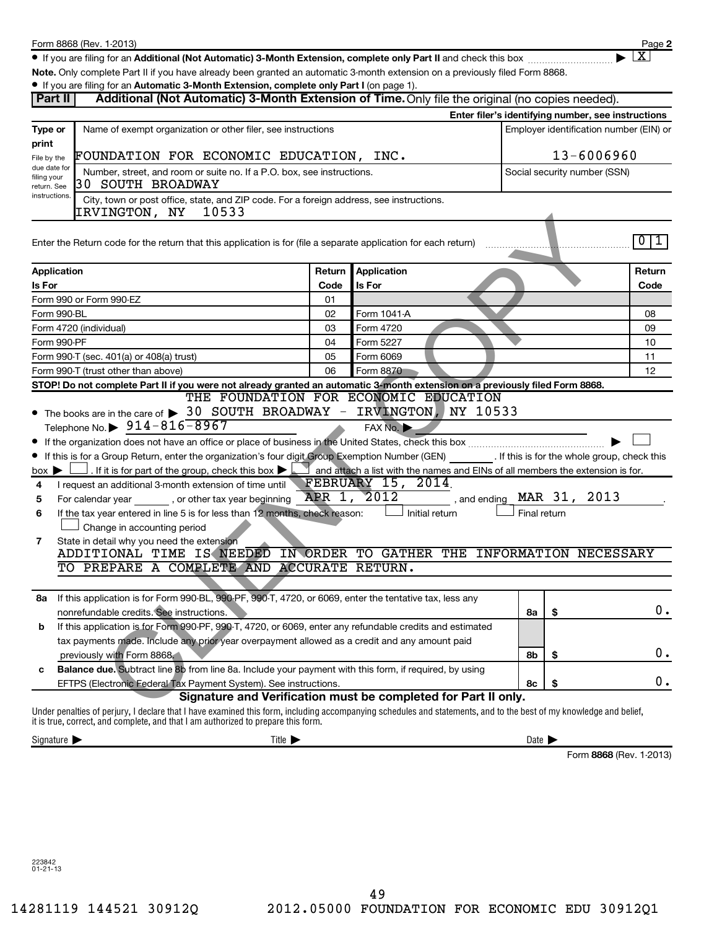**2**  $\lfloor x \rfloor$ 

● If you are filing for an Additional (Not Automatic) 3-Month Extension, complete only Part II and check this box <sub>……………………</sub>………

**Note.**  Only complete Part II if you have already been granted an automatic 3-month extension on a previously filed Form 8868.

#### **• If you are filing for an Automatic 3-Month Extension, complete only Part I** (on page 1).

| Part II                                                                               | The you are ming for an Automatic 3-Month Extension, complete only Part I (or page 1).<br>Additional (Not Automatic) 3-Month Extension of Time. Only file the original (no copies needed).                                                              |                              |                                                                                       |                            |                                                    |        |
|---------------------------------------------------------------------------------------|---------------------------------------------------------------------------------------------------------------------------------------------------------------------------------------------------------------------------------------------------------|------------------------------|---------------------------------------------------------------------------------------|----------------------------|----------------------------------------------------|--------|
|                                                                                       |                                                                                                                                                                                                                                                         |                              |                                                                                       |                            | Enter filer's identifying number, see instructions |        |
| Type or                                                                               | Name of exempt organization or other filer, see instructions                                                                                                                                                                                            |                              |                                                                                       |                            | Employer identification number (EIN) or            |        |
| print                                                                                 |                                                                                                                                                                                                                                                         |                              |                                                                                       |                            |                                                    |        |
| FOUNDATION FOR ECONOMIC EDUCATION, INC.<br>File by the<br>due date for                |                                                                                                                                                                                                                                                         | 13-6006960                   |                                                                                       |                            |                                                    |        |
| Number, street, and room or suite no. If a P.O. box, see instructions.<br>filing your |                                                                                                                                                                                                                                                         | Social security number (SSN) |                                                                                       |                            |                                                    |        |
| return. See<br>instructions.                                                          | 30 SOUTH BROADWAY<br>City, town or post office, state, and ZIP code. For a foreign address, see instructions.                                                                                                                                           |                              |                                                                                       |                            |                                                    |        |
|                                                                                       | IRVINGTON, NY<br>10533                                                                                                                                                                                                                                  |                              |                                                                                       |                            |                                                    |        |
|                                                                                       |                                                                                                                                                                                                                                                         |                              |                                                                                       |                            |                                                    |        |
|                                                                                       | Enter the Return code for the return that this application is for (file a separate application for each return)                                                                                                                                         |                              |                                                                                       |                            |                                                    | 011    |
|                                                                                       |                                                                                                                                                                                                                                                         |                              |                                                                                       |                            |                                                    |        |
| Application                                                                           |                                                                                                                                                                                                                                                         | Return                       | Application                                                                           |                            |                                                    | Return |
| Is For                                                                                |                                                                                                                                                                                                                                                         | Code                         | Is For                                                                                |                            |                                                    | Code   |
| Form 990 or Form 990-EZ                                                               |                                                                                                                                                                                                                                                         | 01                           |                                                                                       |                            |                                                    |        |
| Form 990-BL                                                                           |                                                                                                                                                                                                                                                         | 02                           | Form 1041-A                                                                           |                            |                                                    | 08     |
| Form 4720 (individual)                                                                |                                                                                                                                                                                                                                                         | 03                           | Form 4720                                                                             |                            |                                                    | 09     |
| Form 990-PF                                                                           |                                                                                                                                                                                                                                                         | 04                           | Form 5227                                                                             |                            |                                                    | 10     |
| Form 990-T (sec. 401(a) or 408(a) trust)                                              |                                                                                                                                                                                                                                                         | 05                           | Form 6069                                                                             |                            |                                                    | 11     |
| Form 990-T (trust other than above)                                                   |                                                                                                                                                                                                                                                         | 06                           | Form 8870                                                                             |                            |                                                    | 12     |
|                                                                                       | STOP! Do not complete Part II if you were not already granted an automatic 3-month extension on a previously filed Form 8868.                                                                                                                           |                              | THE FOUNDATION FOR ECONOMIC EDUCATION                                                 |                            |                                                    |        |
|                                                                                       | • The books are in the care of > 30 SOUTH BROADWAY - IRVINGTON, NY 10533                                                                                                                                                                                |                              |                                                                                       |                            |                                                    |        |
|                                                                                       | Telephone No. $\triangleright$ 914-816-8967                                                                                                                                                                                                             |                              | FAX No.                                                                               |                            |                                                    |        |
|                                                                                       |                                                                                                                                                                                                                                                         |                              |                                                                                       |                            |                                                    |        |
|                                                                                       |                                                                                                                                                                                                                                                         |                              |                                                                                       |                            |                                                    |        |
|                                                                                       | • If this is for a Group Return, enter the organization's four digit Group Exemption Number (GEN) [15] If this is for the whole group, check this<br>. If it is for part of the group, check this box $\blacktriangleright$                             |                              | $\Box$ and attach a list with the names and EINs of all members the extension is for. |                            |                                                    |        |
| $box \triangleright$<br>4                                                             | I request an additional 3-month extension of time until                                                                                                                                                                                                 |                              | FEBRUARY 15, 2014                                                                     |                            |                                                    |        |
| 5                                                                                     |                                                                                                                                                                                                                                                         |                              |                                                                                       |                            |                                                    |        |
| 6                                                                                     | If the tax year entered in line 5 is for less than 12 months, check reason:                                                                                                                                                                             |                              | Initial return                                                                        | Final return               |                                                    |        |
|                                                                                       | Change in accounting period                                                                                                                                                                                                                             |                              |                                                                                       |                            |                                                    |        |
| 7                                                                                     | State in detail why you need the extension                                                                                                                                                                                                              |                              |                                                                                       |                            |                                                    |        |
|                                                                                       | ADDITIONAL TIME IS NEEDED IN ORDER TO GATHER THE INFORMATION NECESSARY                                                                                                                                                                                  |                              |                                                                                       |                            |                                                    |        |
|                                                                                       | TO PREPARE A COMPLETE AND ACCURATE RETURN.                                                                                                                                                                                                              |                              |                                                                                       |                            |                                                    |        |
|                                                                                       |                                                                                                                                                                                                                                                         |                              |                                                                                       |                            |                                                    |        |
| 8а                                                                                    | If this application is for Form 990-BL, 990-PF, 990-T, 4720, or 6069, enter the tentative tax, less any                                                                                                                                                 |                              |                                                                                       |                            |                                                    |        |
|                                                                                       | nonrefundable credits. See instructions.                                                                                                                                                                                                                |                              |                                                                                       | 8a                         | - \$                                               | $0$ .  |
| b                                                                                     | If this application is for Form 990-PF, 990-T, 4720, or 6069, enter any refundable credits and estimated                                                                                                                                                |                              |                                                                                       |                            |                                                    |        |
|                                                                                       | tax payments made. Include any prior year overpayment allowed as a credit and any amount paid                                                                                                                                                           |                              |                                                                                       |                            |                                                    |        |
| previously with Form 8868.                                                            |                                                                                                                                                                                                                                                         |                              |                                                                                       | 8b                         | \$                                                 | $0$ .  |
| c                                                                                     | Balance due. Subtract line 8b from line 8a. Include your payment with this form, if required, by using                                                                                                                                                  |                              |                                                                                       |                            |                                                    |        |
|                                                                                       | EFTPS (Electronic Federal Tax Payment System). See instructions.                                                                                                                                                                                        |                              |                                                                                       | 8с                         | \$                                                 | $0$ .  |
|                                                                                       |                                                                                                                                                                                                                                                         |                              | Signature and Verification must be completed for Part II only.                        |                            |                                                    |        |
|                                                                                       | Under penalties of perjury, I declare that I have examined this form, including accompanying schedules and statements, and to the best of my knowledge and belief,<br>it is true, correct, and complete, and that I am authorized to prepare this form. |                              |                                                                                       |                            |                                                    |        |
|                                                                                       |                                                                                                                                                                                                                                                         |                              |                                                                                       |                            |                                                    |        |
| Signature >                                                                           | Title $\blacktriangleright$                                                                                                                                                                                                                             |                              |                                                                                       | Date $\blacktriangleright$ |                                                    |        |

Form 8868 (Rev. 1-2013)

223842 01-21-13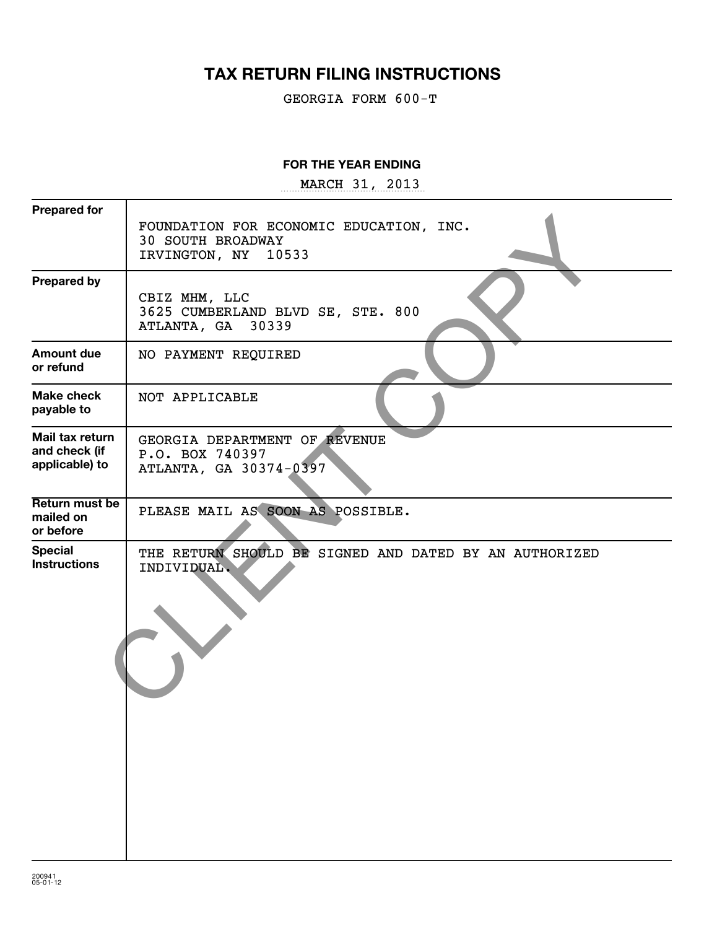# **TAX RETURN FILING INSTRUCTIONS**

GEORGIA FORM 600-T

#### **FOR THE YEAR ENDING**

~~~~~~~~~~~~~~~~~ MARCH 31, 2013

| <b>Prepared for</b>                                |                                                                                               |
|----------------------------------------------------|-----------------------------------------------------------------------------------------------|
|                                                    | FOUNDATION FOR ECONOMIC EDUCATION, INC.<br><b>30 SOUTH BROADWAY</b><br>IRVINGTON, NY<br>10533 |
| <b>Prepared by</b>                                 | CBIZ MHM, LLC<br>3625 CUMBERLAND BLVD SE, STE. 800<br>30339<br>ATLANTA, GA                    |
| <b>Amount due</b><br>or refund                     | NO PAYMENT REQUIRED                                                                           |
| <b>Make check</b><br>payable to                    | NOT APPLICABLE                                                                                |
| Mail tax return<br>and check (if<br>applicable) to | GEORGIA DEPARTMENT OF REVENUE<br>P.O. BOX 740397<br>ATLANTA, GA 30374-0397                    |
| Return must be<br>mailed on<br>or before           | PLEASE MAIL AS SOON AS POSSIBLE.                                                              |
| <b>Special</b><br><b>Instructions</b>              | THE RETURN SHOULD BE SIGNED AND DATED BY AN AUTHORIZED<br>INDIVIDUAL.                         |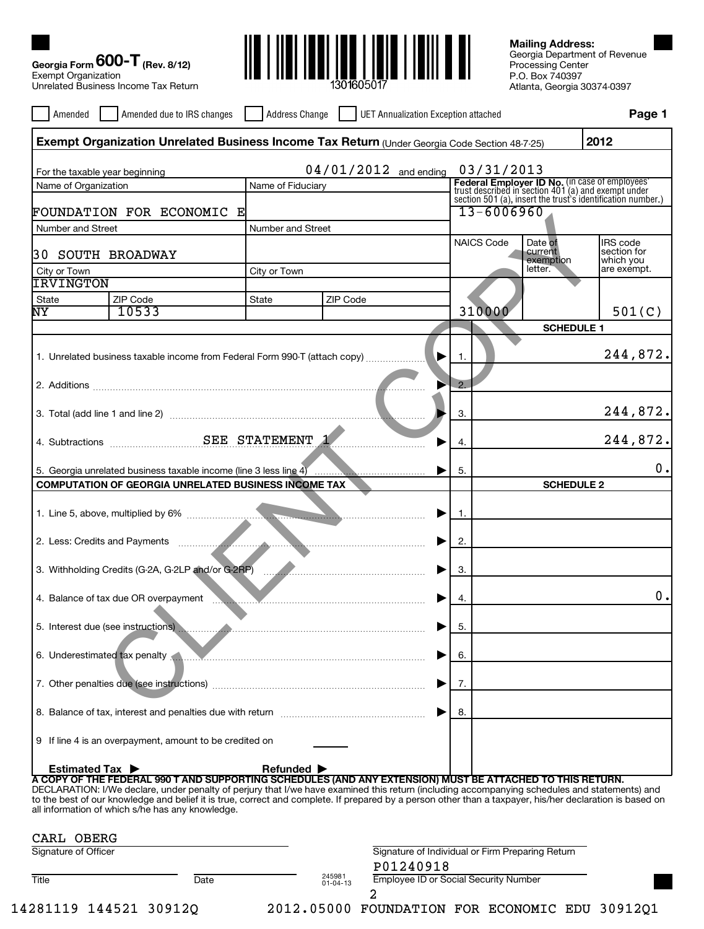| <b>Exempt Organization</b>     | Georgia Form $600 - T$ (Rev. 8/12)<br>Unrelated Business Income Tax Return                                                                                                                                                                                                                                                                                                                                                                                                 |                                |                          |                                                                                 |                   | <b>Mailing Address:</b><br>Processing Center<br>P.O. Box 740397<br>Atlanta, Georgia 30374-0397 | Georgia Department of Revenue                                                                                |
|--------------------------------|----------------------------------------------------------------------------------------------------------------------------------------------------------------------------------------------------------------------------------------------------------------------------------------------------------------------------------------------------------------------------------------------------------------------------------------------------------------------------|--------------------------------|--------------------------|---------------------------------------------------------------------------------|-------------------|------------------------------------------------------------------------------------------------|--------------------------------------------------------------------------------------------------------------|
| Amended                        | Amended due to IRS changes                                                                                                                                                                                                                                                                                                                                                                                                                                                 | Address Change                 |                          | UET Annualization Exception attached                                            |                   |                                                                                                | Page 1                                                                                                       |
|                                | Exempt Organization Unrelated Business Income Tax Return (Under Georgia Code Section 48-7-25)                                                                                                                                                                                                                                                                                                                                                                              |                                |                          |                                                                                 |                   |                                                                                                | 2012                                                                                                         |
| For the taxable year beginning |                                                                                                                                                                                                                                                                                                                                                                                                                                                                            |                                |                          | $04/01/2012$ and ending                                                         | 03/31/2013        |                                                                                                |                                                                                                              |
| Name of Organization           |                                                                                                                                                                                                                                                                                                                                                                                                                                                                            | Name of Fiduciary              |                          |                                                                                 |                   |                                                                                                | <b>Federal Employer ID No.</b> (in case of employees'<br>trust described in section 401 (a) and exempt under |
|                                | FOUNDATION FOR ECONOMIC E                                                                                                                                                                                                                                                                                                                                                                                                                                                  |                                |                          |                                                                                 | $13 - 6006960$    |                                                                                                | section 501 (a), insert the trust's identification number.)                                                  |
| Number and Street              |                                                                                                                                                                                                                                                                                                                                                                                                                                                                            | Number and Street              |                          |                                                                                 |                   |                                                                                                |                                                                                                              |
| 30 SOUTH BROADWAY              |                                                                                                                                                                                                                                                                                                                                                                                                                                                                            |                                |                          |                                                                                 | <b>NAICS Code</b> | Date of<br>current<br>exemption<br>letter.                                                     | <b>IRS</b> code<br>section for<br>which you                                                                  |
| City or Town<br>IRVINGTON      |                                                                                                                                                                                                                                                                                                                                                                                                                                                                            | City or Town                   |                          |                                                                                 |                   |                                                                                                | are exempt.                                                                                                  |
| State                          | ZIP Code                                                                                                                                                                                                                                                                                                                                                                                                                                                                   | State                          | ZIP Code                 |                                                                                 |                   |                                                                                                |                                                                                                              |
| NY                             | 10533                                                                                                                                                                                                                                                                                                                                                                                                                                                                      |                                |                          |                                                                                 | 310000            |                                                                                                | 501(C)                                                                                                       |
|                                |                                                                                                                                                                                                                                                                                                                                                                                                                                                                            |                                |                          |                                                                                 |                   | <b>SCHEDULE 1</b>                                                                              |                                                                                                              |
|                                | 1. Unrelated business taxable income from Federal Form 990-T (attach copy)                                                                                                                                                                                                                                                                                                                                                                                                 |                                |                          |                                                                                 | -1.               |                                                                                                | 244,872.                                                                                                     |
|                                |                                                                                                                                                                                                                                                                                                                                                                                                                                                                            |                                |                          |                                                                                 | 2.                |                                                                                                |                                                                                                              |
|                                |                                                                                                                                                                                                                                                                                                                                                                                                                                                                            |                                |                          |                                                                                 | 3.                |                                                                                                | 244,872.                                                                                                     |
|                                |                                                                                                                                                                                                                                                                                                                                                                                                                                                                            |                                |                          |                                                                                 | 4.                |                                                                                                | 244,872.                                                                                                     |
|                                | 5. Georgia unrelated business taxable income (line 3 less line 4)                                                                                                                                                                                                                                                                                                                                                                                                          |                                |                          |                                                                                 | 5.                |                                                                                                | 0.                                                                                                           |
|                                | <b>COMPUTATION OF GEORGIA UNRELATED BUSINESS INCOME TAX</b>                                                                                                                                                                                                                                                                                                                                                                                                                |                                |                          |                                                                                 |                   | <b>SCHEDULE 2</b>                                                                              |                                                                                                              |
|                                |                                                                                                                                                                                                                                                                                                                                                                                                                                                                            |                                |                          | ▶                                                                               | $\overline{1}$ .  |                                                                                                |                                                                                                              |
|                                |                                                                                                                                                                                                                                                                                                                                                                                                                                                                            |                                |                          |                                                                                 |                   |                                                                                                |                                                                                                              |
|                                |                                                                                                                                                                                                                                                                                                                                                                                                                                                                            |                                |                          |                                                                                 | 2.                |                                                                                                |                                                                                                              |
|                                | 3. Withholding Credits (G-2A, G-2LP and/or G-2RP)                                                                                                                                                                                                                                                                                                                                                                                                                          |                                |                          | the contract of the contract of the contract of the contract of the contract of | 3.                |                                                                                                |                                                                                                              |
|                                | 4. Balance of tax due OR overpayment<br>. . <b>.</b>                                                                                                                                                                                                                                                                                                                                                                                                                       |                                |                          | ▶                                                                               | 4.                |                                                                                                | 0.                                                                                                           |
|                                | 5. Interest due (see instructions)                                                                                                                                                                                                                                                                                                                                                                                                                                         |                                |                          | ▶                                                                               | 5.                |                                                                                                |                                                                                                              |
|                                | 6. Underestimated tax penalty                                                                                                                                                                                                                                                                                                                                                                                                                                              |                                |                          | ▶                                                                               | 6.                |                                                                                                |                                                                                                              |
|                                |                                                                                                                                                                                                                                                                                                                                                                                                                                                                            |                                |                          | ▶                                                                               | 7.                |                                                                                                |                                                                                                              |
|                                | 8.<br>▶                                                                                                                                                                                                                                                                                                                                                                                                                                                                    |                                |                          |                                                                                 |                   |                                                                                                |                                                                                                              |
|                                | 9 If line 4 is an overpayment, amount to be credited on                                                                                                                                                                                                                                                                                                                                                                                                                    |                                |                          |                                                                                 |                   |                                                                                                |                                                                                                              |
| <b>Estimated Tax ▶</b>         | A COPY OF THE FEDERAL 990 T AND SUPPORTING SCHEDULES (AND ANY EXTENSION) MUST BE ATTACHED TO THIS RETURN.<br>DECLARATION: I/We declare, under penalty of perjury that I/we have examined this return (including accompanying schedules and statements) and<br>to the best of our knowledge and belief it is true, correct and complete. If prepared by a person other than a taxpayer, his/her declaration is based on<br>all information of which s/he has any knowledge. | Refunded $\blacktriangleright$ |                          |                                                                                 |                   |                                                                                                |                                                                                                              |
| CARL OBERG                     |                                                                                                                                                                                                                                                                                                                                                                                                                                                                            |                                |                          |                                                                                 |                   |                                                                                                |                                                                                                              |
| Signature of Officer           |                                                                                                                                                                                                                                                                                                                                                                                                                                                                            |                                |                          | Signature of Individual or Firm Preparing Return                                |                   |                                                                                                |                                                                                                              |
| Title                          | Date                                                                                                                                                                                                                                                                                                                                                                                                                                                                       |                                | 245981<br>$01 - 04 - 13$ | P01240918<br><b>Employee ID or Social Security Number</b><br>2                  |                   |                                                                                                |                                                                                                              |

14281119 144521 30912Q 2012.05000 FOUNDATION FOR ECONOMIC EDU 30912Q1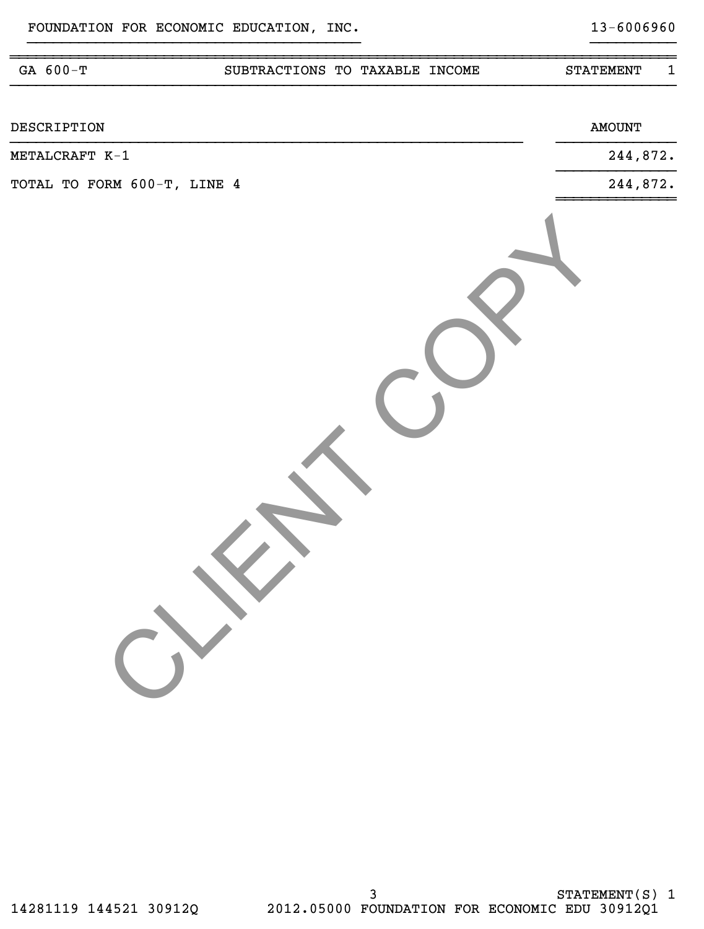| GA 600-T                    | SUBTRACTIONS TO TAXABLE INCOME | $\mathbf{1}$<br><b>STATEMENT</b> |
|-----------------------------|--------------------------------|----------------------------------|
| DESCRIPTION                 |                                | <b>AMOUNT</b>                    |
| METALCRAFT K-1              |                                | 244,872.                         |
| TOTAL TO FORM 600-T, LINE 4 |                                | 244,872.                         |
|                             |                                |                                  |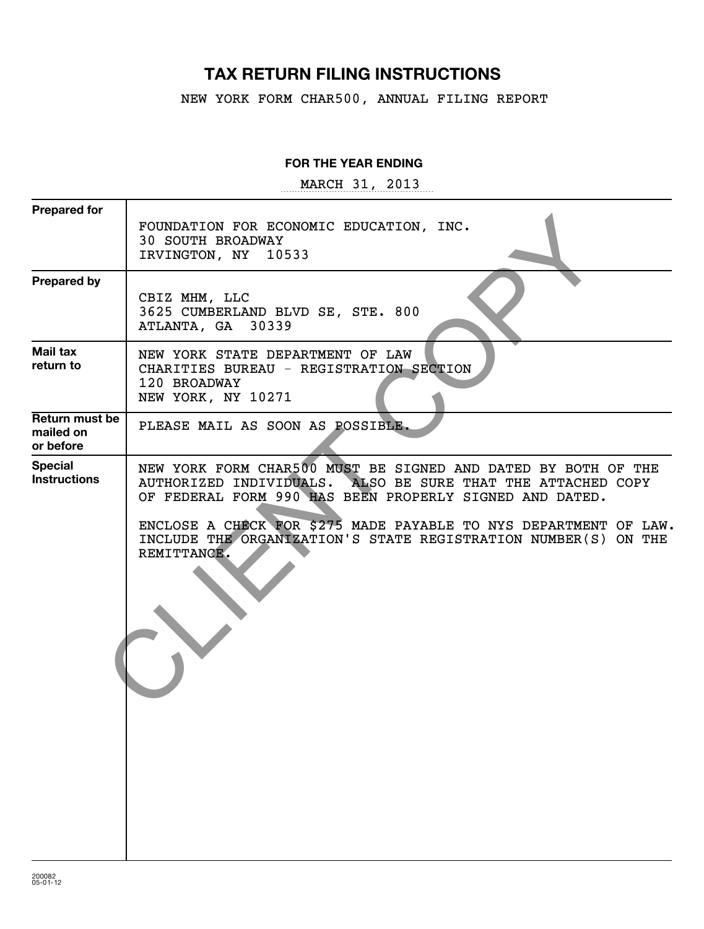## **TAX RETURN FILING INSTRUCTIONS**

NEW YORK FORM CHAR500, ANNUAL FILING REPORT

#### **FOR THE YEAR ENDING**

~~~~~~~~~~~~~~~~~~ MARCH 31, 2013

| <b>Prepared for</b>                      |                                                                                                                                                                                                                                                                                                                                              |
|------------------------------------------|----------------------------------------------------------------------------------------------------------------------------------------------------------------------------------------------------------------------------------------------------------------------------------------------------------------------------------------------|
|                                          | FOUNDATION FOR ECONOMIC EDUCATION, INC.<br><b>30 SOUTH BROADWAY</b><br>IRVINGTON, NY 10533                                                                                                                                                                                                                                                   |
| <b>Prepared by</b>                       | CBIZ MHM, LLC<br>3625 CUMBERLAND BLVD SE, STE. 800<br>ATLANTA, GA 30339                                                                                                                                                                                                                                                                      |
| Mail tax<br>return to                    | NEW YORK STATE DEPARTMENT OF LAW<br>CHARITIES BUREAU - REGISTRATION SECTION<br>120 BROADWAY<br>NEW YORK, NY 10271                                                                                                                                                                                                                            |
| Return must be<br>mailed on<br>or before | PLEASE MAIL AS SOON AS POSSIBLE.                                                                                                                                                                                                                                                                                                             |
| <b>Special</b><br><b>Instructions</b>    | NEW YORK FORM CHAR500 MUST BE SIGNED AND DATED BY BOTH OF THE<br>AUTHORIZED INDIVIDUALS. ALSO BE SURE THAT THE ATTACHED COPY<br>OF FEDERAL FORM 990 HAS BEEN PROPERLY SIGNED AND DATED.<br>ENCLOSE A CHECK FOR \$275 MADE PAYABLE TO NYS DEPARTMENT OF LAW.<br>INCLUDE THE ORGANIZATION'S STATE REGISTRATION NUMBER(S) ON THE<br>REMITTANCE. |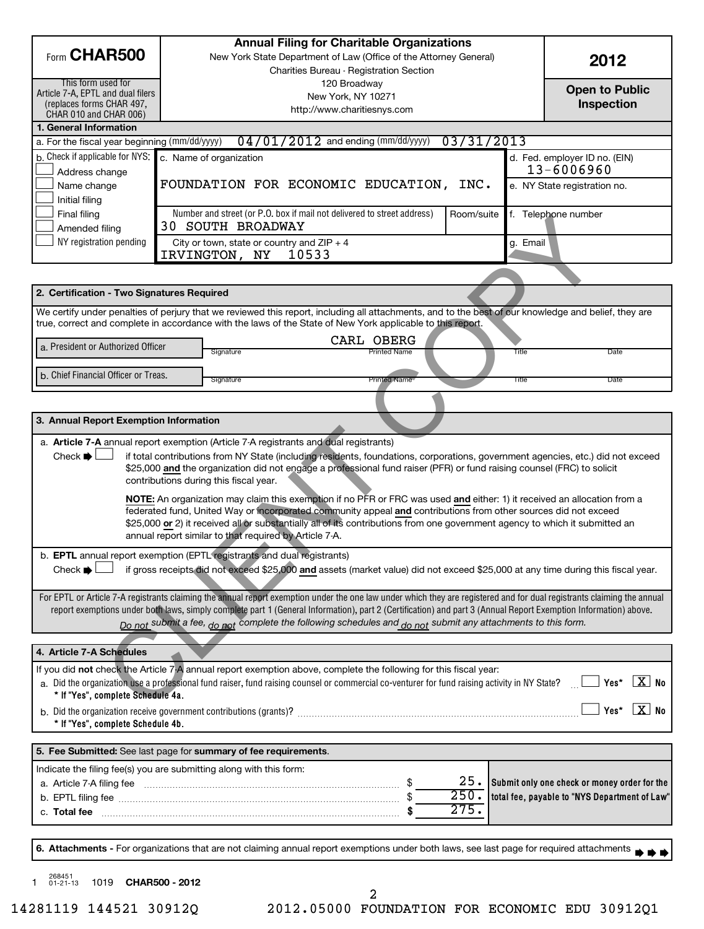|                                                                                                                                                                                                                                                 |                                                                                                                                                    | <b>Annual Filing for Charitable Organizations</b>                                                                                                                       |                       |                                               |  |
|-------------------------------------------------------------------------------------------------------------------------------------------------------------------------------------------------------------------------------------------------|----------------------------------------------------------------------------------------------------------------------------------------------------|-------------------------------------------------------------------------------------------------------------------------------------------------------------------------|-----------------------|-----------------------------------------------|--|
| Form CHAR500<br>New York State Department of Law (Office of the Attorney General)                                                                                                                                                               |                                                                                                                                                    |                                                                                                                                                                         | 2012                  |                                               |  |
|                                                                                                                                                                                                                                                 | Charities Bureau - Registration Section                                                                                                            |                                                                                                                                                                         |                       |                                               |  |
| Article 7-A, EPTL and dual filers                                                                                                                                                                                                               | This form used for<br>120 Broadway                                                                                                                 |                                                                                                                                                                         | <b>Open to Public</b> |                                               |  |
| (replaces forms CHAR 497,                                                                                                                                                                                                                       | New York, NY 10271                                                                                                                                 |                                                                                                                                                                         | Inspection            |                                               |  |
| CHAR 010 and CHAR 006)                                                                                                                                                                                                                          |                                                                                                                                                    | http://www.charitiesnys.com                                                                                                                                             |                       |                                               |  |
| 1. General Information                                                                                                                                                                                                                          |                                                                                                                                                    |                                                                                                                                                                         |                       |                                               |  |
| a. For the fiscal year beginning (mm/dd/yyyy)                                                                                                                                                                                                   |                                                                                                                                                    | $04/01/2012$ and ending (mm/dd/yyyy)                                                                                                                                    | 03/31/2013            |                                               |  |
| b. Check if applicable for NYS:                                                                                                                                                                                                                 |                                                                                                                                                    | c. Name of organization                                                                                                                                                 |                       | d. Fed. employer ID no. (EIN)                 |  |
| Address change                                                                                                                                                                                                                                  |                                                                                                                                                    |                                                                                                                                                                         |                       | 13-6006960                                    |  |
| Name change                                                                                                                                                                                                                                     |                                                                                                                                                    | FOUNDATION FOR ECONOMIC EDUCATION, INC.                                                                                                                                 |                       | e. NY State registration no.                  |  |
| Initial filing                                                                                                                                                                                                                                  |                                                                                                                                                    |                                                                                                                                                                         |                       |                                               |  |
| Final filing                                                                                                                                                                                                                                    |                                                                                                                                                    | Number and street (or P.O. box if mail not delivered to street address)                                                                                                 | Room/suite            | f. Telephone number                           |  |
| Amended filing                                                                                                                                                                                                                                  |                                                                                                                                                    | <b>30 SOUTH BROADWAY</b>                                                                                                                                                |                       |                                               |  |
| NY registration pending                                                                                                                                                                                                                         |                                                                                                                                                    | City or town, state or country and $ZIP + 4$<br>IRVINGTON, NY<br>10533                                                                                                  |                       | g. Email                                      |  |
|                                                                                                                                                                                                                                                 |                                                                                                                                                    |                                                                                                                                                                         |                       |                                               |  |
|                                                                                                                                                                                                                                                 |                                                                                                                                                    |                                                                                                                                                                         |                       |                                               |  |
| 2. Certification - Two Signatures Required                                                                                                                                                                                                      |                                                                                                                                                    |                                                                                                                                                                         |                       |                                               |  |
|                                                                                                                                                                                                                                                 |                                                                                                                                                    | We certify under penalties of perjury that we reviewed this report, including all attachments, and to the best of our knowledge and belief, they are                    |                       |                                               |  |
|                                                                                                                                                                                                                                                 |                                                                                                                                                    | true, correct and complete in accordance with the laws of the State of New York applicable to this report.                                                              |                       |                                               |  |
| a. President or Authorized Officer                                                                                                                                                                                                              |                                                                                                                                                    | CARL OBERG                                                                                                                                                              |                       |                                               |  |
|                                                                                                                                                                                                                                                 |                                                                                                                                                    | <b>Printed Name</b><br>Signature                                                                                                                                        |                       | Title<br>Date                                 |  |
| b. Chief Financial Officer or Treas.                                                                                                                                                                                                            |                                                                                                                                                    |                                                                                                                                                                         |                       |                                               |  |
|                                                                                                                                                                                                                                                 |                                                                                                                                                    | <b>Printed Name</b><br>Signature                                                                                                                                        |                       | Title<br>Date                                 |  |
|                                                                                                                                                                                                                                                 |                                                                                                                                                    |                                                                                                                                                                         |                       |                                               |  |
| 3. Annual Report Exemption Information                                                                                                                                                                                                          |                                                                                                                                                    |                                                                                                                                                                         |                       |                                               |  |
|                                                                                                                                                                                                                                                 |                                                                                                                                                    |                                                                                                                                                                         |                       |                                               |  |
|                                                                                                                                                                                                                                                 |                                                                                                                                                    | a. Article 7-A annual report exemption (Article 7-A registrants and dual registrants)                                                                                   |                       |                                               |  |
| Check $\blacktriangleright$<br>if total contributions from NY State (including residents, foundations, corporations, government agencies, etc.) did not exceed                                                                                  |                                                                                                                                                    |                                                                                                                                                                         |                       |                                               |  |
|                                                                                                                                                                                                                                                 |                                                                                                                                                    | \$25,000 and the organization did not engage a professional fund raiser (PFR) or fund raising counsel (FRC) to solicit<br>contributions during this fiscal year.        |                       |                                               |  |
|                                                                                                                                                                                                                                                 |                                                                                                                                                    |                                                                                                                                                                         |                       |                                               |  |
|                                                                                                                                                                                                                                                 |                                                                                                                                                    | NOTE: An organization may claim this exemption if no PFR or FRC was used and either: 1) it received an allocation from a                                                |                       |                                               |  |
| federated fund, United Way or incorporated community appeal and contributions from other sources did not exceed<br>\$25,000 or 2) it received all or substantially all of its contributions from one government agency to which it submitted an |                                                                                                                                                    |                                                                                                                                                                         |                       |                                               |  |
| annual report similar to that required by Article 7-A.                                                                                                                                                                                          |                                                                                                                                                    |                                                                                                                                                                         |                       |                                               |  |
|                                                                                                                                                                                                                                                 |                                                                                                                                                    |                                                                                                                                                                         |                       |                                               |  |
| . EPTL annual report exemption (EPTL registrants and dual registrants)                                                                                                                                                                          |                                                                                                                                                    |                                                                                                                                                                         |                       |                                               |  |
|                                                                                                                                                                                                                                                 | if gross receipts did not exceed \$25,000 and assets (market value) did not exceed \$25,000 at any time during this fiscal year.<br>Check <b>Q</b> |                                                                                                                                                                         |                       |                                               |  |
|                                                                                                                                                                                                                                                 |                                                                                                                                                    | For EPTL or Article 7-A registrants claiming the annual report exemption under the one law under which they are registered and for dual registrants claiming the annual |                       |                                               |  |
|                                                                                                                                                                                                                                                 |                                                                                                                                                    | report exemptions under both laws, simply complete part 1 (General Information), part 2 (Certification) and part 3 (Annual Report Exemption Information) above.         |                       |                                               |  |
|                                                                                                                                                                                                                                                 |                                                                                                                                                    | Do not submit a fee, do not complete the following schedules and do not submit any attachments to this form.                                                            |                       |                                               |  |
|                                                                                                                                                                                                                                                 |                                                                                                                                                    |                                                                                                                                                                         |                       |                                               |  |
| 4. Article 7-A Schedules                                                                                                                                                                                                                        |                                                                                                                                                    |                                                                                                                                                                         |                       |                                               |  |
|                                                                                                                                                                                                                                                 |                                                                                                                                                    | If you did not check the Article 7-A annual report exemption above, complete the following for this fiscal year:                                                        |                       |                                               |  |
|                                                                                                                                                                                                                                                 |                                                                                                                                                    | a. Did the organization use a professional fund raiser, fund raising counsel or commercial co-venturer for fund raising activity in NY State?                           |                       | Yes* $X$ No                                   |  |
| * If "Yes", complete Schedule 4a.                                                                                                                                                                                                               |                                                                                                                                                    |                                                                                                                                                                         |                       |                                               |  |
| Yes* $X$ No                                                                                                                                                                                                                                     |                                                                                                                                                    |                                                                                                                                                                         |                       |                                               |  |
| * If "Yes", complete Schedule 4b.                                                                                                                                                                                                               |                                                                                                                                                    |                                                                                                                                                                         |                       |                                               |  |
|                                                                                                                                                                                                                                                 |                                                                                                                                                    | 5. Fee Submitted: See last page for summary of fee requirements.                                                                                                        |                       |                                               |  |
|                                                                                                                                                                                                                                                 |                                                                                                                                                    |                                                                                                                                                                         |                       |                                               |  |
| Indicate the filing fee(s) you are submitting along with this form:                                                                                                                                                                             |                                                                                                                                                    |                                                                                                                                                                         | 25.                   | Submit only one check or money order for the  |  |
|                                                                                                                                                                                                                                                 |                                                                                                                                                    |                                                                                                                                                                         | 250.                  | total fee, payable to "NYS Department of Law" |  |
|                                                                                                                                                                                                                                                 |                                                                                                                                                    |                                                                                                                                                                         | 275.                  |                                               |  |
|                                                                                                                                                                                                                                                 |                                                                                                                                                    |                                                                                                                                                                         |                       |                                               |  |
|                                                                                                                                                                                                                                                 |                                                                                                                                                    |                                                                                                                                                                         |                       |                                               |  |
|                                                                                                                                                                                                                                                 |                                                                                                                                                    | 6. Attachments - For organizations that are not claiming annual report exemptions under both laws, see last page for required attachments                               |                       |                                               |  |
|                                                                                                                                                                                                                                                 |                                                                                                                                                    |                                                                                                                                                                         |                       |                                               |  |
| 268451<br>1019 CHAR500 - 2012<br>$01 - 21 - 13$                                                                                                                                                                                                 |                                                                                                                                                    |                                                                                                                                                                         |                       |                                               |  |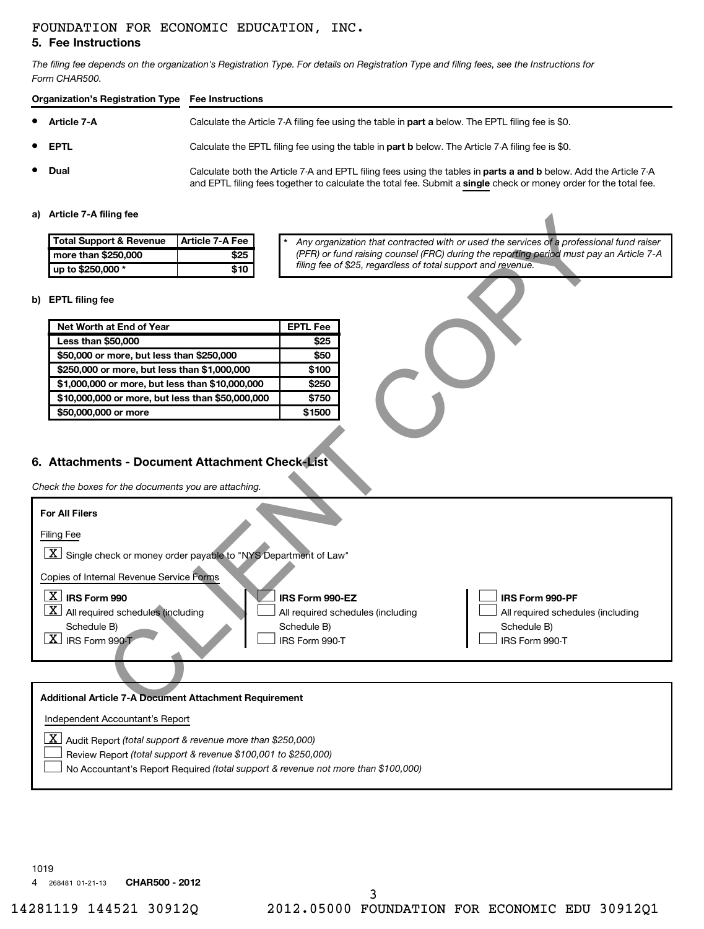#### **5. Fee Instructions** FOUNDATION FOR ECONOMIC EDUCATION, INC.

*The filing fee depends on the organization's Registration Type. For details on Registration Type and filing fees, see the Instructions for Form CHAR500.*

| Organization's Registration Type Fee Instructions |                |                                                                                                                                                                                                                                              |  |  |  |
|---------------------------------------------------|----------------|----------------------------------------------------------------------------------------------------------------------------------------------------------------------------------------------------------------------------------------------|--|--|--|
| • Article 7-A                                     |                | Calculate the Article 7-A filing fee using the table in part a below. The EPTL filing fee is \$0.                                                                                                                                            |  |  |  |
|                                                   | $\bullet$ EPTL | Calculate the EPTL filing fee using the table in part b below. The Article 7-A filing fee is \$0.                                                                                                                                            |  |  |  |
|                                                   | • Dual         | Calculate both the Article 7-A and EPTL filing fees using the tables in <b>parts a and b</b> below. Add the Article 7-A<br>and EPTL filing fees together to calculate the total fee. Submit a single check or money order for the total fee. |  |  |  |

#### **a) Article 7-A filing fee**

| <b>Total Support &amp; Revenue</b> | Article 7-A Fee |
|------------------------------------|-----------------|
| more than \$250,000                | \$25            |
| up to \$250,000 *                  | \$10            |

#### **b) EPTL filing fee**

| Net Worth at End of Year                         | <b>EPTL Fee</b> |
|--------------------------------------------------|-----------------|
| <b>Less than \$50,000</b>                        | \$25            |
| \$50,000 or more, but less than \$250,000        | \$50            |
| \$250,000 or more, but less than \$1,000,000     | \$100           |
| \$1,000,000 or more, but less than \$10,000,000  | \$250           |
| \$10,000,000 or more, but less than \$50,000,000 | \$750           |
| \$50,000,000 or more                             | \$1500          |

### **6. Attachments - Document Attachment Check-List**

| a) Article <i>(-</i> A filing fee                                                                                                                 |                                                                                                                                                                                |
|---------------------------------------------------------------------------------------------------------------------------------------------------|--------------------------------------------------------------------------------------------------------------------------------------------------------------------------------|
| <b>Total Support &amp; Revenue</b><br>Article 7-A Fee                                                                                             | Any organization that contracted with or used the services of a professional fund raiser                                                                                       |
| more than \$250,000<br>\$25                                                                                                                       | (PFR) or fund raising counsel (FRC) during the reporting period must pay an Article 7-A                                                                                        |
| up to \$250,000 *<br>\$10                                                                                                                         | filing fee of \$25, regardless of total support and revenue.                                                                                                                   |
| b) EPTL filing fee                                                                                                                                |                                                                                                                                                                                |
| Net Worth at End of Year                                                                                                                          | <b>EPTL Fee</b>                                                                                                                                                                |
| <b>Less than \$50,000</b>                                                                                                                         | \$25                                                                                                                                                                           |
| \$50,000 or more, but less than \$250,000                                                                                                         | \$50                                                                                                                                                                           |
| \$250,000 or more, but less than \$1,000,000                                                                                                      | \$100                                                                                                                                                                          |
| \$1,000,000 or more, but less than \$10,000,000                                                                                                   | \$250                                                                                                                                                                          |
| \$10,000,000 or more, but less than \$50,000,000                                                                                                  | \$750                                                                                                                                                                          |
| \$50,000,000 or more                                                                                                                              | \$1500                                                                                                                                                                         |
| Check the boxes for the documents you are attaching.<br><b>For All Filers</b><br><b>Filing Fee</b>                                                |                                                                                                                                                                                |
| $ X $ Single check or money order payable to "NYS Department of Law"                                                                              |                                                                                                                                                                                |
| Copies of Internal Revenue Service Forms                                                                                                          |                                                                                                                                                                                |
| $\lfloor$ X IRS Form 990<br>$\lfloor \underline{X} \rfloor$ All required schedules (including<br>Schedule B)<br>$\boxed{\text{X}}$ IRS Form 990-T | IRS Form 990-PF<br>IRS Form 990-EZ<br>All required schedules (including<br>All required schedules (including<br>Schedule B)<br>Schedule B)<br>IRS Form 990-T<br>IRS Form 990-T |
|                                                                                                                                                   |                                                                                                                                                                                |

### **Additional Article 7-A Document Attachment Requirement X** Audit Report (total support & revenue more than \$250,000) *(total support & revenue \$100,001 to \$250,000)* Review Report No Accountant's Report Required (total support & revenue not more than \$100,000) Independent Accountant's Report  $\left| \begin{array}{c} \hline \hline \hline \hline \hline \hline \end{array} \right|$  $\left| \begin{array}{c} \hline \hline \hline \hline \hline \hline \end{array} \right|$

268481 01-21-13 4 **CHAR500 - 2012**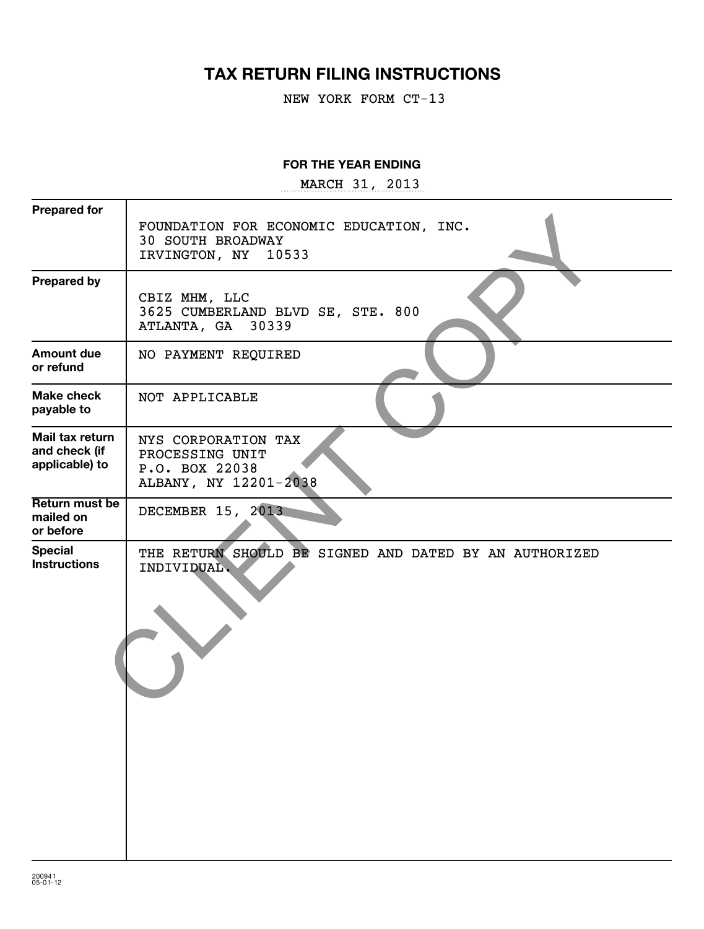# **TAX RETURN FILING INSTRUCTIONS**

NEW YORK FORM CT-13

#### **FOR THE YEAR ENDING**

~~~~~~~~~~~~~~~~~ MARCH 31, 2013

| <b>Prepared for</b>                                |                                                                                               |
|----------------------------------------------------|-----------------------------------------------------------------------------------------------|
|                                                    | FOUNDATION FOR ECONOMIC EDUCATION, INC.<br><b>30 SOUTH BROADWAY</b><br>IRVINGTON, NY<br>10533 |
| <b>Prepared by</b>                                 | CBIZ MHM, LLC<br>3625 CUMBERLAND BLVD SE, STE. 800<br>ATLANTA, GA 30339                       |
| <b>Amount due</b><br>or refund                     | NO PAYMENT REQUIRED                                                                           |
| <b>Make check</b><br>payable to                    | NOT APPLICABLE                                                                                |
| Mail tax return<br>and check (if<br>applicable) to | NYS CORPORATION TAX<br>PROCESSING UNIT<br>P.O. BOX 22038<br>ALBANY, NY 12201-2038             |
| Return must be<br>mailed on<br>or before           | DECEMBER 15, 2013                                                                             |
| <b>Special</b><br><b>Instructions</b>              | THE RETURN SHOULD BE SIGNED AND DATED BY AN AUTHORIZED<br>INDIVIDUAL.                         |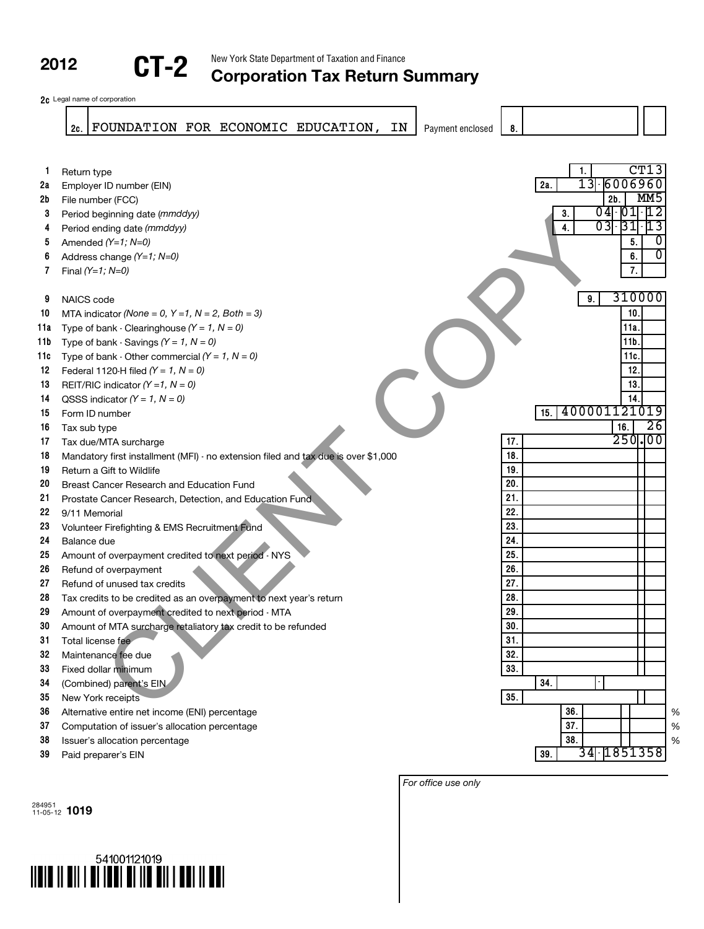New York State Department of Taxation and Finance

# **COLLET 2** New York State Department of Taxation and Finance **COLLET 2** Corporation Tax Return Summary



|          | FOUNDATION FOR ECONOMIC EDUCATION,<br>IN<br>2c.                                    | Payment enclosed | 8.  |                      |                  |                           |
|----------|------------------------------------------------------------------------------------|------------------|-----|----------------------|------------------|---------------------------|
|          |                                                                                    |                  |     |                      |                  |                           |
| 1.       | Return type                                                                        |                  |     | 1.                   |                  | CT13                      |
| 2a       | Employer ID number (EIN)                                                           |                  |     | 13 6006960<br>2a.    |                  |                           |
| 2b       | File number (FCC)                                                                  |                  |     | $2b$ .               |                  | MM <sub>5</sub>           |
| 3        | Period beginning date (mmddyy)                                                     |                  |     | $04$ $01$ $12$<br>3. |                  |                           |
| 4        | Period ending date (mmddyy)                                                        |                  |     | $03$ $31$ $13$<br>4. |                  |                           |
| 5        | Amended $(Y=1, N=0)$                                                               |                  |     |                      | 5.               | 0                         |
| 6        | Address change $(Y=1; N=0)$                                                        |                  |     |                      | 6.               | $\overline{\mathfrak{o}}$ |
| 7        | Final $(Y=1; N=0)$                                                                 |                  |     |                      | $\overline{7}$ . |                           |
|          |                                                                                    |                  |     |                      |                  |                           |
| 9        | NAICS code                                                                         |                  |     | 9.                   |                  | 310000                    |
| 10       | MTA indicator (None = 0, $Y = 1$ , $N = 2$ , Both = 3)                             |                  |     |                      | 10               |                           |
| 11a      | Type of bank - Clearinghouse $(Y = 1, N = 0)$                                      |                  |     |                      | 11a              |                           |
| 11b      | Type of bank - Savings $(Y = 1, N = 0)$                                            |                  |     |                      | 11 <sub>b</sub>  |                           |
| 11c      | Type of bank - Other commercial $(Y = 1, N = 0)$                                   |                  |     |                      | 11c.             |                           |
| 12       | Federal 1120-H filed $(Y = 1, N = 0)$                                              |                  |     |                      | 12.              |                           |
| 13       | REIT/RIC indicator $(Y = 1, N = 0)$                                                |                  |     |                      | 13.              |                           |
| 14       | QSSS indicator $(Y = 1, N = 0)$                                                    |                  |     |                      | 14.              |                           |
| 15       | Form ID number                                                                     |                  |     | 400001121019<br>15.  |                  |                           |
| 16       | Tax sub type                                                                       |                  |     |                      | 16.              | $\overline{26}$           |
| 17       | Tax due/MTA surcharge                                                              |                  | 17. |                      |                  | 250.00                    |
| 18       | Mandatory first installment (MFI) - no extension filed and tax due is over \$1,000 |                  | 18. |                      |                  |                           |
| 19       | Return a Gift to Wildlife                                                          |                  | 19. |                      |                  |                           |
| 20       | Breast Cancer Research and Education Fund                                          |                  | 20. |                      |                  |                           |
| 21       | Prostate Cancer Research, Detection, and Education Fund                            |                  | 21. |                      |                  |                           |
| 22       | 9/11 Memorial                                                                      |                  | 22. |                      |                  |                           |
| 23       | Volunteer Firefighting & EMS Recruitment Fund                                      |                  | 23. |                      |                  |                           |
| 24       | Balance due                                                                        |                  | 24. |                      |                  |                           |
| 25       | Amount of overpayment credited to next period - NYS                                |                  | 25. |                      |                  |                           |
| 26       | Refund of overpayment                                                              |                  | 26. |                      |                  |                           |
| 27       | Refund of unused tax credits                                                       |                  | 27. |                      |                  |                           |
| 28       | Tax credits to be credited as an overpayment to next year's return                 |                  | 28. |                      |                  |                           |
| 29       | Amount of overpayment credited to next period - MTA                                |                  | 29. |                      |                  |                           |
| 30       | Amount of MTA surcharge retaliatory tax credit to be refunded                      |                  | 30. |                      |                  |                           |
| 31       | Total license fee                                                                  |                  | 31. |                      |                  |                           |
| 32       | Maintenance fee due                                                                |                  | 32. |                      |                  |                           |
| 33       | Fixed dollar minimum                                                               |                  | 33. | 34.                  |                  |                           |
| 34       | (Combined) parent's EIN                                                            |                  | 35. |                      |                  |                           |
| 35<br>36 | New York receipts                                                                  |                  |     | 36.                  |                  |                           |
| 37       | Alternative entire net income (ENI) percentage                                     |                  |     | 37.                  |                  |                           |
| 38       | Computation of issuer's allocation percentage                                      |                  |     | 38.                  |                  |                           |
| 39       | Issuer's allocation percentage<br>Paid preparer's EIN                              |                  |     | 34 1851358<br>39.    |                  |                           |
|          |                                                                                    |                  |     |                      |                  |                           |

284951 11-05-12 **1019**



*For office use only*

% % %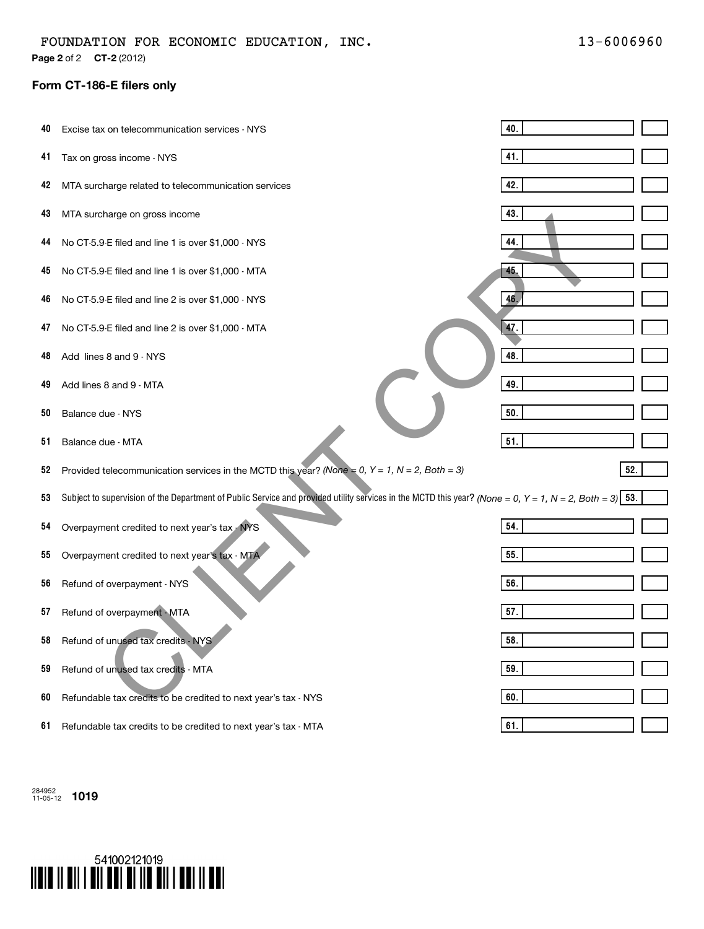**Page 2** of 2 **CT-2** (2012)

#### **Form CT-186-E filers only**

| 40 | Excise tax on telecommunication services - NYS                                                                                                         | 40. |
|----|--------------------------------------------------------------------------------------------------------------------------------------------------------|-----|
| 41 | Tax on gross income - NYS                                                                                                                              | 41. |
| 42 | MTA surcharge related to telecommunication services                                                                                                    | 42. |
| 43 | MTA surcharge on gross income                                                                                                                          | 43. |
| 44 | No CT-5.9-E filed and line 1 is over \$1,000 - NYS                                                                                                     | 44. |
| 45 | No CT-5.9-E filed and line 1 is over \$1,000 - MTA                                                                                                     | 45. |
| 46 | No CT-5.9-E filed and line 2 is over \$1,000 - NYS                                                                                                     | 46. |
| 47 | No CT-5.9-E filed and line 2 is over \$1,000 - MTA                                                                                                     | 47. |
| 48 | Add lines 8 and 9 - NYS                                                                                                                                | 48. |
| 49 | Add lines 8 and 9 - MTA                                                                                                                                | 49. |
| 50 | Balance due - NYS                                                                                                                                      | 50. |
| 51 | Balance due - MTA                                                                                                                                      | 51. |
| 52 | Provided telecommunication services in the MCTD this year? (None = 0, $Y = 1$ , $N = 2$ , Both = 3)                                                    | 52. |
| 53 | Subject to supervision of the Department of Public Service and provided utility services in the MCTD this year? (None = 0, Y = 1, N = 2, Both = 3) 53. |     |
| 54 | Overpayment credited to next year's tax - NYS                                                                                                          | 54. |
| 55 | Overpayment credited to next year's tax - MTA                                                                                                          | 55. |
| 56 | Refund of overpayment - NYS                                                                                                                            | 56. |
| 57 | Refund of overpayment - MTA                                                                                                                            | 57. |
| 58 | Refund of unused tax credits - NYS                                                                                                                     | 58. |
| 59 | Refund of unused tax credits - MTA                                                                                                                     | 59. |
| 60 | Refundable tax credits to be credited to next year's tax - NYS                                                                                         | 60. |
| 61 | Refundable tax credits to be credited to next year's tax - MTA                                                                                         | 61. |

284952 11-05-12 **1019**

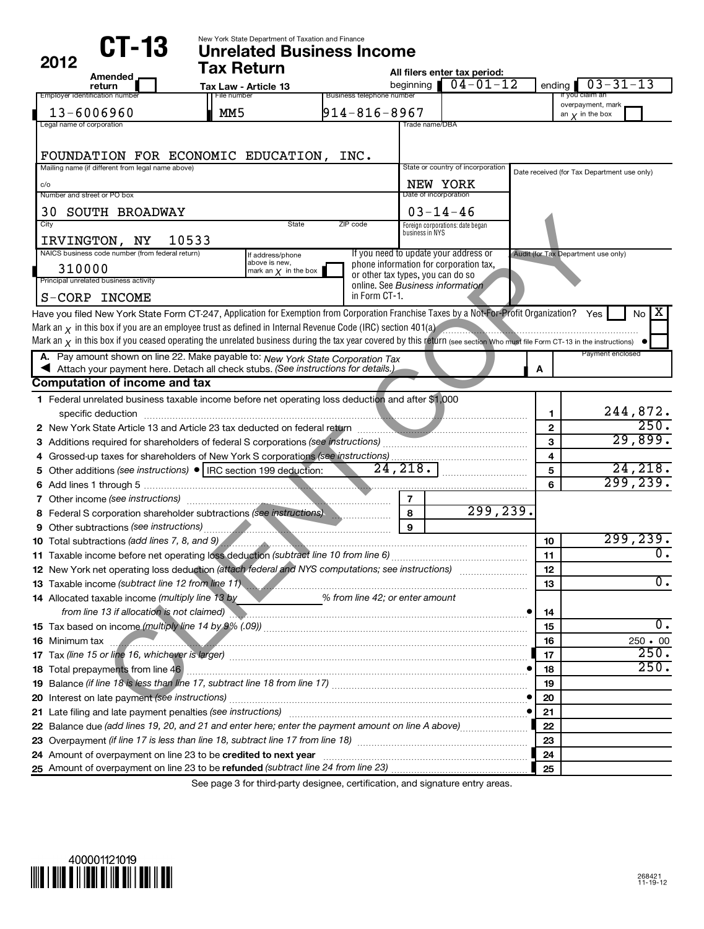| CT-13                                                                                                                                                                           | New York State Department of Taxation and Finance<br><b>Unrelated Business Income</b> |              |                                                                       |                 |                                                    |                         |                                             |                |
|---------------------------------------------------------------------------------------------------------------------------------------------------------------------------------|---------------------------------------------------------------------------------------|--------------|-----------------------------------------------------------------------|-----------------|----------------------------------------------------|-------------------------|---------------------------------------------|----------------|
| 2012                                                                                                                                                                            | <b>Tax Return</b>                                                                     |              |                                                                       |                 | All filers enter tax period:                       |                         |                                             |                |
| Amended<br>return                                                                                                                                                               | Tax Law - Article 13                                                                  |              |                                                                       |                 | beginning $\sqrt{04-01-12}$                        |                         | ending $\boxed{03-31-13}$                   |                |
| Employer identification number                                                                                                                                                  | File number                                                                           |              | Business telephone number                                             |                 |                                                    |                         | If you claim an<br>overpayment, mark        |                |
| $13 - 6006960$                                                                                                                                                                  | MM <sub>5</sub>                                                                       |              | $914 - 816 - 8967$                                                    |                 |                                                    |                         | an $\mathbf y$ in the box                   |                |
| Legal name of corporation                                                                                                                                                       |                                                                                       |              |                                                                       | Trade name/DBA  |                                                    |                         |                                             |                |
|                                                                                                                                                                                 |                                                                                       |              |                                                                       |                 |                                                    |                         |                                             |                |
| FOUNDATION FOR ECONOMIC EDUCATION, INC.                                                                                                                                         |                                                                                       |              |                                                                       |                 |                                                    |                         |                                             |                |
| Mailing name (if different from legal name above)                                                                                                                               |                                                                                       |              |                                                                       |                 | State or country of incorporation                  |                         | Date received (for Tax Department use only) |                |
| c/o<br>Number and street or PO box                                                                                                                                              |                                                                                       |              |                                                                       |                 | NEW YORK<br>Date of incorporation                  |                         |                                             |                |
|                                                                                                                                                                                 |                                                                                       |              |                                                                       |                 |                                                    |                         |                                             |                |
| <b>30 SOUTH BROADWAY</b><br>City                                                                                                                                                |                                                                                       | <b>State</b> | ZIP code                                                              |                 | $03 - 14 - 46$<br>Foreign corporations: date began |                         |                                             |                |
| 10533                                                                                                                                                                           |                                                                                       |              |                                                                       | business in NYS |                                                    |                         |                                             |                |
| IRVINGTON, NY<br>NAICS business code number (from federal return)                                                                                                               | If address/phone                                                                      |              | If you need to update your address or                                 |                 |                                                    |                         | Audit (for Tax Department use only)         |                |
| 310000                                                                                                                                                                          | above is new,<br>mark an $\chi$ in the box                                            |              | phone information for corporation tax,                                |                 |                                                    |                         |                                             |                |
| Principal unrelated business activity                                                                                                                                           |                                                                                       |              | or other tax types, you can do so<br>online. See Business information |                 |                                                    |                         |                                             |                |
| S-CORP INCOME                                                                                                                                                                   |                                                                                       |              | in Form CT-1.                                                         |                 |                                                    |                         |                                             |                |
| Have you filed New York State Form CT-247, Application for Exemption from Corporation Franchise Taxes by a Not-For-Profit Organization? Yes                                     |                                                                                       |              |                                                                       |                 |                                                    |                         |                                             | No             |
| Mark an $\chi$ in this box if you are an employee trust as defined in Internal Revenue Code (IRC) section 401(a)                                                                |                                                                                       |              |                                                                       |                 |                                                    |                         |                                             |                |
| Mark an $\chi$ in this box if you ceased operating the unrelated business during the tax year covered by this return (see section Who must file Form CT-13 in the instructions) |                                                                                       |              |                                                                       |                 |                                                    |                         |                                             |                |
| A. Pay amount shown on line 22. Make payable to: New York State Corporation Tax                                                                                                 |                                                                                       |              |                                                                       |                 |                                                    |                         | Payment enclosed                            |                |
| Attach your payment here. Detach all check stubs. (See instructions for details.)                                                                                               |                                                                                       |              |                                                                       |                 |                                                    | A                       |                                             |                |
| <b>Computation of income and tax</b>                                                                                                                                            |                                                                                       |              |                                                                       |                 |                                                    |                         |                                             |                |
| 1 Federal unrelated business taxable income before net operating loss deduction and after \$1,000                                                                               |                                                                                       |              |                                                                       |                 |                                                    |                         |                                             |                |
| specific deduction                                                                                                                                                              |                                                                                       |              |                                                                       |                 |                                                    | 1                       |                                             | 244,872.       |
|                                                                                                                                                                                 |                                                                                       |              |                                                                       |                 |                                                    | $\mathbf{2}$            |                                             | 250.           |
|                                                                                                                                                                                 |                                                                                       |              |                                                                       |                 |                                                    | 3                       |                                             | 29,899.        |
|                                                                                                                                                                                 |                                                                                       |              |                                                                       |                 |                                                    | $\overline{\mathbf{4}}$ |                                             |                |
| 5 Other additions (see instructions) •   IRC section 199 deduction:                                                                                                             |                                                                                       |              | 24, 218.                                                              |                 |                                                    | 5                       |                                             | 24, 218.       |
|                                                                                                                                                                                 |                                                                                       |              |                                                                       |                 |                                                    | 6                       |                                             | 299, 239.      |
|                                                                                                                                                                                 |                                                                                       |              | $\overline{7}$                                                        |                 |                                                    |                         |                                             |                |
| 8 Federal S corporation shareholder subtractions (see instructions)                                                                                                             |                                                                                       |              | 8                                                                     |                 | 299, 239.                                          |                         |                                             |                |
| 9 Other subtractions (see instructions) <b>Constructions Constructions Only 10</b> Other subtractions (see instructions)                                                        |                                                                                       |              | $\mathbf{9}$                                                          |                 |                                                    |                         |                                             |                |
| 10 Total subtractions (add lines 7, 8, and 9)                                                                                                                                   |                                                                                       |              |                                                                       |                 |                                                    | 10<br>11                |                                             | 299,239.       |
| 12 New York net operating loss deduction (attach federal and NYS computations; see instructions)                                                                                |                                                                                       |              |                                                                       |                 |                                                    |                         |                                             |                |
| 13 Taxable income (subtract line 12 from line 11)                                                                                                                               |                                                                                       |              |                                                                       |                 |                                                    | 12<br>13                |                                             | О.             |
| 14 Allocated taxable income (multiply line 13 by                                                                                                                                |                                                                                       |              | % from line 42; or enter amount                                       |                 |                                                    |                         |                                             |                |
| from line 13 if allocation is not claimed) <b>All and Construct Constantine Construct</b> in the 13 if allocation is not claimed)                                               |                                                                                       |              |                                                                       |                 |                                                    | 14                      |                                             |                |
|                                                                                                                                                                                 |                                                                                       |              |                                                                       |                 |                                                    | 15                      |                                             | О.             |
|                                                                                                                                                                                 |                                                                                       |              |                                                                       |                 |                                                    | 16                      |                                             | $250 \cdot 00$ |
| 17 Tax (line 15 or line 16, whichever is larger) Mathematic material contracts and the 15 or line 16, whichever is larger                                                       |                                                                                       |              |                                                                       |                 |                                                    | 17                      |                                             | 250.           |
|                                                                                                                                                                                 |                                                                                       |              |                                                                       |                 |                                                    | 18                      |                                             | 250.           |
|                                                                                                                                                                                 |                                                                                       |              |                                                                       |                 |                                                    | 19                      |                                             |                |
|                                                                                                                                                                                 |                                                                                       |              |                                                                       |                 |                                                    | 20                      |                                             |                |
|                                                                                                                                                                                 |                                                                                       |              |                                                                       |                 |                                                    | 21                      |                                             |                |
|                                                                                                                                                                                 |                                                                                       |              |                                                                       |                 |                                                    | 22                      |                                             |                |
|                                                                                                                                                                                 |                                                                                       |              |                                                                       |                 |                                                    | 23                      |                                             |                |
|                                                                                                                                                                                 |                                                                                       |              |                                                                       |                 |                                                    | 24                      |                                             |                |
|                                                                                                                                                                                 |                                                                                       |              |                                                                       |                 |                                                    | 25                      |                                             |                |

See page 3 for third-party designee, certification, and signature entry areas.

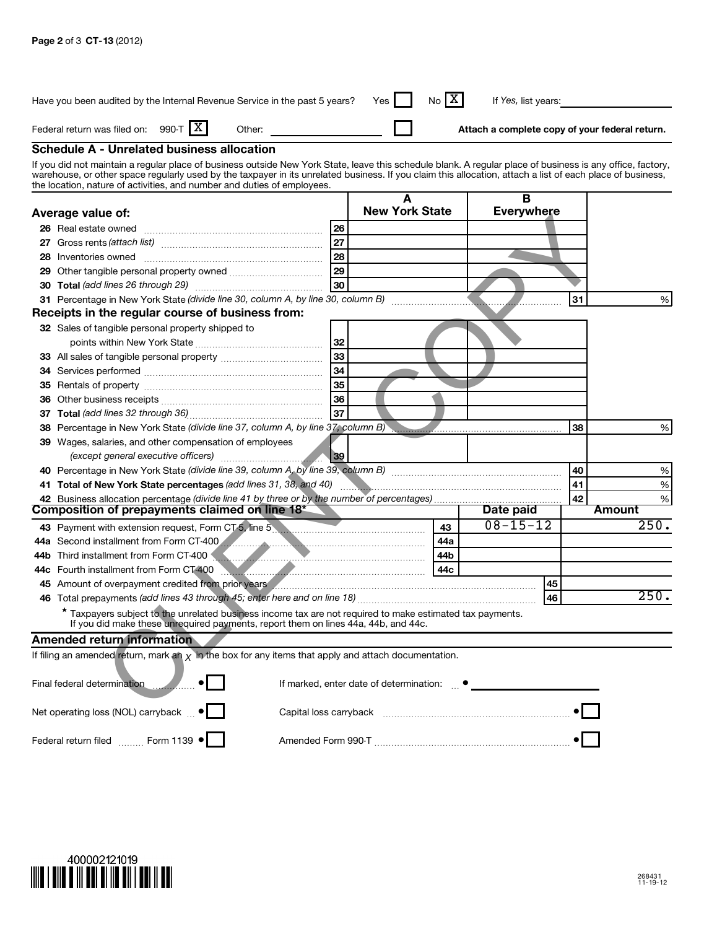|                                                    | Have you been audited by the Internal Revenue Service in the past 5 years?                                                                                                                                                                                                                                                                                                                          |  |    | Yes                                               | X<br>No | If Yes, list years: |    |    |        |      |
|----------------------------------------------------|-----------------------------------------------------------------------------------------------------------------------------------------------------------------------------------------------------------------------------------------------------------------------------------------------------------------------------------------------------------------------------------------------------|--|----|---------------------------------------------------|---------|---------------------|----|----|--------|------|
| X <br>Federal return was filed on: 990-T<br>Other: |                                                                                                                                                                                                                                                                                                                                                                                                     |  |    | Attach a complete copy of your federal return.    |         |                     |    |    |        |      |
|                                                    | <b>Schedule A - Unrelated business allocation</b>                                                                                                                                                                                                                                                                                                                                                   |  |    |                                                   |         |                     |    |    |        |      |
|                                                    | If you did not maintain a regular place of business outside New York State, leave this schedule blank. A regular place of business is any office, factory,<br>warehouse, or other space regularly used by the taxpayer in its unrelated business. If you claim this allocation, attach a list of each place of business,<br>the location, nature of activities, and number and duties of employees. |  |    |                                                   |         |                     |    |    |        |      |
| Average value of:                                  |                                                                                                                                                                                                                                                                                                                                                                                                     |  |    | <b>New York State</b>                             |         | B<br>Everywhere     |    |    |        |      |
|                                                    | 26 Real estate owned                                                                                                                                                                                                                                                                                                                                                                                |  | 26 |                                                   |         |                     |    |    |        |      |
|                                                    |                                                                                                                                                                                                                                                                                                                                                                                                     |  | 27 |                                                   |         |                     |    |    |        |      |
|                                                    | 28 Inventories owned                                                                                                                                                                                                                                                                                                                                                                                |  | 28 |                                                   |         |                     |    |    |        |      |
| 29                                                 |                                                                                                                                                                                                                                                                                                                                                                                                     |  | 29 |                                                   |         |                     |    |    |        |      |
|                                                    |                                                                                                                                                                                                                                                                                                                                                                                                     |  | 30 |                                                   |         |                     |    |    |        |      |
|                                                    |                                                                                                                                                                                                                                                                                                                                                                                                     |  |    |                                                   |         |                     |    | 31 |        | %    |
|                                                    | Receipts in the regular course of business from:                                                                                                                                                                                                                                                                                                                                                    |  |    |                                                   |         |                     |    |    |        |      |
|                                                    | 32 Sales of tangible personal property shipped to                                                                                                                                                                                                                                                                                                                                                   |  |    |                                                   |         |                     |    |    |        |      |
|                                                    |                                                                                                                                                                                                                                                                                                                                                                                                     |  | 32 |                                                   |         |                     |    |    |        |      |
|                                                    |                                                                                                                                                                                                                                                                                                                                                                                                     |  | 33 |                                                   |         |                     |    |    |        |      |
|                                                    |                                                                                                                                                                                                                                                                                                                                                                                                     |  | 34 |                                                   |         |                     |    |    |        |      |
|                                                    |                                                                                                                                                                                                                                                                                                                                                                                                     |  | 35 |                                                   |         |                     |    |    |        |      |
|                                                    |                                                                                                                                                                                                                                                                                                                                                                                                     |  | 36 |                                                   |         |                     |    |    |        |      |
|                                                    |                                                                                                                                                                                                                                                                                                                                                                                                     |  | 37 |                                                   |         |                     |    |    |        |      |
|                                                    | 38 Percentage in New York State (divide line 37, column A, by line 37, column B)                                                                                                                                                                                                                                                                                                                    |  |    |                                                   |         |                     |    | 38 |        | %    |
|                                                    | 39 Wages, salaries, and other compensation of employees<br>(except general executive officers)                                                                                                                                                                                                                                                                                                      |  | 39 |                                                   |         |                     |    |    |        |      |
|                                                    |                                                                                                                                                                                                                                                                                                                                                                                                     |  |    |                                                   |         |                     |    | 40 |        | $\%$ |
|                                                    | 41 Total of New York State percentages (add lines 31, 38, and 40)                                                                                                                                                                                                                                                                                                                                   |  |    |                                                   |         |                     |    | 41 |        | %    |
|                                                    |                                                                                                                                                                                                                                                                                                                                                                                                     |  |    |                                                   |         |                     |    | 42 |        | $\%$ |
|                                                    | Composition of prepayments claimed on line 18 <sup>*</sup>                                                                                                                                                                                                                                                                                                                                          |  |    |                                                   |         | Date paid           |    |    | Amount |      |
|                                                    | 43 Payment with extension request, Form CT-5, line 5                                                                                                                                                                                                                                                                                                                                                |  |    |                                                   | 43      | $08 - 15 - 12$      |    |    |        | 250. |
|                                                    | 44a Second installment from Form CT-400                                                                                                                                                                                                                                                                                                                                                             |  |    |                                                   | 44a     |                     |    |    |        |      |
|                                                    | 44b Third installment from Form CT-400                                                                                                                                                                                                                                                                                                                                                              |  |    |                                                   | 44b     |                     |    |    |        |      |
|                                                    | 44c Fourth installment from Form CT-400 <b>Manual Constitution</b> Countries and Table 1                                                                                                                                                                                                                                                                                                            |  |    |                                                   | 44c     |                     |    |    |        |      |
|                                                    | 45 Amount of overpayment credited from prior years American material contracts and contract and the contract of                                                                                                                                                                                                                                                                                     |  |    |                                                   |         |                     | 45 |    |        |      |
|                                                    |                                                                                                                                                                                                                                                                                                                                                                                                     |  |    |                                                   |         |                     | 46 |    |        | 250. |
|                                                    | * Taxpayers subject to the unrelated business income tax are not required to make estimated tax payments.<br>If you did make these unrequired payments, report them on lines 44a, 44b, and 44c.                                                                                                                                                                                                     |  |    |                                                   |         |                     |    |    |        |      |
|                                                    | <b>Amended return information</b>                                                                                                                                                                                                                                                                                                                                                                   |  |    |                                                   |         |                     |    |    |        |      |
|                                                    | If filing an amended return, mark an $\chi$ in the box for any items that apply and attach documentation.                                                                                                                                                                                                                                                                                           |  |    |                                                   |         |                     |    |    |        |      |
|                                                    | Final federal determination                                                                                                                                                                                                                                                                                                                                                                         |  |    | If marked, enter date of determination: $\bullet$ |         |                     |    |    |        |      |
| Net operating loss (NOL) carryback $\bullet$       |                                                                                                                                                                                                                                                                                                                                                                                                     |  |    |                                                   |         |                     |    |    |        |      |
| Federal return filed Form 1139 ·                   |                                                                                                                                                                                                                                                                                                                                                                                                     |  |    |                                                   |         |                     |    |    |        |      |